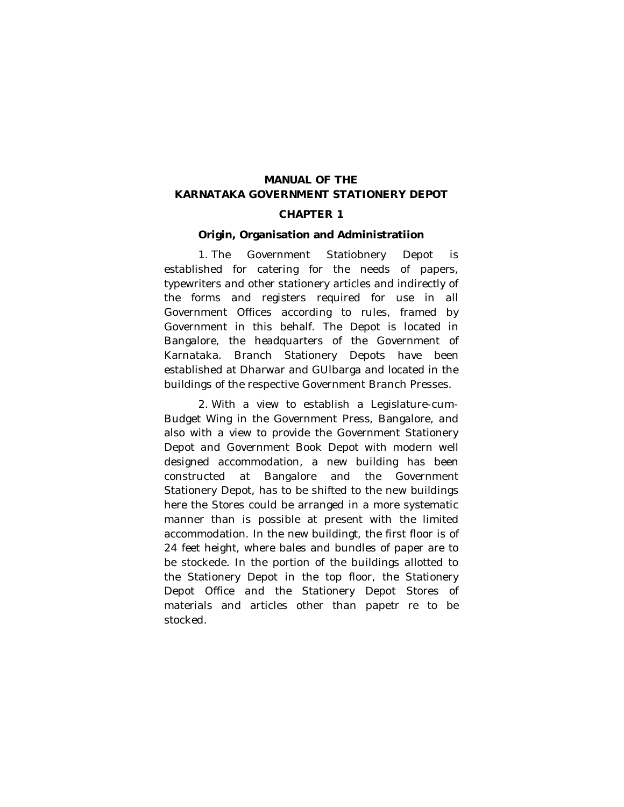# **MANUAL OF THE KARNATAKA GOVERNMENT STATIONERY DEPOT**

# **CHAPTER 1**

# **Origin, Organisation and Administratiion**

1. The Government Statiobnery Depot is established for catering for the needs of papers, typewriters and other stationery articles and indirectly of the forms and registers required for use in all Government Offices according to rules, framed by Government in this behalf. The Depot is located in Bangalore, the headquarters of the Government of Karnataka. Branch Stationery Depots have been established at Dharwar and GUlbarga and located in the buildings of the respective Government Branch Presses.

2. With a view to establish a Legislature-cum-Budget Wing in the Government Press, Bangalore, and also with a view to provide the Government Stationery Depot and Government Book Depot with modern well designed accommodation, a new building has been constructed at Bangalore and the Government Stationery Depot, has to be shifted to the new buildings here the Stores could be arranged in a more systematic manner than is possible at present with the limited accommodation. In the new buildingt, the first floor is of 24 feet height, where bales and bundles of paper are to be stockede. In the portion of the buildings allotted to the Stationery Depot in the top floor, the Stationery Depot Office and the Stationery Depot Stores of materials and articles other than papetr re to be stocked.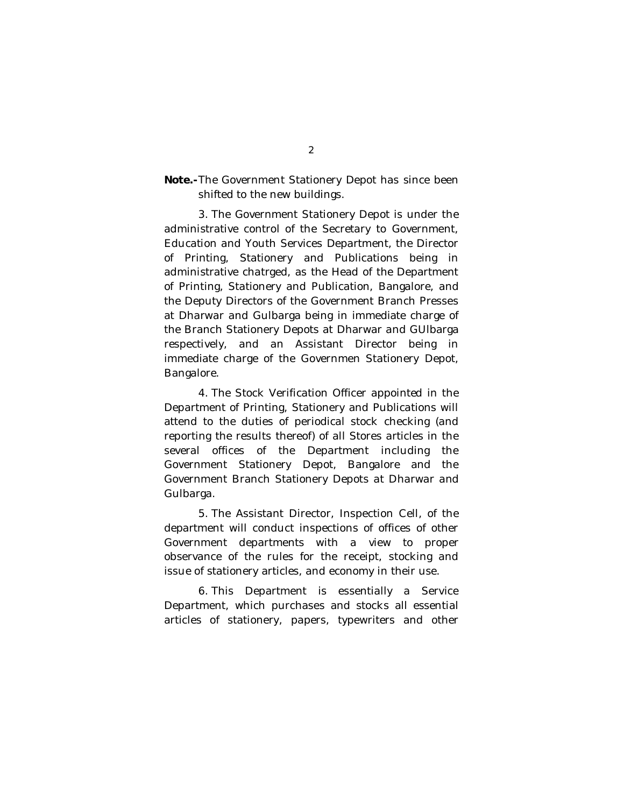# **Note.-**The Government Stationery Depot has since been shifted to the new buildings.

3. The Government Stationery Depot is under the administrative control of the Secretary to Government, Education and Youth Services Department, the Director of Printing, Stationery and Publications being in administrative chatrged, as the Head of the Department of Printing, Stationery and Publication, Bangalore, and the Deputy Directors of the Government Branch Presses at Dharwar and Gulbarga being in immediate charge of the Branch Stationery Depots at Dharwar and GUlbarga respectively, and an Assistant Director being in immediate charge of the Governmen Stationery Depot, Bangalore.

4. The Stock Verification Officer appointed in the Department of Printing, Stationery and Publications will attend to the duties of periodical stock checking (and reporting the results thereof) of all Stores articles in the several offices of the Department including the Government Stationery Depot, Bangalore and the Government Branch Stationery Depots at Dharwar and Gulbarga.

5. The Assistant Director, Inspection Cell, of the department will conduct inspections of offices of other Government departments with a view to proper observance of the rules for the receipt, stocking and issue of stationery articles, and economy in their use.

6. This Department is essentially a Service Department, which purchases and stocks all essential articles of stationery, papers, typewriters and other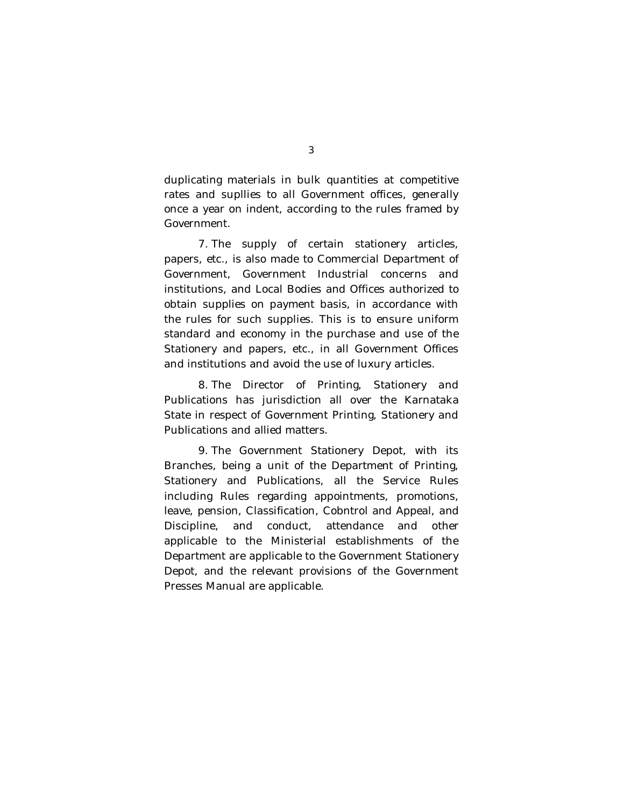duplicating materials in bulk quantities at competitive rates and supllies to all Government offices, generally once a year on indent, according to the rules framed by Government.

7. The supply of certain stationery articles, papers, etc., is also made to Commercial Department of Government, Government Industrial concerns and institutions, and Local Bodies and Offices authorized to obtain supplies on payment basis, in accordance with the rules for such supplies. This is to ensure uniform standard and economy in the purchase and use of the Stationery and papers, etc., in all Government Offices and institutions and avoid the use of luxury articles.

8. The Director of Printing, Stationery and Publications has jurisdiction all over the Karnataka State in respect of Government Printing, Stationery and Publications and allied matters.

9. The Government Stationery Depot, with its Branches, being a unit of the Department of Printing, Stationery and Publications, all the Service Rules including Rules regarding appointments, promotions, leave, pension, Classification, Cobntrol and Appeal, and Discipline, and conduct, attendance and other applicable to the Ministerial establishments of the Department are applicable to the Government Stationery Depot, and the relevant provisions of the Government Presses Manual are applicable.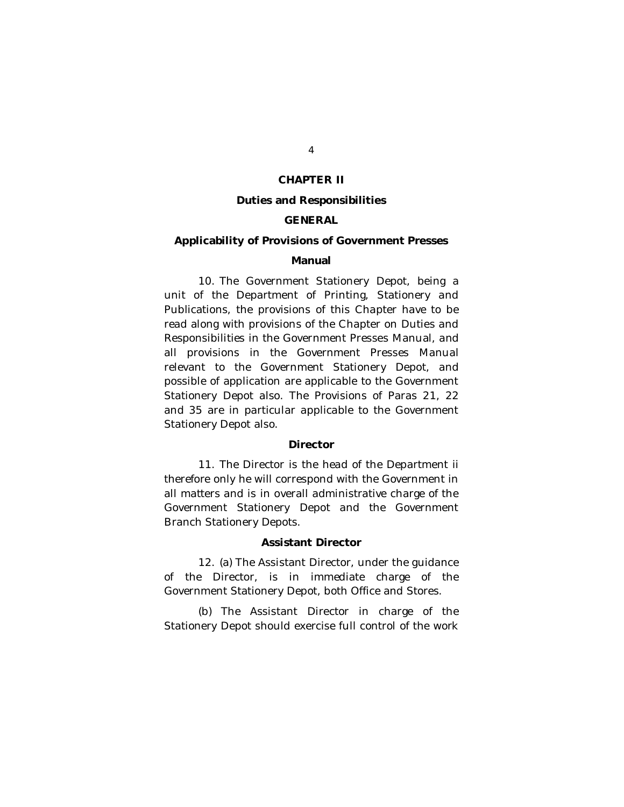### **CHAPTER II**

#### **Duties and Responsibilities**

### **GENERAL**

# **Applicability of Provisions of Government Presses**

### **Manual**

10. The Government Stationery Depot, being a unit of the Department of Printing, Stationery and Publications, the provisions of this Chapter have to be read along with provisions of the Chapter on Duties and Responsibilities in the Government Presses Manual, and all provisions in the Government Presses Manual relevant to the Government Stationery Depot, and possible of application are applicable to the Government Stationery Depot also. The Provisions of Paras 21, 22 and 35 are in particular applicable to the Government Stationery Depot also.

### **Director**

11. The Director is the head of the Department ii therefore only he will correspond with the Government in all matters and is in overall administrative charge of the Government Stationery Depot and the Government Branch Stationery Depots.

#### **Assistant Director**

12. (a) The Assistant Director, under the guidance of the Director, is in immediate charge of the Government Stationery Depot, both Office and Stores.

(b) The Assistant Director in charge of the Stationery Depot should exercise full control of the work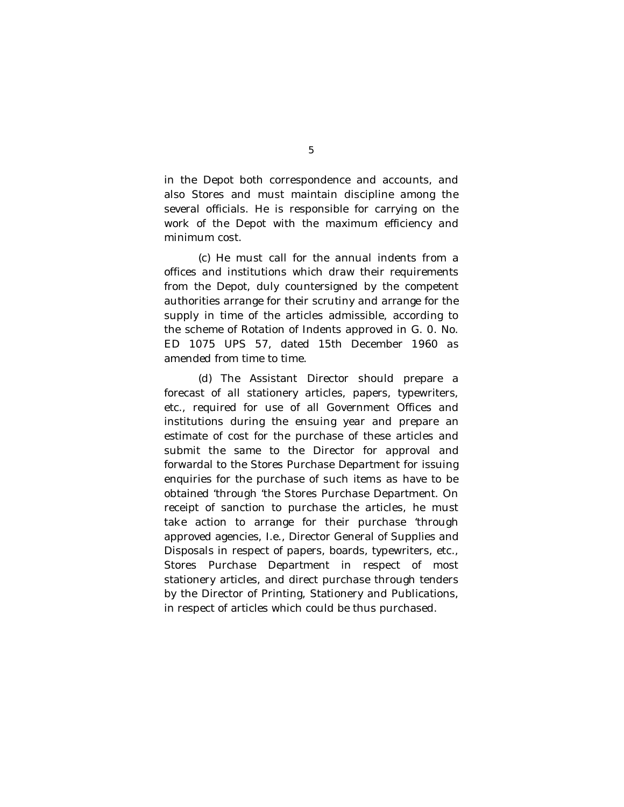in the Depot both correspondence and accounts, and also Stores and must maintain discipline among the several officials. He is responsible for carrying on the work of the Depot with the maximum efficiency and minimum cost.

(c) He must call for the annual indents from a offices and institutions which draw their requirements from the Depot, duly countersigned by the competent authorities arrange for their scrutiny and arrange for the supply in time of the articles admissible, according to the scheme of Rotation of Indents approved in G. 0. No. ED 1075 UPS 57, dated 15th December 1960 as amended from time to time.

(d) The Assistant Director should prepare a forecast of all stationery articles, papers, typewriters, etc., required for use of all Government Offices and institutions during the ensuing year and prepare an estimate of cost for the purchase of these articles and submit the same to the Director for approval and forwardal to the Stores Purchase Department for issuing enquiries for the purchase of such items as have to be obtained 'through 'the Stores Purchase Department. On receipt of sanction to purchase the articles, he must take action to arrange for their purchase 'through approved agencies, I.e., Director General of Supplies and Disposals in respect of papers, boards, typewriters, etc., Stores Purchase Department in respect of most stationery articles, and direct purchase through tenders by the Director of Printing, Stationery and Publications, in respect of articles which could be thus purchased.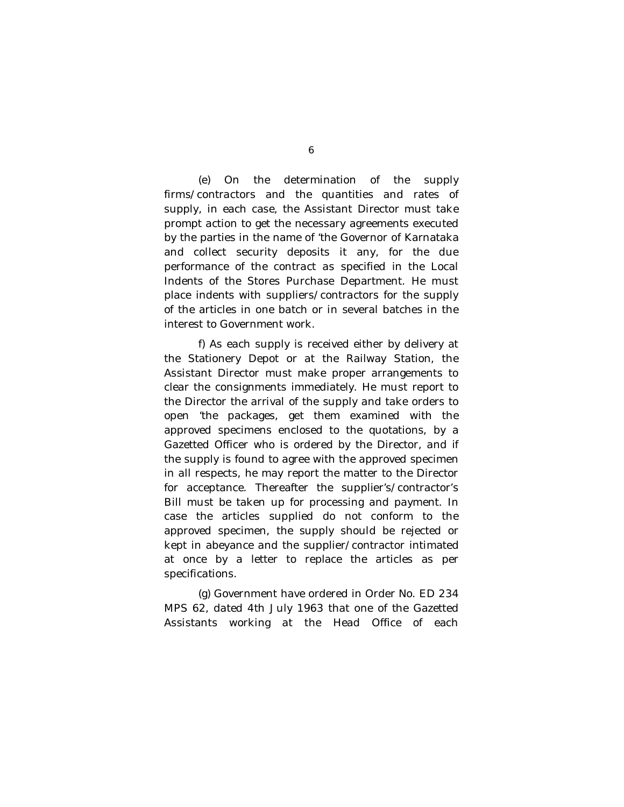(e) On the determination of the supply firms/contractors and the quantities and rates of supply, in each case, the Assistant Director must take prompt action to get the necessary agreements executed by the parties in the name of 'the Governor of Karnataka and collect security deposits it any, for the due performance of the contract as specified in the Local Indents of the Stores Purchase Department. He must place indents with suppliers/contractors for the supply of the articles in one batch or in several batches in the interest to Government work.

f) As each supply is received either by delivery at the Stationery Depot or at the Railway Station, the Assistant Director must make proper arrangements to clear the consignments immediately. He must report to the Director the arrival of the supply and take orders to open 'the packages, get them examined with the approved specimens enclosed to the quotations, by a Gazetted Officer who is ordered by the Director, and if the supply is found to agree with the approved specimen in all respects, he may report the matter to the Director for acceptance. Thereafter the supplier's/contractor's Bill must be taken up for processing and payment. In case the articles supplied do not conform to the approved specimen, the supply should be rejected or kept in abeyance and the supplier/contractor intimated at once by a letter to replace the articles as per specifications.

(g) Government have ordered in Order No. ED 234 MPS 62, dated 4th July 1963 that one of the Gazetted Assistants working at the Head Office of each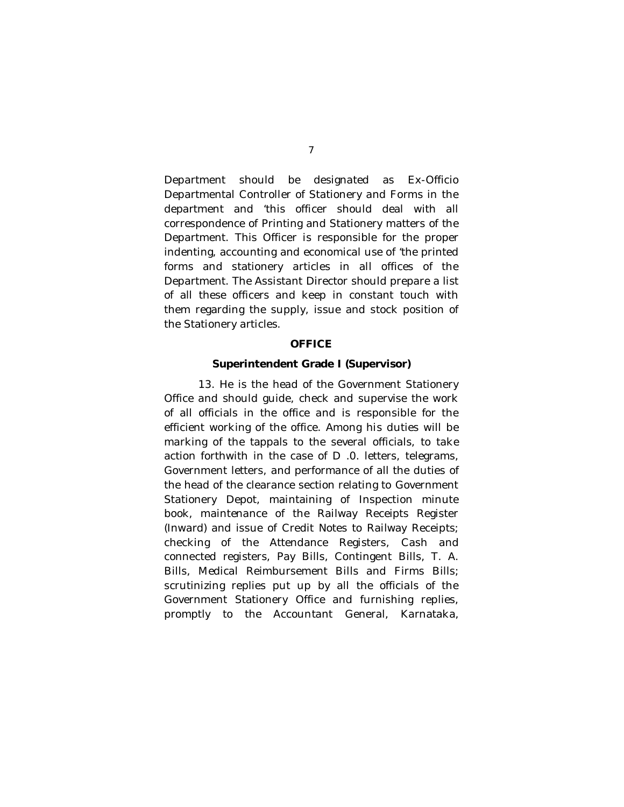Department should be designated as Ex-Officio Departmental Controller of Stationery and Forms in the department and 'this officer should deal with all correspondence of Printing and Stationery matters of the Department. This Officer is responsible for the proper indenting, accounting and economical use of 'the printed forms and stationery articles in all offices of the Department. The Assistant Director should prepare a list of all these officers and keep in constant touch with them regarding the supply, issue and stock position of the Stationery articles.

# **OFFICE**

### **Superintendent Grade I (Supervisor)**

13. He is the head of the Government Stationery Office and should guide, check and supervise the work of all officials in the office and is responsible for the efficient working of the office. Among his duties will be marking of the tappals to the several officials, to take action forthwith in the case of D .0. letters, telegrams, Government letters, and performance of all the duties of the head of the clearance section relating to Government Stationery Depot, maintaining of Inspection minute book, maintenance of the Railway Receipts Register (Inward) and issue of Credit Notes to Railway Receipts; checking of the Attendance Registers, Cash and connected registers, Pay Bills, Contingent Bills, T. A. Bills, Medical Reimbursement Bills and Firms Bills; scrutinizing replies put up by all the officials of the Government Stationery Office and furnishing replies, promptly to the Accountant General, Karnataka,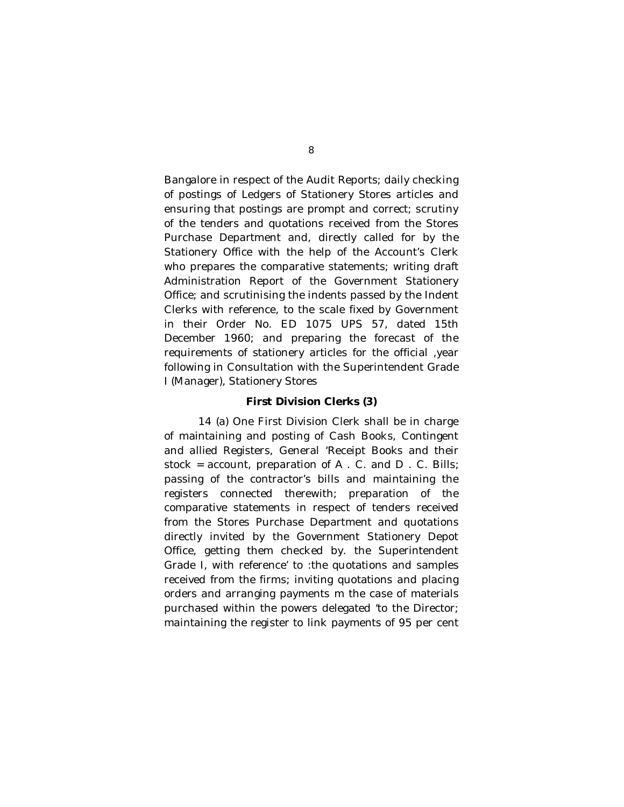Bangalore in respect of the Audit Reports; daily checking of postings of Ledgers of Stationery Stores articles and ensuring that postings are prompt and correct; scrutiny of the tenders and quotations received from the Stores Purchase Department and, directly called for by the Stationery Office with the help of the Account's Clerk who prepares the comparative statements; writing draft Administration Report of the Government Stationery Office; and scrutinising the indents passed by the Indent Clerks with reference, to the scale fixed by Government in their Order No. ED 1075 UPS 57, dated 15th December 1960; and preparing the forecast of the requirements of stationery articles for the official ,year following in Consultation with the Superintendent Grade I (Manager), Stationery Stores

### **First Division Clerks (3)**

14 (a) One First Division Clerk shall be in charge of maintaining and posting of Cash Books, Contingent and allied Registers, General 'Receipt Books and their stock = account, preparation of A . C. and D . C. Bills; passing of the contractor's bills and maintaining the registers connected therewith; preparation of the comparative statements in respect of tenders received from the Stores Purchase Department and quotations directly invited by the Government Stationery Depot Office, getting them checked by. the Superintendent Grade I, with reference' to :the quotations and samples received from the firms; inviting quotations and placing orders and arranging payments m the case of materials purchased within the powers delegated 'to the Director; maintaining the register to link payments of 95 per cent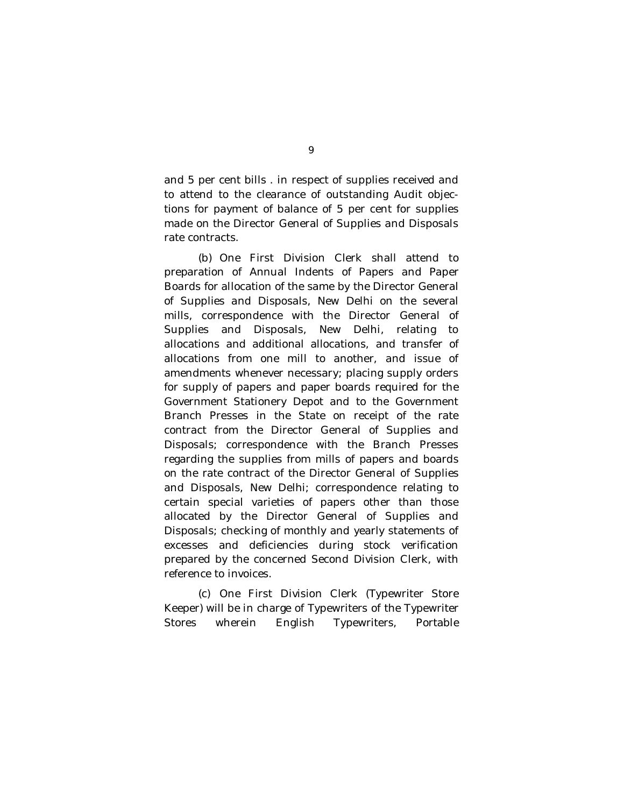and 5 per cent bills . in respect of supplies received and to attend to the clearance of outstanding Audit objections for payment of balance of 5 per cent for supplies made on the Director General of Supplies and Disposals rate contracts.

(b) One First Division Clerk shall attend to preparation of Annual Indents of Papers and Paper Boards for allocation of the same by the Director General of Supplies and Disposals, New Delhi on the several mills, correspondence with the Director General of Supplies and Disposals, New Delhi, relating to allocations and additional allocations, and transfer of allocations from one mill to another, and issue of amendments whenever necessary; placing supply orders for supply of papers and paper boards required for the Government Stationery Depot and to the Government Branch Presses in the State on receipt of the rate contract from the Director General of Supplies and Disposals; correspondence with the Branch Presses regarding the supplies from mills of papers and boards on the rate contract of the Director General of Supplies and Disposals, New Delhi; correspondence relating to certain special varieties of papers other than those allocated by the Director General of Supplies and Disposals; checking of monthly and yearly statements of excesses and deficiencies during stock verification prepared by the concerned Second Division Clerk, with reference to invoices.

(c) One First Division Clerk (Typewriter Store Keeper) will be in charge of Typewriters of the Typewriter Stores wherein English Typewriters, Portable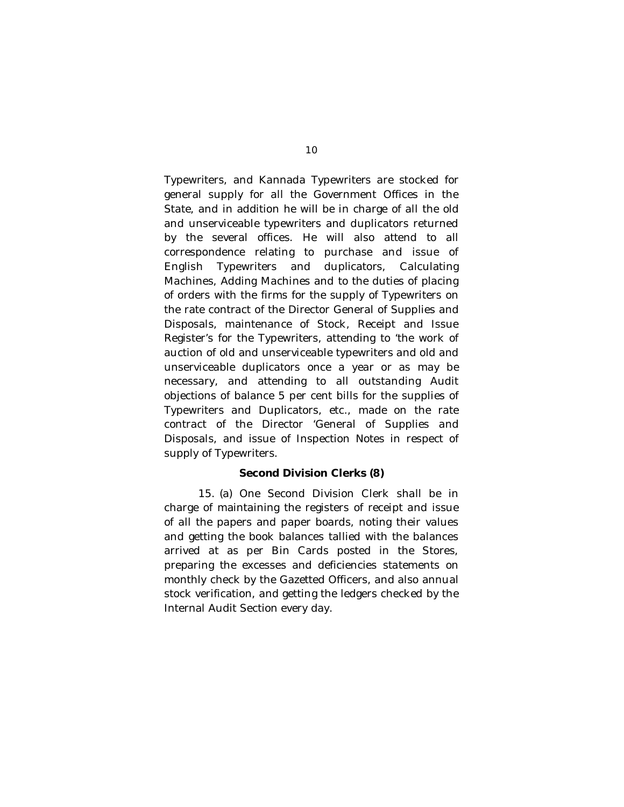Typewriters, and Kannada Typewriters are stocked for general supply for all the Government Offices in the State, and in addition he will be in charge of all the old and unserviceable typewriters and duplicators returned by the several offices. He will also attend to all correspondence relating to purchase and issue of English Typewriters and duplicators, Calculating Machines, Adding Machines and to the duties of placing of orders with the firms for the supply of Typewriters on the rate contract of the Director General of Supplies and Disposals, maintenance of Stock, Receipt and Issue Register's for the Typewriters, attending to 'the work of auction of old and unserviceable typewriters and old and unserviceable duplicators once a year or as may be necessary, and attending to all outstanding Audit objections of balance 5 per cent bills for the supplies of Typewriters and Duplicators, etc., made on the rate contract of the Director 'General of Supplies and Disposals, and issue of Inspection Notes in respect of supply of Typewriters.

# **Second Division Clerks (8)**

15. (a) One Second Division Clerk shall be in charge of maintaining the registers of receipt and issue of all the papers and paper boards, noting their values and getting the book balances tallied with the balances arrived at as per Bin Cards posted in the Stores, preparing the excesses and deficiencies statements on monthly check by the Gazetted Officers, and also annual stock verification, and getting the ledgers checked by the Internal Audit Section every day.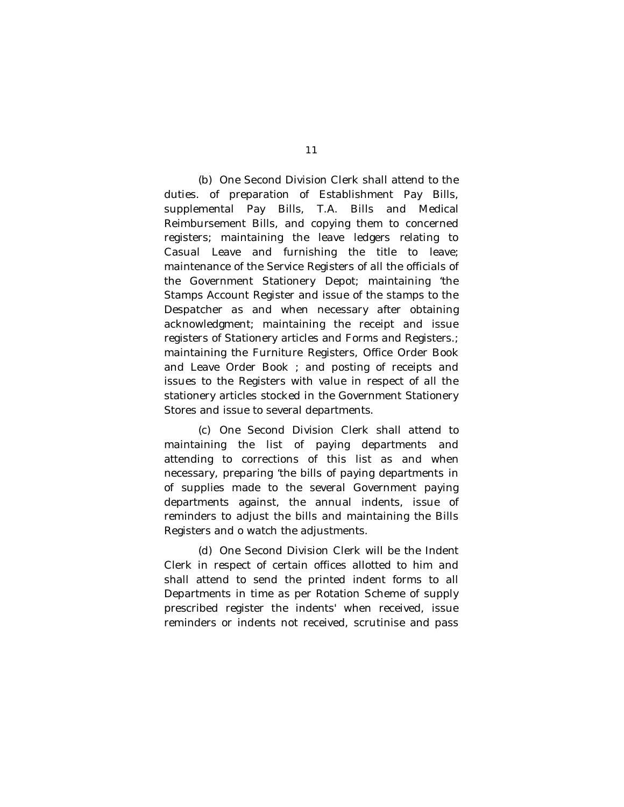(b) One Second Division Clerk shall attend to the duties. of preparation of Establishment Pay Bills, supplemental Pay Bills, T.A. Bills and Medical Reimbursement Bills, and copying them to concerned registers; maintaining the leave ledgers relating to Casual Leave and furnishing the title to leave; maintenance of the Service Registers of all the officials of the Government Stationery Depot; maintaining 'the Stamps Account Register and issue of the stamps to the Despatcher as and when necessary after obtaining acknowledgment; maintaining the receipt and issue registers of Stationery articles and Forms and Registers.; maintaining the Furniture Registers, Office Order Book and Leave Order Book ; and posting of receipts and issues to the Registers with value in respect of all the stationery articles stocked in the Government Stationery Stores and issue to several departments.

(c) One Second Division Clerk shall attend to maintaining the list of paying departments and attending to corrections of this list as and when necessary, preparing 'the bills of paying departments in of supplies made to the several Government paying departments against, the annual indents, issue of reminders to adjust the bills and maintaining the Bills Registers and o watch the adjustments.

(d) One Second Division Clerk will be the Indent Clerk in respect of certain offices allotted to him and shall attend to send the printed indent forms to all Departments in time as per Rotation Scheme of supply prescribed register the indents' when received, issue reminders or indents not received, scrutinise and pass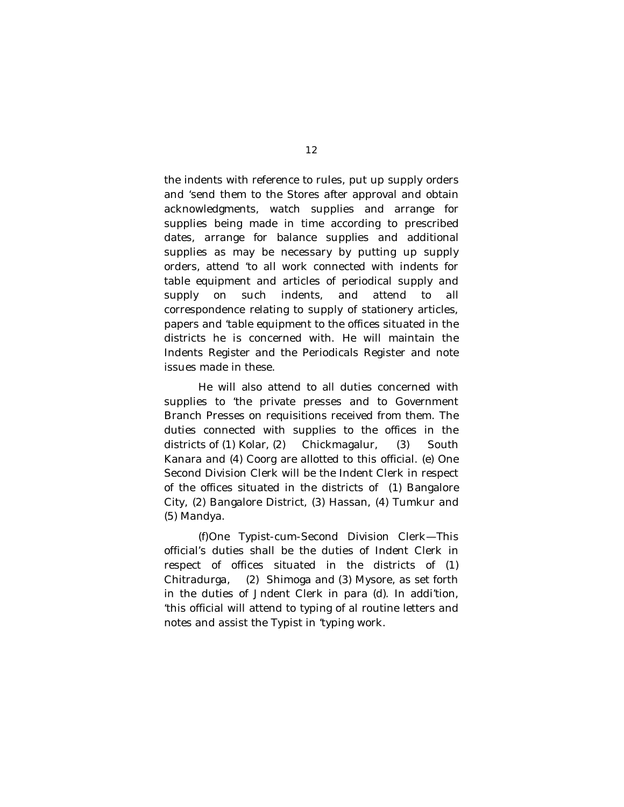the indents with reference to rules, put up supply orders and 'send them to the Stores after approval and obtain acknowledgments, watch supplies and arrange for supplies being made in time according to prescribed dates, arrange for balance supplies and additional supplies as may be necessary by putting up supply orders, attend 'to all work connected with indents for table equipment and articles of periodical supply and supply on such indents, and attend to all correspondence relating to supply of stationery articles, papers and 'table equipment to the offices situated in the districts he is concerned with. He will maintain the Indents Register and the Periodicals Register and note issues made in these.

He will also attend to all duties concerned with supplies to 'the private presses and to Government Branch Presses on requisitions received from them. The duties connected with supplies to the offices in the districts of (1) Kolar, (2) Chickmagalur, (3) South Kanara and (4) Coorg are allotted to this official. (e) One Second Division Clerk will be the Indent Clerk in respect of the offices situated in the districts of (1) Bangalore City, (2) Bangalore District, (3) Hassan, (4) Tumkur and (5) Mandya.

(f)One Typist-cum-Second Division Clerk—This official's duties shall be the duties of Indent Clerk in respect of offices situated in the districts of (1) Chitradurga, (2) Shimoga and (3) Mysore, as set forth in the duties of Jndent Clerk in para (d). In addi'tion, 'this official will attend to typing of al routine letters and notes and assist the Typist in 'typing work.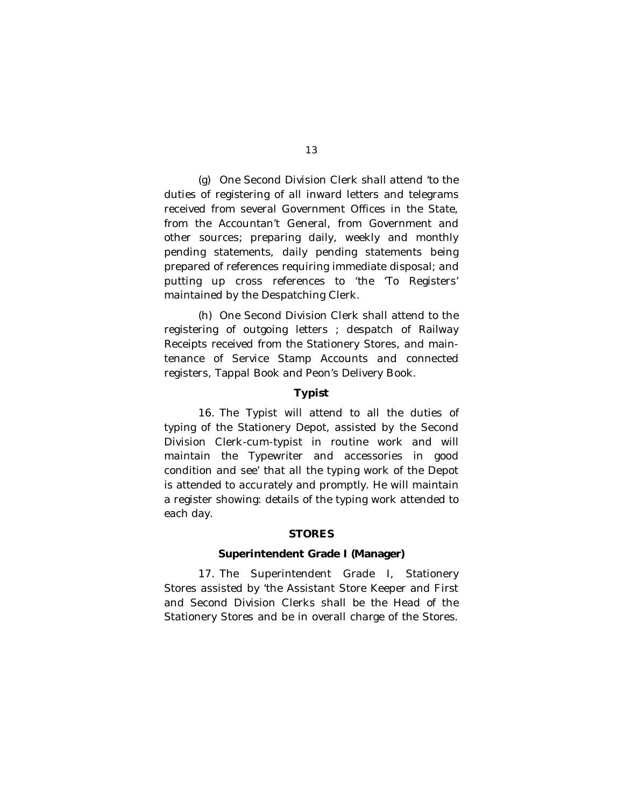(g) One Second Division Clerk shall attend 'to the duties of registering of all inward letters and telegrams received from several Government Offices in the State, from the Accountan't General, from Government and other sources; preparing daily, weekly and monthly pending statements, daily pending statements being prepared of references requiring immediate disposal; and putting up cross references to 'the 'To Registers' maintained by the Despatching Clerk.

(h) One Second Division Clerk shall attend to the registering of outgoing letters ; despatch of Railway Receipts received from the Stationery Stores, and maintenance of Service Stamp Accounts and connected registers, Tappal Book and Peon's Delivery Book.

# **Typist**

16. The Typist will attend to all the duties of typing of the Stationery Depot, assisted by the Second Division Clerk-cum-typist in routine work and will maintain the Typewriter and accessories in good condition and see' that all the typing work of the Depot is attended to accurately and promptly. He will maintain a register showing: details of the typing work attended to each day.

### **STORES**

### **Superintendent Grade I (Manager)**

17. The Superintendent Grade I, Stationery Stores assisted by 'the Assistant Store Keeper and First and Second Division Clerks shall be the Head of the Stationery Stores and be in overall charge of the Stores.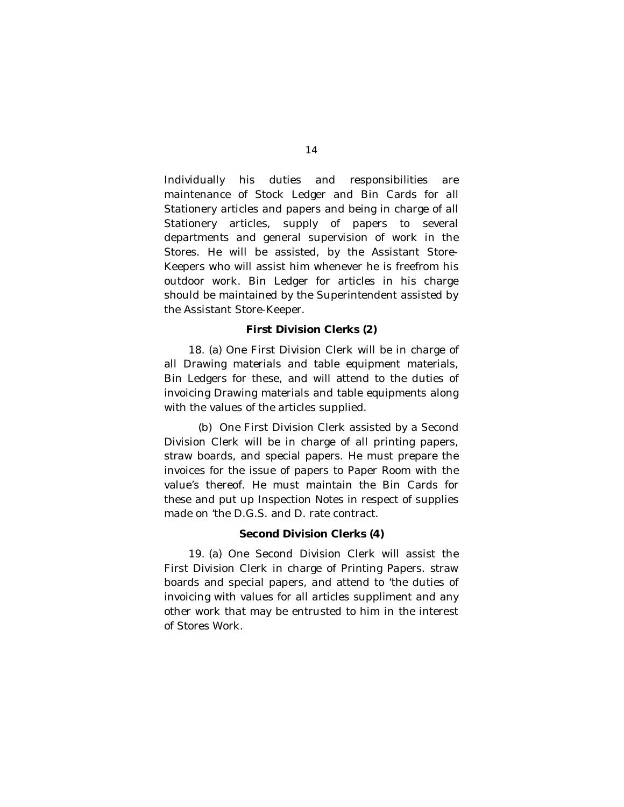Individually his duties and responsibilities are maintenance of Stock Ledger and Bin Cards for all Stationery articles and papers and being in charge of all Stationery articles, supply of papers to several departments and general supervision of work in the Stores. He will be assisted, by the Assistant Store-Keepers who will assist him whenever he is freefrom his outdoor work. Bin Ledger for articles in his charge should be maintained by the Superintendent assisted by the Assistant Store-Keeper.

# **First Division Clerks (2)**

18. (a) One First Division Clerk will be in charge of all Drawing materials and table equipment materials, Bin Ledgers for these, and will attend to the duties of invoicing Drawing materials and table equipments along with the values of the articles supplied.

(b) One First Division Clerk assisted by a Second Division Clerk will be in charge of all printing papers, straw boards, and special papers. He must prepare the invoices for the issue of papers to Paper Room with the value's thereof. He must maintain the Bin Cards for these and put up Inspection Notes in respect of supplies made on 'the D.G.S. and D. rate contract.

# **Second Division Clerks (4)**

19. (a) One Second Division Clerk will assist the First Division Clerk in charge of Printing Papers. straw boards and special papers, and attend to 'the duties of invoicing with values for all articles suppliment and any other work that may be entrusted to him in the interest of Stores Work.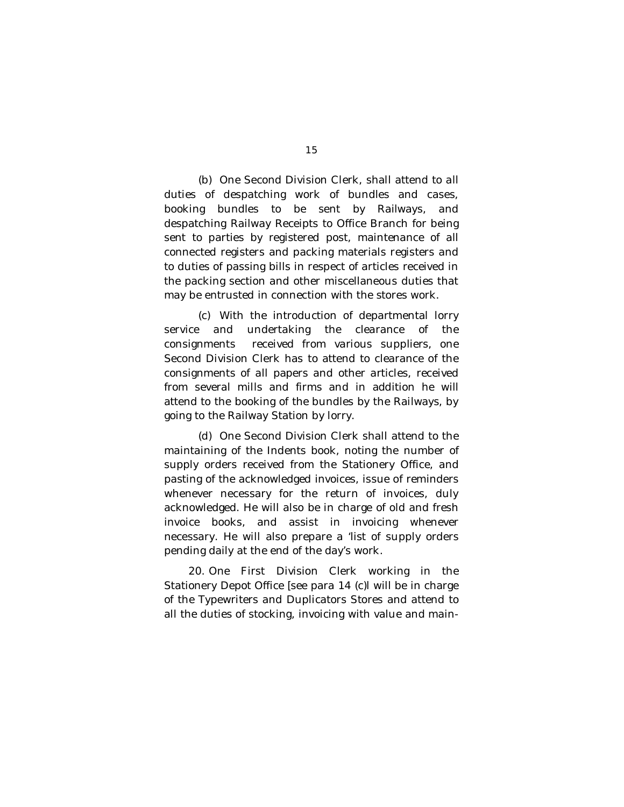(b) One Second Division Clerk, shall attend to all duties of despatching work of bundles and cases, booking bundles to be sent by Railways, and despatching Railway Receipts to Office Branch for being sent to parties by registered post, maintenance of all connected registers and packing materials registers and to duties of passing bills in respect of articles received in the packing section and other miscellaneous duties that may be entrusted in connection with the stores work.

(c) With the introduction of departmental lorry service and undertaking the clearance of the consignments received from various suppliers, one Second Division Clerk has to attend to clearance of the consignments of all papers and other articles, received from several mills and firms and in addition he will attend to the booking of the bundles by the Railways, by going to the Railway Station by lorry.

(d) One Second Division Clerk shall attend to the maintaining of the Indents book, noting the number of supply orders received from the Stationery Office, and pasting of the acknowledged invoices, issue of reminders whenever necessary for the return of invoices, duly acknowledged. He will also be in charge of old and fresh invoice books, and assist in invoicing whenever necessary. He will also prepare a 'list of supply orders pending daily at the end of the day's work.

20. One First Division Clerk working in the Stationery Depot Office [see para 14 (c)l will be in charge of the Typewriters and Duplicators Stores and attend to all the duties of stocking, invoicing with value and main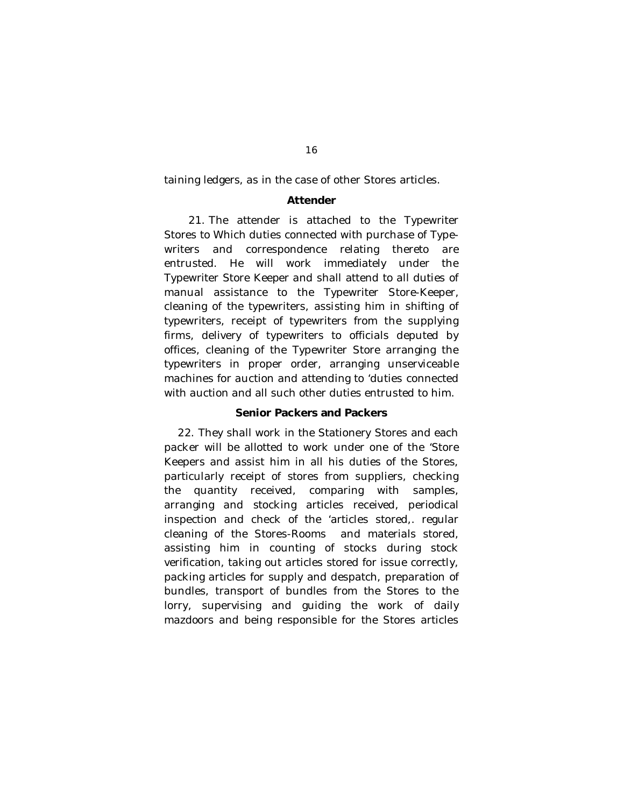taining ledgers, as in the case of other Stores articles.

#### **Attender**

21. The attender is attached to the Typewriter Stores to Which duties connected with purchase of Typewriters and correspondence relating thereto are entrusted. He will work immediately under the Typewriter Store Keeper and shall attend to all duties of manual assistance to the Typewriter Store-Keeper, cleaning of the typewriters, assisting him in shifting of typewriters, receipt of typewriters from the supplying firms, delivery of typewriters to officials deputed by offices, cleaning of the Typewriter Store arranging the typewriters in proper order, arranging unserviceable machines for auction and attending to 'duties connected with auction and all such other duties entrusted to him.

### **Senior Packers and Packers**

22. They shall work in the Stationery Stores and each packer will be allotted to work under one of the 'Store Keepers and assist him in all his duties of the Stores, particularly receipt of stores from suppliers, checking the quantity received, comparing with samples, arranging and stocking articles received, periodical inspection and check of the 'articles stored,. regular cleaning of the Stores-Rooms and materials stored, assisting him in counting of stocks during stock verification, taking out articles stored for issue correctly, packing articles for supply and despatch, preparation of bundles, transport of bundles from the Stores to the lorry, supervising and guiding the work of daily mazdoors and being responsible for the Stores articles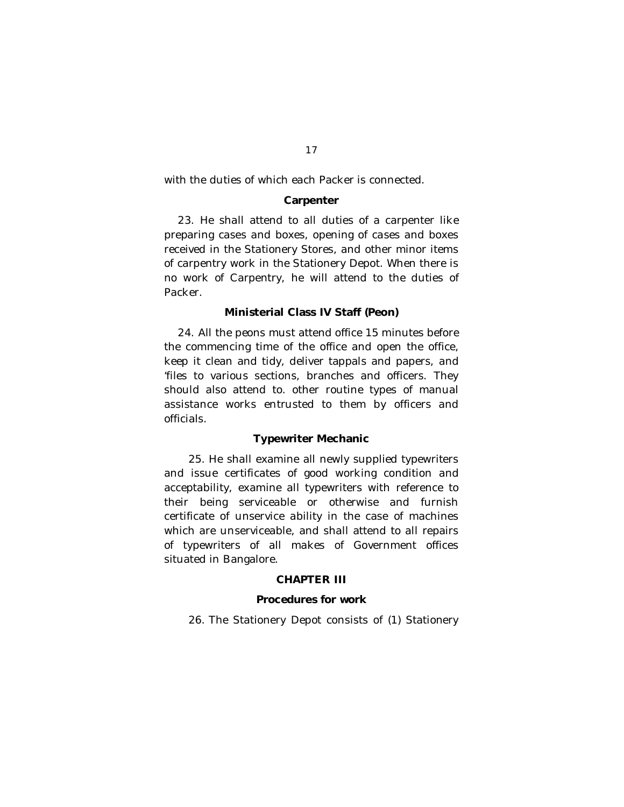with the duties of which each Packer is connected.

#### **Carpenter**

23. He shall attend to all duties of a carpenter like preparing cases and boxes, opening of cases and boxes received in the Stationery Stores, and other minor items of carpentry work in the Stationery Depot. When there is no work of Carpentry, he will attend to the duties of Packer.

### **Ministerial Class IV Staff (Peon)**

24. All the peons must attend office 15 minutes before the commencing time of the office and open the office, keep it clean and tidy, deliver tappals and papers, and 'files to various sections, branches and officers. They should also attend to. other routine types of manual assistance works entrusted to them by officers and officials.

# **Typewriter Mechanic**

25. He shall examine all newly supplied typewriters and issue certificates of good working condition and acceptability, examine all typewriters with reference to their being serviceable or otherwise and furnish certificate of unservice ability in the case of machines which are unserviceable, and shall attend to all repairs of typewriters of all makes of Government offices situated in Bangalore.

# **CHAPTER III**

# **Procedures for work**

26. The Stationery Depot consists of (1) Stationery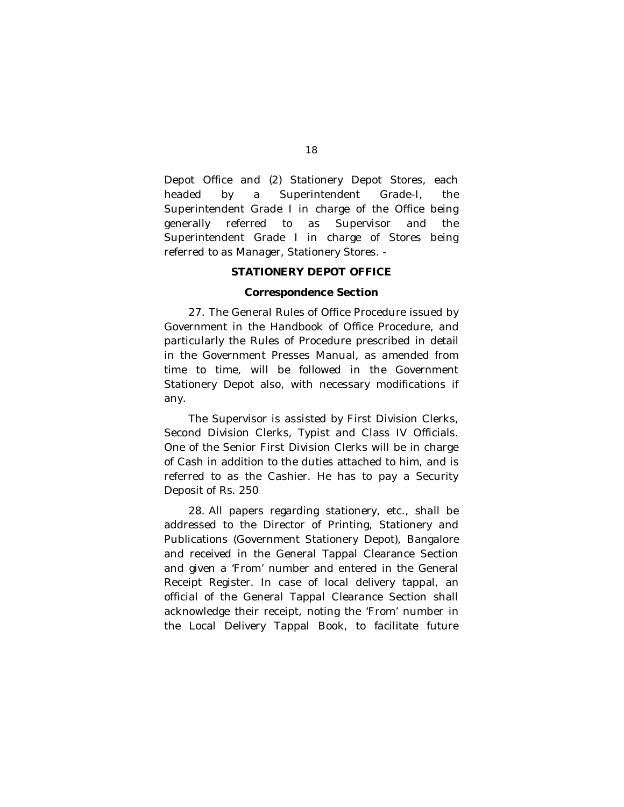Depot Office and (2) Stationery Depot Stores, each headed by a Superintendent Grade-I, the Superintendent Grade I in charge of the Office being generally referred to as Supervisor and the Superintendent Grade I in charge of Stores being referred to as Manager, Stationery Stores. -

# **STATIONERY DEPOT OFFICE**

# **Correspondence Section**

27. The General Rules of Office Procedure issued by Government in the Handbook of Office Procedure, and particularly the Rules of Procedure prescribed in detail in the Government Presses Manual, as amended from time to time, will be followed in the Government Stationery Depot also, with necessary modifications if any.

The Supervisor is assisted by First Division Clerks, Second Division Clerks, Typist and Class IV Officials. One of the Senior First Division Clerks will be in charge of Cash in addition to the duties attached to him, and is referred to as the Cashier. He has to pay a Security Deposit of Rs. 250

28. All papers regarding stationery, etc., shall be addressed to the Director of Printing, Stationery and Publications (Government Stationery Depot), Bangalore and received in the General Tappal Clearance Section and given a 'From' number and entered in the General Receipt Register. In case of local delivery tappal, an official of the General Tappal Clearance Section shall acknowledge their receipt, noting the 'From' number in the Local Delivery Tappal Book, to facilitate future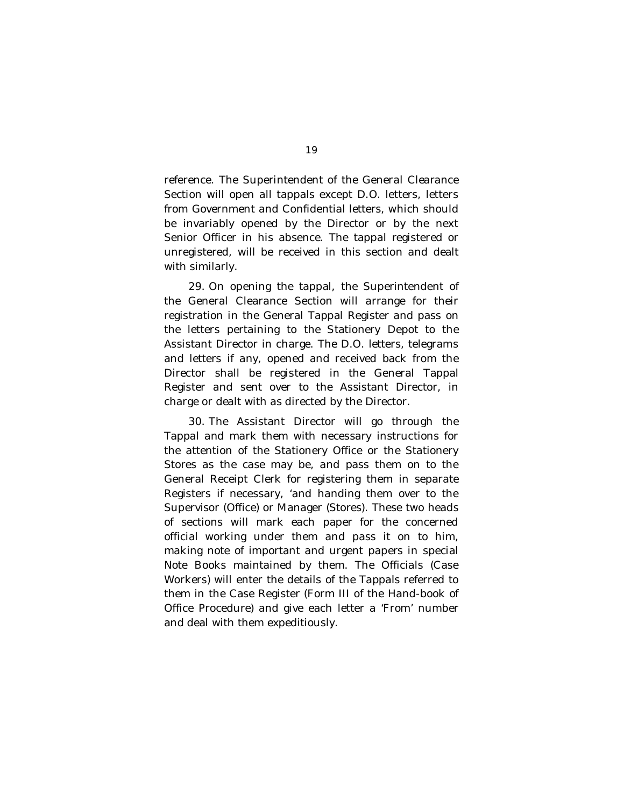reference. The Superintendent of the General Clearance Section will open all tappals except D.O. letters, letters from Government and Confidential letters, which should be invariably opened by the Director or by the next Senior Officer in his absence. The tappal registered or unregistered, will be received in this section and dealt with similarly.

29. On opening the tappal, the Superintendent of the General Clearance Section will arrange for their registration in the General Tappal Register and pass on the letters pertaining to the Stationery Depot to the Assistant Director in charge. The D.O. letters, telegrams and letters if any, opened and received back from the Director shall be registered in the General Tappal Register and sent over to the Assistant Director, in charge or dealt with as directed by the Director.

30. The Assistant Director will go through the Tappal and mark them with necessary instructions for the attention of the Stationery Office or the Stationery Stores as the case may be, and pass them on to the General Receipt Clerk for registering them in separate Registers if necessary, 'and handing them over to the Supervisor (Office) or Manager (Stores). These two heads of sections will mark each paper for the concerned official working under them and pass it on to him, making note of important and urgent papers in special Note Books maintained by them. The Officials (Case Workers) will enter the details of the Tappals referred to them in the Case Register (Form III of the Hand-book of Office Procedure) and give each letter a 'From' number and deal with them expeditiously.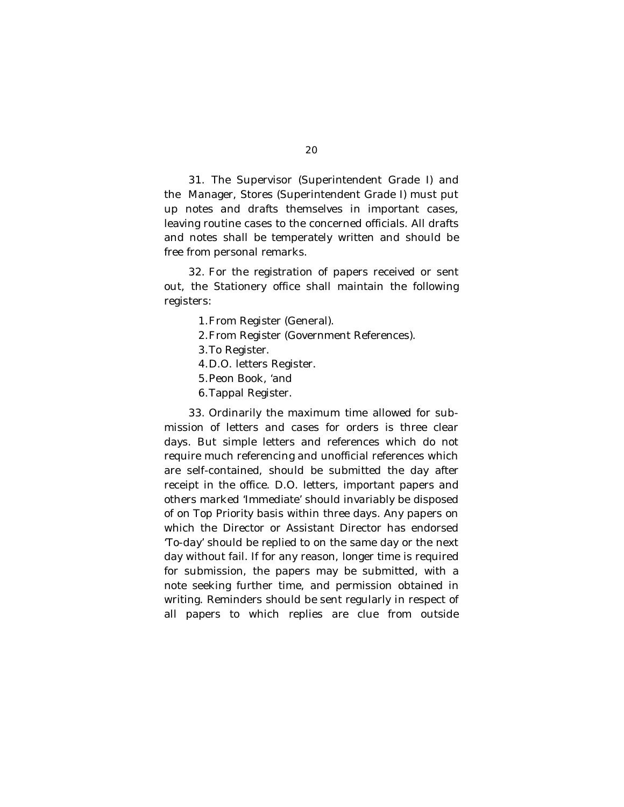31. The Supervisor (Superintendent Grade I) and

the Manager, Stores (Superintendent Grade I) must put up notes and drafts themselves in important cases, leaving routine cases to the concerned officials. All drafts and notes shall be temperately written and should be free from personal remarks.

32. For the registration of papers received or sent out, the Stationery office shall maintain the following registers:

- 1.From Register (General).
- 2.From Register (Government References).
- 3.To Register.
- 4.D.O. letters Register.
- 5.Peon Book, 'and
- 6.Tappal Register.

33. Ordinarily the maximum time allowed for submission of letters and cases for orders is three clear days. But simple letters and references which do not require much referencing and unofficial references which are self-contained, should be submitted the day after receipt in the office. D.O. letters, important papers and others marked 'Immediate' should invariably be disposed of on Top Priority basis within three days. Any papers on which the Director or Assistant Director has endorsed 'To-day' should be replied to on the same day or the next day without fail. If for any reason, longer time is required for submission, the papers may be submitted, with a note seeking further time, and permission obtained in writing. Reminders should be sent regularly in respect of all papers to which replies are clue from outside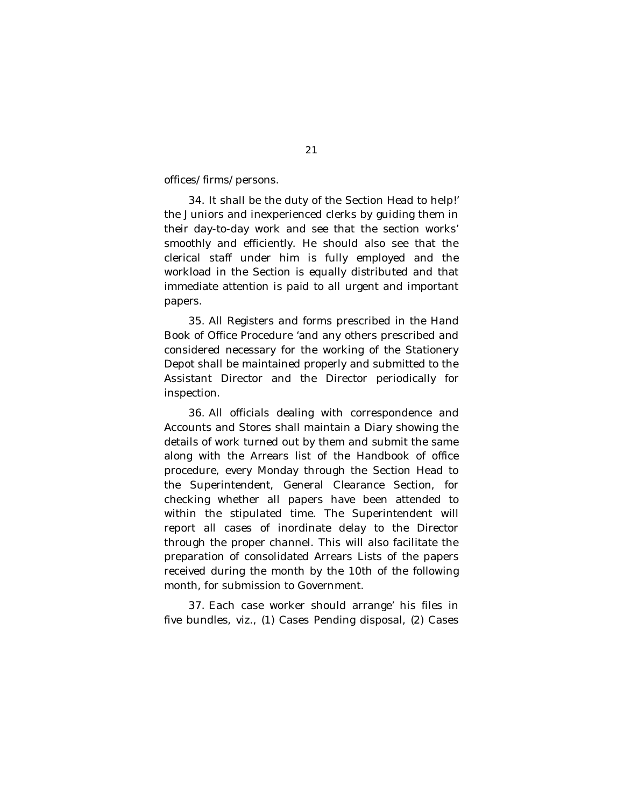offices/firms/persons.

34. It shall be the duty of the Section Head to help!' the Juniors and inexperienced clerks by guiding them in their day-to-day work and see that the section works' smoothly and efficiently. He should also see that the clerical staff under him is fully employed and the workload in the Section is equally distributed and that immediate attention is paid to all urgent and important papers.

35. All Registers and forms prescribed in the Hand Book of Office Procedure 'and any others prescribed and considered necessary for the working of the Stationery Depot shall be maintained properly and submitted to the Assistant Director and the Director periodically for inspection.

36. All officials dealing with correspondence and Accounts and Stores shall maintain a Diary showing the details of work turned out by them and submit the same along with the Arrears list of the Handbook of office procedure, every Monday through the Section Head to the Superintendent, General Clearance Section, for checking whether all papers have been attended to within the stipulated time. The Superintendent will report all cases of inordinate delay to the Director through the proper channel. This will also facilitate the preparation of consolidated Arrears Lists of the papers received during the month by the 10th of the following month, for submission to Government.

37. Each case worker should arrange' his files in five bundles, viz., (1) Cases Pending disposal, (2) Cases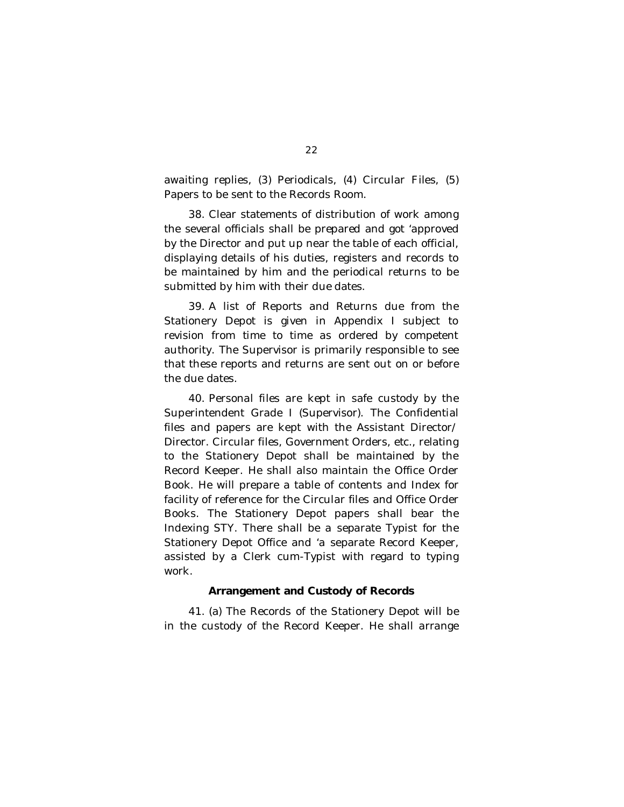awaiting replies, (3) Periodicals, (4) Circular Files, (5) Papers to be sent to the Records Room.

38. Clear statements of distribution of work among the several officials shall be prepared and got 'approved by the Director and put up near the table of each official, displaying details of his duties, registers and records to be maintained by him and the periodical returns to be submitted by him with their due dates.

39. A list of Reports and Returns due from the Stationery Depot is given in Appendix I subject to revision from time to time as ordered by competent authority. The Supervisor is primarily responsible to see that these reports and returns are sent out on or before the due dates.

40. Personal files are kept in safe custody by the Superintendent Grade I (Supervisor). The Confidential files and papers are kept with the Assistant Director/ Director. Circular files, Government Orders, etc., relating to the Stationery Depot shall be maintained by the Record Keeper. He shall also maintain the Office Order Book. He will prepare a table of contents and Index for facility of reference for the Circular files and Office Order Books. The Stationery Depot papers shall bear the Indexing STY. There shall be a separate Typist for the Stationery Depot Office and 'a separate Record Keeper, assisted by a Clerk cum-Typist with regard to typing work.

#### **Arrangement and Custody of Records**

41. (a) The Records of the Stationery Depot will be in the custody of the Record Keeper. He shall arrange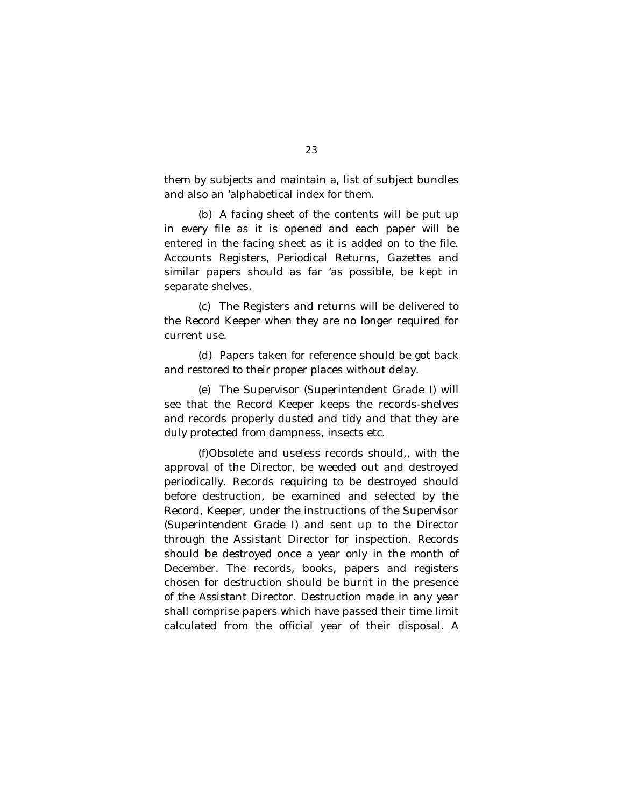them by subjects and maintain a, list of subject bundles and also an 'alphabetical index for them.

(b) A facing sheet of the contents will be put up in every file as it is opened and each paper will be entered in the facing sheet as it is added on to the file. Accounts Registers, Periodical Returns, Gazettes and similar papers should as far 'as possible, be kept in separate shelves.

(c) The Registers and returns will be delivered to the Record Keeper when they are no longer required for current use.

(d) Papers taken for reference should be got back and restored to their proper places without delay.

(e) The Supervisor (Superintendent Grade I) will see that the Record Keeper keeps the records-shelves and records properly dusted and tidy and that they are duly protected from dampness, insects etc.

(f)Obsolete and useless records should,, with the approval of the Director, be weeded out and destroyed periodically. Records requiring to be destroyed should before destruction, be examined and selected by the Record, Keeper, under the instructions of the Supervisor (Superintendent Grade I) and sent up to the Director through the Assistant Director for inspection. Records should be destroyed once a year only in the month of December. The records, books, papers and registers chosen for destruction should be burnt in the presence of the Assistant Director. Destruction made in any year shall comprise papers which have passed their time limit calculated from the official year of their disposal. A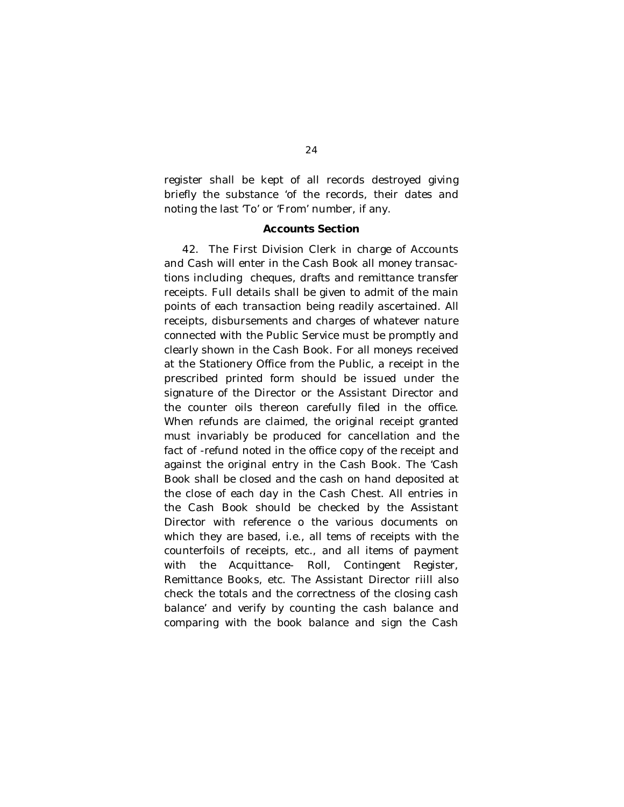register shall be kept of all records destroyed giving briefly the substance 'of the records, their dates and noting the last 'To' or 'From' number, if any.

### **Accounts Section**

42. The First Division Clerk in charge of Accounts and Cash will enter in the Cash Book all money transactions including cheques, drafts and remittance transfer receipts. Full details shall be given to admit of the main points of each transaction being readily ascertained. All receipts, disbursements and charges of whatever nature connected with the Public Service must be promptly and clearly shown in the Cash Book. For all moneys received at the Stationery Office from the Public, a receipt in the prescribed printed form should be issued under the signature of the Director or the Assistant Director and the counter oils thereon carefully filed in the office. When refunds are claimed, the original receipt granted must invariably be produced for cancellation and the fact of -refund noted in the office copy of the receipt and against the original entry in the Cash Book. The 'Cash Book shall be closed and the cash on hand deposited at the close of each day in the Cash Chest. All entries in the Cash Book should be checked by the Assistant Director with reference o the various documents on which they are based, i.e., all tems of receipts with the counterfoils of receipts, etc., and all items of payment with the Acquittance- Roll, Contingent Register, Remittance Books, etc. The Assistant Director riill also check the totals and the correctness of the closing cash balance' and verify by counting the cash balance and comparing with the book balance and sign the Cash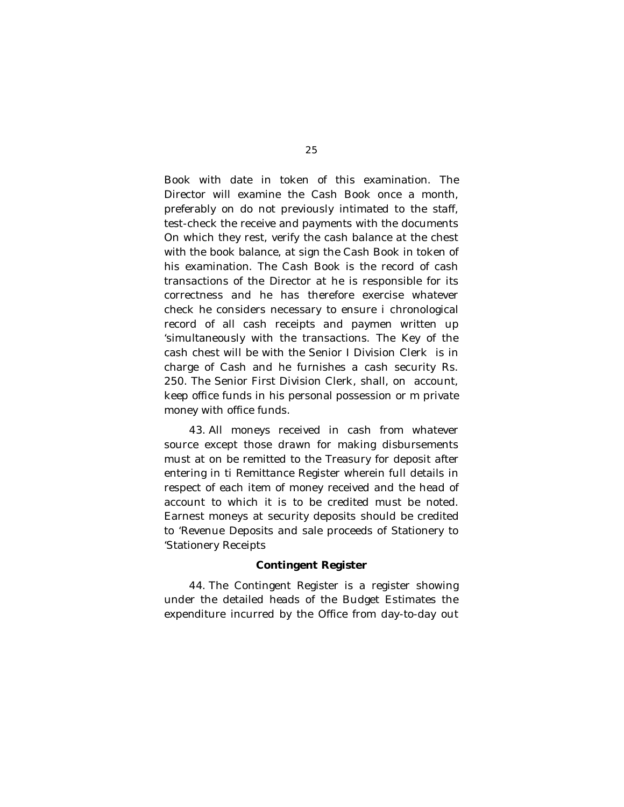Book with date in token of this examination. The Director will examine the Cash Book once a month, preferably on do not previously intimated to the staff, test-check the receive and payments with the documents On which they rest, verify the cash balance at the chest with the book balance, at sign the Cash Book in token of his examination. The Cash Book is the record of cash transactions of the Director at he is responsible for its correctness and he has therefore exercise whatever check he considers necessary to ensure i chronological record of all cash receipts and paymen written up 'simultaneously with the transactions. The Key of the cash chest will be with the Senior I Division Clerk is in charge of Cash and he furnishes a cash security Rs. 250. The Senior First Division Clerk, shall, on account, keep office funds in his personal possession or m private money with office funds.

43. All moneys received in cash from whatever source except those drawn for making disbursements must at on be remitted to the Treasury for deposit after entering in ti Remittance Register wherein full details in respect of each item of money received and the head of account to which it is to be credited must be noted. Earnest moneys at security deposits should be credited to 'Revenue Deposits and sale proceeds of Stationery to 'Stationery Receipts

#### **Contingent Register**

44. The Contingent Register is a register showing under the detailed heads of the Budget Estimates the expenditure incurred by the Office from day-to-day out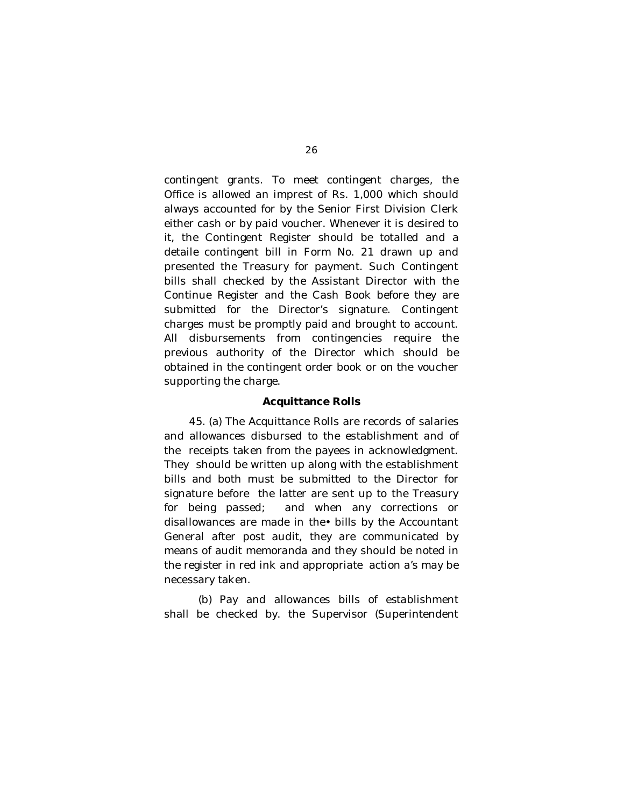contingent grants. To meet contingent charges, the Office is allowed an imprest of Rs. 1,000 which should always accounted for by the Senior First Division Clerk either cash or by paid voucher. Whenever it is desired to it, the Contingent Register should be totalled and a detaile contingent bill in Form No. 21 drawn up and presented the Treasury for payment. Such Contingent bills shall checked by the Assistant Director with the Continue Register and the Cash Book before they are submitted for the Director's signature. Contingent charges must be promptly paid and brought to account. All disbursements from contingencies require the previous authority of the Director which should be obtained in the contingent order book or on the voucher supporting the charge.

#### **Acquittance Rolls**

45. (a) The Acquittance Rolls are records of salaries and allowances disbursed to the establishment and of the receipts taken from the payees in acknowledgment. They should be written up along with the establishment bills and both must be submitted to the Director for signature before the latter are sent up to the Treasury for being passed; and when any corrections or disallowances are made in the• bills by the Accountant General after post audit, they are communicated by means of audit memoranda and they should be noted in the register in red ink and appropriate action a's may be necessary taken.

(b) Pay and allowances bills of establishment shall be checked by. the Supervisor (Superintendent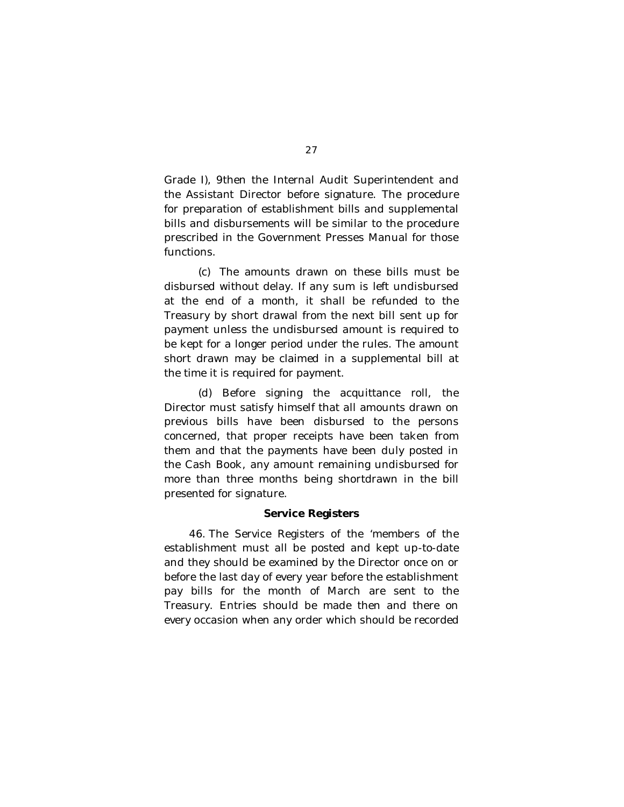Grade I), 9then the Internal Audit Superintendent and the Assistant Director before signature. The procedure for preparation of establishment bills and supplemental bills and disbursements will be similar to the procedure prescribed in the Government Presses Manual for those functions.

(c) The amounts drawn on these bills must be disbursed without delay. If any sum is left undisbursed at the end of a month, it shall be refunded to the Treasury by short drawal from the next bill sent up for payment unless the undisbursed amount is required to be kept for a longer period under the rules. The amount short drawn may be claimed in a supplemental bill at the time it is required for payment.

(d) Before signing the acquittance roll, the Director must satisfy himself that all amounts drawn on previous bills have been disbursed to the persons concerned, that proper receipts have been taken from them and that the payments have been duly posted in the Cash Book, any amount remaining undisbursed for more than three months being shortdrawn in the bill presented for signature.

# **Service Registers**

46. The Service Registers of the 'members of the establishment must all be posted and kept up-to-date and they should be examined by the Director once on or before the last day of every year before the establishment pay bills for the month of March are sent to the Treasury. Entries should be made then and there on every occasion when any order which should be recorded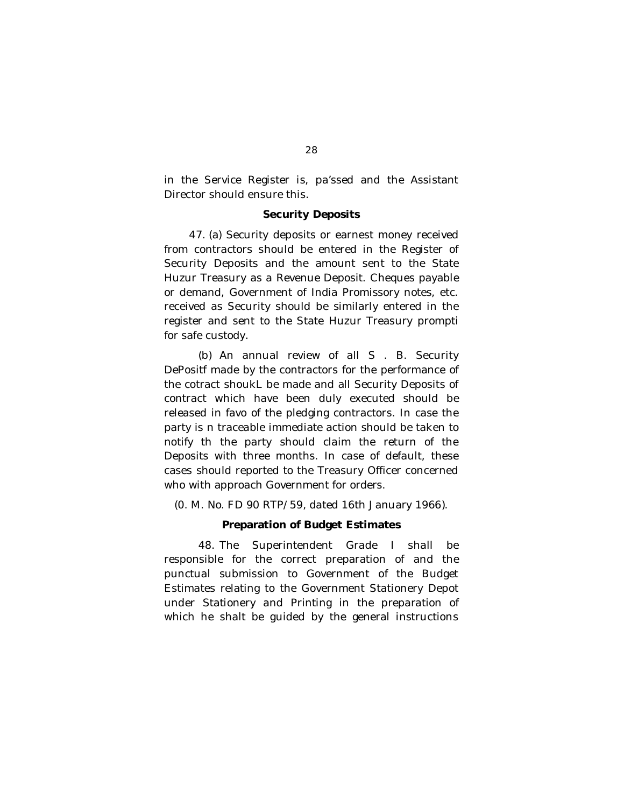in the Service Register is, pa'ssed and the Assistant Director should ensure this.

#### **Security Deposits**

47. (a) Security deposits or earnest money received from contractors should be entered in the Register of Security Deposits and the amount sent to the State Huzur Treasury as a Revenue Deposit. Cheques payable or demand, Government of India Promissory notes, etc. received as Security should be similarly entered in the register and sent to the State Huzur Treasury prompti for safe custody.

(b) An annual review of all S . B. Security DePositf made by the contractors for the performance of the cotract shoukL be made and all Security Deposits of contract which have been duly executed should be released in favo of the pledging contractors. In case the party is n traceable immediate action should be taken to notify th the party should claim the return of the Deposits with three months. In case of default, these cases should reported to the Treasury Officer concerned who with approach Government for orders.

(0. M. No. FD 90 RTP/59, dated 16th January 1966).

### **Preparation of Budget Estimates**

48. The Superintendent Grade I shall be responsible for the correct preparation of and the punctual submission to Government of the Budget Estimates relating to the Government Stationery Depot under Stationery and Printing in the preparation of which he shalt be guided by the general instructions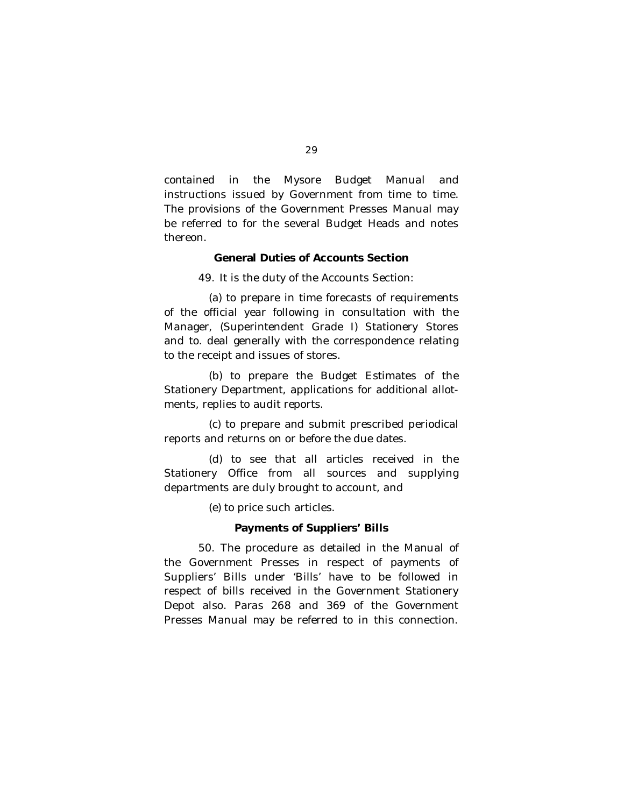contained in the Mysore Budget Manual and instructions issued by Government from time to time. The provisions of the Government Presses Manual may be referred to for the several Budget Heads and notes thereon.

# **General Duties of Accounts Section**

49. It is the duty of the Accounts Section:

(a) to prepare in time forecasts of requirements of the official year following in consultation with the Manager, (Superintendent Grade I) Stationery Stores and to. deal generally with the correspondence relating to the receipt and issues of stores.

(b) to prepare the Budget Estimates of the Stationery Department, applications for additional allotments, replies to audit reports.

(c) to prepare and submit prescribed periodical reports and returns on or before the due dates.

(d) to see that all articles received in the Stationery Office from all sources and supplying departments are duly brought to account, and

(e) to price such articles.

# **Payments of Suppliers' Bills**

50. The procedure as detailed in the Manual of the Government Presses in respect of payments of Suppliers' Bills under 'Bills' have to be followed in respect of bills received in the Government Stationery Depot also. Paras 268 and 369 of the Government Presses Manual may be referred to in this connection.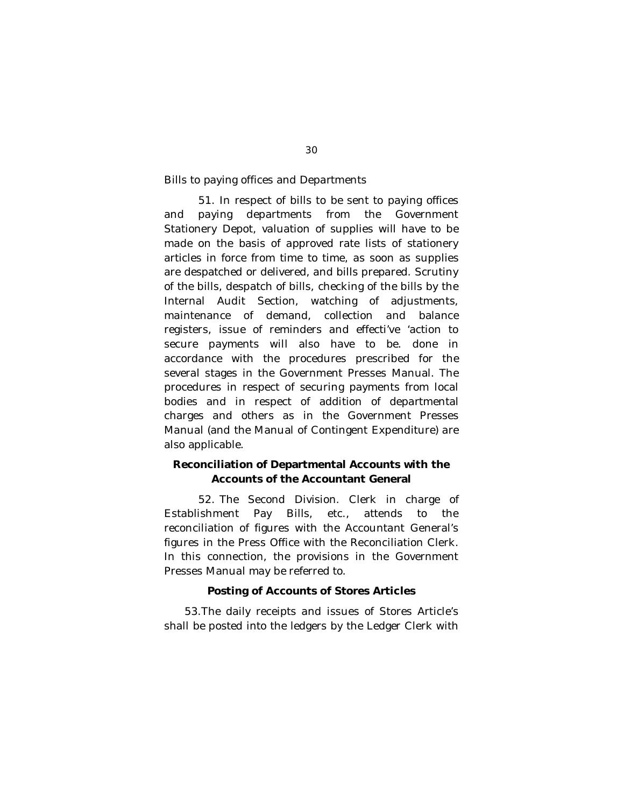Bills to paying offices and Departments

51. In respect of bills to be sent to paying offices and paying departments from the Government Stationery Depot, valuation of supplies will have to be made on the basis of approved rate lists of stationery articles in force from time to time, as soon as supplies are despatched or delivered, and bills prepared. Scrutiny of the bills, despatch of bills, checking of the bills by the Internal Audit Section, watching of adjustments, maintenance of demand, collection and balance registers, issue of reminders and effecti've 'action to secure payments will also have to be. done in accordance with the procedures prescribed for the several stages in the Government Presses Manual. The procedures in respect of securing payments from local bodies and in respect of addition of departmental charges and others as in the Government Presses Manual (and the Manual of Contingent Expenditure) are also applicable.

# **Reconciliation of Departmental Accounts with the Accounts of the Accountant General**

52. The Second Division. Clerk in charge of Establishment Pay Bills, etc., attends to the reconciliation of figures with the Accountant General's figures in the Press Office with the Reconciliation Clerk. In this connection, the provisions in the Government Presses Manual may be referred to.

# **Posting of Accounts of Stores Articles**

53.The daily receipts and issues of Stores Article's shall be posted into the ledgers by the Ledger Clerk with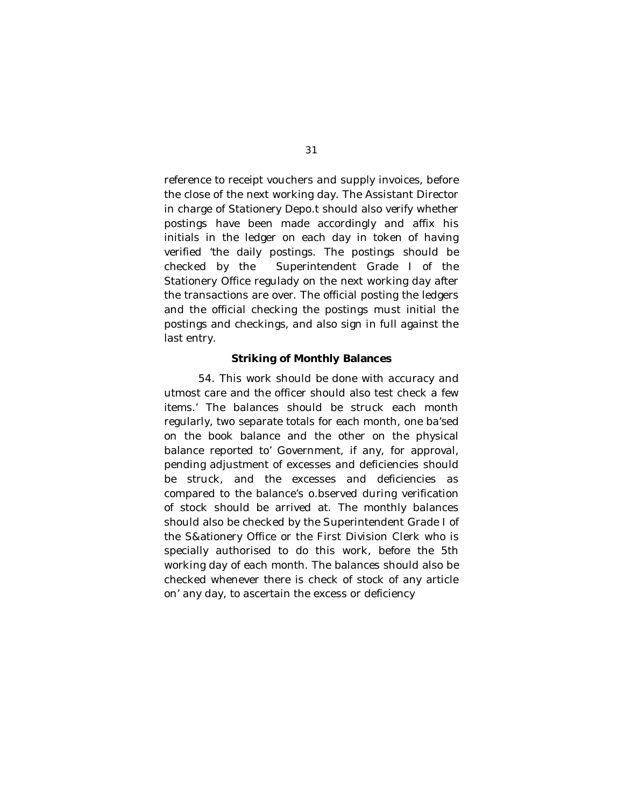reference to receipt vouchers and supply invoices, before the close of the next working day. The Assistant Director in charge of Stationery Depo.t should also verify whether postings have been made accordingly and affix his initials in the ledger on each day in token of having verified 'the daily postings. The postings should be checked by the Superintendent Grade I of the Stationery Office regulady on the next working day after the transactions are over. The official posting the ledgers and the official checking the postings must initial the postings and checkings, and also sign in full against the last entry.

### **Striking of Monthly Balances**

54. This work should be done with accuracy and utmost care and the officer should also test check a few items.' The balances should be struck each month regularly, two separate totals for each month, one ba'sed on the book balance and the other on the physical balance reported to' Government, if any, for approval, pending adjustment of excesses and deficiencies should be struck, and the excesses and deficiencies as compared to the balance's o.bserved during verification of stock should be arrived at. The monthly balances should also be checked by the Superintendent Grade I of the S&ationery Office or the First Division Clerk who is specially authorised to do this work, before the 5th working day of each month. The balances should also be checked whenever there is check of stock of any article on' any day, to ascertain the excess or deficiency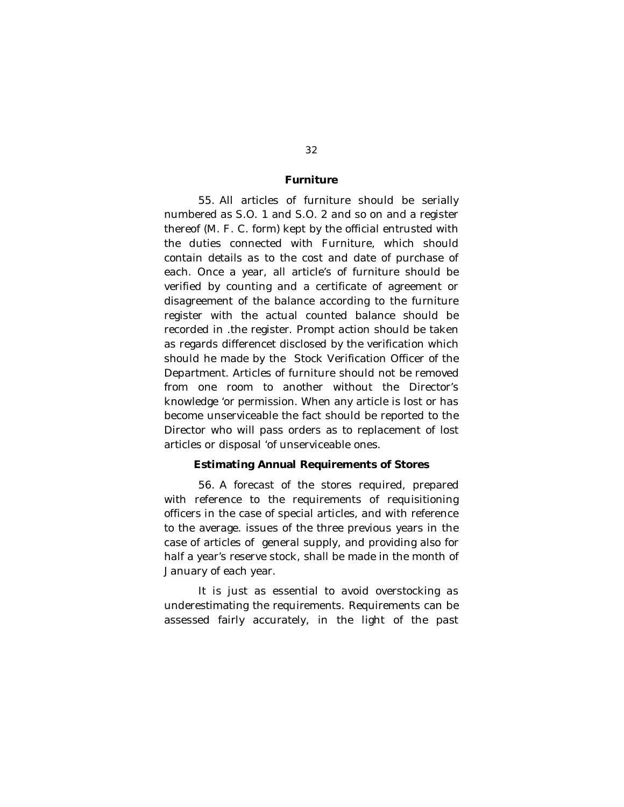### **Furniture**

55. All articles of furniture should be serially numbered as S.O. 1 and S.O. 2 and so on and a register thereof (M. F. C. form) kept by the official entrusted with the duties connected with Furniture, which should contain details as to the cost and date of purchase of each. Once a year, all article's of furniture should be verified by counting and a certificate of agreement or disagreement of the balance according to the furniture register with the actual counted balance should be recorded in .the register. Prompt action should be taken as regards differencet disclosed by the verification which should he made by the Stock Verification Officer of the Department. Articles of furniture should not be removed from one room to another without the Director's knowledge 'or permission. When any article is lost or has become unserviceable the fact should be reported to the Director who will pass orders as to replacement of lost articles or disposal 'of unserviceable ones.

### **Estimating Annual Requirements of Stores**

56. A forecast of the stores required, prepared with reference to the requirements of requisitioning officers in the case of special articles, and with reference to the average. issues of the three previous years in the case of articles of general supply, and providing also for half a year's reserve stock, shall be made in the month of January of each year.

It is just as essential to avoid overstocking as underestimating the requirements. Requirements can be assessed fairly accurately, in the light of the past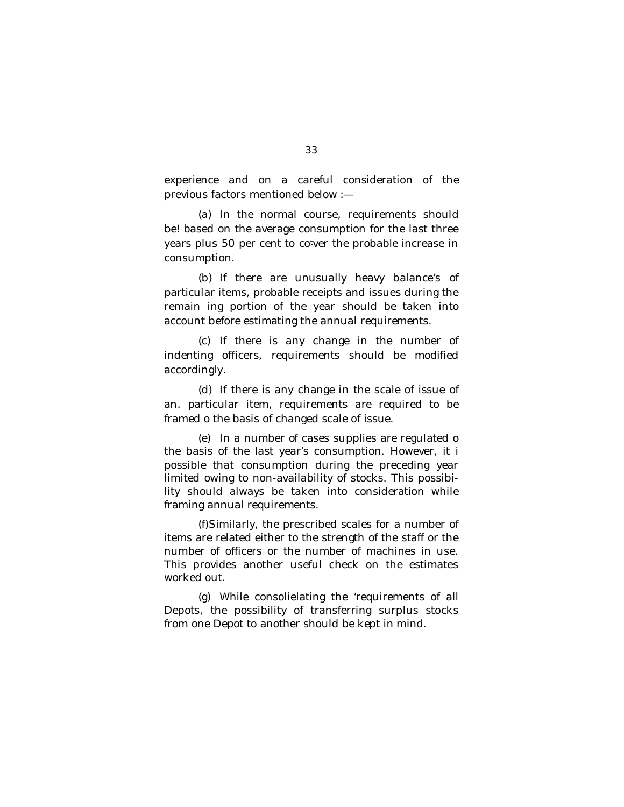experience and on a careful consideration of the previous factors mentioned below :—

(a) In the normal course, requirements should be! based on the average consumption for the last three years plus 50 per cent to cotver the probable increase in consumption.

(b) If there are unusually heavy balance's of particular items, probable receipts and issues during the remain ing portion of the year should be taken into account before estimating the annual requirements.

(c) If there is any change in the number of indenting officers, requirements should be modified accordingly.

(d) If there is any change in the scale of issue of an. particular item, requirements are required to be framed o the basis of changed scale of issue.

(e) In a number of cases supplies are regulated o the basis of the last year's consumption. However, it i possible that consumption during the preceding year limited owing to non-availability of stocks. This possibility should always be taken into consideration while framing annual requirements.

(f)Similarly, the prescribed scales for a number of items are related either to the strength of the staff or the number of officers or the number of machines in use. This provides another useful check on the estimates worked out.

(g) While consolielating the 'requirements of all Depots, the possibility of transferring surplus stocks from one Depot to another should be kept in mind.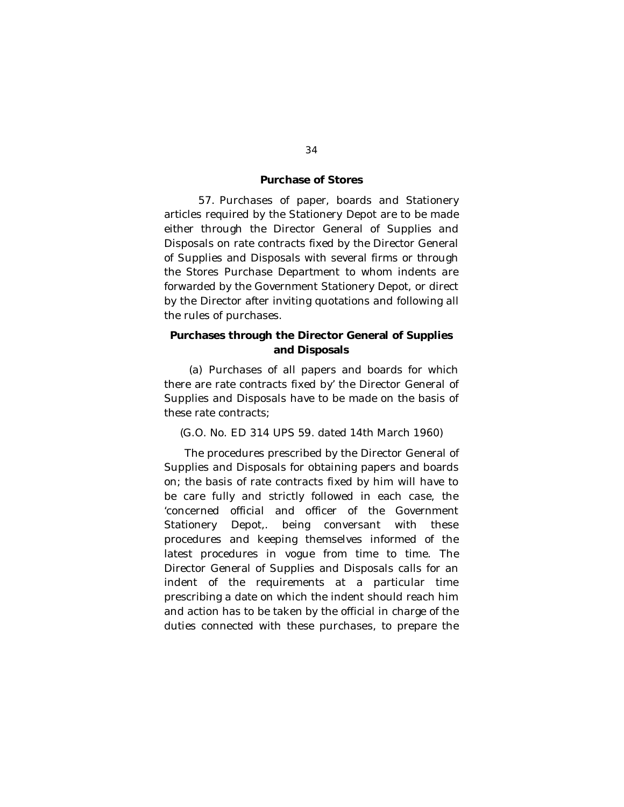# **Purchase of Stores**

57. Purchases of paper, boards and Stationery articles required by the Stationery Depot are to be made either through the Director General of Supplies and Disposals on rate contracts fixed by the Director General of Supplies and Disposals with several firms or through the Stores Purchase Department to whom indents are forwarded by the Government Stationery Depot, or direct by the Director after inviting quotations and following all the rules of purchases.

# **Purchases through the Director General of Supplies and Disposals**

(a) Purchases of all papers and boards for which there are rate contracts fixed by' the Director General of Supplies and Disposals have to be made on the basis of these rate contracts;

(G.O. No. ED 314 UPS 59. dated 14th March 1960)

The procedures prescribed by the Director General of Supplies and Disposals for obtaining papers and boards on; the basis of rate contracts fixed by him will have to be care fully and strictly followed in each case, the 'concerned official and officer of the Government Stationery Depot,. being conversant with these procedures and keeping themselves informed of the latest procedures in vogue from time to time. The Director General of Supplies and Disposals calls for an indent of the requirements at a particular time prescribing a date on which the indent should reach him and action has to be taken by the official in charge of the duties connected with these purchases, to prepare the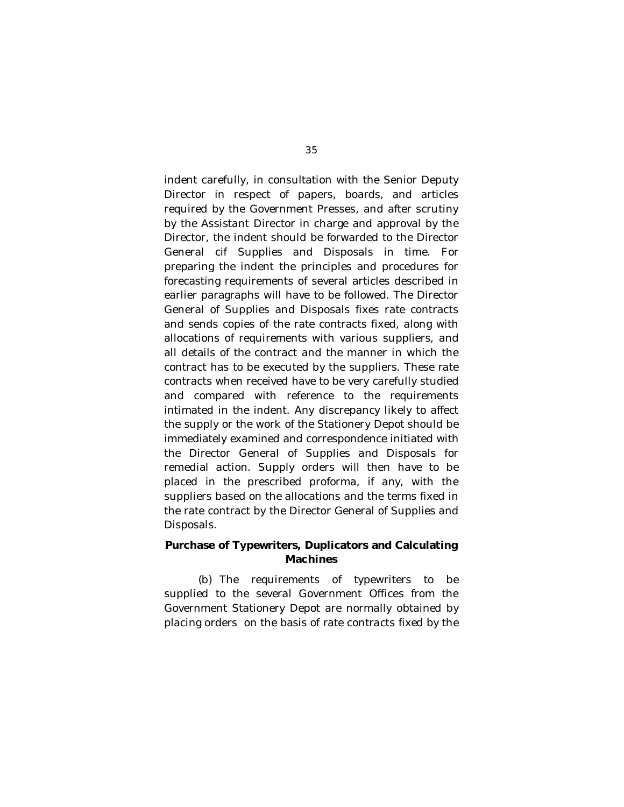indent carefully, in consultation with the Senior Deputy Director in respect of papers, boards, and articles required by the Government Presses, and after scrutiny by the Assistant Director in charge and approval by the Director, the indent should be forwarded to the Director General cif Supplies and Disposals in time. For preparing the indent the principles and procedures for forecasting requirements of several articles described in earlier paragraphs will have to be followed. The Director General of Supplies and Disposals fixes rate contracts and sends copies of the rate contracts fixed, along with allocations of requirements with various suppliers, and all details of the contract and the manner in which the contract has to be executed by the suppliers. These rate contracts when received have to be very carefully studied and compared with reference to the requirements intimated in the indent. Any discrepancy likely to affect the supply or the work of the Stationery Depot should be immediately examined and correspondence initiated with the Director General of Supplies and Disposals for remedial action. Supply orders will then have to be placed in the prescribed proforma, if any, with the suppliers based on the allocations and the terms fixed in the rate contract by the Director General of Supplies and Disposals.

# **Purchase of Typewriters, Duplicators and Calculating Machines**

(b) The requirements of typewriters to be supplied to the several Government Offices from the Government Stationery Depot are normally obtained by placing orders on the basis of rate contracts fixed by the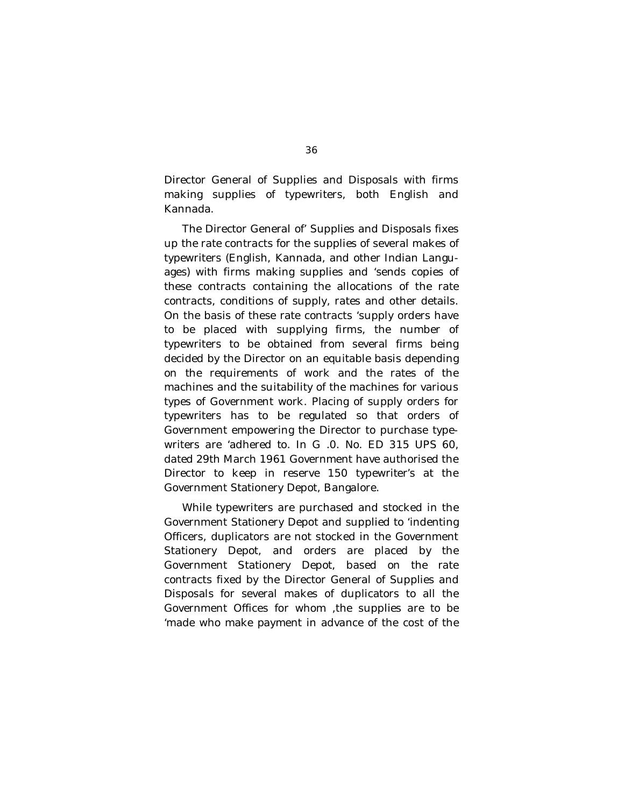Director General of Supplies and Disposals with firms making supplies of typewriters, both English and Kannada.

The Director General of' Supplies and Disposals fixes up the rate contracts for the supplies of several makes of typewriters (English, Kannada, and other Indian Languages) with firms making supplies and 'sends copies of these contracts containing the allocations of the rate contracts, conditions of supply, rates and other details. On the basis of these rate contracts 'supply orders have to be placed with supplying firms, the number of typewriters to be obtained from several firms being decided by the Director on an equitable basis depending on the requirements of work and the rates of the machines and the suitability of the machines for various types of Government work. Placing of supply orders for typewriters has to be regulated so that orders of Government empowering the Director to purchase typewriters are 'adhered to. In G .0. No. ED 315 UPS 60, dated 29th March 1961 Government have authorised the Director to keep in reserve 150 typewriter's at the Government Stationery Depot, Bangalore.

While typewriters are purchased and stocked in the Government Stationery Depot and supplied to 'indenting Officers, duplicators are not stocked in the Government Stationery Depot, and orders are placed by the Government Stationery Depot, based on the rate contracts fixed by the Director General of Supplies and Disposals for several makes of duplicators to all the Government Offices for whom ,the supplies are to be 'made who make payment in advance of the cost of the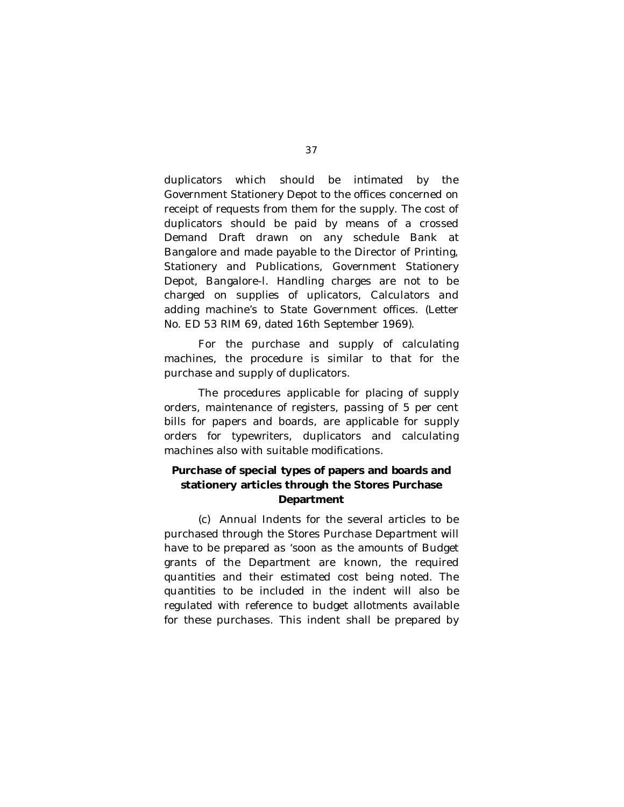duplicators which should be intimated by the Government Stationery Depot to the offices concerned on receipt of requests from them for the supply. The cost of duplicators should be paid by means of a crossed Demand Draft drawn on any schedule Bank at Bangalore and made payable to the Director of Printing, Stationery and Publications, Government Stationery Depot, Bangalore-l. Handling charges are not to be charged on supplies of uplicators, Calculators and adding machine's to State Government offices. (Letter No. ED 53 RIM 69, dated 16th September 1969).

For the purchase and supply of calculating machines, the procedure is similar to that for the purchase and supply of duplicators.

The procedures applicable for placing of supply orders, maintenance of registers, passing of 5 per cent bills for papers and boards, are applicable for supply orders for typewriters, duplicators and calculating machines also with suitable modifications.

# **Purchase of special types of papers and boards and stationery articles through the Stores Purchase Department**

(c) Annual Indents for the several articles to be purchased through the Stores Purchase Department will have to be prepared as 'soon as the amounts of Budget grants of the Department are known, the required quantities and their estimated cost being noted. The quantities to be included in the indent will also be regulated with reference to budget allotments available for these purchases. This indent shall be prepared by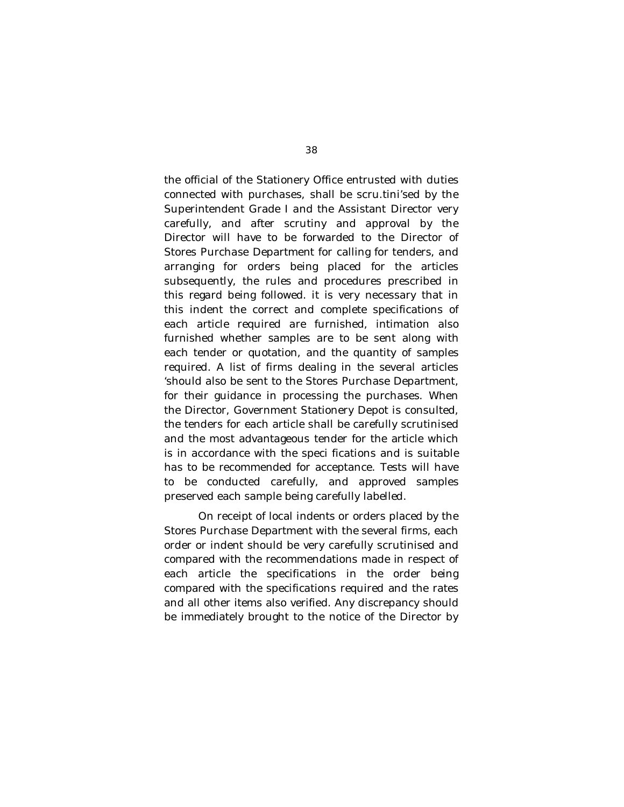the official of the Stationery Office entrusted with duties connected with purchases, shall be scru.tini'sed by the Superintendent Grade I and the Assistant Director very carefully, and after scrutiny and approval by the Director will have to be forwarded to the Director of Stores Purchase Department for calling for tenders, and arranging for orders being placed for the articles subsequently, the rules and procedures prescribed in this regard being followed. it is very necessary that in this indent the correct and complete specifications of each article required are furnished, intimation also furnished whether samples are to be sent along with each tender or quotation, and the quantity of samples required. A list of firms dealing in the several articles 'should also be sent to the Stores Purchase Department, for their guidance in processing the purchases. When the Director, Government Stationery Depot is consulted, the tenders for each article shall be carefully scrutinised and the most advantageous tender for the article which is in accordance with the speci fications and is suitable has to be recommended for acceptance. Tests will have to be conducted carefully, and approved samples preserved each sample being carefully labelled.

On receipt of local indents or orders placed by the Stores Purchase Department with the several firms, each order or indent should be very carefully scrutinised and compared with the recommendations made in respect of each article the specifications in the order being compared with the specifications required and the rates and all other items also verified. Any discrepancy should be immediately brought to the notice of the Director by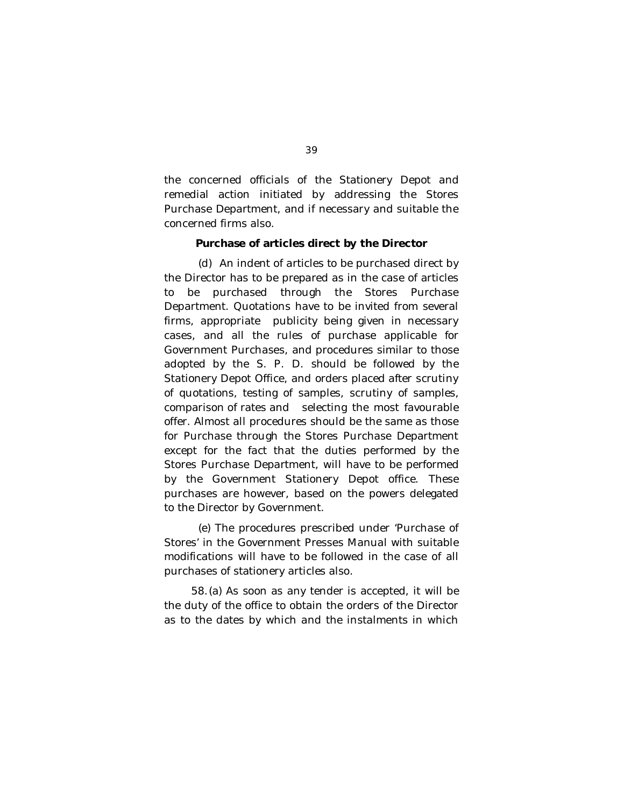the concerned officials of the Stationery Depot and remedial action initiated by addressing the Stores Purchase Department, and if necessary and suitable the concerned firms also.

#### **Purchase of articles direct by the Director**

(d) An indent of articles to be purchased direct by the Director has to be prepared as in the case of articles to be purchased through the Stores Purchase Department. Quotations have to be invited from several firms, appropriate publicity being given in necessary cases, and all the rules of purchase applicable for Government Purchases, and procedures similar to those adopted by the S. P. D. should be followed by the Stationery Depot Office, and orders placed after scrutiny of quotations, testing of samples, scrutiny of samples, comparison of rates and selecting the most favourable offer. Almost all procedures should be the same as those for Purchase through the Stores Purchase Department except for the fact that the duties performed by the Stores Purchase Department, will have to be performed by the Government Stationery Depot office. These purchases are however, based on the powers delegated to the Director by Government.

(e) The procedures prescribed under 'Purchase of Stores' in the Government Presses Manual with suitable modifications will have to be followed in the case of all purchases of stationery articles also.

58.(a) As soon as any tender is accepted, it will be the duty of the office to obtain the orders of the Director as to the dates by which and the instalments in which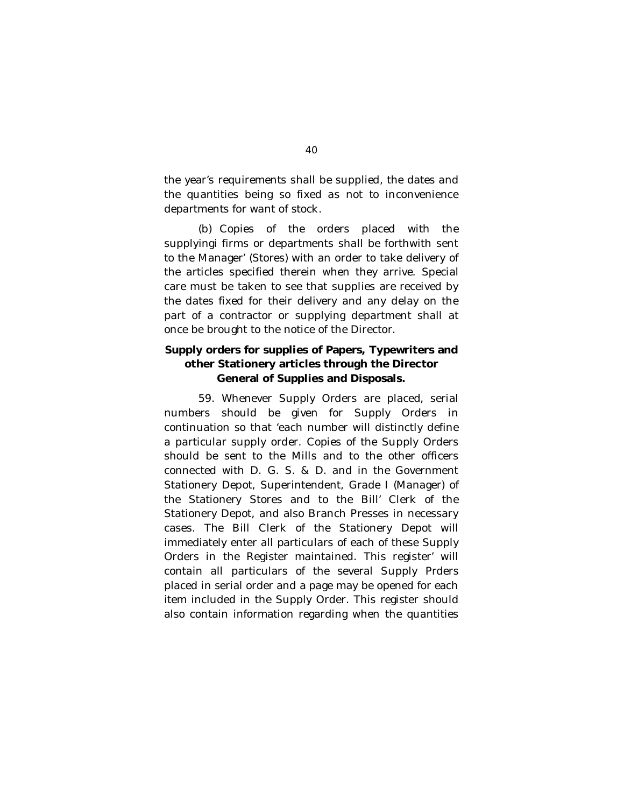the year's requirements shall be supplied, the dates and the quantities being so fixed as not to inconvenience departments for want of stock.

(b) Copies of the orders placed with the supplyingi firms or departments shall be forthwith sent to the Manager' (Stores) with an order to take delivery of the articles specified therein when they arrive. Special care must be taken to see that supplies are received by the dates fixed for their delivery and any delay on the part of a contractor or supplying department shall at once be brought to the notice of the Director.

# **Supply orders for supplies of Papers, Typewriters and other Stationery articles through the Director General of Supplies and Disposals.**

59. Whenever Supply Orders are placed, serial numbers should be given for Supply Orders in continuation so that 'each number will distinctly define a particular supply order. Copies of the Supply Orders should be sent to the Mills and to the other officers connected with D. G. S. & D. and in the Government Stationery Depot, Superintendent, Grade I (Manager) of the Stationery Stores and to the Bill' Clerk of the Stationery Depot, and also Branch Presses in necessary cases. The Bill Clerk of the Stationery Depot will immediately enter all particulars of each of these Supply Orders in the Register maintained. This register' will contain all particulars of the several Supply Prders placed in serial order and a page may be opened for each item included in the Supply Order. This register should also contain information regarding when the quantities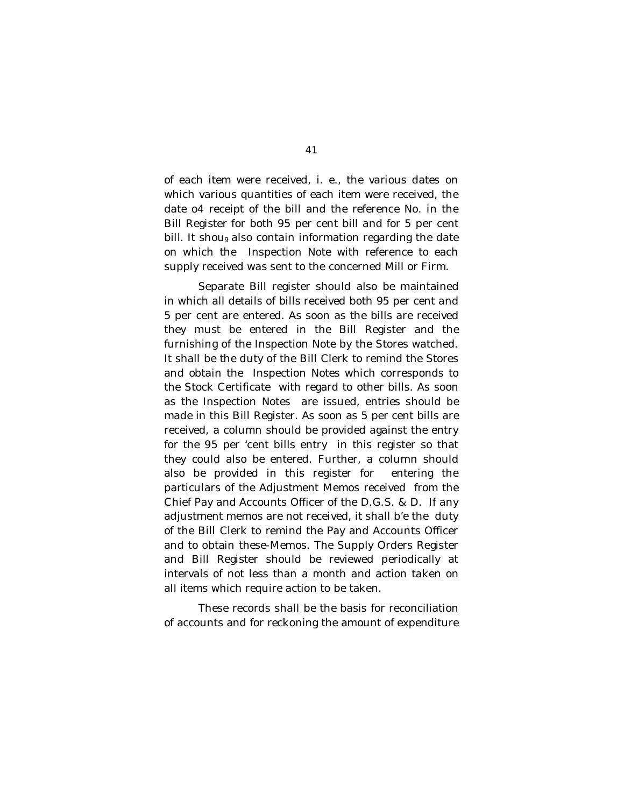of each item were received, i. e., the various dates on which various quantities of each item were received, the date o4 receipt of the bill and the reference No. in the Bill Register for both 95 per cent bill and for 5 per cent bill. It shou<sub>9</sub> also contain information regarding the date on which the Inspection Note with reference to each supply received was sent to the concerned Mill or Firm.

Separate Bill register should also be maintained in which all details of bills received both 95 per cent and 5 per cent are entered. As soon as the bills are received they must be entered in the Bill Register and the furnishing of the Inspection Note by the Stores watched. It shall be the duty of the Bill Clerk to remind the Stores and obtain the Inspection Notes which corresponds to the Stock Certificate with regard to other bills. As soon as the Inspection Notes are issued, entries should be made in this Bill Register. As soon as 5 per cent bills are received, a column should be provided against the entry for the 95 per 'cent bills entry in this register so that they could also be entered. Further, a column should also be provided in this register for entering the particulars of the Adjustment Memos received from the Chief Pay and Accounts Officer of the D.G.S. & D. If any adjustment memos are not received, it shall b'e the duty of the Bill Clerk to remind the Pay and Accounts Officer and to obtain these-Memos. The Supply Orders Register and Bill Register should be reviewed periodically at intervals of not less than a month and action taken on all items which require action to be taken.

These records shall be the basis for reconciliation of accounts and for reckoning the amount of expenditure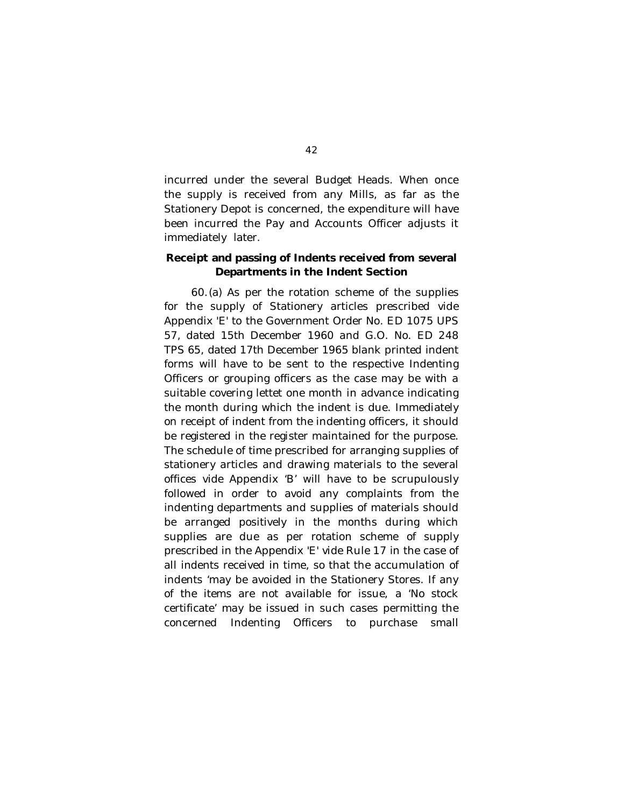incurred under the several Budget Heads. When once the supply is received from any Mills, as far as the Stationery Depot is concerned, the expenditure will have been incurred the Pay and Accounts Officer adjusts it immediately later.

## **Receipt and passing of Indents received from several Departments in the Indent Section**

60.(a) As per the rotation scheme of the supplies for the supply of Stationery articles prescribed vide Appendix 'E' to the Government Order No. ED 1075 UPS 57, dated 15th December 1960 and G.O. No. ED 248 TPS 65, dated 17th December 1965 blank printed indent forms will have to be sent to the respective Indenting Officers or grouping officers as the case may be with a suitable covering lettet one month in advance indicating the month during which the indent is due. Immediately on receipt of indent from the indenting officers, it should be registered in the register maintained for the purpose. The schedule of time prescribed for arranging supplies of stationery articles and drawing materials to the several offices vide Appendix 'B' will have to be scrupulously followed in order to avoid any complaints from the indenting departments and supplies of materials should be arranged positively in the months during which supplies are due as per rotation scheme of supply prescribed in the Appendix 'E' vide Rule 17 in the case of all indents received in time, so that the accumulation of indents 'may be avoided in the Stationery Stores. If any of the items are not available for issue, a 'No stock certificate' may be issued in such cases permitting the concerned Indenting Officers to purchase small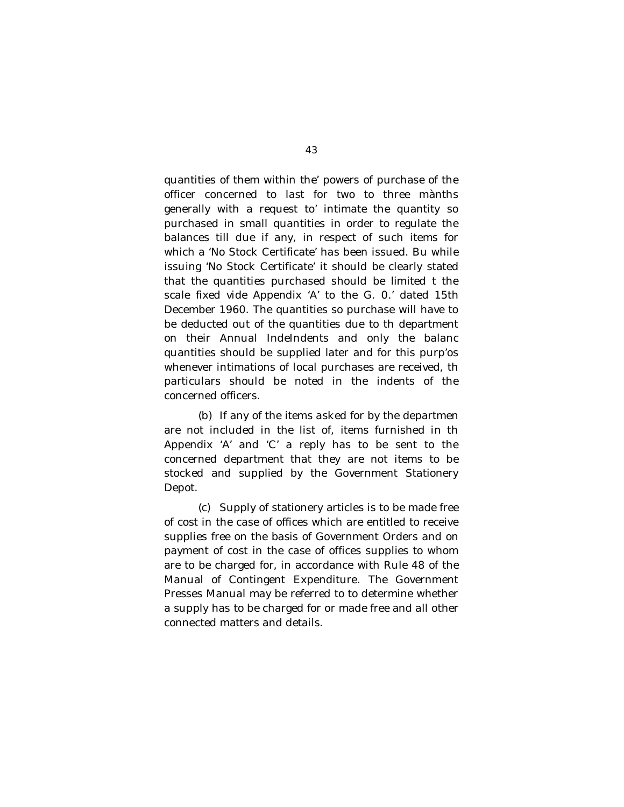quantities of them within the' powers of purchase of the officer concerned to last for two to three mànths generally with a request to' intimate the quantity so purchased in small quantities in order to regulate the balances till due if any, in respect of such items for which a 'No Stock Certificate' has been issued. Bu while issuing 'No Stock Certificate' it should be clearly stated that the quantities purchased should be limited t the scale fixed vide Appendix 'A' to the G. 0.' dated 15th December 1960. The quantities so purchase will have to be deducted out of the quantities due to th department on their Annual IndeIndents and only the balanc quantities should be supplied later and for this purp'os whenever intimations of local purchases are received, th particulars should be noted in the indents of the concerned officers.

(b) If any of the items asked for by the departmen are not included in the list of, items furnished in th Appendix 'A' and 'C' a reply has to be sent to the concerned department that they are not items to be stocked and supplied by the Government Stationery Depot.

(c) Supply of stationery articles is to be made free of cost in the case of offices which are entitled to receive supplies free on the basis of Government Orders and on payment of cost in the case of offices supplies to whom are to be charged for, in accordance with Rule 48 of the Manual of Contingent Expenditure. The Government Presses Manual may be referred to to determine whether a supply has to be charged for or made free and all other connected matters and details.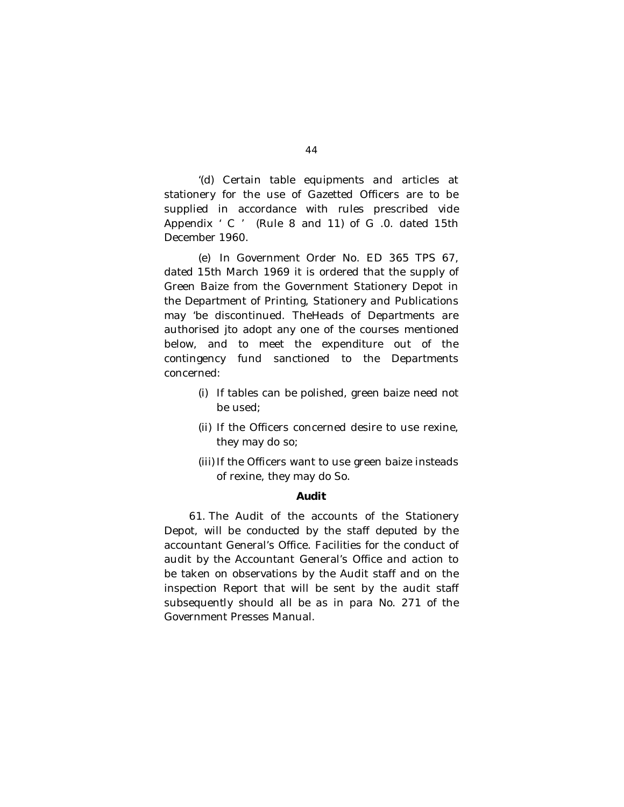'(d) Certain table equipments and articles at stationery for the use of Gazetted Officers are to be supplied in accordance with rules prescribed vide Appendix ' C ' (Rule 8 and 11) of G .0. dated 15th December 1960.

(e) In Government Order No. ED 365 TPS 67, dated 15th March 1969 it is ordered that the supply of Green Baize from the Government Stationery Depot in the Department of Printing, Stationery and Publications may 'be discontinued. TheHeads of Departments are authorised jto adopt any one of the courses mentioned below, and to meet the expenditure out of the contingency fund sanctioned to the Departments concerned:

- (i) If tables can be polished, green baize need not be used;
- (ii) If the Officers concerned desire to use rexine, they may do so;
- (iii) If the Officers want to use green baize insteads of rexine, they may do So.

#### **Audit**

61. The Audit of the accounts of the Stationery Depot, will be conducted by the staff deputed by the accountant General's Office. Facilities for the conduct of audit by the Accountant General's Office and action to be taken on observations by the Audit staff and on the inspection Report that will be sent by the audit staff subsequently should all be as in para No. 271 of the Government Presses Manual.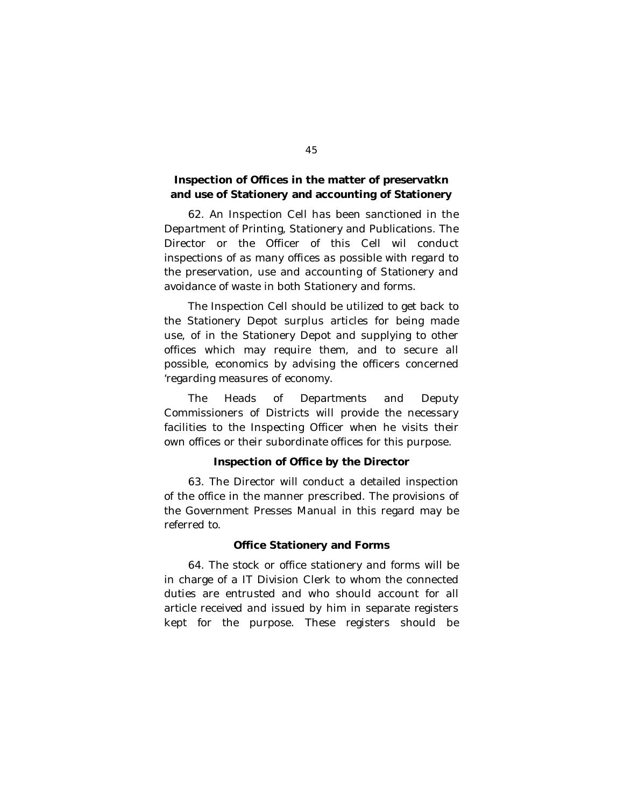## **Inspection of Offices in the matter of preservatkn and use of Stationery and accounting of Stationery**

62. An Inspection Cell has been sanctioned in the Department of Printing, Stationery and Publications. The Director or the Officer of this Cell wil conduct inspections of as many offices as possible with regard to the preservation, use and accounting of Stationery and avoidance of waste in both Stationery and forms.

The Inspection Cell should be utilized to get back to the Stationery Depot surplus articles for being made use, of in the Stationery Depot and supplying to other offices which may require them, and to secure all possible, economics by advising the officers concerned 'regarding measures of economy.

The Heads of Departments and Deputy Commissioners of Districts will provide the necessary facilities to the Inspecting Officer when he visits their own offices or their subordinate offices for this purpose.

### **Inspection of Office by the Director**

63. The Director will conduct a detailed inspection of the office in the manner prescribed. The provisions of the Government Presses Manual in this regard may be referred to.

#### **Office Stationery and Forms**

64. The stock or office stationery and forms will be in charge of a IT Division Clerk to whom the connected duties are entrusted and who should account for all article received and issued by him in separate registers kept for the purpose. These registers should be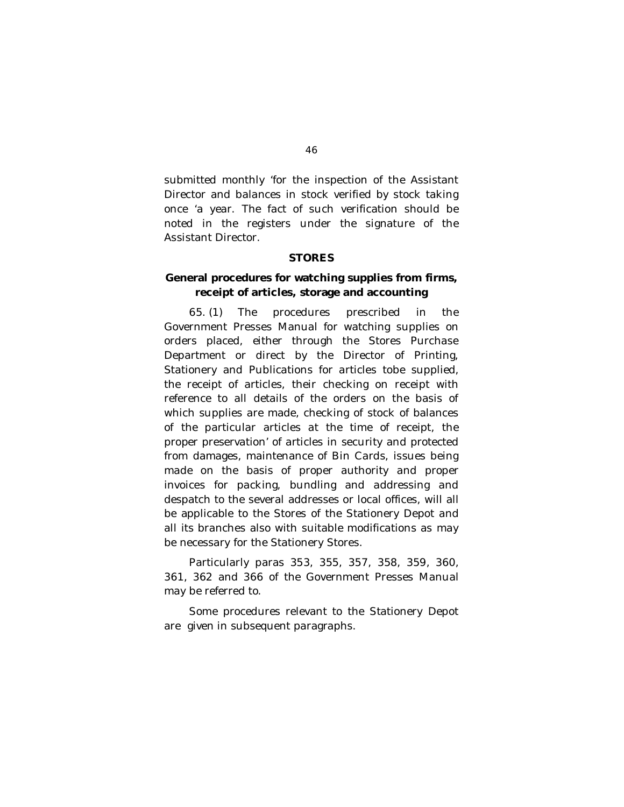submitted monthly 'for the inspection of the Assistant Director and balances in stock verified by stock taking once 'a year. The fact of such verification should be noted in the registers under the signature of the Assistant Director.

### **STORES**

## **General procedures for watching supplies from firms, receipt of articles, storage and accounting**

65. (1) The procedures prescribed in the Government Presses Manual for watching supplies on orders placed, either through the Stores Purchase Department or direct by the Director of Printing, Stationery and Publications for articles tobe supplied, the receipt of articles, their checking on receipt with reference to all details of the orders on the basis of which supplies are made, checking of stock of balances of the particular articles at the time of receipt, the proper preservation' of articles in security and protected from damages, maintenance of Bin Cards, issues being made on the basis of proper authority and proper invoices for packing, bundling and addressing and despatch to the several addresses or local offices, will all be applicable to the Stores of the Stationery Depot and all its branches also with suitable modifications as may be necessary for the Stationery Stores.

Particularly paras 353, 355, 357, 358, 359, 360, 361, 362 and 366 of the Government Presses Manual may be referred to.

Some procedures relevant to the Stationery Depot are given in subsequent paragraphs.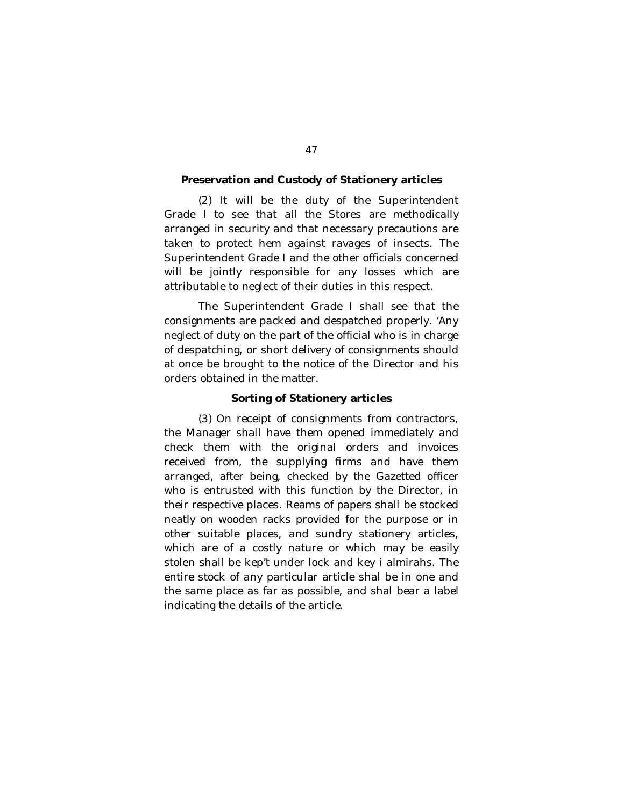#### **Preservation and Custody of Stationery articles**

(2) It will be the duty of the Superintendent Grade I to see that all the Stores are methodically arranged in security and that necessary precautions are taken to protect hem against ravages of insects. The Superintendent Grade I and the other officials concerned will be jointly responsible for any losses which are attributable to neglect of their duties in this respect.

The Superintendent Grade I shall see that the consignments are packed and despatched properly. 'Any neglect of duty on the part of the official who is in charge of despatching, or short delivery of consignments should at once be brought to the notice of the Director and his orders obtained in the matter.

#### **Sorting of Stationery articles**

(3) On receipt of consignments from contractors, the Manager shall have them opened immediately and check them with the original orders and invoices received from, the supplying firms and have them arranged, after being, checked by the Gazetted officer who is entrusted with this function by the Director, in their respective places. Reams of papers shall be stocked neatly on wooden racks provided for the purpose or in other suitable places, and sundry stationery articles, which are of a costly nature or which may be easily stolen shall be kep't under lock and key i almirahs. The entire stock of any particular article shal be in one and the same place as far as possible, and shal bear a label indicating the details of the article.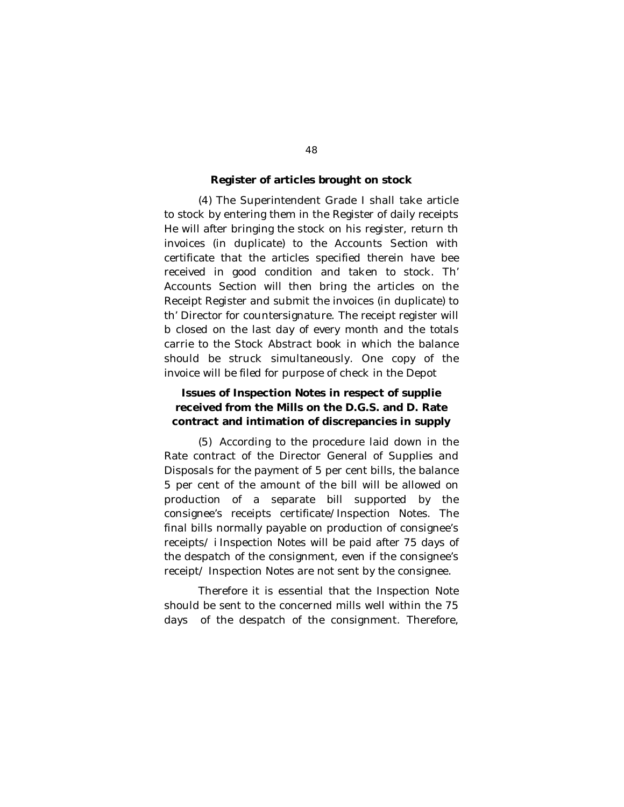#### **Register of articles brought on stock**

(4) The Superintendent Grade I shall take article to stock by entering them in the Register of daily receipts He will after bringing the stock on his register, return th invoices (in duplicate) to the Accounts Section with certificate that the articles specified therein have bee received in good condition and taken to stock. Th' Accounts Section will then bring the articles on the Receipt Register and submit the invoices (in duplicate) to th' Director for countersignature. The receipt register will b closed on the last day of every month and the totals carrie to the Stock Abstract book in which the balance should be struck simultaneously. One copy of the invoice will be filed for purpose of check in the Depot

## **Issues of Inspection Notes in respect of supplie received from the Mills on the D.G.S. and D. Rate contract and intimation of discrepancies in supply**

(5) According to the procedure laid down in the Rate contract of the Director General of Supplies and Disposals for the payment of 5 per cent bills, the balance 5 per cent of the amount of the bill will be allowed on production of a separate bill supported by the consignee's receipts certificate/Inspection Notes. The final bills normally payable on production of consignee's receipts/ i Inspection Notes will be paid after 75 days of the despatch of the consignment, even if the consignee's receipt/ Inspection Notes are not sent by the consignee.

Therefore it is essential that the Inspection Note should be sent to the concerned mills well within the 75 days of the despatch of the consignment. Therefore,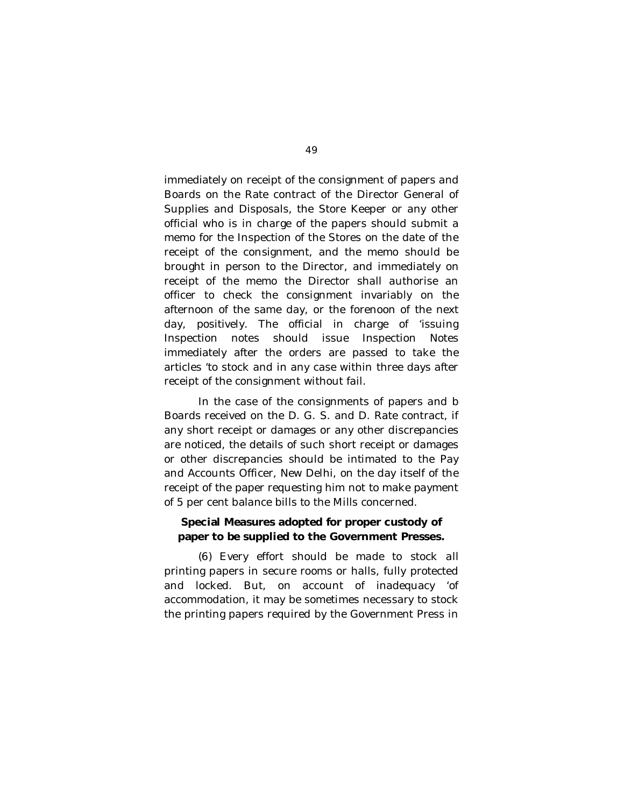immediately on receipt of the consignment of papers and Boards on the Rate contract of the Director General of Supplies and Disposals, the Store Keeper or any other official who is in charge of the papers should submit a memo for the Inspection of the Stores on the date of the receipt of the consignment, and the memo should be brought in person to the Director, and immediately on receipt of the memo the Director shall authorise an officer to check the consignment invariably on the afternoon of the same day, or the forenoon of the next day, positively. The official in charge of 'issuing Inspection notes should issue Inspection Notes immediately after the orders are passed to take the articles 'to stock and in any case within three days after receipt of the consignment without fail.

In the case of the consignments of papers and b Boards received on the D. G. S. and D. Rate contract, if any short receipt or damages or any other discrepancies are noticed, the details of such short receipt or damages or other discrepancies should be intimated to the Pay and Accounts Officer, New Delhi, on the day itself of the receipt of the paper requesting him not to make payment of 5 per cent balance bills to the Mills concerned.

## **Special Measures adopted for proper custody of paper to be supplied to the Government Presses.**

(6) Every effort should be made to stock all printing papers in secure rooms or halls, fully protected and locked. But, on account of inadequacy 'of accommodation, it may be sometimes necessary to stock the printing papers required by the Government Press in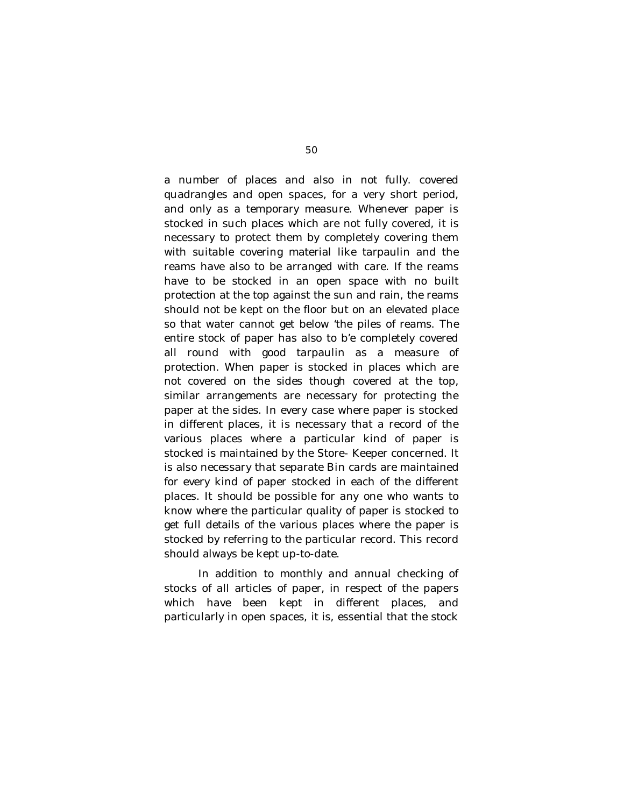a number of places and also in not fully. covered quadrangles and open spaces, for a very short period, and only as a temporary measure. Whenever paper is stocked in such places which are not fully covered, it is necessary to protect them by completely covering them with suitable covering material like tarpaulin and the reams have also to be arranged with care. If the reams have to be stocked in an open space with no built protection at the top against the sun and rain, the reams should not be kept on the floor but on an elevated place so that water cannot get below 'the piles of reams. The entire stock of paper has also to b'e completely covered all round with good tarpaulin as a measure of protection. When paper is stocked in places which are not covered on the sides though covered at the top, similar arrangements are necessary for protecting the paper at the sides. In every case where paper is stocked in different places, it is necessary that a record of the various places where a particular kind of paper is stocked is maintained by the Store- Keeper concerned. It is also necessary that separate Bin cards are maintained for every kind of paper stocked in each of the different places. It should be possible for any one who wants to know where the particular quality of paper is stocked to get full details of the various places where the paper is stocked by referring to the particular record. This record should always be kept up-to-date.

In addition to monthly and annual checking of stocks of all articles of paper, in respect of the papers which have been kept in different places, and particularly in open spaces, it is, essential that the stock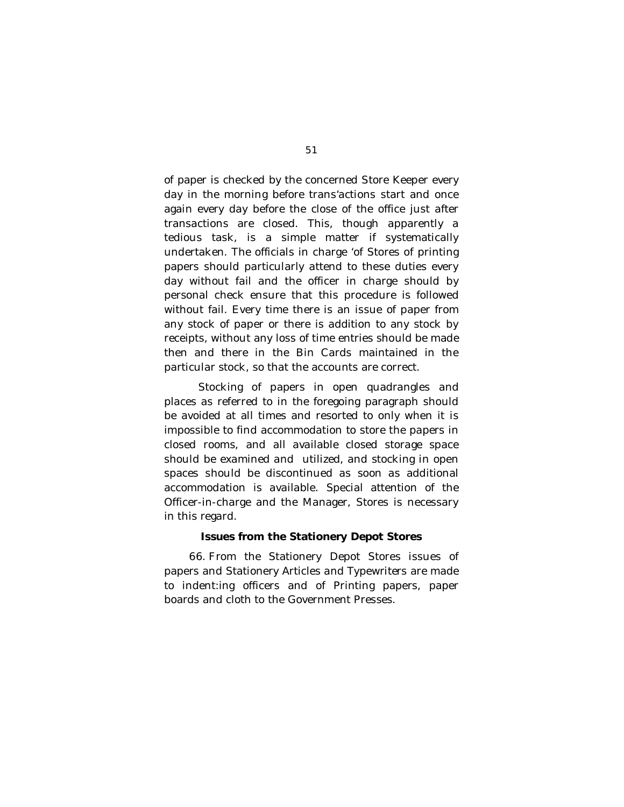of paper is checked by the concerned Store Keeper every day in the morning before trans'actions start and once again every day before the close of the office just after transactions are closed. This, though apparently a tedious task, is a simple matter if systematically undertaken. The officials in charge 'of Stores of printing papers should particularly attend to these duties every day without fail and the officer in charge should by personal check ensure that this procedure is followed without fail. Every time there is an issue of paper from any stock of paper or there is addition to any stock by receipts, without any loss of time entries should be made then and there in the Bin Cards maintained in the particular stock, so that the accounts are correct.

Stocking of papers in open quadrangles and places as referred to in the foregoing paragraph should be avoided at all times and resorted to only when it is impossible to find accommodation to store the papers in closed rooms, and all available closed storage space should be examined and utilized, and stocking in open spaces should be discontinued as soon as additional accommodation is available. Special attention of the Officer-in-charge and the Manager, Stores is necessary in this regard.

#### **Issues from the Stationery Depot Stores**

66. From the Stationery Depot Stores issues of papers and Stationery Articles and Typewriters are made to indent:ing officers and of Printing papers, paper boards and cloth to the Government Presses.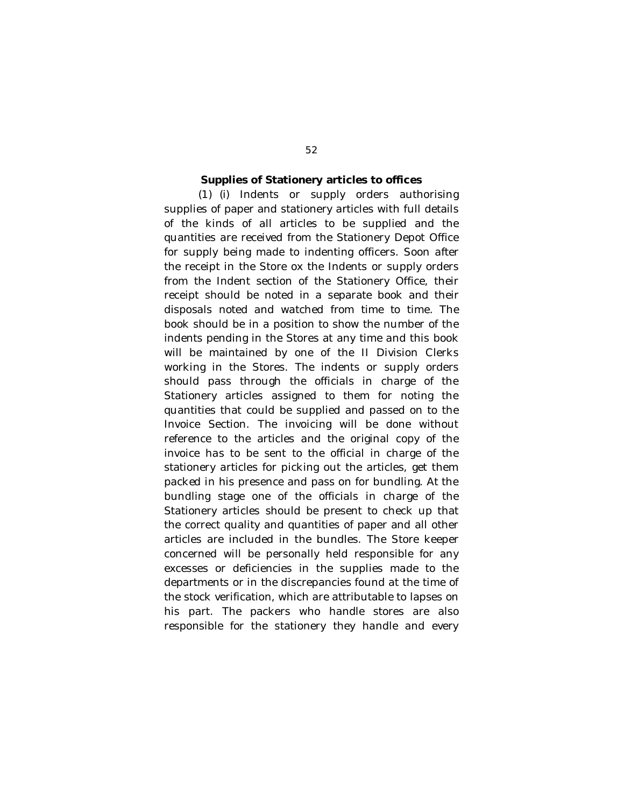#### **Supplies of Stationery articles to offices**

(1) (i) Indents or supply orders authorising supplies of paper and stationery articles with full details of the kinds of all articles to be supplied and the quantities are received from the Stationery Depot Office for supply being made to indenting officers. Soon after the receipt in the Store ox the Indents or supply orders from the Indent section of the Stationery Office, their receipt should be noted in a separate book and their disposals noted and watched from time to time. The book should be in a position to show the number of the indents pending in the Stores at any time and this book will be maintained by one of the II Division Clerks working in the Stores. The indents or supply orders should pass through the officials in charge of the Stationery articles assigned to them for noting the quantities that could be supplied and passed on to the Invoice Section. The invoicing will be done without reference to the articles and the original copy of the invoice has to be sent to the official in charge of the stationery articles for picking out the articles, get them packed in his presence and pass on for bundling. At the bundling stage one of the officials in charge of the Stationery articles should be present to check up that the correct quality and quantities of paper and all other articles are included in the bundles. The Store keeper concerned will be personally held responsible for any excesses or deficiencies in the supplies made to the departments or in the discrepancies found at the time of the stock verification, which are attributable to lapses on his part. The packers who handle stores are also responsible for the stationery they handle and every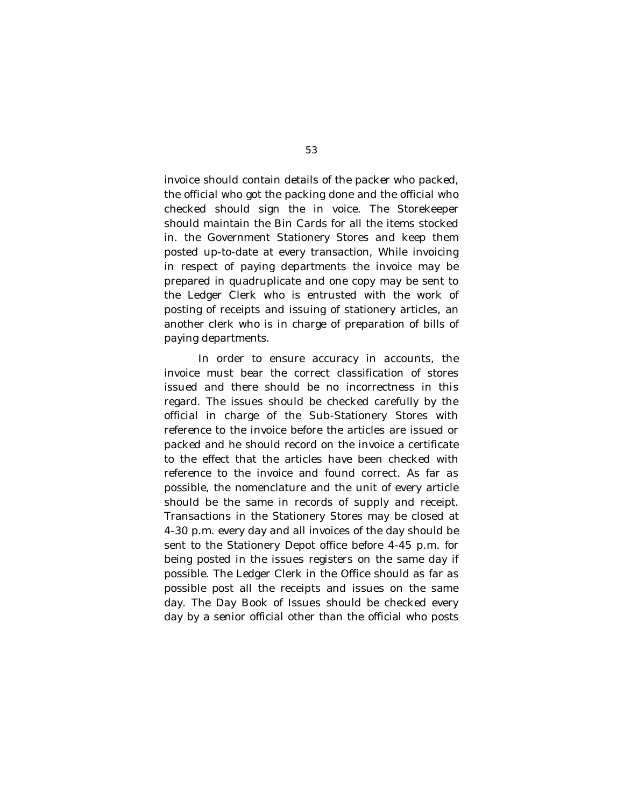invoice should contain details of the packer who packed, the official who got the packing done and the official who checked should sign the in voice. The Storekeeper should maintain the Bin Cards for all the items stocked in. the Government Stationery Stores and keep them posted up-to-date at every transaction, While invoicing in respect of paying departments the invoice may be prepared in quadruplicate and one copy may be sent to the Ledger Clerk who is entrusted with the work of posting of receipts and issuing of stationery articles, an another clerk who is in charge of preparation of bills of paying departments.

In order to ensure accuracy in accounts, the invoice must bear the correct classification of stores issued and there should be no incorrectness in this regard. The issues should be checked carefully by the official in charge of the Sub-Stationery Stores with reference to the invoice before the articles are issued or packed and he should record on the invoice a certificate to the effect that the articles have been checked with reference to the invoice and found correct. As far as possible, the nomenclature and the unit of every article should be the same in records of supply and receipt. Transactions in the Stationery Stores may be closed at 4-30 p.m. every day and all invoices of the day should be sent to the Stationery Depot office before 4-45 p.m. for being posted in the issues registers on the same day if possible. The Ledger Clerk in the Office should as far as possible post all the receipts and issues on the same day. The Day Book of Issues should be checked every day by a senior official other than the official who posts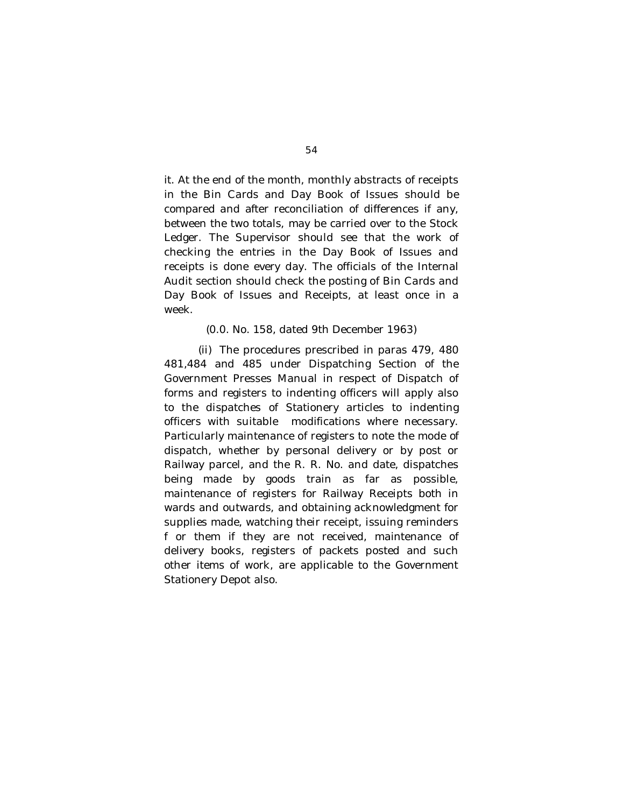it. At the end of the month, monthly abstracts of receipts in the Bin Cards and Day Book of Issues should be compared and after reconciliation of differences if any, between the two totals, may be carried over to the Stock Ledger. The Supervisor should see that the work of checking the entries in the Day Book of Issues and receipts is done every day. The officials of the Internal Audit section should check the posting of Bin Cards and Day Book of Issues and Receipts, at least once in a week.

#### (0.0. No. 158, dated 9th December 1963)

(ii) The procedures prescribed in paras 479, 480 481,484 and 485 under Dispatching Section of the Government Presses Manual in respect of Dispatch of forms and registers to indenting officers will apply also to the dispatches of Stationery articles to indenting officers with suitable modifications where necessary. Particularly maintenance of registers to note the mode of dispatch, whether by personal delivery or by post or Railway parcel, and the R. R. No. and date, dispatches being made by goods train as far as possible, maintenance of registers for Railway Receipts both in wards and outwards, and obtaining acknowledgment for supplies made, watching their receipt, issuing reminders f or them if they are not received, maintenance of delivery books, registers of packets posted and such other items of work, are applicable to the Government Stationery Depot also.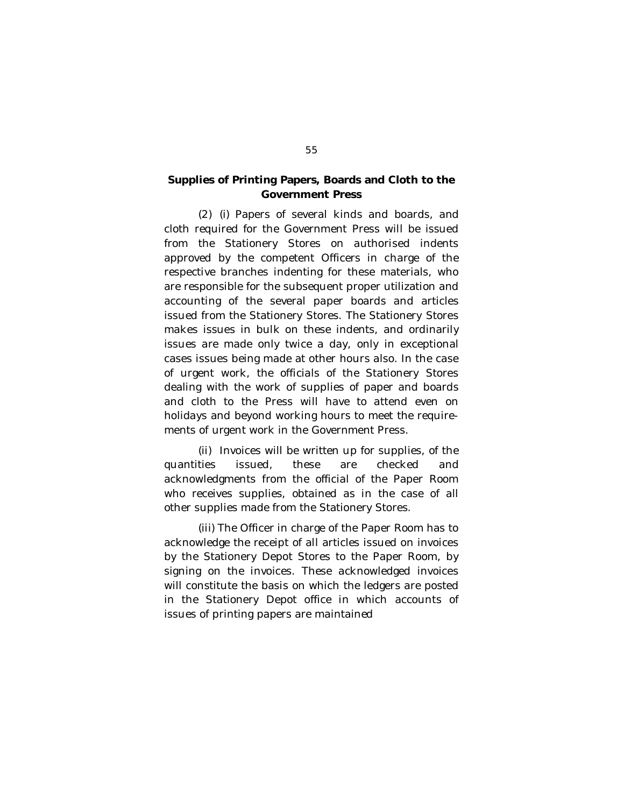## **Supplies of Printing Papers, Boards and Cloth to the Government Press**

(2) (i) Papers of several kinds and boards, and cloth required for the Government Press will be issued from the Stationery Stores on authorised indents approved by the competent Officers in charge of the respective branches indenting for these materials, who are responsible for the subsequent proper utilization and accounting of the several paper boards and articles issued from the Stationery Stores. The Stationery Stores makes issues in bulk on these indents, and ordinarily issues are made only twice a day, only in exceptional cases issues being made at other hours also. In the case of urgent work, the officials of the Stationery Stores dealing with the work of supplies of paper and boards and cloth to the Press will have to attend even on holidays and beyond working hours to meet the requirements of urgent work in the Government Press.

(ii) Invoices will be written up for supplies, of the quantities issued, these are checked and acknowledgments from the official of the Paper Room who receives supplies, obtained as in the case of all other supplies made from the Stationery Stores.

(iii) The Officer in charge of the Paper Room has to acknowledge the receipt of all articles issued on invoices by the Stationery Depot Stores to the Paper Room, by signing on the invoices. These acknowledged invoices will constitute the basis on which the ledgers are posted in the Stationery Depot office in which accounts of issues of printing papers are maintained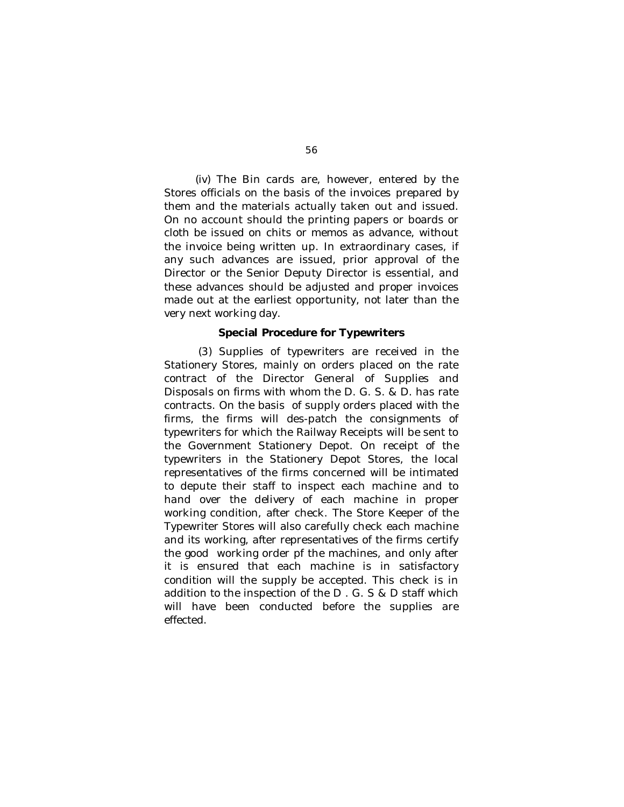(iv) The Bin cards are, however, entered by the Stores officials on the basis of the invoices prepared by them and the materials actually taken out and issued. On no account should the printing papers or boards or cloth be issued on chits or memos as advance, without the invoice being written up. In extraordinary cases, if any such advances are issued, prior approval of the Director or the Senior Deputy Director is essential, and these advances should be adjusted and proper invoices made out at the earliest opportunity, not later than the very next working day.

#### **Special Procedure for Typewriters**

(3) Supplies of typewriters are received in the Stationery Stores, mainly on orders placed on the rate contract of the Director General of Supplies and Disposals on firms with whom the D. G. S. & D. has rate contracts. On the basis of supply orders placed with the firms, the firms will des-patch the consignments of typewriters for which the Railway Receipts will be sent to the Government Stationery Depot. On receipt of the typewriters in the Stationery Depot Stores, the local representatives of the firms concerned will be intimated to depute their staff to inspect each machine and to hand over the delivery of each machine in proper working condition, after check. The Store Keeper of the Typewriter Stores will also carefully check each machine and its working, after representatives of the firms certify the good working order pf the machines, and only after it is ensured that each machine is in satisfactory condition will the supply be accepted. This check is in addition to the inspection of the D . G. S & D staff which will have been conducted before the supplies are effected.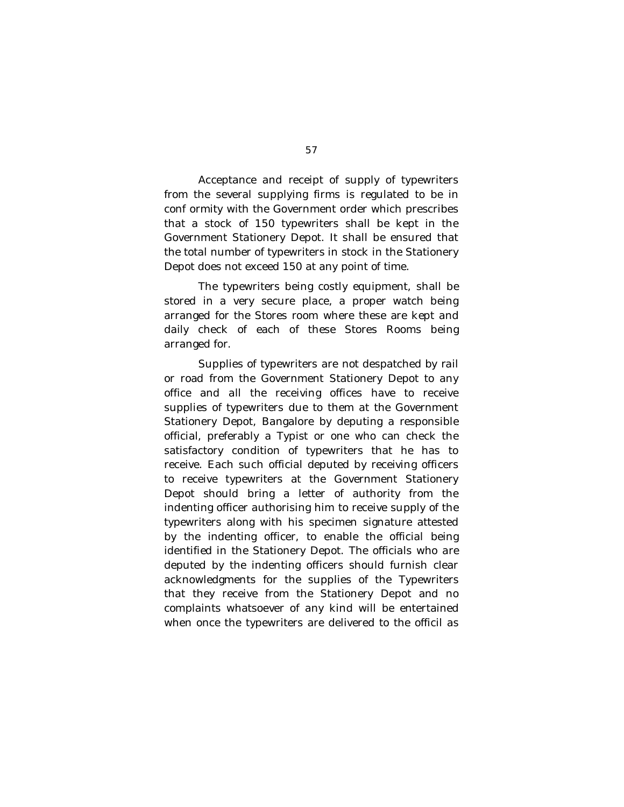Acceptance and receipt of supply of typewriters from the several supplying firms is regulated to be in conf ormity with the Government order which prescribes that a stock of 150 typewriters shall be kept in the Government Stationery Depot. It shall be ensured that the total number of typewriters in stock in the Stationery Depot does not exceed 150 at any point of time.

The typewriters being costly equipment, shall be stored in a very secure place, a proper watch being arranged for the Stores room where these are kept and daily check of each of these Stores Rooms being arranged for.

Supplies of typewriters are not despatched by rail or road from the Government Stationery Depot to any office and all the receiving offices have to receive supplies of typewriters due to them at the Government Stationery Depot, Bangalore by deputing a responsible official, preferably a Typist or one who can check the satisfactory condition of typewriters that he has to receive. Each such official deputed by receiving officers to receive typewriters at the Government Stationery Depot should bring a letter of authority from the indenting officer authorising him to receive supply of the typewriters along with his specimen signature attested by the indenting officer, to enable the official being identified in the Stationery Depot. The officials who are deputed by the indenting officers should furnish clear acknowledgments for the supplies of the Typewriters that they receive from the Stationery Depot and no complaints whatsoever of any kind will be entertained when once the typewriters are delivered to the officil as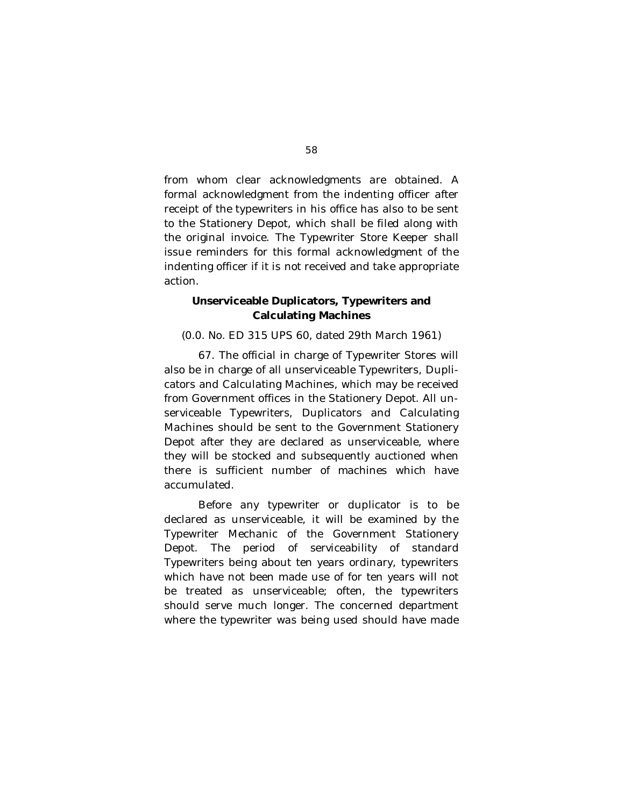from whom clear acknowledgments are obtained. A formal acknowledgment from the indenting officer after receipt of the typewriters in his office has also to be sent to the Stationery Depot, which shall be filed along with the original invoice. The Typewriter Store Keeper shall issue reminders for this formal acknowledgment of the indenting officer if it is not received and take appropriate action.

### **Unserviceable Duplicators, Typewriters and Calculating Machines**

(0.0. No. ED 315 UPS 60, dated 29th March 1961)

67. The official in charge of Typewriter Stores will also be in charge of all unserviceable Typewriters, Duplicators and Calculating Machines, which may be received from Government offices in the Stationery Depot. All unserviceable Typewriters, Duplicators and Calculating Machines should be sent to the Government Stationery Depot after they are declared as unserviceable, where they will be stocked and subsequently auctioned when there is sufficient number of machines which have accumulated.

Before any typewriter or duplicator is to be declared as unserviceable, it will be examined by the Typewriter Mechanic of the Government Stationery Depot. The period of serviceability of standard Typewriters being about ten years ordinary, typewriters which have not been made use of for ten years will not be treated as unserviceable; often, the typewriters should serve much longer. The concerned department where the typewriter was being used should have made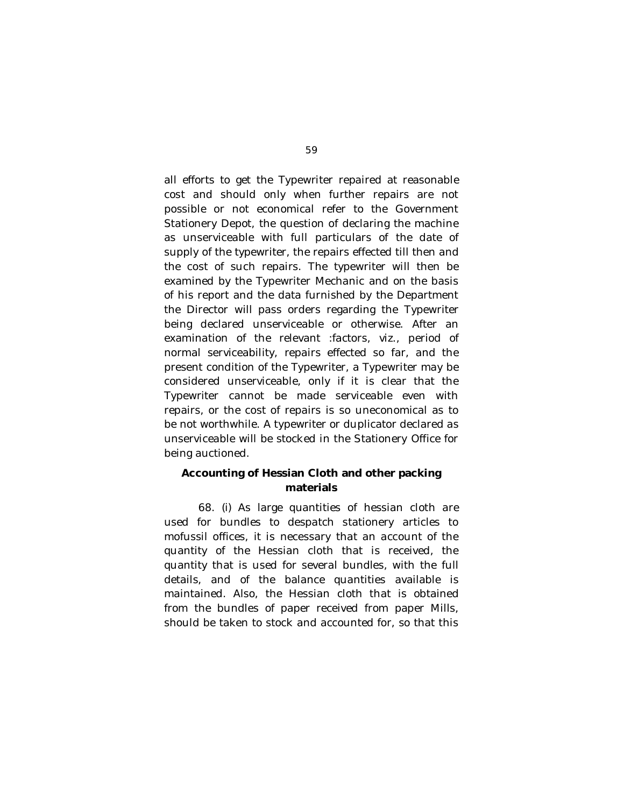all efforts to get the Typewriter repaired at reasonable cost and should only when further repairs are not possible or not economical refer to the Government Stationery Depot, the question of declaring the machine as unserviceable with full particulars of the date of supply of the typewriter, the repairs effected till then and the cost of such repairs. The typewriter will then be examined by the Typewriter Mechanic and on the basis of his report and the data furnished by the Department the Director will pass orders regarding the Typewriter being declared unserviceable or otherwise. After an examination of the relevant :factors, viz., period of normal serviceability, repairs effected so far, and the present condition of the Typewriter, a Typewriter may be considered unserviceable, only if it is clear that the Typewriter cannot be made serviceable even with repairs, or the cost of repairs is so uneconomical as to be not worthwhile. A typewriter or duplicator declared as unserviceable will be stocked in the Stationery Office for being auctioned.

## **Accounting of Hessian Cloth and other packing materials**

68. (i) As large quantities of hessian cloth are used for bundles to despatch stationery articles to mofussil offices, it is necessary that an account of the quantity of the Hessian cloth that is received, the quantity that is used for several bundles, with the full details, and of the balance quantities available is maintained. Also, the Hessian cloth that is obtained from the bundles of paper received from paper Mills, should be taken to stock and accounted for, so that this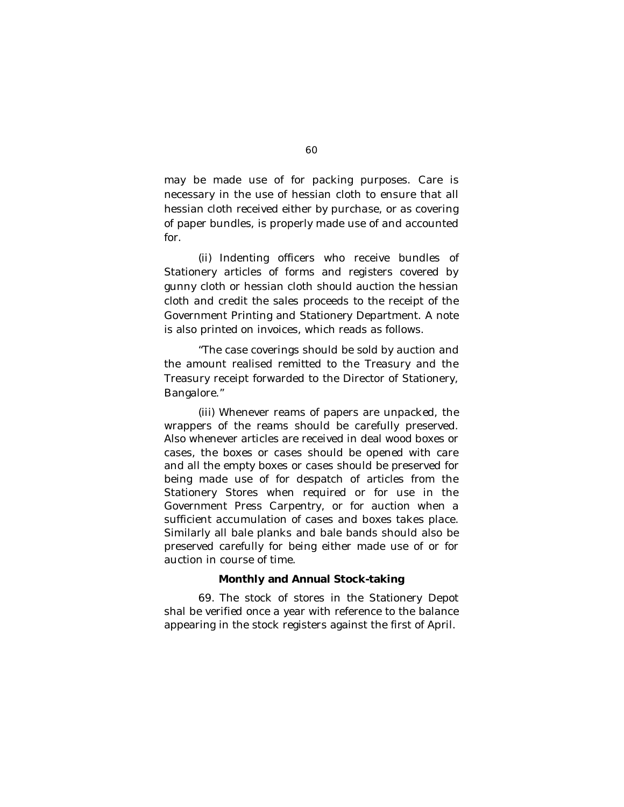may be made use of for packing purposes. Care is necessary in the use of hessian cloth to ensure that all hessian cloth received either by purchase, or as covering of paper bundles, is properly made use of and accounted for.

(ii) Indenting officers who receive bundles of Stationery articles of forms and registers covered by gunny cloth or hessian cloth should auction the hessian cloth and credit the sales proceeds to the receipt of the Government Printing and Stationery Department. A note is also printed on invoices, which reads as follows.

"The case coverings should be sold by auction and the amount realised remitted to the Treasury and the Treasury receipt forwarded to the Director of Stationery, Bangalore."

(iii) Whenever reams of papers are unpacked, the wrappers of the reams should be carefully preserved. Also whenever articles are received in deal wood boxes or cases, the boxes or cases should be opened with care and all the empty boxes or cases should be preserved for being made use of for despatch of articles from the Stationery Stores when required or for use in the Government Press Carpentry, or for auction when a sufficient accumulation of cases and boxes takes place. Similarly all bale planks and bale bands should also be preserved carefully for being either made use of or for auction in course of time.

#### **Monthly and Annual Stock-taking**

69. The stock of stores in the Stationery Depot shal be verified once a year with reference to the balance appearing in the stock registers against the first of April.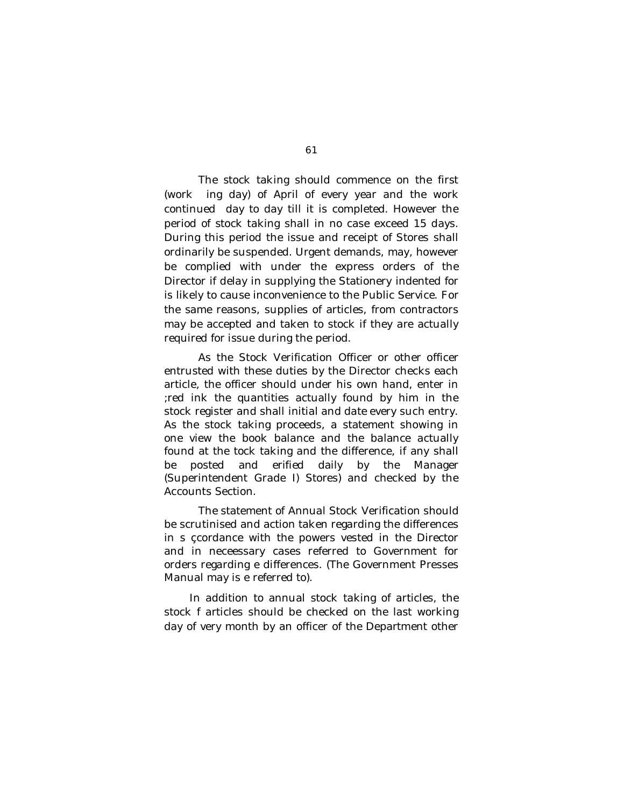The stock taking should commence on the first (work ing day) of April of every year and the work continued day to day till it is completed. However the period of stock taking shall in no case exceed 15 days. During this period the issue and receipt of Stores shall ordinarily be suspended. Urgent demands, may, however be complied with under the express orders of the Director if delay in supplying the Stationery indented for is likely to cause inconvenience to the Public Service. For the same reasons, supplies of articles, from contractors may be accepted and taken to stock if they are actually required for issue during the period.

As the Stock Verification Officer or other officer entrusted with these duties by the Director checks each article, the officer should under his own hand, enter in ;red ink the quantities actually found by him in the stock register and shall initial and date every such entry. As the stock taking proceeds, a statement showing in one view the book balance and the balance actually found at the tock taking and the difference, if any shall be posted and erified daily by the Manager (Superintendent Grade I) Stores) and checked by the Accounts Section.

The statement of Annual Stock Verification should be scrutinised and action taken regarding the differences in s çcordance with the powers vested in the Director and in neceessary cases referred to Government for orders regarding e differences. (The Government Presses Manual may is e referred to).

In addition to annual stock taking of articles, the stock f articles should be checked on the last working day of very month by an officer of the Department other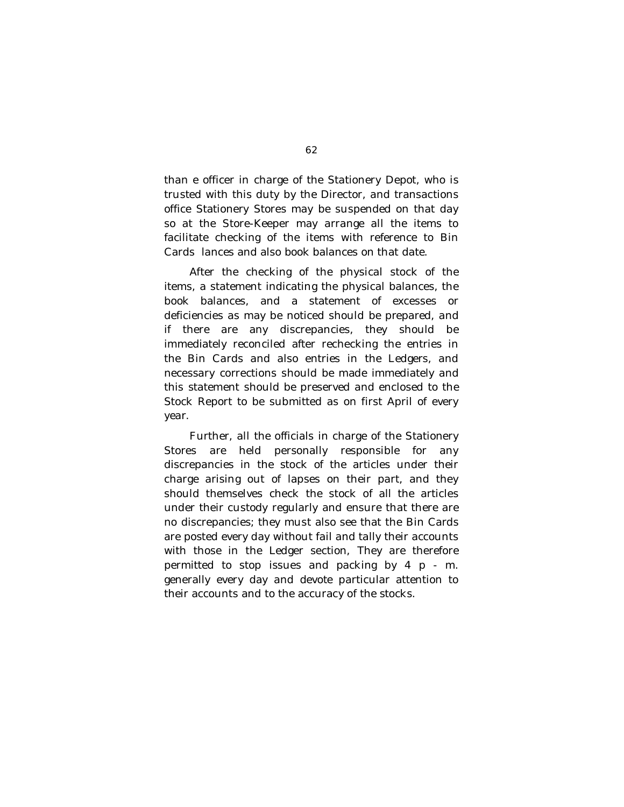than e officer in charge of the Stationery Depot, who is trusted with this duty by the Director, and transactions office Stationery Stores may be suspended on that day so at the Store-Keeper may arrange all the items to facilitate checking of the items with reference to Bin Cards lances and also book balances on that date.

After the checking of the physical stock of the items, a statement indicating the physical balances, the book balances, and a statement of excesses or deficiencies as may be noticed should be prepared, and if there are any discrepancies, they should be immediately reconciled after rechecking the entries in the Bin Cards and also entries in the Ledgers, and necessary corrections should be made immediately and this statement should be preserved and enclosed to the Stock Report to be submitted as on first April of every year.

Further, all the officials in charge of the Stationery Stores are held personally responsible for any discrepancies in the stock of the articles under their charge arising out of lapses on their part, and they should themselves check the stock of all the articles under their custody regularly and ensure that there are no discrepancies; they must also see that the Bin Cards are posted every day without fail and tally their accounts with those in the Ledger section, They are therefore permitted to stop issues and packing by 4 p - m. generally every day and devote particular attention to their accounts and to the accuracy of the stocks.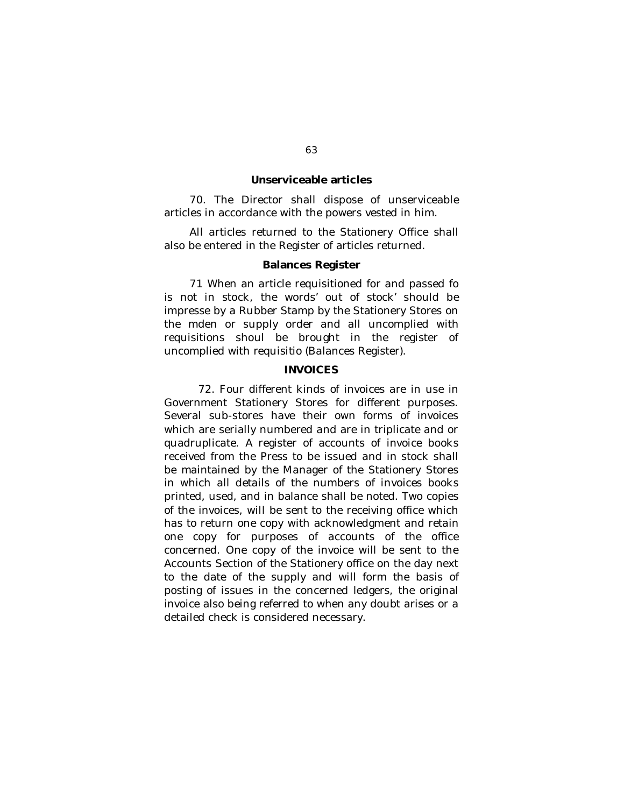#### **Unserviceable articles**

70. The Director shall dispose of unserviceable articles in accordance with the powers vested in him.

All articles returned to the Stationery Office shall also be entered in the Register of articles returned.

#### **Balances Register**

71 When an article requisitioned for and passed fo is not in stock, the words' out of stock' should be impresse by a Rubber Stamp by the Stationery Stores on the mden or supply order and all uncomplied with requisitions shoul be brought in the register of uncomplied with requisitio (Balances Register).

### **INVOICES**

72. Four different kinds of invoices are in use in Government Stationery Stores for different purposes. Several sub-stores have their own forms of invoices which are serially numbered and are in triplicate and or quadruplicate. A register of accounts of invoice books received from the Press to be issued and in stock shall be maintained by the Manager of the Stationery Stores in which all details of the numbers of invoices books printed, used, and in balance shall be noted. Two copies of the invoices, will be sent to the receiving office which has to return one copy with acknowledgment and retain one copy for purposes of accounts of the office concerned. One copy of the invoice will be sent to the Accounts Section of the Stationery office on the day next to the date of the supply and will form the basis of posting of issues in the concerned ledgers, the original invoice also being referred to when any doubt arises or a detailed check is considered necessary.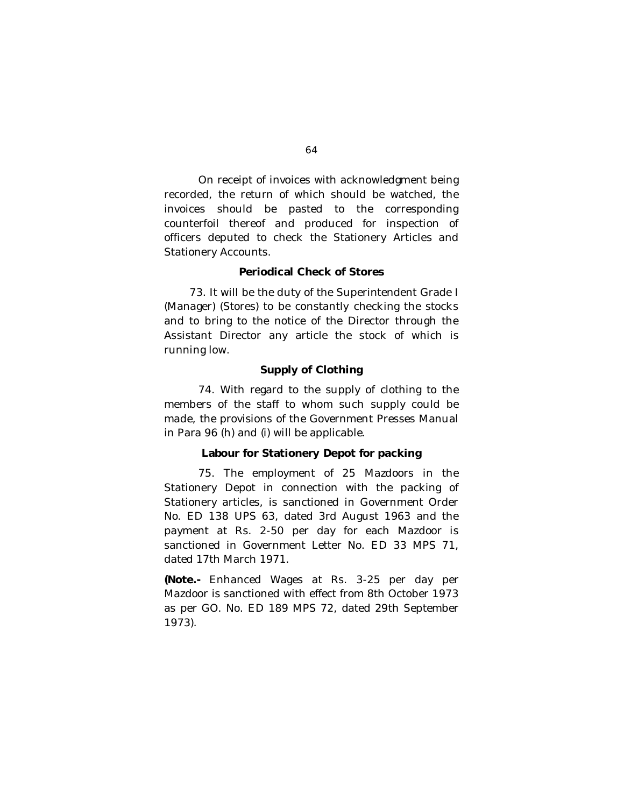On receipt of invoices with acknowledgment being recorded, the return of which should be watched, the invoices should be pasted to the corresponding counterfoil thereof and produced for inspection of officers deputed to check the Stationery Articles and Stationery Accounts.

#### **Periodical Check of Stores**

73. It will be the duty of the Superintendent Grade I (Manager) (Stores) to be constantly checking the stocks and to bring to the notice of the Director through the Assistant Director any article the stock of which is running low.

### **Supply of Clothing**

74. With regard to the supply of clothing to the members of the staff to whom such supply could be made, the provisions of the Government Presses Manual in Para 96 (h) and (i) will be applicable.

### **Labour for Stationery Depot for packing**

75. The employment of 25 Mazdoors in the Stationery Depot in connection with the packing of Stationery articles, is sanctioned in Government Order No. ED 138 UPS 63, dated 3rd August 1963 and the payment at Rs. 2-50 per day for each Mazdoor is sanctioned in Government Letter No. ED 33 MPS 71, dated 17th March 1971.

**(Note.-** Enhanced Wages at Rs. 3-25 per day per Mazdoor is sanctioned with effect from 8th October 1973 as per GO. No. ED 189 MPS 72, dated 29th September 1973).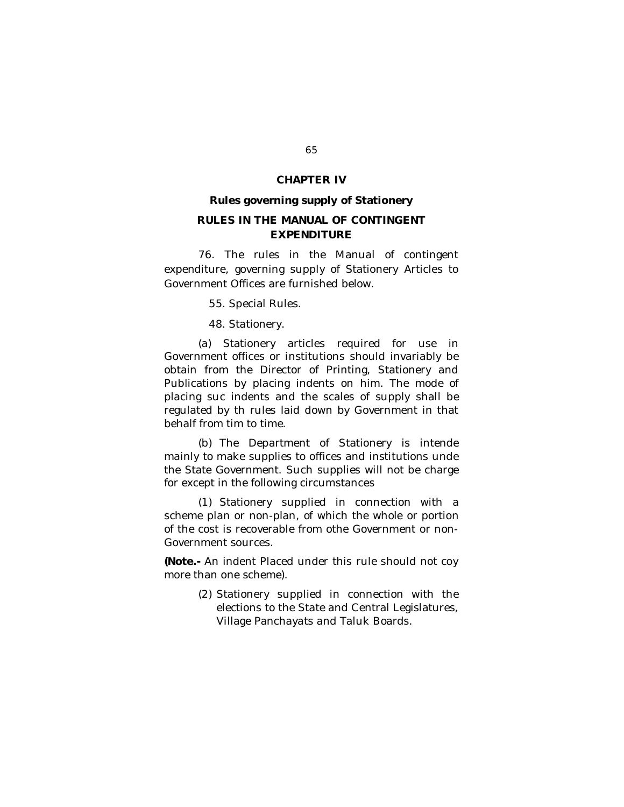### **CHAPTER IV**

#### **Rules governing supply of Stationery**

## **RULES IN THE MANUAL OF CONTINGENT EXPENDITURE**

76. The rules in the Manual of contingent expenditure, governing supply of Stationery Articles to Government Offices are furnished below.

55. Special Rules.

48. Stationery.

(a) Stationery articles required for use in Government offices or institutions should invariably be obtain from the Director of Printing, Stationery and Publications by placing indents on him. The mode of placing suc indents and the scales of supply shall be regulated by th rules laid down by Government in that behalf from tim to time.

(b) The Department of Stationery is intende mainly to make supplies to offices and institutions unde the State Government. Such supplies will not be charge for except in the following circumstances

(1) Stationery supplied in connection with a scheme plan or non-plan, of which the whole or portion of the cost is recoverable from othe Government or non-Government sources.

**(Note.-** An indent Placed under this rule should not coy more than one scheme).

> (2) Stationery supplied in connection with the elections to the State and Central Legislatures, Village Panchayats and Taluk Boards.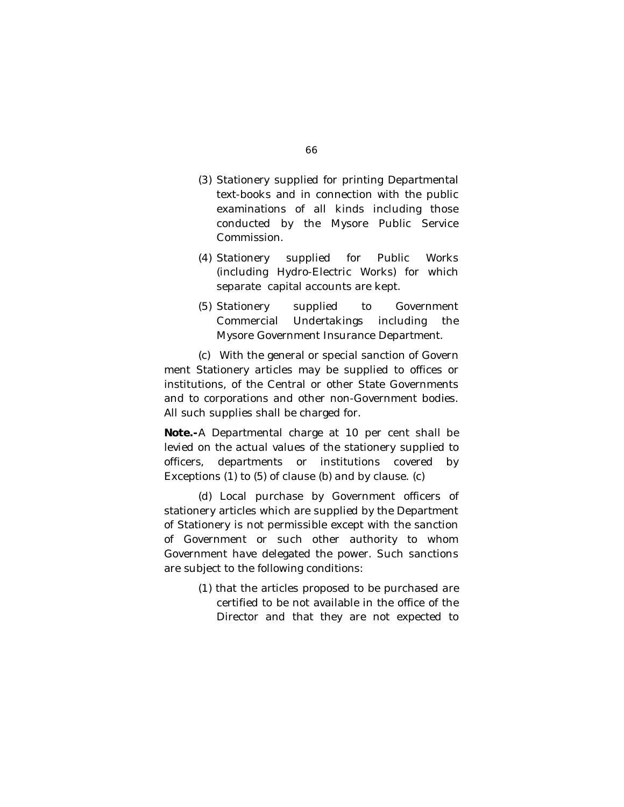- (3) Stationery supplied for printing Departmental text-books and in connection with the public examinations of all kinds including those conducted by the Mysore Public Service Commission.
- (4) Stationery supplied for Public Works (including Hydro-Electric Works) for which separate capital accounts are kept.
- (5) Stationery supplied to Government Commercial Undertakings including the Mysore Government Insurance Department.

(c) With the general or special sanction of Govern ment Stationery articles may be supplied to offices or institutions, of the Central or other State Governments and to corporations and other non-Government bodies. All such supplies shall be charged for.

**Note.-**A Departmental charge at 10 per cent shall be levied on the actual values of the stationery supplied to officers, departments or institutions covered by Exceptions (1) to (5) of clause (b) and by clause. (c)

(d) Local purchase by Government officers of stationery articles which are supplied by the Department of Stationery is not permissible except with the sanction of Government or such other authority to whom Government have delegated the power. Such sanctions are subject to the following conditions:

> (1) that the articles proposed to be purchased are certified to be not available in the office of the Director and that they are not expected to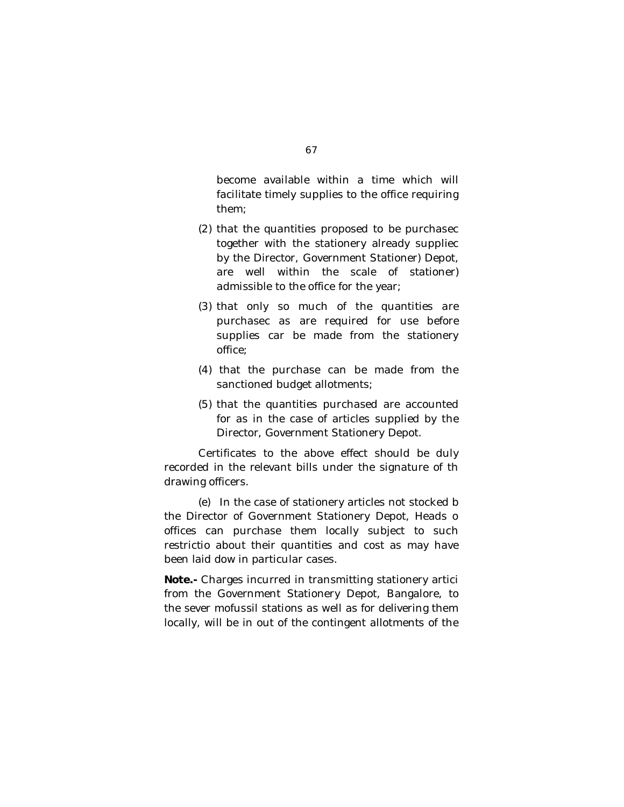become available within a time which will facilitate timely supplies to the office requiring them;

- (2) that the quantities proposed to be purchasec together with the stationery already suppliec by the Director, Government Stationer) Depot, are well within the scale of stationer) admissible to the office for the year;
- (3) that only so much of the quantities are purchasec as are required for use before supplies car be made from the stationery office;
- (4) that the purchase can be made from the sanctioned budget allotments;
- (5) that the quantities purchased are accounted for as in the case of articles supplied by the Director, Government Stationery Depot.

Certificates to the above effect should be duly recorded in the relevant bills under the signature of th drawing officers.

(e) In the case of stationery articles not stocked b the Director of Government Stationery Depot, Heads o offices can purchase them locally subject to such restrictio about their quantities and cost as may have been laid dow in particular cases.

**Note.-** Charges incurred in transmitting stationery artici from the Government Stationery Depot, Bangalore, to the sever mofussil stations as well as for delivering them locally, will be in out of the contingent allotments of the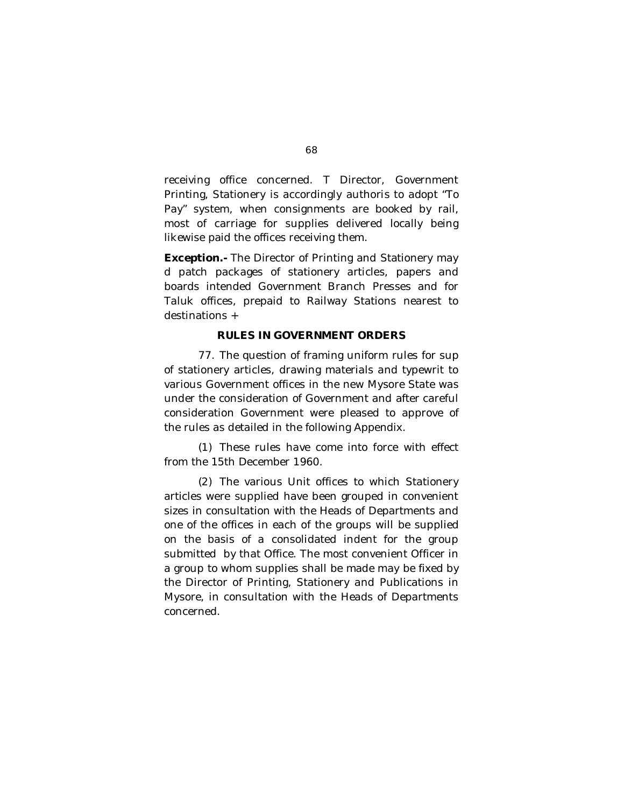receiving office concerned. T Director, Government Printing, Stationery is accordingly authoris to adopt "To Pay" system, when consignments are booked by rail, most of carriage for supplies delivered locally being likewise paid the offices receiving them.

**Exception.-** The Director of Printing and Stationery may d patch packages of stationery articles, papers and boards intended Government Branch Presses and for Taluk offices, prepaid to Railway Stations nearest to destinations +

### **RULES IN GOVERNMENT ORDERS**

77. The question of framing uniform rules for sup of stationery articles, drawing materials and typewrit to various Government offices in the new Mysore State was under the consideration of Government and after careful consideration Government were pleased to approve of the rules as detailed in the following Appendix.

(1) These rules have come into force with effect from the 15th December 1960.

(2) The various Unit offices to which Stationery articles were supplied have been grouped in convenient sizes in consultation with the Heads of Departments and one of the offices in each of the groups will be supplied on the basis of a consolidated indent for the group submitted by that Office. The most convenient Officer in a group to whom supplies shall be made may be fixed by the Director of Printing, Stationery and Publications in Mysore, in consultation with the Heads of Departments concerned.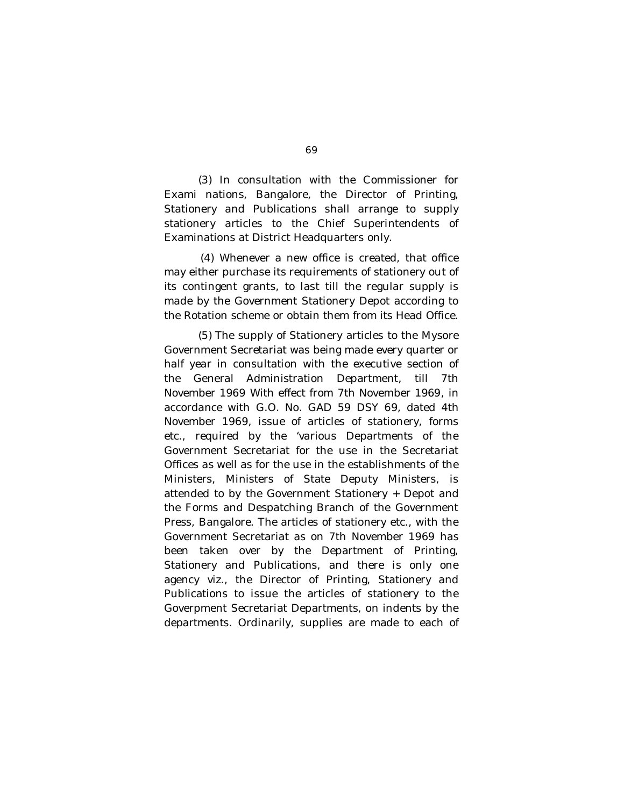(3) In consultation with the Commissioner for Exami nations, Bangalore, the Director of Printing, Stationery and Publications shall arrange to supply stationery articles to the Chief Superintendents of Examinations at District Headquarters only.

(4) Whenever a new office is created, that office may either purchase its requirements of stationery out of its contingent grants, to last till the regular supply is made by the Government Stationery Depot according to the Rotation scheme or obtain them from its Head Office.

(5) The supply of Stationery articles to the Mysore Government Secretariat was being made every quarter or half year in consultation with the executive section of the General Administration Department, till 7th November 1969 With effect from 7th November 1969, in accordance with G.O. No. GAD 59 DSY 69, dated 4th November 1969, issue of articles of stationery, forms etc., required by the 'various Departments of the Government Secretariat for the use in the Secretariat Offices as well as for the use in the establishments of the Ministers, Ministers of State Deputy Ministers, is attended to by the Government Stationery + Depot and the Forms and Despatching Branch of the Government Press, Bangalore. The articles of stationery etc., with the Government Secretariat as on 7th November 1969 has been taken over by the Department of Printing, Stationery and Publications, and there is only one agency viz., the Director of Printing, Stationery and Publications to issue the articles of stationery to the Goverpment Secretariat Departments, on indents by the departments. Ordinarily, supplies are made to each of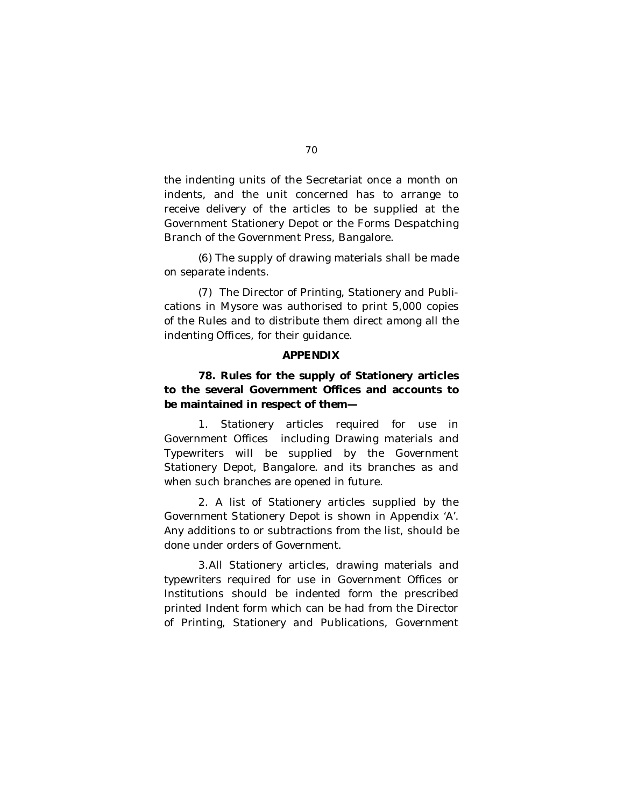the indenting units of the Secretariat once a month on indents, and the unit concerned has to arrange to receive delivery of the articles to be supplied at the Government Stationery Depot or the Forms Despatching Branch of the Government Press, Bangalore.

(6) The supply of drawing materials shall be made on separate indents.

(7) The Director of Printing, Stationery and Publications in Mysore was authorised to print 5,000 copies of the Rules and to distribute them direct among all the indenting Offices, for their guidance.

### **APPENDIX**

# **78. Rules for the supply of Stationery articles to the several Government Offices and accounts to be maintained in respect of them—**

1. Stationery articles required for use in Government Offices including Drawing materials and Typewriters will be supplied by the Government Stationery Depot, Bangalore. and its branches as and when such branches are opened in future.

2. A list of Stationery articles supplied by the Government Stationery Depot is shown in Appendix 'A'. Any additions to or subtractions from the list, should be done under orders of Government.

3.All Stationery articles, drawing materials and typewriters required for use in Government Offices or Institutions should be indented form the prescribed printed Indent form which can be had from the Director of Printing, Stationery and Publications, Government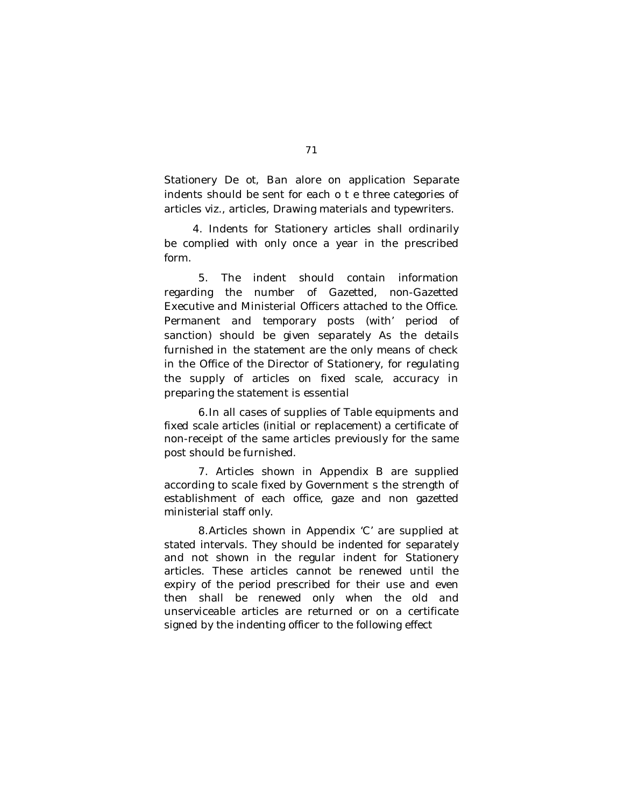Stationery De ot, Ban alore on application Separate indents should be sent for each o t e three categories of articles viz., articles, Drawing materials and typewriters.

4. Indents for Stationery articles shall ordinarily be complied with only once a year in the prescribed form.

5. The indent should contain information regarding the number of Gazetted, non-Gazetted Executive and Ministerial Officers attached to the Office. Permanent and temporary posts (with' period of sanction) should be given separately As the details furnished in the statement are the only means of check in the Office of the Director of Stationery, for regulating the supply of articles on fixed scale, accuracy in preparing the statement is essential

6.In all cases of supplies of Table equipments and fixed scale articles (initial or replacement) a certificate of non-receipt of the same articles previously for the same post should be furnished.

7. Articles shown in Appendix B are supplied according to scale fixed by Government s the strength of establishment of each office, gaze and non gazetted ministerial staff only.

8.Articles shown in Appendix 'C' are supplied at stated intervals. They should be indented for separately and not shown in the regular indent for Stationery articles. These articles cannot be renewed until the expiry of the period prescribed for their use and even then shall be renewed only when the old and unserviceable articles are returned or on a certificate signed by the indenting officer to the following effect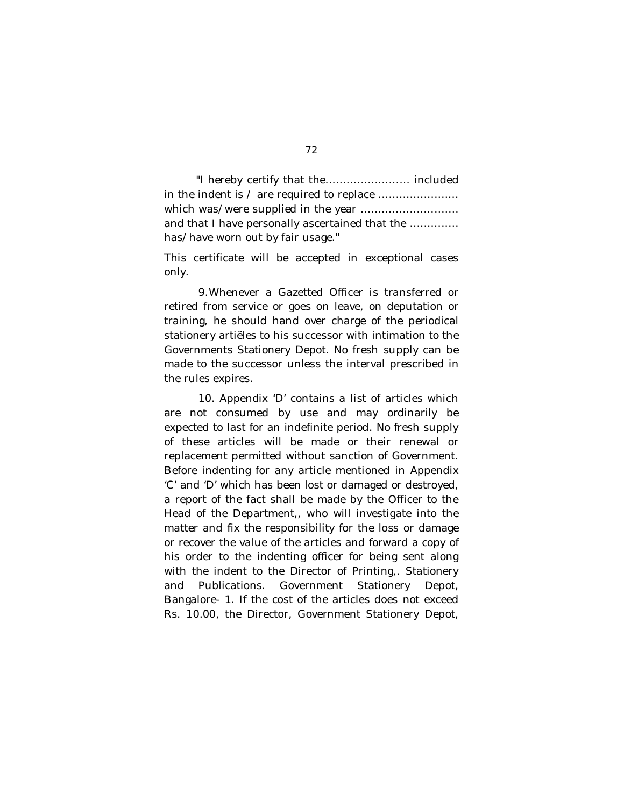"I hereby certify that the…………………… included in the indent is / are required to replace ……………..…… which was/were supplied in the year ……………………… and that I have personally ascertained that the ………..… has/have worn out by fair usage."

This certificate will be accepted in exceptional cases only.

9.Whenever a Gazetted Officer is transferred or retired from service or goes on leave, on deputation or training, he should hand over charge of the periodical stationery artiëles to his successor with intimation to the Governments Stationery Depot. No fresh supply can be made to the successor unless the interval prescribed in the rules expires.

10. Appendix 'D' contains a list of articles which are not consumed by use and may ordinarily be expected to last for an indefinite period. No fresh supply of these articles will be made or their renewal or replacement permitted without sanction of Government. Before indenting for any article mentioned in Appendix 'C' and 'D' which has been lost or damaged or destroyed, a report of the fact shall be made by the Officer to the Head of the Department,, who will investigate into the matter and fix the responsibility for the loss or damage or recover the value of the articles and forward a copy of his order to the indenting officer for being sent along with the indent to the Director of Printing,. Stationery and Publications. Government Stationery Depot, Bangalore- 1. If the cost of the articles does not exceed Rs. 10.00, the Director, Government Stationery Depot,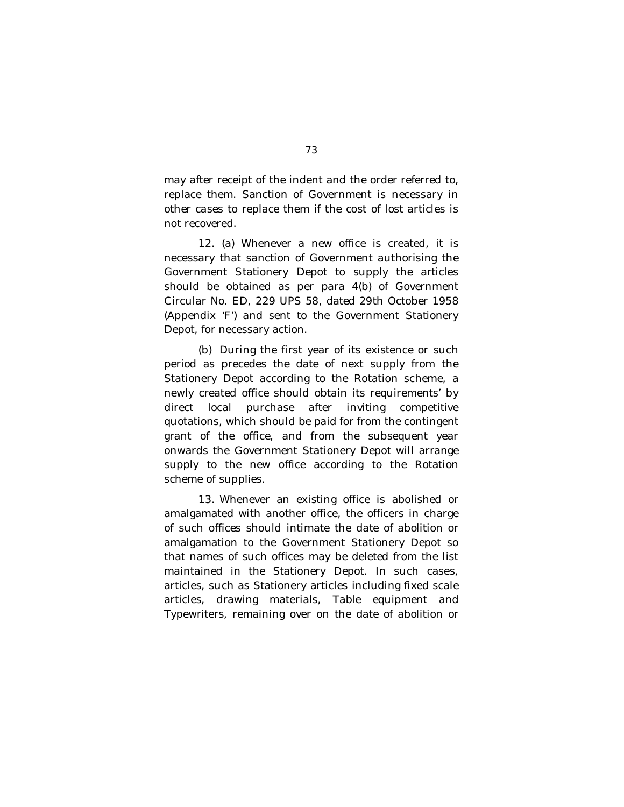may after receipt of the indent and the order referred to, replace them. Sanction of Government is necessary in other cases to replace them if the cost of lost articles is not recovered.

12. (a) Whenever a new office is created, it is necessary that sanction of Government authorising the Government Stationery Depot to supply the articles should be obtained as per para 4(b) of Government Circular No. ED, 229 UPS 58, dated 29th October 1958 (Appendix 'F') and sent to the Government Stationery Depot, for necessary action.

(b) During the first year of its existence or such period as precedes the date of next supply from the Stationery Depot according to the Rotation scheme, a newly created office should obtain its requirements' by direct local purchase after inviting competitive quotations, which should be paid for from the contingent grant of the office, and from the subsequent year onwards the Government Stationery Depot will arrange supply to the new office according to the Rotation scheme of supplies.

13. Whenever an existing office is abolished or amalgamated with another office, the officers in charge of such offices should intimate the date of abolition or amalgamation to the Government Stationery Depot so that names of such offices may be deleted from the list maintained in the Stationery Depot. In such cases, articles, such as Stationery articles including fixed scale articles, drawing materials, Table equipment and Typewriters, remaining over on the date of abolition or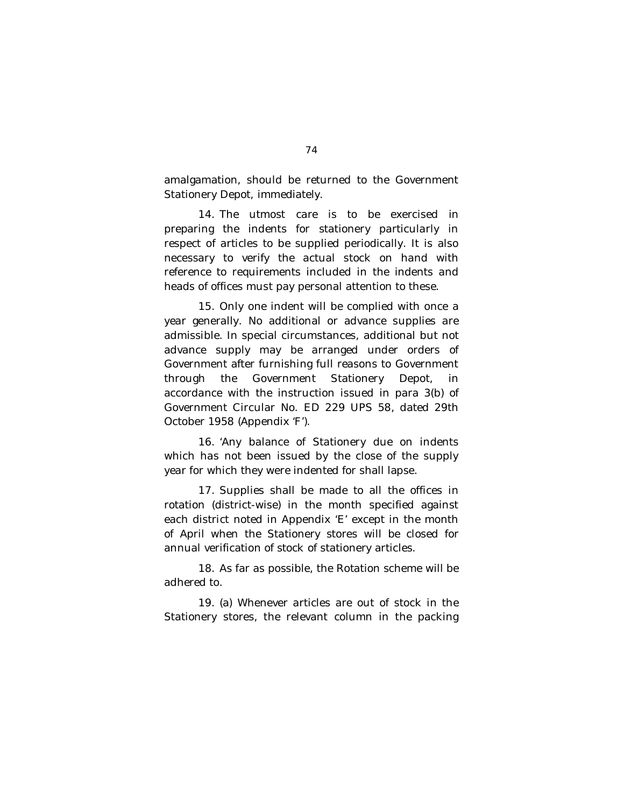amalgamation, should be returned to the Government Stationery Depot, immediately.

14. The utmost care is to be exercised in preparing the indents for stationery particularly in respect of articles to be supplied periodically. It is also necessary to verify the actual stock on hand with reference to requirements included in the indents and heads of offices must pay personal attention to these.

15. Only one indent will be complied with once a year generally. No additional or advance supplies are admissible. In special circumstances, additional but not advance supply may be arranged under orders of Government after furnishing full reasons to Government through the Government Stationery Depot, in accordance with the instruction issued in para 3(b) of Government Circular No. ED 229 UPS 58, dated 29th October 1958 (Appendix 'F').

16. 'Any balance of Stationery due on indents which has not been issued by the close of the supply year for which they were indented for shall lapse.

17. Supplies shall be made to all the offices in rotation (district-wise) in the month specified against each district noted in Appendix 'E' except in the month of April when the Stationery stores will be closed for annual verification of stock of stationery articles.

18. As far as possible, the Rotation scheme will be adhered to.

19. (a) Whenever articles are out of stock in the Stationery stores, the relevant column in the packing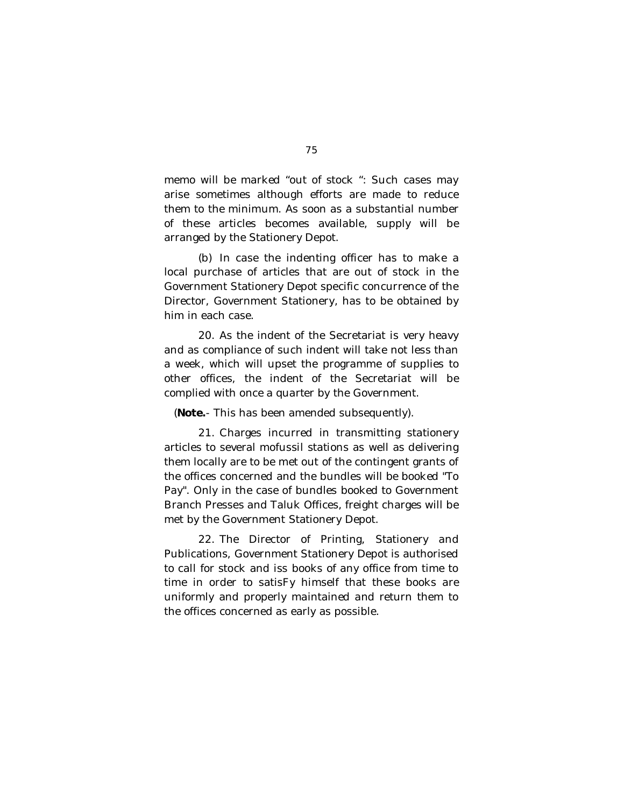memo will be marked "out of stock ": Such cases may arise sometimes although efforts are made to reduce them to the minimum. As soon as a substantial number of these articles becomes available, supply will be arranged by the Stationery Depot.

(b) In case the indenting officer has to make a local purchase of articles that are out of stock in the Government Stationery Depot specific concurrence of the Director, Government Stationery, has to be obtained by him in each case.

20. As the indent of the Secretariat is very heavy and as compliance of such indent will take not less than a week, which will upset the programme of supplies to other offices, the indent of the Secretariat will be complied with once a quarter by the Government.

(**Note.**- This has been amended subsequently).

21. Charges incurred in transmitting stationery articles to several mofussil stations as well as delivering them locally are to be met out of the contingent grants of the offices concerned and the bundles will be booked "To Pay". Only in the case of bundles booked to Government Branch Presses and Taluk Offices, freight charges will be met by the Government Stationery Depot.

22. The Director of Printing, Stationery and Publications, Government Stationery Depot is authorised to call for stock and iss books of any office from time to time in order to satisFy himself that these books are uniformly and properly maintained and return them to the offices concerned as early as possible.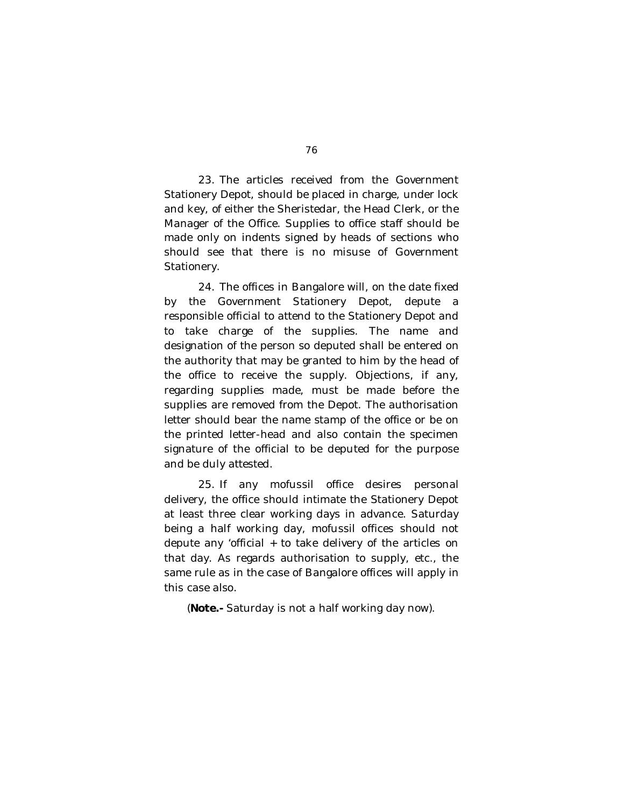23. The articles received from the Government Stationery Depot, should be placed in charge, under lock and key, of either the Sheristedar, the Head Clerk, or the Manager of the Office. Supplies to office staff should be made only on indents signed by heads of sections who should see that there is no misuse of Government Stationery.

24. The offices in Bangalore will, on the date fixed by the Government Stationery Depot, depute a responsible official to attend to the Stationery Depot and to take charge of the supplies. The name and designation of the person so deputed shall be entered on the authority that may be granted to him by the head of the office to receive the supply. Objections, if any, regarding supplies made, must be made before the supplies are removed from the Depot. The authorisation letter should bear the name stamp of the office or be on the printed letter-head and also contain the specimen signature of the official to be deputed for the purpose and be duly attested.

25. If any mofussil office desires personal delivery, the office should intimate the Stationery Depot at least three clear working days in advance. Saturday being a half working day, mofussil offices should not depute any 'official + to take delivery of the articles on that day. As regards authorisation to supply, etc., the same rule as in the case of Bangalore offices will apply in this case also.

(**Note.-** Saturday is not a half working day now).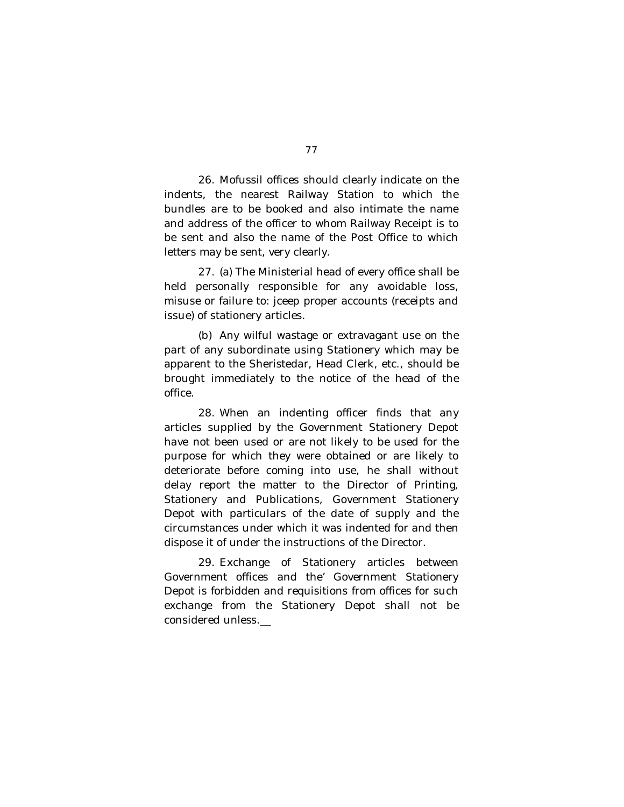26. Mofussil offices should clearly indicate on the indents, the nearest Railway Station to which the bundles are to be booked and also intimate the name and address of the officer to whom Railway Receipt is to be sent and also the name of the Post Office to which letters may be sent, very clearly.

27. (a) The Ministerial head of every office shall be held personally responsible for any avoidable loss, misuse or failure to: jceep proper accounts (receipts and issue) of stationery articles.

(b) Any wilful wastage or extravagant use on the part of any subordinate using Stationery which may be apparent to the Sheristedar, Head Clerk, etc., should be brought immediately to the notice of the head of the office.

28. When an indenting officer finds that any articles supplied by the Government Stationery Depot have not been used or are not likely to be used for the purpose for which they were obtained or are likely to deteriorate before coming into use, he shall without delay report the matter to the Director of Printing, Stationery and Publications, Government Stationery Depot with particulars of the date of supply and the circumstances under which it was indented for and then dispose it of under the instructions of the Director.

29. Exchange of Stationery articles between Government offices and the' Government Stationery Depot is forbidden and requisitions from offices for such exchange from the Stationery Depot shall not be considered unless.\_\_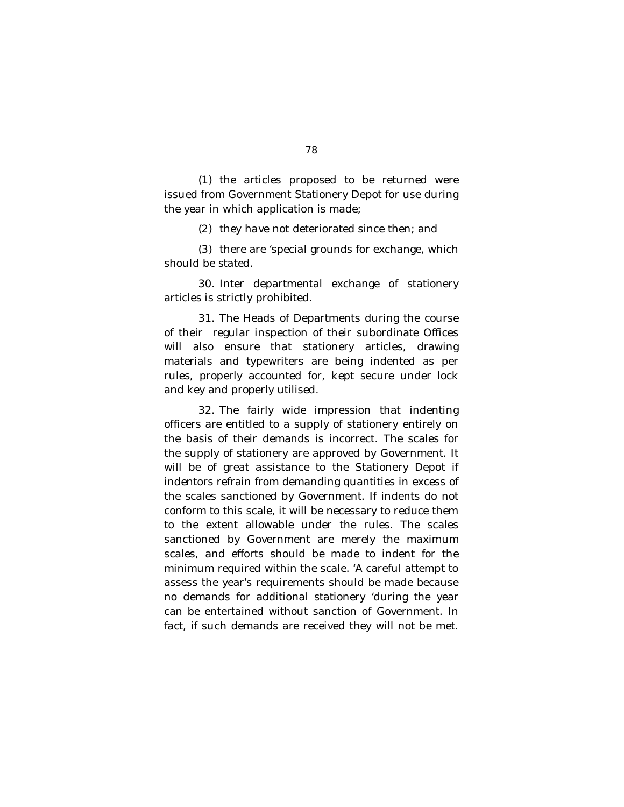(1) the articles proposed to be returned were issued from Government Stationery Depot for use during the year in which application is made;

(2) they have not deteriorated since then; and

(3) there are 'special grounds for exchange, which should be stated.

30. Inter departmental exchange of stationery articles is strictly prohibited.

31. The Heads of Departments during the course of their regular inspection of their subordinate Offices will also ensure that stationery articles, drawing materials and typewriters are being indented as per rules, properly accounted for, kept secure under lock and key and properly utilised.

32. The fairly wide impression that indenting officers are entitled to a supply of stationery entirely on the basis of their demands is incorrect. The scales for the supply of stationery are approved by Government. It will be of great assistance to the Stationery Depot if indentors refrain from demanding quantities in excess of the scales sanctioned by Government. If indents do not conform to this scale, it will be necessary to reduce them to the extent allowable under the rules. The scales sanctioned by Government are merely the maximum scales, and efforts should be made to indent for the minimum required within the scale. 'A careful attempt to assess the year's requirements should be made because no demands for additional stationery 'during the year can be entertained without sanction of Government. In fact, if such demands are received they will not be met.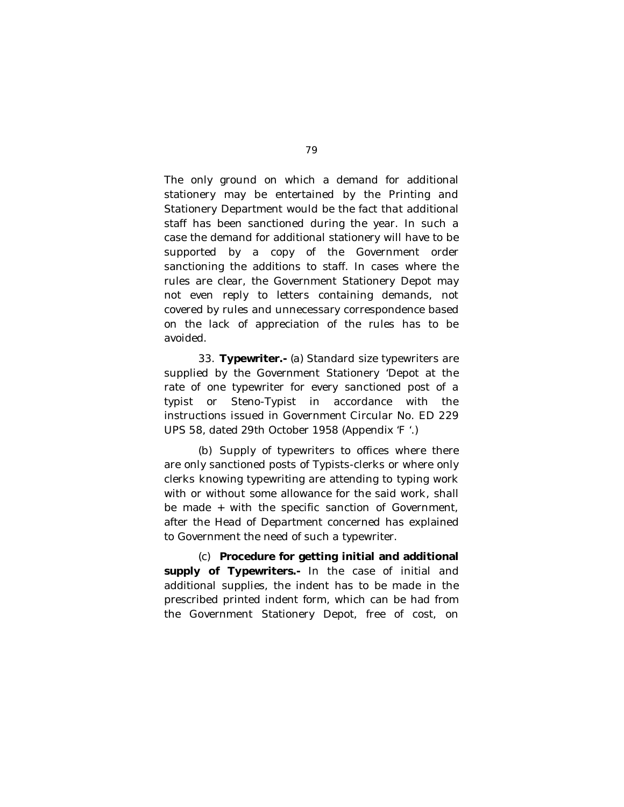The only ground on which a demand for additional stationery may be entertained by the Printing and Stationery Department would be the fact that additional staff has been sanctioned during the year. In such a case the demand for additional stationery will have to be supported by a copy of the Government order sanctioning the additions to staff. In cases where the rules are clear, the Government Stationery Depot may not even reply to letters containing demands, not covered by rules and unnecessary correspondence based on the lack of appreciation of the rules has to be avoided.

33. **Typewriter.-** (a) Standard size typewriters are supplied by the Government Stationery 'Depot at the rate of one typewriter for every sanctioned post of a typist or Steno-Typist in accordance with the instructions issued in Government Circular No. ED 229 UPS 58, dated 29th October 1958 (Appendix 'F '.)

(b) Supply of typewriters to offices where there are only sanctioned posts of Typists-clerks or where only clerks knowing typewriting are attending to typing work with or without some allowance for the said work, shall be made + with the specific sanction of Government, after the Head of Department concerned has explained to Government the need of such a typewriter.

(c) **Procedure for getting initial and additional supply of Typewriters.-** In the case of initial and additional supplies, the indent has to be made in the prescribed printed indent form, which can be had from the Government Stationery Depot, free of cost, on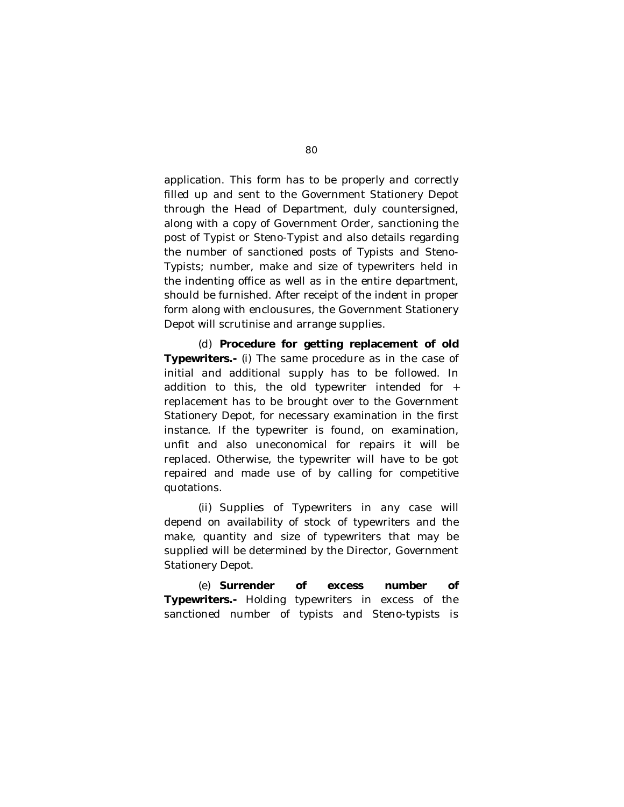application. This form has to be properly and correctly filled up and sent to the Government Stationery Depot through the Head of Department, duly countersigned, along with a copy of Government Order, sanctioning the post of Typist or Steno-Typist and also details regarding the number of sanctioned posts of Typists and Steno-Typists; number, make and size of typewriters held in the indenting office as well as in the entire department, should be furnished. After receipt of the indent in proper form along with enclousures, the Government Stationery Depot will scrutinise and arrange supplies.

(d) **Procedure for getting replacement of old Typewriters.-** (i) The same procedure as in the case of initial and additional supply has to be followed. In addition to this, the old typewriter intended for + replacement has to be brought over to the Government Stationery Depot, for necessary examination in the first instance. If the typewriter is found, on examination, unfit and also uneconomical for repairs it will be replaced. Otherwise, the typewriter will have to be got repaired and made use of by calling for competitive quotations.

(ii) Supplies of Typewriters in any case will depend on availability of stock of typewriters and the make, quantity and size of typewriters that may be supplied will be determined by the Director, Government Stationery Depot.

(e) **Surrender of excess number of Typewriters.-** Holding typewriters in excess of the sanctioned number of typists and Steno-typists is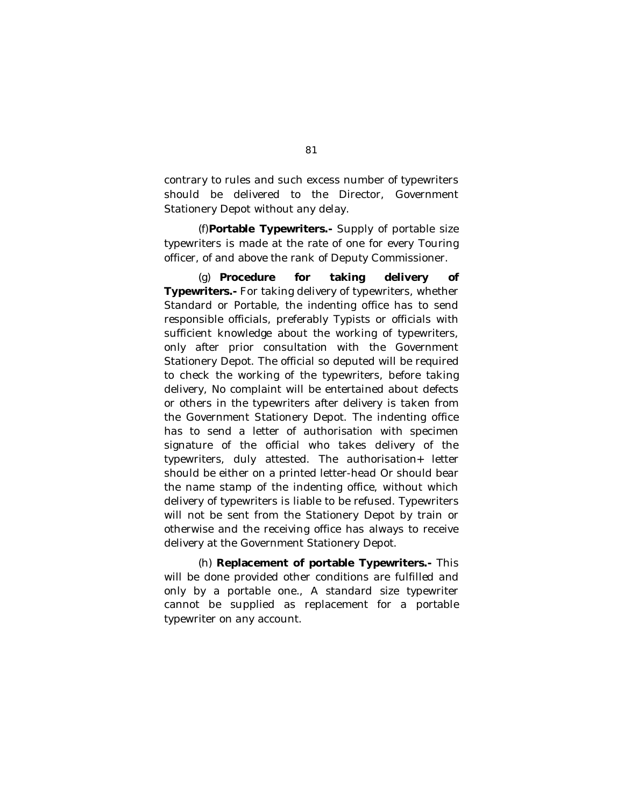contrary to rules and such excess number of typewriters should be delivered to the Director, Government Stationery Depot without any delay.

(f)**Portable Typewriters.-** Supply of portable size typewriters is made at the rate of one for every Touring officer, of and above the rank of Deputy Commissioner.

(g) **Procedure for taking delivery of Typewriters.-** For taking delivery of typewriters, whether Standard or Portable, the indenting office has to send responsible officials, preferably Typists or officials with sufficient knowledge about the working of typewriters, only after prior consultation with the Government Stationery Depot. The official so deputed will be required to check the working of the typewriters, before taking delivery, No complaint will be entertained about defects or others in the typewriters after delivery is taken from the Government Stationery Depot. The indenting office has to send a letter of authorisation with specimen signature of the official who takes delivery of the typewriters, duly attested. The authorisation+ letter should be either on a printed letter-head Or should bear the name stamp of the indenting office, without which delivery of typewriters is liable to be refused. Typewriters will not be sent from the Stationery Depot by train or otherwise and the receiving office has always to receive delivery at the Government Stationery Depot.

(h) **Replacement of portable Typewriters.-** This will be done provided other conditions are fulfilled and only by a portable one., A standard size typewriter cannot be supplied as replacement for a portable typewriter on any account.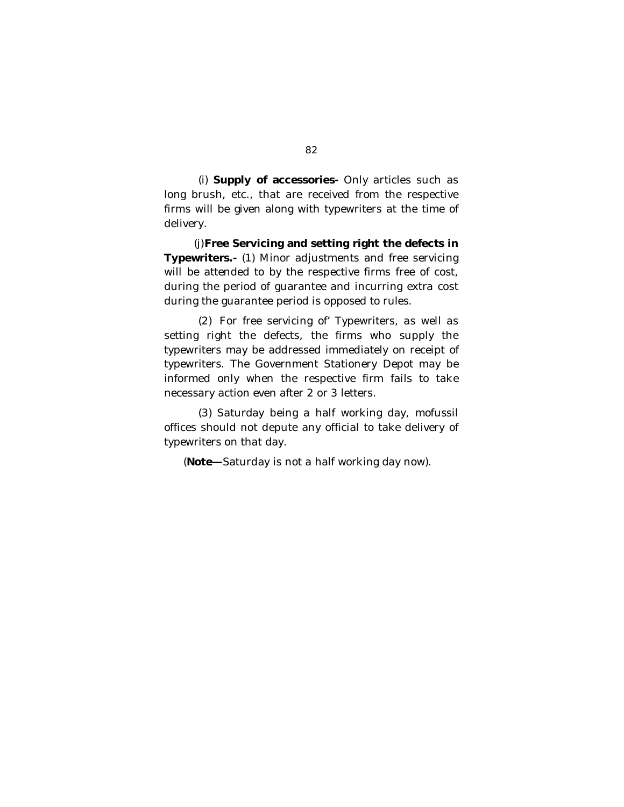(i) **Supply of accessories-** Only articles such as long brush, etc., that are received from the respective firms will be given along with typewriters at the time of delivery.

(j)**Free Servicing and setting right the defects in Typewriters.-** (1) Minor adjustments and free servicing will be attended to by the respective firms free of cost, during the period of guarantee and incurring extra cost during the guarantee period is opposed to rules.

(2) For free servicing of' Typewriters, as well as setting right the defects, the firms who supply the typewriters may be addressed immediately on receipt of typewriters. The Government Stationery Depot may be informed only when the respective firm fails to take necessary action even after 2 or 3 letters.

(3) Saturday being a half working day, mofussil offices should not depute any official to take delivery of typewriters on that day.

(**Note—**Saturday is not a half working day now).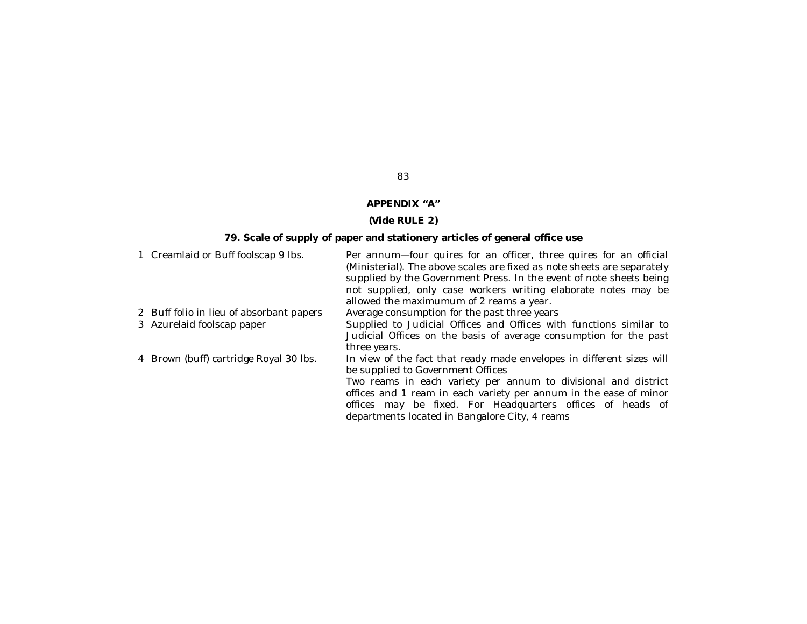# **APPENDIX "A"**

# **(Vide RULE 2)**

# **79. Scale of supply of paper and stationery articles of general office use**

| 1 Creamlaid or Buff foolscap 9 lbs.      | Per annum-four quires for an officer, three quires for an official<br>(Ministerial). The above scales are fixed as note sheets are separately<br>supplied by the Government Press. In the event of note sheets being<br>not supplied, only case workers writing elaborate notes may be<br>allowed the maximumum of 2 reams a year. |
|------------------------------------------|------------------------------------------------------------------------------------------------------------------------------------------------------------------------------------------------------------------------------------------------------------------------------------------------------------------------------------|
| 2 Buff folio in lieu of absorbant papers | Average consumption for the past three years                                                                                                                                                                                                                                                                                       |
| 3 Azurelaid foolscap paper               | Supplied to Judicial Offices and Offices with functions similar to<br>Judicial Offices on the basis of average consumption for the past<br>three years.                                                                                                                                                                            |
| 4 Brown (buff) cartridge Royal 30 lbs.   | In view of the fact that ready made envelopes in different sizes will<br>be supplied to Government Offices                                                                                                                                                                                                                         |
|                                          | Two reams in each variety per annum to divisional and district                                                                                                                                                                                                                                                                     |
|                                          | offices and 1 ream in each variety per annum in the ease of minor                                                                                                                                                                                                                                                                  |
|                                          | offices may be fixed. For Headquarters offices of heads of                                                                                                                                                                                                                                                                         |
|                                          | departments located in Bangalore City, 4 reams                                                                                                                                                                                                                                                                                     |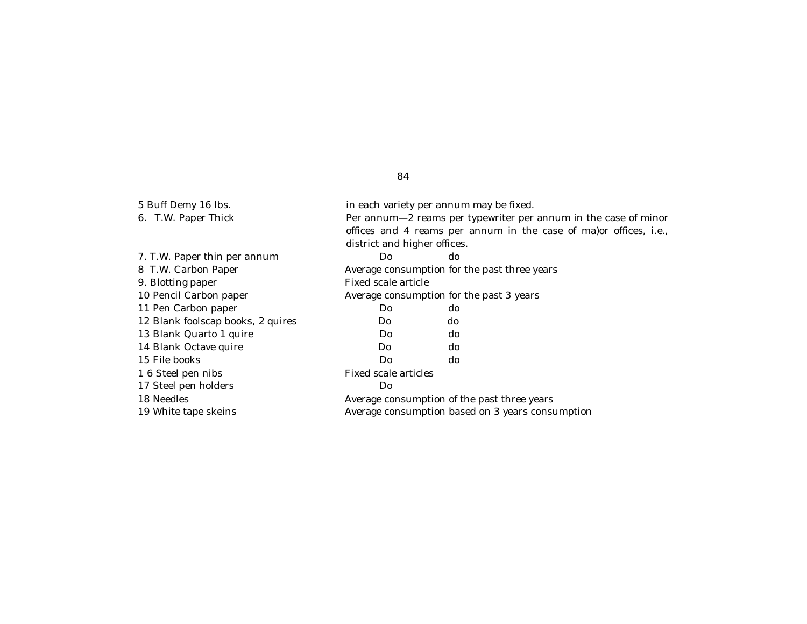| 5 Buff Demy 16 lbs.               |                              | in each variety per annum may be fixed.                            |  |  |  |  |
|-----------------------------------|------------------------------|--------------------------------------------------------------------|--|--|--|--|
| 6. T.W. Paper Thick               |                              | Per annum-2 reams per typewriter per annum in the case of minor    |  |  |  |  |
|                                   |                              | offices and 4 reams per annum in the case of ma) or offices, i.e., |  |  |  |  |
|                                   | district and higher offices. |                                                                    |  |  |  |  |
| 7. T.W. Paper thin per annum      | Do                           | do                                                                 |  |  |  |  |
| 8 T.W. Carbon Paper               |                              | Average consumption for the past three years                       |  |  |  |  |
| 9. Blotting paper                 | Fixed scale article          |                                                                    |  |  |  |  |
| 10 Pencil Carbon paper            |                              | Average consumption for the past 3 years                           |  |  |  |  |
| 11 Pen Carbon paper               | Do.                          | do                                                                 |  |  |  |  |
| 12 Blank foolscap books, 2 quires | Do.                          | do                                                                 |  |  |  |  |
| 13 Blank Quarto 1 quire           | Do.                          | do                                                                 |  |  |  |  |
| 14 Blank Octave quire             | Do.                          | do                                                                 |  |  |  |  |
| 15 File books                     | Do                           | do                                                                 |  |  |  |  |
| 1 6 Steel pen nibs                |                              | Fixed scale articles                                               |  |  |  |  |
| 17 Steel pen holders              | Do                           |                                                                    |  |  |  |  |
| 18 Needles                        |                              | Average consumption of the past three years                        |  |  |  |  |
| 19 White tape skeins              |                              | Average consumption based on 3 years consumption                   |  |  |  |  |
|                                   |                              |                                                                    |  |  |  |  |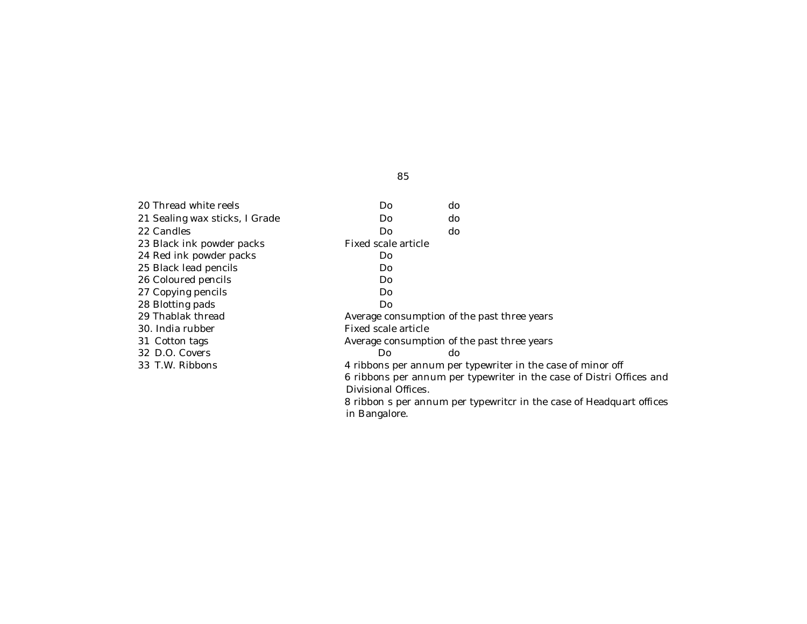| 20 Thread white reels          | Do                  | do                                                                   |
|--------------------------------|---------------------|----------------------------------------------------------------------|
| 21 Sealing wax sticks, I Grade | Do                  | do                                                                   |
| 22 Candles                     | Do                  | do                                                                   |
| 23 Black ink powder packs      | Fixed scale article |                                                                      |
| 24 Red ink powder packs        | Do                  |                                                                      |
| 25 Black lead pencils          | Do                  |                                                                      |
| 26 Coloured pencils            | Do                  |                                                                      |
| 27 Copying pencils             | Do                  |                                                                      |
| 28 Blotting pads               | Do                  |                                                                      |
| 29 Thablak thread              |                     | Average consumption of the past three years                          |
| 30. India rubber               | Fixed scale article |                                                                      |
| 31 Cotton tags                 |                     | Average consumption of the past three years                          |
| 32 D.O. Covers                 | Do.                 | do.                                                                  |
| 33 T.W. Ribbons                |                     | 4 ribbons per annum per typewriter in the case of minor off          |
|                                |                     | 6 ribbons per annum per typewriter in the case of Distri Offices and |
|                                | Divisional Offices. |                                                                      |
|                                |                     | 8 ribbon s per annum per typewritcr in the case of Headquart offices |

in Bangalore.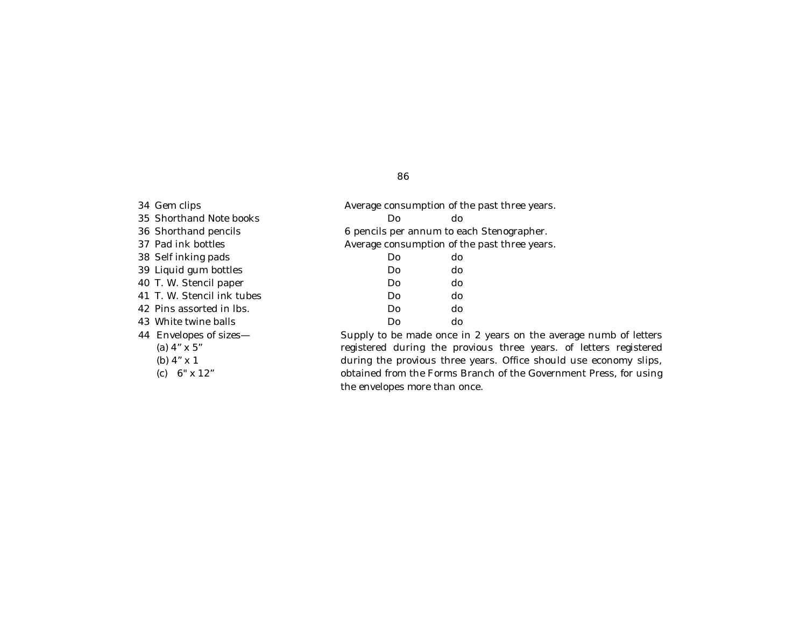34 Gem clips **Average consumption of the past three years.** 35 Shorthand Note books Do do 36 Shorthand pencils **6 pencils per annum to each Stenographer.** 37 Pad ink bottles **Average consumption of the past three years.** 38 Self inking pads Do do 39 Liquid gum bottles Do do 40 T. W. Stencil paper Do do do 41 T. W. Stencil ink tubes Do do 42 Pins assorted in lbs. Do do 43 White twine balls Do do 44 Envelopes of sizes— (a) 4" x 5" (b) 4" x 1 (c) 6" x 12"

Supply to be made once in 2 years on the average numb of letters registered during the provious three years. of letters registered during the provious three years. Office should use economy slips, obtained from the Forms Branch of the Government Press, for using the envelopes more than once.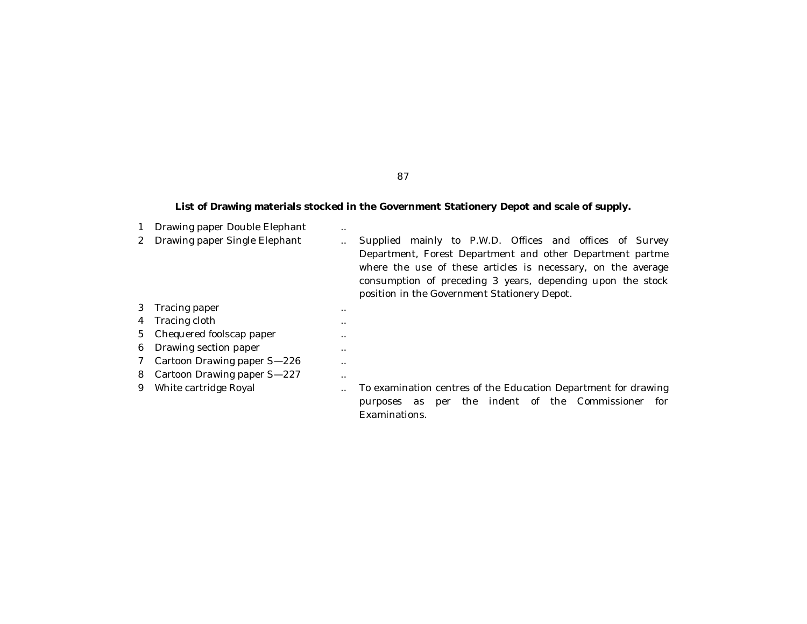# **List of Drawing materials stocked in the Government Stationery Depot and scale of supply.**

|   | Drawing paper Double Elephant | $\cdot$ . |                                                                                                                                                                                                                                                                                                       |
|---|-------------------------------|-----------|-------------------------------------------------------------------------------------------------------------------------------------------------------------------------------------------------------------------------------------------------------------------------------------------------------|
| 2 | Drawing paper Single Elephant |           | mainly to P.W.D. Offices and offices of Survey<br>Supplied<br>Department, Forest Department and other Department partme<br>where the use of these articles is necessary, on the average<br>consumption of preceding 3 years, depending upon the stock<br>position in the Government Stationery Depot. |
| 3 | Tracing paper                 | $\cdot$ . |                                                                                                                                                                                                                                                                                                       |
| 4 | Tracing cloth                 | $\cdot$ . |                                                                                                                                                                                                                                                                                                       |
|   | 5 Chequered foolscap paper    |           |                                                                                                                                                                                                                                                                                                       |
| 6 | Drawing section paper         | $\cdot$ . |                                                                                                                                                                                                                                                                                                       |
| 7 | Cartoon Drawing paper S-226   | $\cdot$ . |                                                                                                                                                                                                                                                                                                       |
| 8 | Cartoon Drawing paper S-227   | $\cdot$ . |                                                                                                                                                                                                                                                                                                       |
| 9 | White cartridge Royal         |           | To examination centres of the Education Department for drawing<br>the indent of the Commissioner<br>for<br>purposes<br>as<br>per<br>Examinations.                                                                                                                                                     |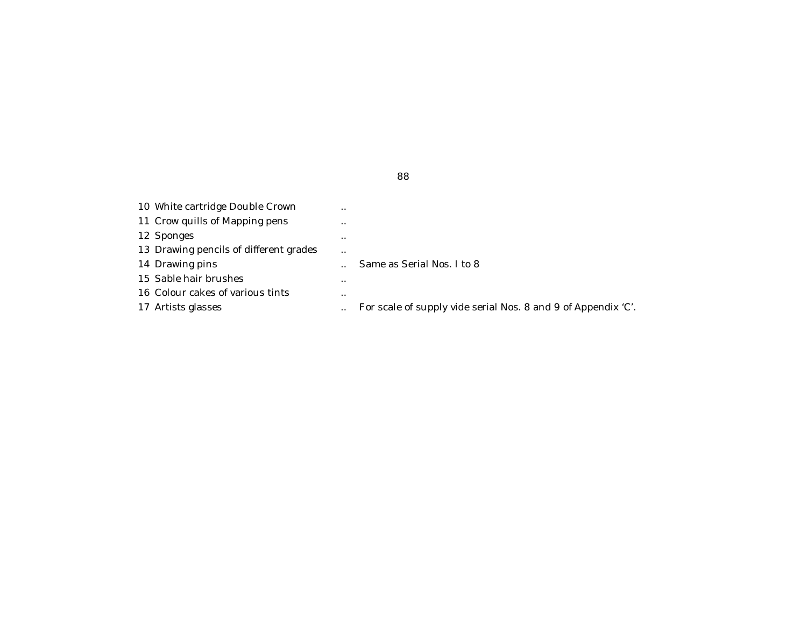| 10 White cartridge Double Crown        | $\cdot$ . |                                                               |
|----------------------------------------|-----------|---------------------------------------------------------------|
| 11 Crow quills of Mapping pens         | $\cdot$ . |                                                               |
| 12 Sponges                             | $\cdot$ . |                                                               |
| 13 Drawing pencils of different grades | $\cdot$ . |                                                               |
| 14 Drawing pins                        |           | Same as Serial Nos. I to 8                                    |
| 15 Sable hair brushes                  | $\cdot$ . |                                                               |
| 16 Colour cakes of various tints       | $\cdot$ . |                                                               |
| 17 Artists glasses                     |           | For scale of supply vide serial Nos. 8 and 9 of Appendix 'C'. |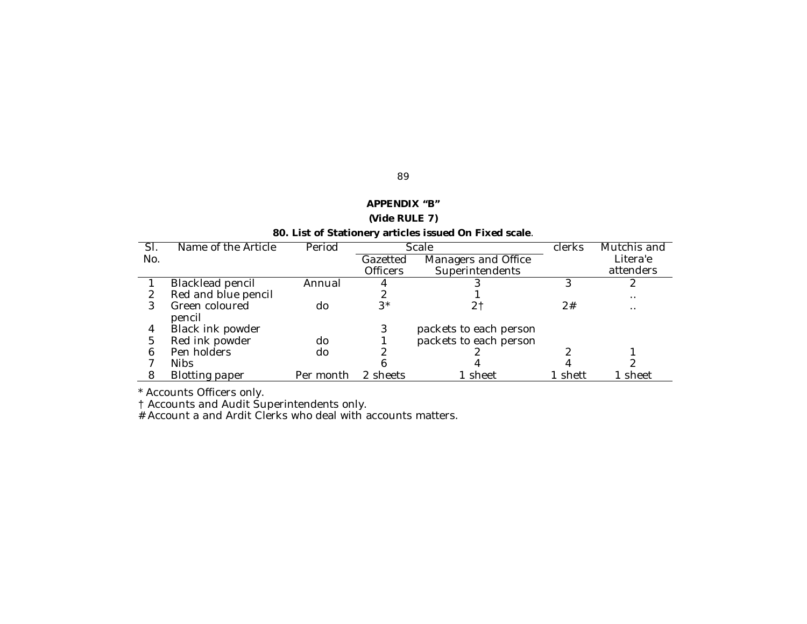| APPENDIX "B"                                           |  |  |  |  |
|--------------------------------------------------------|--|--|--|--|
| (Vide RULE 7)                                          |  |  |  |  |
| 80. List of Stationery articles issued On Fixed scale. |  |  |  |  |

| $\overline{\mathsf{SI}}$ | Name of the Article   | Period    | Scale           |                        | <b>clerks</b> | Mutchis and |
|--------------------------|-----------------------|-----------|-----------------|------------------------|---------------|-------------|
| No.                      |                       |           | Gazetted        | Managers and Office    |               | Litera'e    |
|                          |                       |           | <b>Officers</b> | Superintendents        |               | attenders   |
|                          | Blacklead pencil      | Annual    |                 |                        |               |             |
|                          | Red and blue pencil   |           |                 |                        |               | $\cdot$ .   |
|                          | Green coloured        | do        | 3*              |                        | 2#            | $\cdot$ .   |
|                          | pencil                |           |                 |                        |               |             |
| 4                        | Black ink powder      |           | 3               | packets to each person |               |             |
| 5                        | Red ink powder        | do        |                 | packets to each person |               |             |
| 6                        | Pen holders           | do        |                 |                        |               |             |
|                          | <b>Nibs</b>           |           |                 |                        |               |             |
|                          | <b>Blotting paper</b> | Per month | 2 sheets        | sheet                  | shett         | sheet       |

\* Accounts Officers only.

† Accounts and Audit Superintendents only.

# Account a and Ardit Clerks who deal with accounts matters.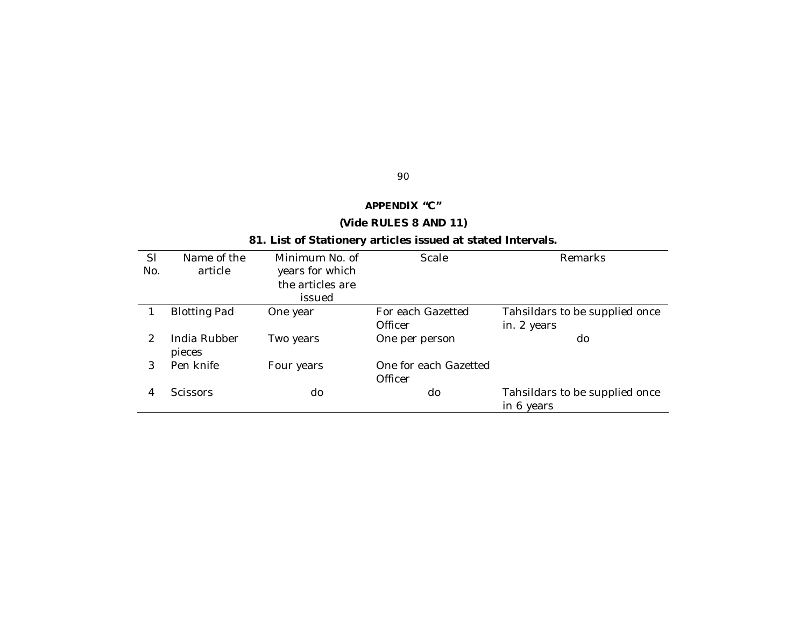# **APPENDIX "C"**

90

# **(Vide RULES 8 AND 11)**

# **81. List of Stationery articles issued at stated Intervals.**

| SI<br>No.     | Name of the<br>article | Minimum No. of<br>years for which | Scale                            | Remarks                                      |  |
|---------------|------------------------|-----------------------------------|----------------------------------|----------------------------------------------|--|
|               |                        | the articles are                  |                                  |                                              |  |
|               |                        | issued                            |                                  |                                              |  |
|               | <b>Blotting Pad</b>    | One year                          | For each Gazetted                | Tahsildars to be supplied once               |  |
|               |                        |                                   | Officer                          | in. 2 years                                  |  |
| $\mathcal{P}$ | India Rubber<br>pieces | Two years                         | One per person                   | do                                           |  |
| 3             | Pen knife              | Four years                        | One for each Gazetted<br>Officer |                                              |  |
| 4             | <b>Scissors</b>        | do                                | do                               | Tahsildars to be supplied once<br>in 6 years |  |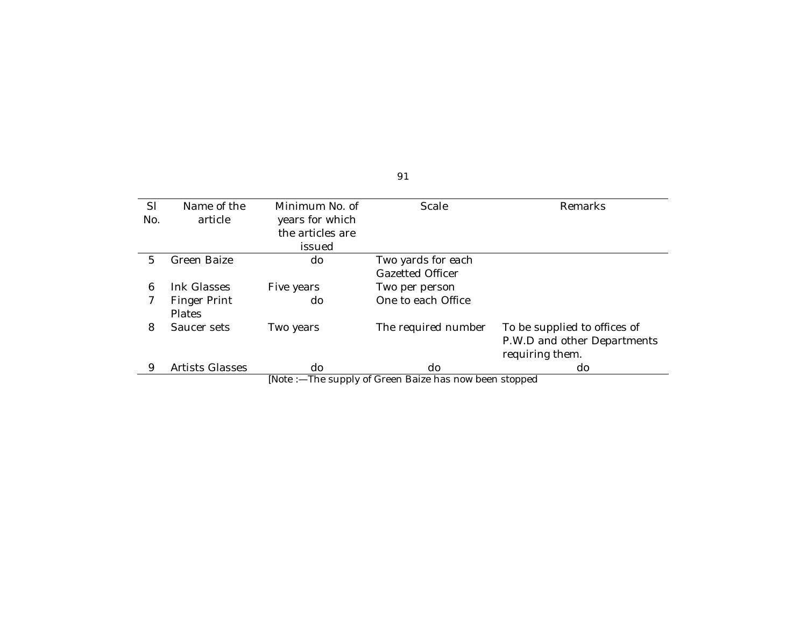| SI  | Name of the                                             | Minimum No. of   | Scale               | Remarks                      |  |  |
|-----|---------------------------------------------------------|------------------|---------------------|------------------------------|--|--|
| No. | article                                                 | years for which  |                     |                              |  |  |
|     |                                                         | the articles are |                     |                              |  |  |
|     |                                                         | issued           |                     |                              |  |  |
| 5   | Green Baize                                             | do               | Two yards for each  |                              |  |  |
|     |                                                         |                  | Gazetted Officer    |                              |  |  |
| 6   | Ink Glasses                                             | Five years       | Two per person      |                              |  |  |
|     | Finger Print                                            | do               | One to each Office  |                              |  |  |
|     | <b>Plates</b>                                           |                  |                     |                              |  |  |
| 8   | Saucer sets                                             | Two years        | The required number | To be supplied to offices of |  |  |
|     |                                                         |                  |                     | P.W.D and other Departments  |  |  |
|     |                                                         |                  |                     | requiring them.              |  |  |
| 9   | <b>Artists Glasses</b>                                  | do               | do                  | do                           |  |  |
|     | [Note :- The supply of Green Baize has now been stopped |                  |                     |                              |  |  |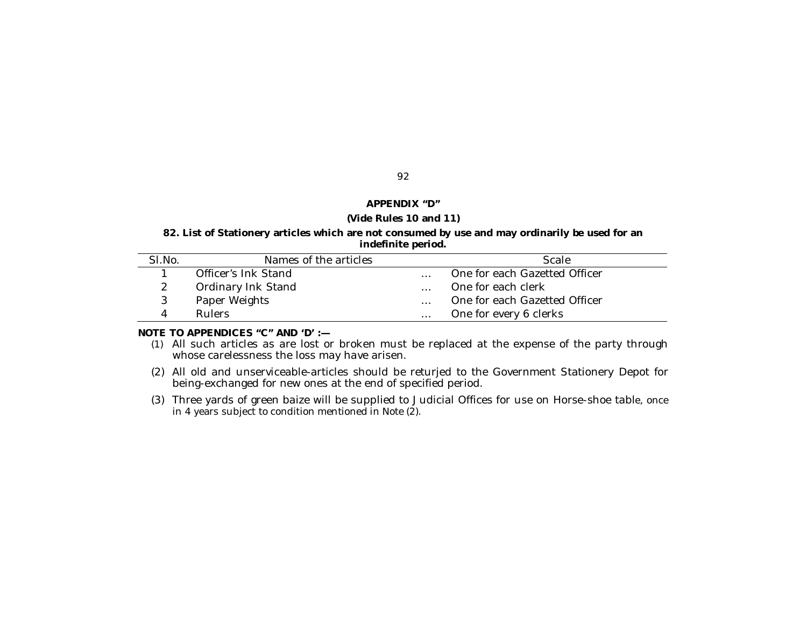#### **APPENDIX "D"**

#### **(Vide Rules 10 and 11)**

### **82. List of Stationery articles which are not consumed by use and may ordinarily be used for an indefinite period.**

| SI.No. | Names of the articles |          | Scale                         |
|--------|-----------------------|----------|-------------------------------|
|        | Officer's Ink Stand   | $\cdots$ | One for each Gazetted Officer |
|        | Ordinary Ink Stand    |          | One for each clerk            |
|        | Paper Weights         | $\ldots$ | One for each Gazetted Officer |
|        | <b>Rulers</b>         | $\cdots$ | One for every 6 clerks        |

#### **NOTE TO APPENDICES "C" AND 'D' :—**

- (1) All such articles as are lost or broken must be replaced at the expense of the party through whose carelessness the loss may have arisen.
- (2) All old and unserviceable-articles should be returjed to the Government Stationery Depot for being-exchanged for new ones at the end of specified period.
- (3) Three yards of green baize will be supplied to Judicial Offices for use on Horse-shoe table, once in 4 years subject to condition mentioned in Note (2).

#### 92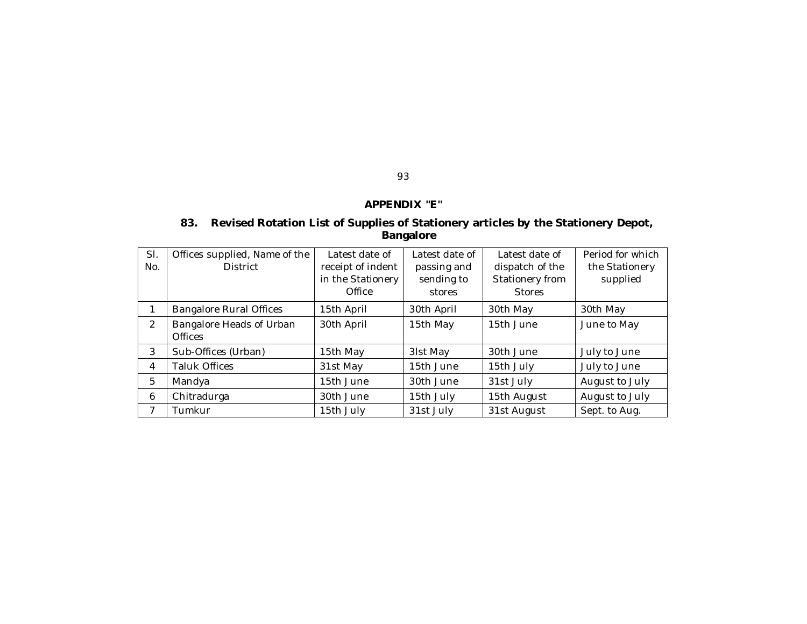### **APPENDIX "E"**

93

### **83. Revised Rotation List of Supplies of Stationery articles by the Stationery Depot, Bangalore**

| SI.<br>No. | Offices supplied, Name of the<br><b>District</b> | Latest date of<br>receipt of indent<br>in the Stationery<br>Office | Latest date of<br>passing and<br>sending to<br>stores | Latest date of<br>dispatch of the<br>Stationery from<br><b>Stores</b> | Period for which<br>the Stationery<br>supplied |
|------------|--------------------------------------------------|--------------------------------------------------------------------|-------------------------------------------------------|-----------------------------------------------------------------------|------------------------------------------------|
|            | <b>Bangalore Rural Offices</b>                   | 15th April                                                         | 30th April                                            | 30th May                                                              | 30th May                                       |
| 2          | Bangalore Heads of Urban<br><b>Offices</b>       | 30th April                                                         | 15th May                                              | 15th June                                                             | June to May                                    |
| 3          | Sub-Offices (Urban)                              | 15th May                                                           | 31st May                                              | 30th June                                                             | July to June                                   |
| 4          | Taluk Offices                                    | 31st May                                                           | 15th June                                             | 15th July                                                             | July to June                                   |
| 5          | Mandya                                           | 15th June                                                          | 30th June                                             | 31st July                                                             | August to July                                 |
| 6          | Chitradurga                                      | 30th June                                                          | 15th July                                             | 15th August                                                           | August to July                                 |
| 7          | Tumkur                                           | 15th July                                                          | 31st July                                             | 31st August                                                           | Sept. to Aug.                                  |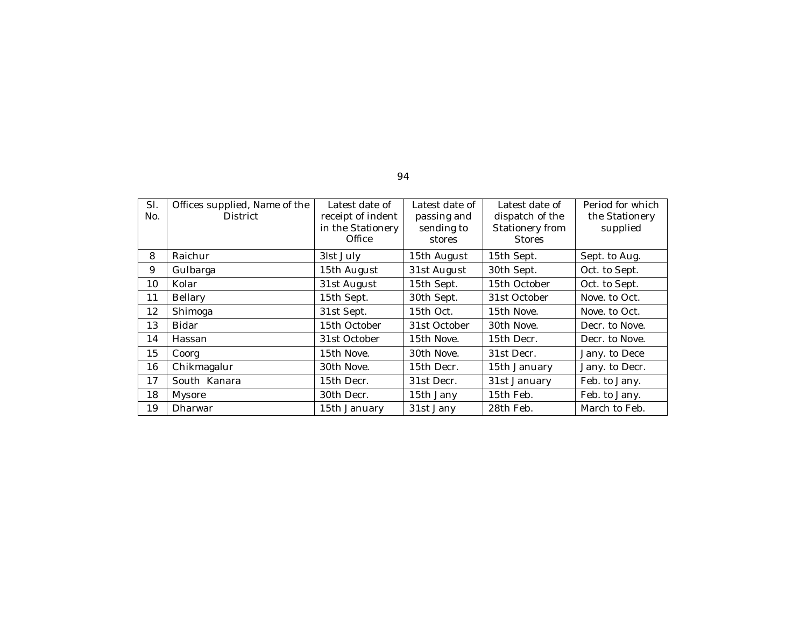| SI.<br>No. | Offices supplied, Name of the<br><b>District</b> | Latest date of<br>receipt of indent<br>in the Stationery<br>Office | Latest date of<br>passing and<br>sending to<br>stores | Latest date of<br>dispatch of the<br>Stationery from<br><b>Stores</b> | Period for which<br>the Stationery<br>supplied |
|------------|--------------------------------------------------|--------------------------------------------------------------------|-------------------------------------------------------|-----------------------------------------------------------------------|------------------------------------------------|
| 8          | Raichur                                          | 31st July                                                          | 15th August                                           | 15th Sept.                                                            | Sept. to Aug.                                  |
| 9          | Gulbarga                                         | 15th August                                                        | 31st August                                           | 30th Sept.                                                            | Oct. to Sept.                                  |
| 10         | Kolar                                            | 31st August                                                        | 15th Sept.                                            | 15th October                                                          | Oct. to Sept.                                  |
| 11         | Bellary                                          | 15th Sept.                                                         | 30th Sept.                                            | 31st October                                                          | Nove. to Oct.                                  |
| 12         | Shimoga                                          | 31st Sept.                                                         | 15th Oct.                                             | 15th Nove.                                                            | Nove, to Oct.                                  |
| 13         | Bidar                                            | 15th October                                                       | 31st October                                          | 30th Nove.                                                            | Decr. to Nove.                                 |
| 14         | Hassan                                           | 31st October                                                       | 15th Nove.                                            | 15th Decr.                                                            | Decr. to Nove.                                 |
| 15         | Coorg                                            | 15th Nove.                                                         | 30th Nove.                                            | 31st Decr.                                                            | Jany. to Dece                                  |
| 16         | Chikmagalur                                      | 30th Nove.                                                         | 15th Decr.                                            | 15th January                                                          | Jany. to Decr.                                 |
| 17         | South Kanara                                     | 15th Decr.                                                         | 31st Decr.                                            | 31st January                                                          | Feb. to Jany.                                  |
| 18         | Mysore                                           | 30th Decr.                                                         | 15th Jany                                             | 15th Feb.                                                             | Feb. to Jany.                                  |
| 19         | Dharwar                                          | 15th January                                                       | 31st Jany                                             | 28th Feb.                                                             | March to Feb.                                  |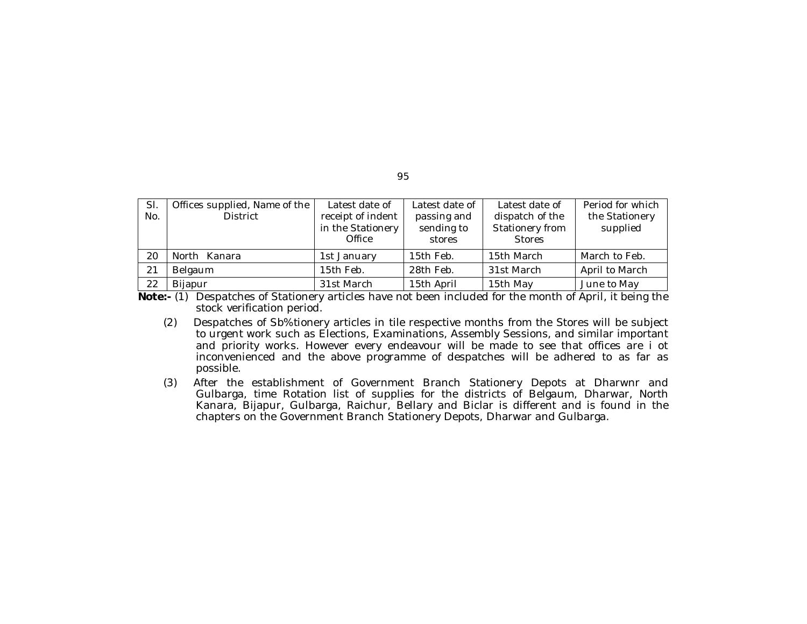| SI.<br>No. | Offices supplied, Name of the<br><b>District</b> | Latest date of<br>receipt of indent<br>in the Stationery<br>Office | Latest date of<br>passing and<br>sending to<br>stores | Latest date of<br>dispatch of the<br>Stationery from<br><b>Stores</b> | Period for which<br>the Stationery<br>supplied |
|------------|--------------------------------------------------|--------------------------------------------------------------------|-------------------------------------------------------|-----------------------------------------------------------------------|------------------------------------------------|
| 20         | North Kanara                                     | 1st January                                                        | 15th Feb.                                             | 15th March                                                            | March to Feb.                                  |
| 21         | Belgaum                                          | 15th Feb.                                                          | 28th Feb.                                             | 31st March                                                            | April to March                                 |
| 22         | <b>Bijapur</b><br>$\cdots$ $\cdots$<br>.<br>.    | 31st March                                                         | 15th April                                            | 15th May                                                              | June to May                                    |

**Note:-** (1) Despatches of Stationery articles have not been included for the month of April, it being the stock verification period.

- (2) Despatches of Sb%tionery articles in tile respective months from the Stores will be subject to urgent work such as Elections, Examinations, Assembly Sessions, and similar important and priority works. However every endeavour will be made to see that offices are i ot inconvenienced and the above programme of despatches will be adhered to as far as possible.
- (3) After the establishment of Government Branch Stationery Depots at Dharwnr and Gulbarga, time Rotation list of supplies for the districts of Belgaum, Dharwar, North Kanara, Bijapur, Gulbarga, Raichur, Bellary and Biclar is different and is found in the chapters on the Government Branch Stationery Depots, Dharwar and Gulbarga.

95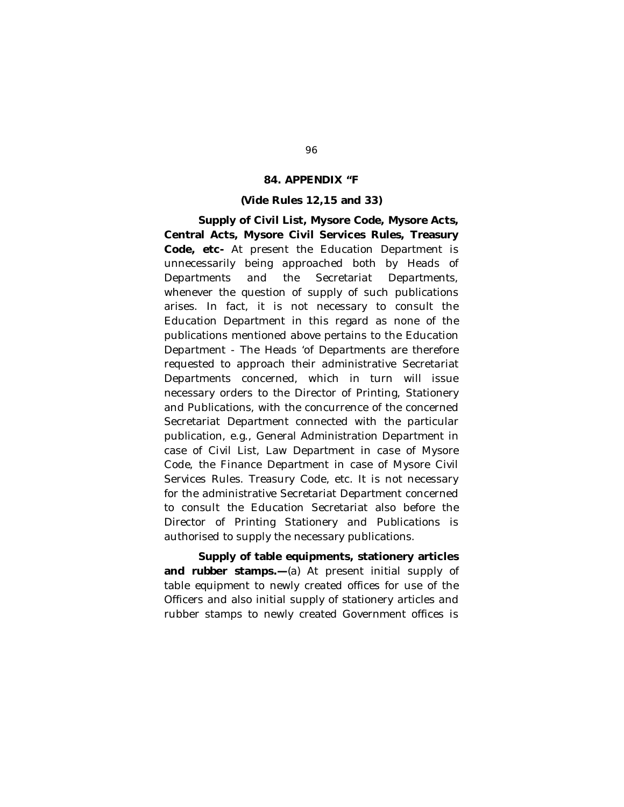### **84. APPENDIX "F**

#### **(Vide Rules 12,15 and 33)**

**Supply of Civil List, Mysore Code, Mysore Acts, Central Acts, Mysore Civil Services Rules, Treasury Code, etc-** At present the Education Department is unnecessarily being approached both by Heads of Departments and the Secretariat Departments, whenever the question of supply of such publications arises. In fact, it is not necessary to consult the Education Department in this regard as none of the publications mentioned above pertains to the Education Department - The Heads 'of Departments are therefore requested to approach their administrative Secretariat Departments concerned, which in turn will issue necessary orders to the Director of Printing, Stationery and Publications, with the concurrence of the concerned Secretariat Department connected with the particular publication, e.g., General Administration Department in case of Civil List, Law Department in case of Mysore Code, the Finance Department in case of Mysore Civil Services Rules. Treasury Code, etc. It is not necessary for the administrative Secretariat Department concerned to consult the Education Secretariat also before the Director of Printing Stationery and Publications is authorised to supply the necessary publications.

**Supply of table equipments, stationery articles and rubber stamps.—**(a) At present initial supply of table equipment to newly created offices for use of the Officers and also initial supply of stationery articles and rubber stamps to newly created Government offices is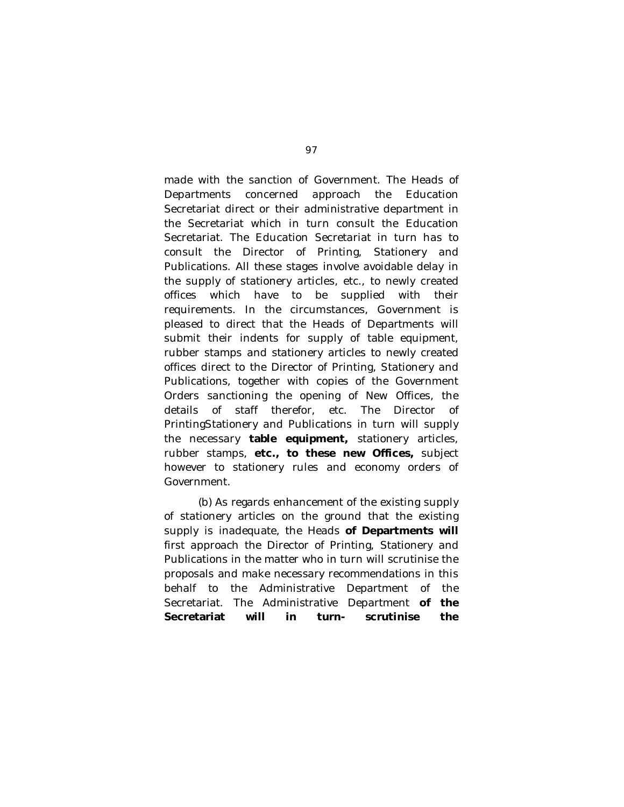made with the sanction of Government. The Heads of Departments concerned approach the Education Secretariat direct or their administrative department in the Secretariat which in turn consult the Education Secretariat. The Education Secretariat in turn has to consult the Director of Printing, Stationery and Publications. All these stages involve avoidable delay in the supply of stationery articles, etc., to newly created offices which have to be supplied with their requirements. In the circumstances, Government is pleased to direct that the Heads of Departments will submit their indents for supply of table equipment, rubber stamps and stationery articles to newly created offices direct to the Director of Printing, Stationery and Publications, together with copies of the Government Orders sanctioning the opening of New Offices, the details of staff therefor, etc. The Director of PrintingStationery and Publications in turn will supply the necessary **table equipment,** stationery articles, rubber stamps, **etc., to these new Offices,** subject however to stationery rules and economy orders of Government.

(b) As regards enhancement of the existing supply of stationery articles on the ground that the existing supply is inadequate, the Heads **of Departments will**  first approach the Director of Printing, Stationery and Publications in the matter who in turn will scrutinise the proposals and make necessary recommendations in this behalf to the Administrative Department of the Secretariat. The Administrative Department **of the Secretariat will in turn- scrutinise the**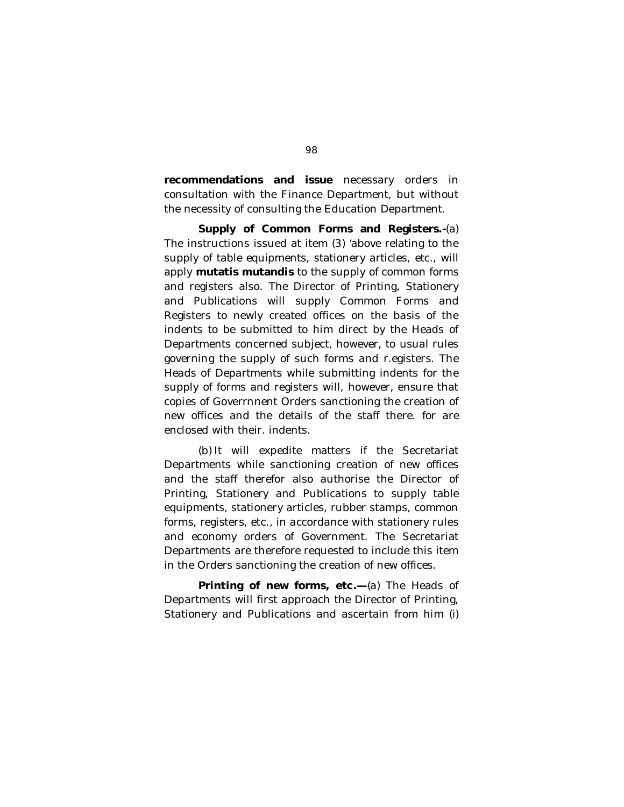**recommendations and issue** necessary orders in consultation with the Finance Department, but without the necessity of consulting the Education Department.

**Supply of Common Forms and Registers.-**(a) The instructions issued at item (3) 'above relating to the supply of table equipments, stationery articles, etc., will apply **mutatis mutandis** to the supply of common forms and registers also. The Director of Printing, Stationery and Publications will supply Common Forms and Registers to newly created offices on the basis of the indents to be submitted to him direct by the Heads of Departments concerned subject, however, to usual rules governing the supply of such forms and r.egisters. The Heads of Departments while submitting indents for the supply of forms and registers will, however, ensure that copies of Goverrnnent Orders sanctioning the creation of new offices and the details of the staff there. for are enclosed with their. indents.

(b) It will expedite matters if the Secretariat Departments while sanctioning creation of new offices and the staff therefor also authorise the Director of Printing, Stationery and Publications to supply table equipments, stationery articles, rubber stamps, common forms, registers, etc., in accordance with stationery rules and economy orders of Government. The Secretariat Departments are therefore requested to include this item in the Orders sanctioning the creation of new offices.

**Printing of new forms, etc.—**(a) The Heads of Departments will first approach the Director of Printing, Stationery and Publications and ascertain from him (i)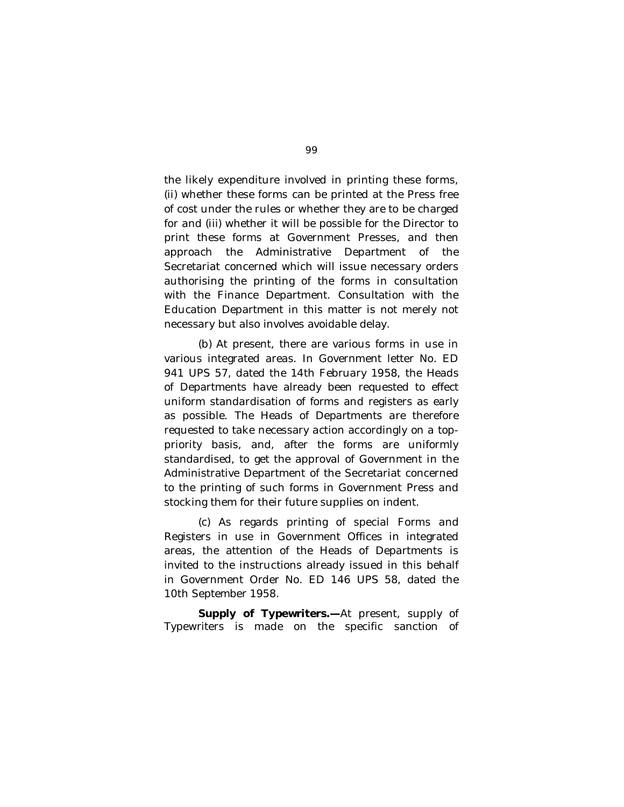the likely expenditure involved in printing these forms, (ii) whether these forms can be printed at the Press free of cost under the rules or whether they are to be charged for and (iii) whether it will be possible for the Director to print these forms at Government Presses, and then approach the Administrative Department of the Secretariat concerned which will issue necessary orders authorising the printing of the forms in consultation with the Finance Department. Consultation with the Education Department in this matter is not merely not necessary but also involves avoidable delay.

(b) At present, there are various forms in use in various integrated areas. In Government letter No. ED 941 UPS 57, dated the 14th February 1958, the Heads of Departments have already been requested to effect uniform standardisation of forms and registers as early as possible. The Heads of Departments are therefore requested to take necessary action accordingly on a toppriority basis, and, after the forms are uniformly standardised, to get the approval of Government in the Administrative Department of the Secretariat concerned to the printing of such forms in Government Press and stocking them for their future supplies on indent.

(c) As regards printing of special Forms and Registers in use in Government Offices in integrated areas, the attention of the Heads of Departments is invited to the instructions already issued in this behalf in Government Order No. ED 146 UPS 58, dated the 10th September 1958.

**Supply of Typewriters.—**At present, supply of Typewriters is made on the specific sanction of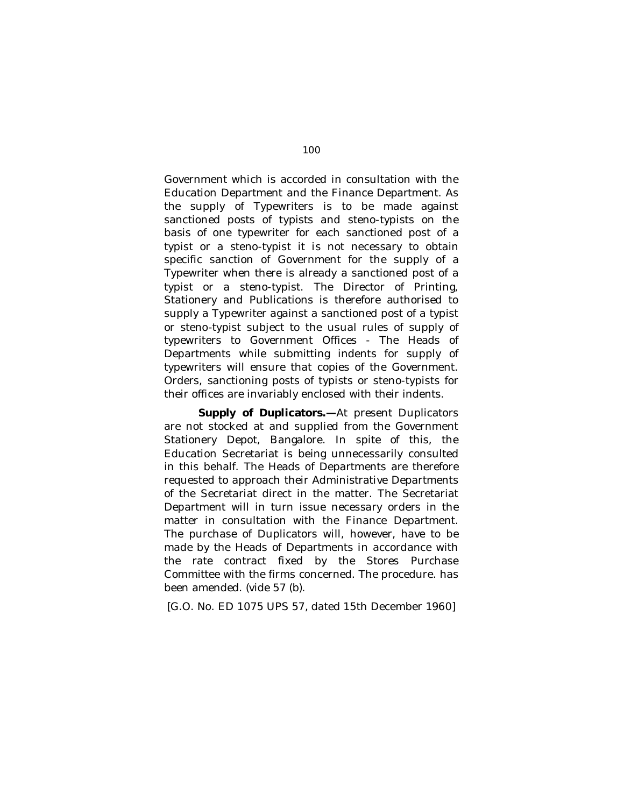Government which is accorded in consultation with the Education Department and the Finance Department. As the supply of Typewriters is to be made against sanctioned posts of typists and steno-typists on the basis of one typewriter for each sanctioned post of a typist or a steno-typist it is not necessary to obtain specific sanction of Government for the supply of a Typewriter when there is already a sanctioned post of a typist or a steno-typist. The Director of Printing, Stationery and Publications is therefore authorised to supply a Typewriter against a sanctioned post of a typist or steno-typist subject to the usual rules of supply of typewriters to Government Offices - The Heads of Departments while submitting indents for supply of typewriters will ensure that copies of the Government. Orders, sanctioning posts of typists or steno-typists for their offices are invariably enclosed with their indents.

**Supply of Duplicators.—**At present Duplicators are not stocked at and supplied from the Government Stationery Depot, Bangalore. In spite of this, the Education Secretariat is being unnecessarily consulted in this behalf. The Heads of Departments are therefore requested to approach their Administrative Departments of the Secretariat direct in the matter. The Secretariat Department will in turn issue necessary orders in the matter in consultation with the Finance Department. The purchase of Duplicators will, however, have to be made by the Heads of Departments in accordance with the rate contract fixed by the Stores Purchase Committee with the firms concerned. The procedure. has been amended. (vide *57* (b).

[G.O. No. ED 1075 UPS *57,* dated 15th December 1960]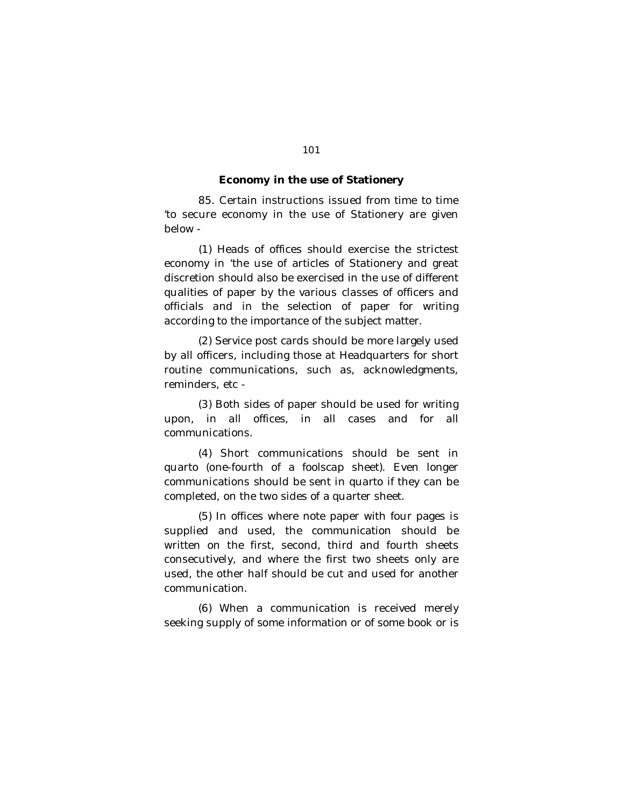#### **Economy in the use of Stationery**

85. Certain instructions issued from time to time 'to secure economy in the use of Stationery are given below -

(1) Heads of offices should exercise the strictest economy in 'the use of articles of Stationery and great discretion should also be exercised in the use of different qualities of paper by the various classes of officers and officials and in the selection of paper for writing according to the importance of the subject matter.

(2) Service post cards should be more largely used by all officers, including those at Headquarters for short routine communications, such as, acknowledgments, reminders, etc -

(3) Both sides of paper should be used for writing upon, in all offices, in all cases and for all communications.

(4) Short communications should be sent in quarto (one-fourth of a foolscap sheet). Even longer communications should be sent in quarto if they can be completed, on the two sides of a quarter sheet.

(5) In offices where note paper with four pages is supplied and used, the communication should be written on the first, second, third and fourth sheets consecutively, and where the first two sheets only are used, the other half should be cut and used for another communication.

(6) When a communication is received merely seeking supply of some information or of some book or is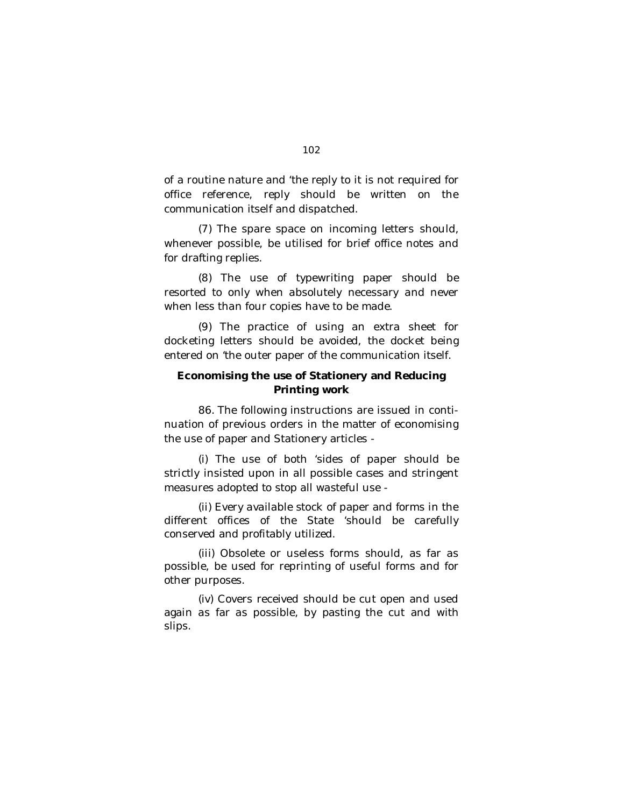of a routine nature and 'the reply to it is not required for office reference, reply should be written on the communication itself and dispatched.

(7) The spare space on incoming letters should, whenever possible, be utilised for brief office notes and for drafting replies.

(8) The use of typewriting paper should be resorted to only when absolutely necessary and never when less than four copies have to be made.

(9) The practice of using an extra sheet for docketing letters should be avoided, the docket being entered on 'the outer paper of the communication itself.

### **Economising the use of Stationery and Reducing Printing work**

86. The following instructions are issued in continuation of previous orders in the matter of economising the use of paper and Stationery articles -

(i) The use of both 'sides of paper should be strictly insisted upon in all possible cases and stringent measures adopted to stop all wasteful use -

(ii) Every available stock of paper and forms in the different offices of the State 'should be carefully conserved and profitably utilized.

(iii) Obsolete or useless forms should, as far as possible, be used for reprinting of useful forms and for other purposes.

(iv) Covers received should be cut open and used again as far as possible, by pasting the cut and with slips.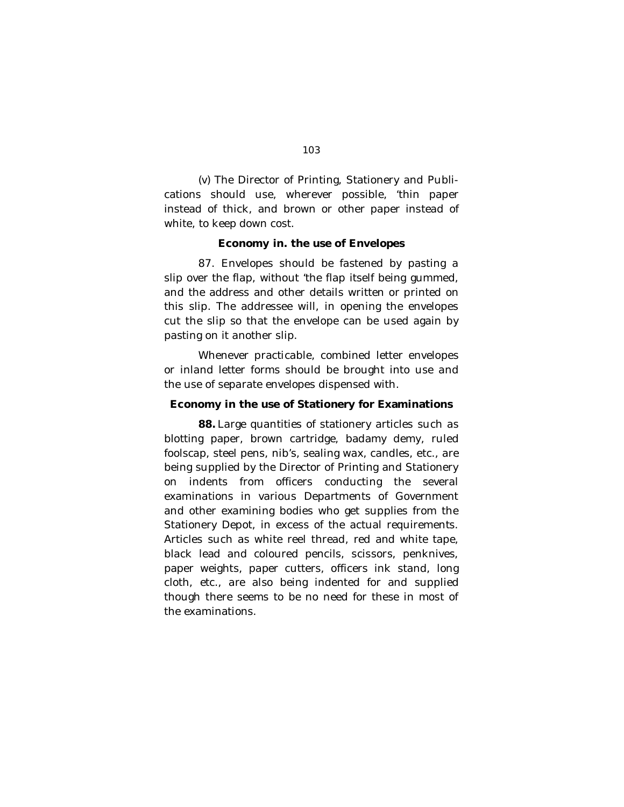(v) The Director of Printing, Stationery and Publications should use, wherever possible, 'thin paper instead of thick, and brown or other paper instead of white, to keep down cost.

### **Economy in. the use of Envelopes**

87. Envelopes should be fastened by pasting a slip over the flap, without 'the flap itself being gummed, and the address and other details written or printed on this slip. The addressee will, in opening the envelopes cut the slip so that the envelope can be used again by pasting on it another slip.

Whenever practicable, combined letter envelopes or inland letter forms should be brought into use and the use of separate envelopes dispensed with.

#### **Economy in the use of Stationery for Examinations**

**88.** Large quantities of stationery articles such as blotting paper, brown cartridge, badamy demy, ruled foolscap, steel pens, nib's, sealing wax, candles, etc., are being supplied by the Director of Printing and Stationery on indents from officers conducting the several examinations in various Departments of Government and other examining bodies who get supplies from the Stationery Depot, in excess of the actual requirements. Articles such as white reel thread, red and white tape, black lead and coloured pencils, scissors, penknives, paper weights, paper cutters, officers ink stand, long cloth, etc., are also being indented for and supplied though there seems to be no need for these in most of the examinations.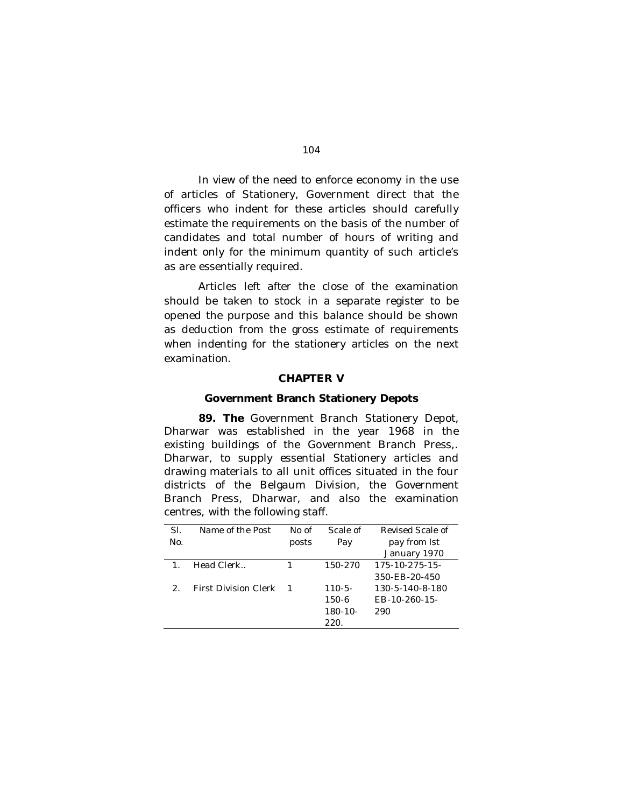In view of the need to enforce economy in the use of articles of Stationery, Government direct that the officers who indent for these articles should carefully estimate the requirements on the basis of the number of candidates and total number of hours of writing and indent only for the minimum quantity of such article's as are essentially required.

Articles left after the close of the examination should be taken to stock in a separate register to be opened the purpose and this balance should be shown as deduction from the gross estimate of requirements when indenting for the stationery articles on the next examination.

### **CHAPTER V**

#### **Government Branch Stationery Depots**

**89. The** Government Branch Stationery Depot, Dharwar was established in the year 1968 in the existing buildings of the Government Branch Press,. Dharwar, to supply essential Stationery articles and drawing materials to all unit offices situated in the four districts of the Belgaum Division, the Government Branch Press, Dharwar, and also the examination centres, with the following staff.

| SI.           | Name of the Post            | No of | Scale of     | Revised Scale of      |
|---------------|-----------------------------|-------|--------------|-----------------------|
| No.           |                             | posts | Pay          | pay from 1st          |
|               |                             |       |              | January 1970          |
| $\mathbf{1}$  | Head Clerk                  |       | 150-270      | $175 - 10 - 275 - 15$ |
|               |                             |       |              | 350-FB-20-450         |
| $\mathcal{D}$ | <b>First Division Clerk</b> |       | $110 - 5 -$  | 130-5-140-8-180       |
|               |                             |       | 150-6        | EB-10-260-15-         |
|               |                             |       | $180 - 10 -$ | 290                   |
|               |                             |       | 220.         |                       |
|               |                             |       |              |                       |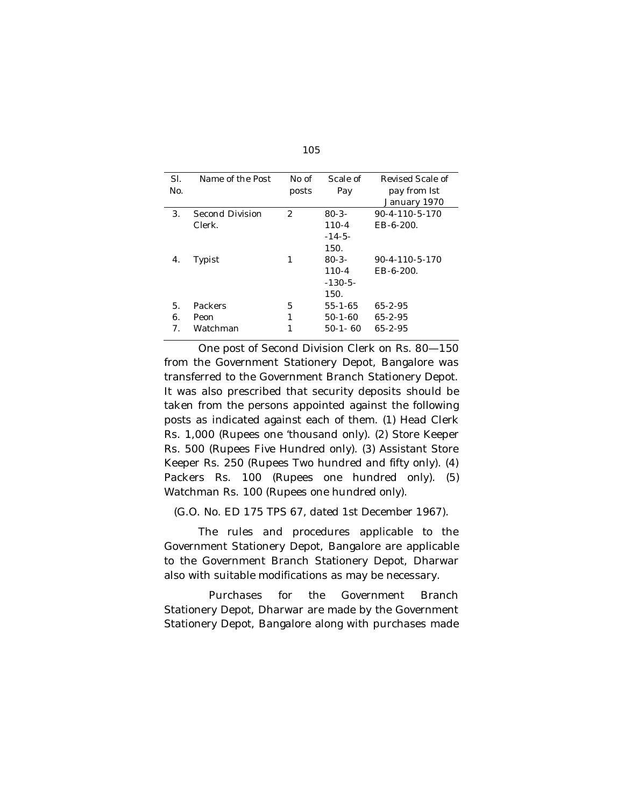| SI. | Name of the Post | No of | Scale of    | Revised Scale of         |
|-----|------------------|-------|-------------|--------------------------|
| No. |                  | posts | Pay         | pay from 1st             |
|     |                  |       |             | January 1970             |
| 3.  | Second Division  | 2     | $80 - 3 -$  | $90 - 4 - 110 - 5 - 170$ |
|     | Clerk.           |       | $110 - 4$   | $EB - 6 - 200.$          |
|     |                  |       | $-14-5-$    |                          |
|     |                  |       | 150.        |                          |
| 4.  | Typist           | 1     | $80 - 3 -$  | $90 - 4 - 110 - 5 - 170$ |
|     |                  |       | $110 - 4$   | $EB - 6 - 200.$          |
|     |                  |       | $-130-5-$   |                          |
|     |                  |       | 150.        |                          |
| 5.  | Packers          | 5     | $55-1-65$   | $65 - 2 - 95$            |
| 6.  | Peon             | 1     | $50-1-60$   | $65 - 2 - 95$            |
| 7.  | Watchman         | 1     | $50-1 - 60$ | $65 - 2 - 95$            |
|     |                  |       |             |                          |

One post of Second Division Clerk on Rs. 80—150 from the Government Stationery Depot, Bangalore was transferred to the Government Branch Stationery Depot. It was also prescribed that security deposits should be taken from the persons appointed against the following posts as indicated against each of them. (1) Head Clerk Rs. 1,000 (Rupees one 'thousand only). (2) Store Keeper Rs. 500 (Rupees Five Hundred only). (3) Assistant Store Keeper Rs. 250 (Rupees Two hundred and fifty only). (4) Packers Rs. 100 (Rupees one hundred only). *(5)*  Watchman Rs. 100 (Rupees one hundred only).

(G.O. No. ED 175 TPS 67, dated 1st December 1967).

The rules and procedures applicable to the Government Stationery Depot, Bangalore are applicable to the Government Branch Stationery Depot, Dharwar also with suitable modifications as may be necessary.

Purchases for the Government Branch Stationery Depot, Dharwar are made by the Government Stationery Depot, Bangalore along with purchases made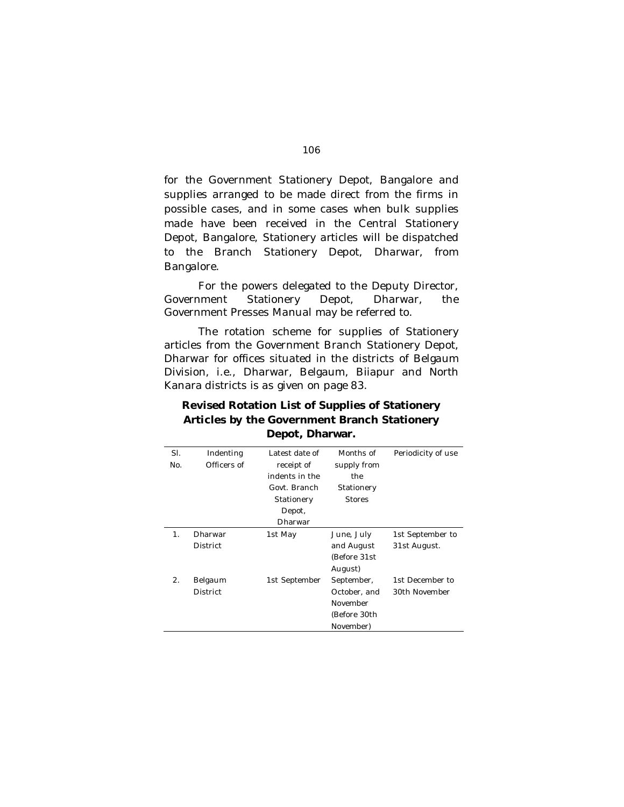for the Government Stationery Depot, Bangalore and supplies arranged to be made direct from the firms in possible cases, and in some cases when bulk supplies made have been received in the Central Stationery Depot, Bangalore, Stationery articles will be dispatched to the Branch Stationery Depot, Dharwar, from Bangalore.

For the powers delegated to the Deputy Director, Government Stationery Depot, Dharwar, the Government Presses Manual may be referred to.

The rotation scheme for supplies of Stationery articles from the Government Branch Stationery Depot, Dharwar for offices situated in the districts of Belgaum Division, i.e., Dharwar, Belgaum, Biiapur and North Kanara districts is as given on page 83.

### **Revised Rotation List of Supplies of Stationery Articles by the Government Branch Stationery Depot, Dharwar.**

| SI.<br>No. | Indenting<br>Officers of   | Latest date of<br>receipt of<br>indents in the<br>Govt. Branch<br>Stationery<br>Depot,<br>Dharwar | Months of<br>supply from<br>the<br>Stationery<br><b>Stores</b>      | Periodicity of use               |
|------------|----------------------------|---------------------------------------------------------------------------------------------------|---------------------------------------------------------------------|----------------------------------|
| 1.         | Dharwar<br><b>District</b> | 1st May                                                                                           | June, July<br>and August<br>(Before 31st<br>August)                 | 1st September to<br>31st August. |
| 2.         | Belgaum<br><b>District</b> | 1st September                                                                                     | September,<br>October, and<br>November<br>(Before 30th<br>November) | 1st December to<br>30th November |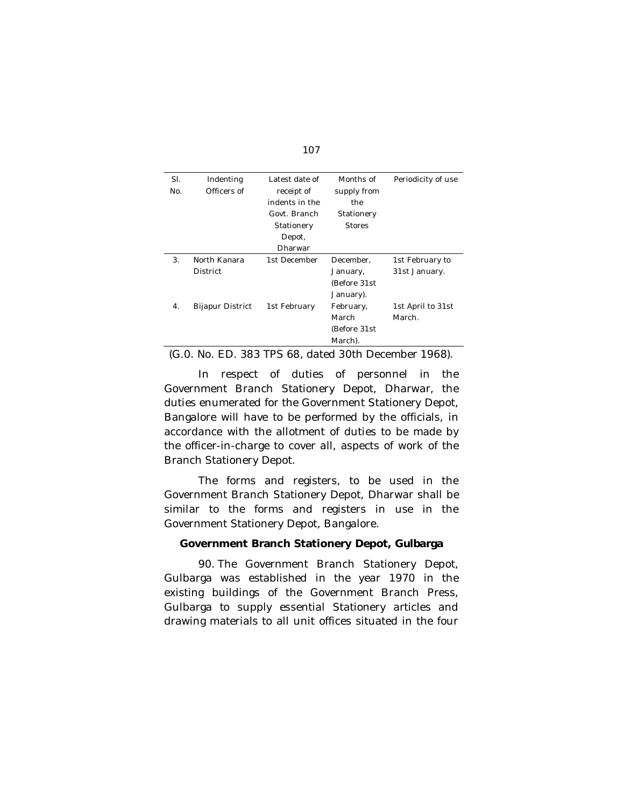| ۰, | ۰.<br>v. |  |
|----|----------|--|
|    |          |  |

| SI. | Indenting        | Latest date of | Months of     | Periodicity of use |
|-----|------------------|----------------|---------------|--------------------|
| No. | Officers of      | receipt of     | supply from   |                    |
|     |                  | indents in the | the           |                    |
|     |                  | Govt. Branch   | Stationery    |                    |
|     |                  | Stationery     | <b>Stores</b> |                    |
|     |                  | Depot,         |               |                    |
|     |                  | Dharwar        |               |                    |
| 3.  | North Kanara     | 1st December   | December.     | 1st February to    |
|     | District         |                | January,      | 31st January.      |
|     |                  |                | (Before 31st  |                    |
|     |                  |                | January).     |                    |
| 4.  | Bijapur District | 1st February   | February,     | 1st April to 31st  |
|     |                  |                | March         | March.             |
|     |                  |                | (Before 31st  |                    |
|     |                  |                | March).       |                    |

(G.0. No. ED. 383 TPS 68, dated 30th December 1968).

In respect of duties of personnel in the Government Branch Stationery Depot, Dharwar, the duties enumerated for the Government Stationery Depot, Bangalore will have to be performed by the officials, in accordance with the allotment of duties to be made by the officer-in-charge to cover all, aspects of work of the Branch Stationery Depot.

The forms and registers, to be used in the Government Branch Stationery Depot, Dharwar shall be similar to the forms and registers in use in the Government Stationery Depot, Bangalore.

### **Government Branch Stationery Depot, Gulbarga**

90. The Government Branch Stationery Depot, Gulbarga was established in the year 1970 in the existing buildings of the Government Branch Press, Gulbarga to supply essential Stationery articles and drawing materials to all unit offices situated in the four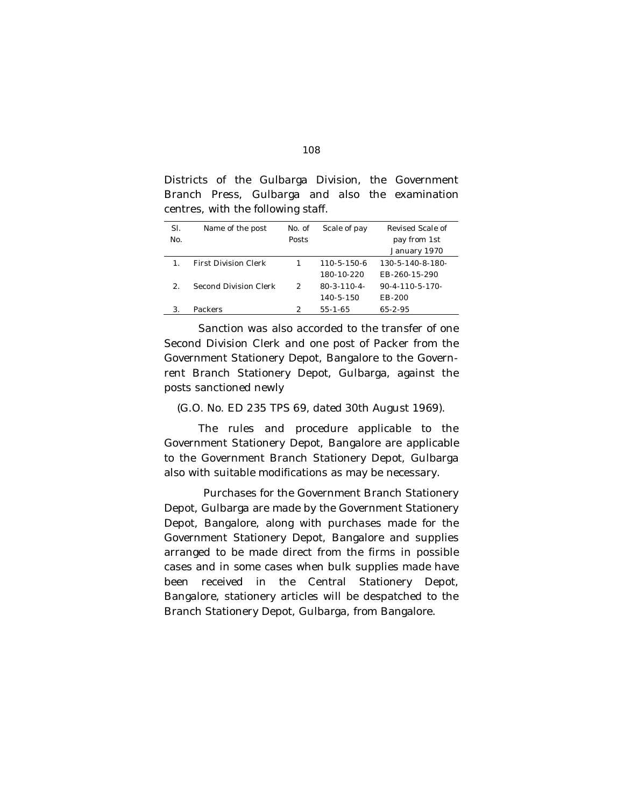| COTTLE CO, WITH THE TOHOWING STATE. |                             |               |                     |                            |
|-------------------------------------|-----------------------------|---------------|---------------------|----------------------------|
| SI.                                 | Name of the post            | No. of        | Scale of pay        | Revised Scale of           |
| No.                                 |                             | Posts         |                     | pay from 1st               |
|                                     |                             |               |                     | January 1970               |
| 1 <sub>1</sub>                      | <b>First Division Clerk</b> |               | $110 - 5 - 150 - 6$ | 130-5-140-8-180-           |
|                                     |                             |               | 180-10-220          | FB-260-15-290              |
| $\mathcal{P}$                       | Second Division Clerk       | $\mathcal{P}$ | $80 - 3 - 110 - 4$  | $90 - 4 - 110 - 5 - 170 -$ |
|                                     |                             |               | $140 - 5 - 150$     | FB-200                     |
| 3.                                  | Packers                     | 2             | $55 - 1 - 65$       | $65-2-95$                  |

Districts of the Gulbarga Division, the Government Branch Press, Gulbarga and also the examination centres, with the following staff.

Sanction was also accorded to the transfer of one Second Division Clerk and one post of Packer from the Government Stationery Depot, Bangalore to the Governrent Branch Stationery Depot, Gulbarga, against the posts sanctioned newly

(G.O. No. ED 235 TPS 69, dated 30th August 1969).

The rules and procedure applicable to the Government Stationery Depot, Bangalore are applicable to the Government Branch Stationery Depot, Gulbarga also with suitable modifications as may be necessary.

Purchases for the Government Branch Stationery Depot, Gulbarga are made by the Government Stationery Depot, Bangalore, along with purchases made for the Government Stationery Depot, Bangalore and supplies arranged to be made direct from the firms in possible cases and in some cases when bulk supplies made have been received in the Central Stationery Depot, Bangalore, stationery articles will be despatched to the Branch Stationery Depot, Gulbarga, from Bangalore.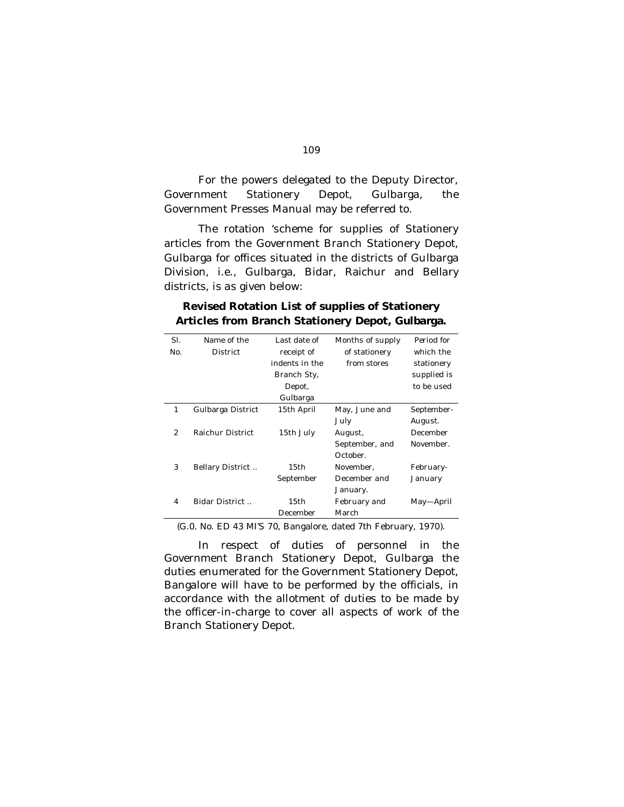For the powers delegated to the Deputy Director, Government Stationery Depot, Gulbarga, the Government Presses Manual may be referred to.

The rotation 'scheme for supplies of Stationery articles from the Government Branch Stationery Depot, Gulbarga for offices situated in the districts of Gulbarga Division, i.e., Gulbarga, Bidar, Raichur and Bellary districts, is as given below:

| SI.           | Name of the       | Last date of   | Months of supply | Period for  |
|---------------|-------------------|----------------|------------------|-------------|
| No.           | District          | receipt of     | of stationery    | which the   |
|               |                   | indents in the | from stores      | stationery  |
|               |                   | Branch Sty,    |                  | supplied is |
|               |                   | Depot,         |                  | to be used  |
|               |                   | Gulbarga       |                  |             |
| 1             | Gulbarga District | 15th April     | May, June and    | September-  |
|               |                   |                | July             | August.     |
| $\mathcal{P}$ | Raichur District  | 15th July      | August,          | December    |
|               |                   |                | September, and   | November.   |
|               |                   |                | October.         |             |
| 3             | Bellary District  | 15th           | November.        | February-   |
|               |                   | September      | December and     | January     |
|               |                   |                | January.         |             |
| 4             | Bidar District    | 15th           | February and     | May—April   |
|               |                   | December       | March            |             |

# **Revised Rotation List of supplies of Stationery Articles from Branch Stationery Depot, Gulbarga.**

(G.0. No. ED 43 MI'S 70, Bangalore, dated 7th February, 1970).

In respect of duties of personnel in the Government Branch Stationery Depot, Gulbarga the duties enumerated for the Government Stationery Depot, Bangalore will have to be performed by the officials, in accordance with the allotment of duties to be made by the officer-in-charge to cover all aspects of work of the Branch Stationery Depot.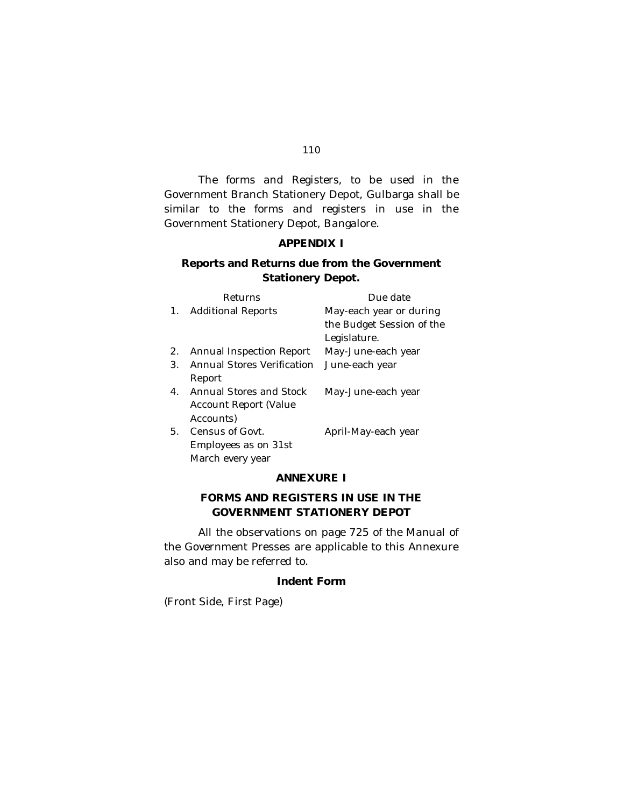#### 110

The forms and Registers, to be used in the Government Branch Stationery Depot, Gulbarga shall be similar to the forms and registers in use in the Government Stationery Depot, Bangalore.

# **APPENDIX I**

# **Reports and Returns due from the Government Stationery Depot.**

|             | Returns                    | Due date                  |
|-------------|----------------------------|---------------------------|
| $1_{\cdot}$ | <b>Additional Reports</b>  | May-each year or during   |
|             |                            | the Budget Session of the |
|             |                            | Legislature.              |
| 2.          | Annual Inspection Report   | May-June-each year        |
| 3.          | Annual Stores Verification | June-each year            |
|             | Report                     |                           |
| 4.          | Annual Stores and Stock    | May-June-each year        |
|             | Account Report (Value      |                           |
|             | Accounts)                  |                           |
| 5.          | Census of Govt.            | April-May-each year       |
|             | Employees as on 31st       |                           |
|             | March every year           |                           |

## **ANNEXURE I**

# **FORMS AND REGISTERS IN USE IN THE GOVERNMENT STATIONERY DEPOT**

All the observations on page 725 of the Manual of the Government Presses are applicable to this Annexure also and may be referred to.

## **Indent Form**

(Front Side, First Page)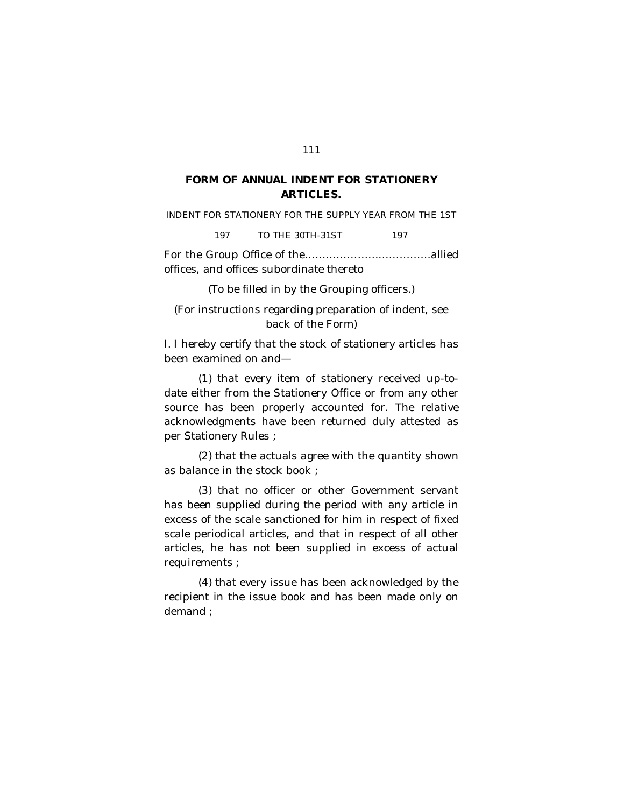#### 111

# **FORM OF ANNUAL INDENT FOR STATIONERY ARTICLES.**

INDENT FOR STATIONERY FOR THE SUPPLY YEAR FROM THE 1ST

197 TO THE 30TH-31ST 197

For the Group Office of the………………………………allied offices, and offices subordinate thereto

(To be filled in by the Grouping officers.)

(For instructions regarding preparation of indent, see back of the Form)

I. I hereby certify that the stock of stationery articles has been examined on and—

(1) that every item of stationery received up-todate either from the Stationery Office or from any other source has been properly accounted for. The relative acknowledgments have been returned duly attested as per Stationery Rules ;

(2) that the actuals agree with the quantity shown as balance in the stock book ;

(3) that no officer or other Government servant has been supplied during the period with any article in excess of the scale sanctioned for him in respect of fixed scale periodical articles, and that in respect of all other articles, he has not been supplied in excess of actual requirements ;

(4) that every issue has been acknowledged by the recipient in the issue book and has been made only on demand ;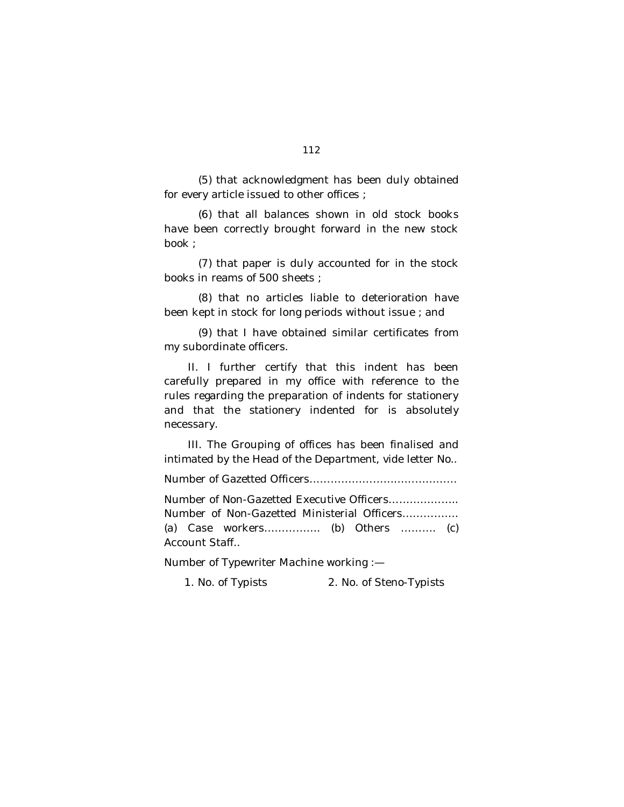(5) that acknowledgment has been duly obtained for every article issued to other offices ;

(6) that all balances shown in old stock books have been correctly brought forward in the new stock book ;

(7) that paper is duly accounted for in the stock books in reams of 500 sheets ;

(8) that no articles liable to deterioration have been kept in stock for long periods without issue ; and

(9) that I have obtained similar certificates from my subordinate officers.

II. I further certify that this indent has been carefully prepared in my office with reference to the rules regarding the preparation of indents for stationery and that the stationery indented for is absolutely necessary.

III. The Grouping of offices has been finalised and intimated by the Head of the Department, vide letter No..

Number of Gazetted Officers……………………………………

Number of Non-Gazetted Executive Officers……………….. Number of Non-Gazetted Ministerial Officers……………. (a) Case workers……………. (b) Others ………. (c) Account Staff..

Number of Typewriter Machine working :—

1. No. of Typists 2. No. of Steno-Typists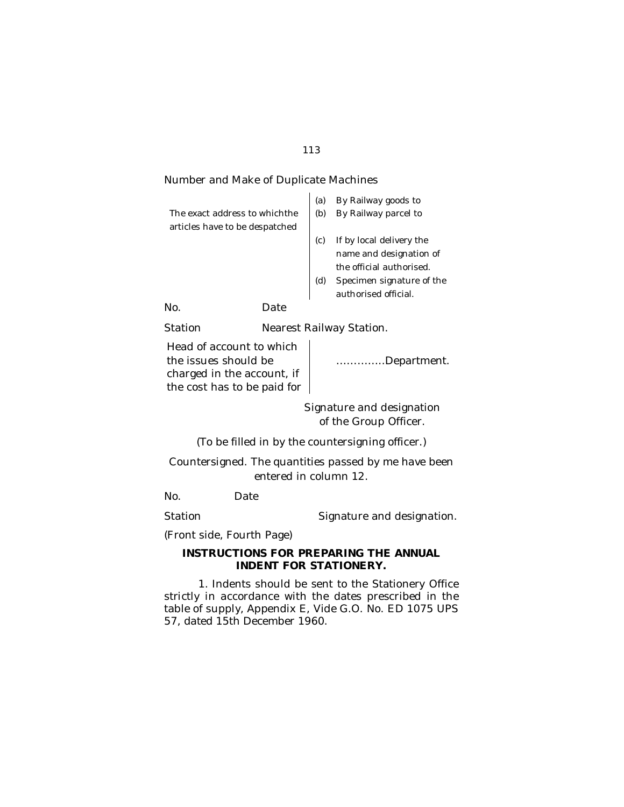## 113

## Number and Make of Duplicate Machines

|                                |     | (a) | By Railway goods to       |
|--------------------------------|-----|-----|---------------------------|
| The exact address to which the |     | (b) | By Railway parcel to      |
| articles have to be despatched |     |     |                           |
|                                |     |     | If by local delivery the  |
|                                |     |     | name and designation of   |
|                                |     |     | the official authorised.  |
|                                |     | (ď  | Specimen signature of the |
|                                |     |     | authorised official.      |
| No.                            | ate |     |                           |
|                                |     |     |                           |

Station **Nearest Railway Station.** 

Head of account to which the issues should be charged in the account, if the cost has to be paid for

…………..Department.

Signature and designation of the Group Officer.

(To be filled in by the countersigning officer.)

Countersigned. The quantities passed by me have been entered in column 12.

No. Date

Station Station Signature and designation.

(Front side, Fourth Page)

## **INSTRUCTIONS FOR PREPARING THE ANNUAL INDENT FOR STATIONERY.**

1. Indents should be sent to the Stationery Office strictly in accordance with the dates prescribed in the table of supply, Appendix E, Vide G.O. No. ED 1075 UPS 57, dated 15th December 1960.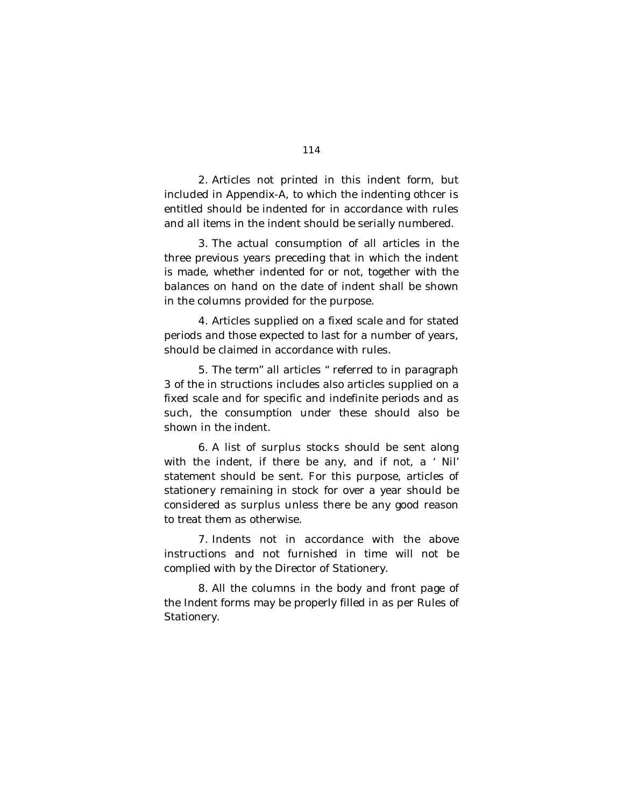2. Articles not printed in this indent form, but included in Appendix-A, to which the indenting othcer is entitled should be indented for in accordance with rules and all items in the indent should be serially numbered.

3. The actual consumption of all articles in the three previous years preceding that in which the indent is made, whether indented for or not, together with the balances on hand on the date of indent shall be shown in the columns provided for the purpose.

4. Articles supplied on a fixed scale and for stated periods and those expected to last for a number of years, should be claimed in accordance with rules.

5. The term" all articles " referred to in paragraph 3 of the in structions includes also articles supplied on a fixed scale and for specific and indefinite periods and as such, the consumption under these should also be shown in the indent.

6. A list of surplus stocks should be sent along with the indent, if there be any, and if not, a ' Nil' statement should be sent. For this purpose, articles of stationery remaining in stock for over a year should be considered as surplus unless there be any good reason to treat them as otherwise.

7. Indents not in accordance with the above instructions and not furnished in time will not be complied with by the Director of Stationery.

8. All the columns in the body and front page of the Indent forms may be properly filled in as per Rules of Stationery.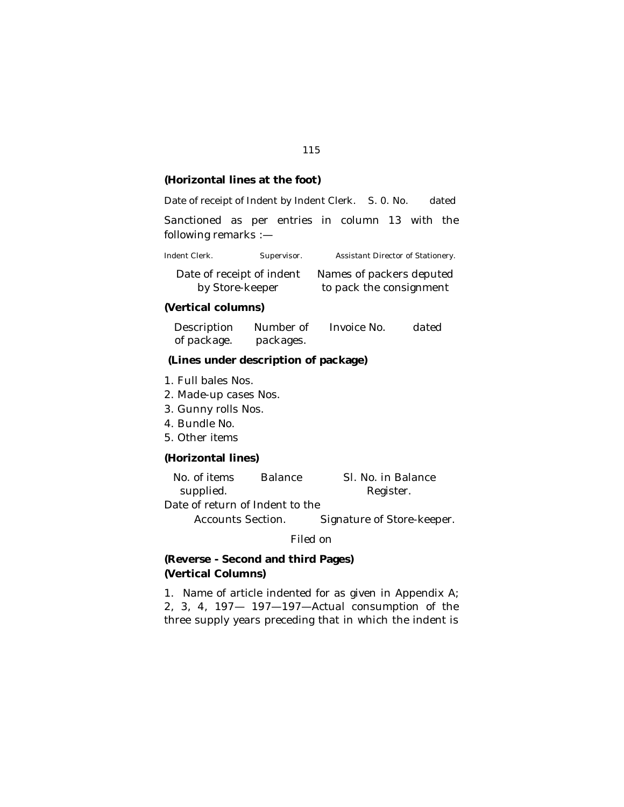## **(Horizontal lines at the foot)**

Date of receipt of Indent by Indent Clerk. S.O. No. dated

Sanctioned as per entries in column 13 with the following remarks :—

Indent Clerk. Supervisor. Assistant Director of Stationery.

| Date of receipt of indent | Names of packers deputed |
|---------------------------|--------------------------|
| by Store-keeper           | to pack the consignment  |

## **(Vertical columns)**

Description of package. Number of packages. Invoice No. dated

# **(Lines under description of package)**

- 1. Full bales Nos.
- 2. Made-up cases Nos.
- 3. Gunny rolls Nos.
- 4. Bundle No.
- 5. Other items

## **(Horizontal lines)**

| No. of items | <b>Balance</b> | SI. No. in Balance |
|--------------|----------------|--------------------|
| supplied.    |                | Register.          |

Date of return of Indent to the

Accounts Section. Signature of Store-keeper.

## Filed on

# **(Reverse - Second and third Pages) (Vertical Columns)**

1. Name of article indented for as given in Appendix A; 2, 3, 4, 197— 197—197—Actual consumption of the three supply years preceding that in which the indent is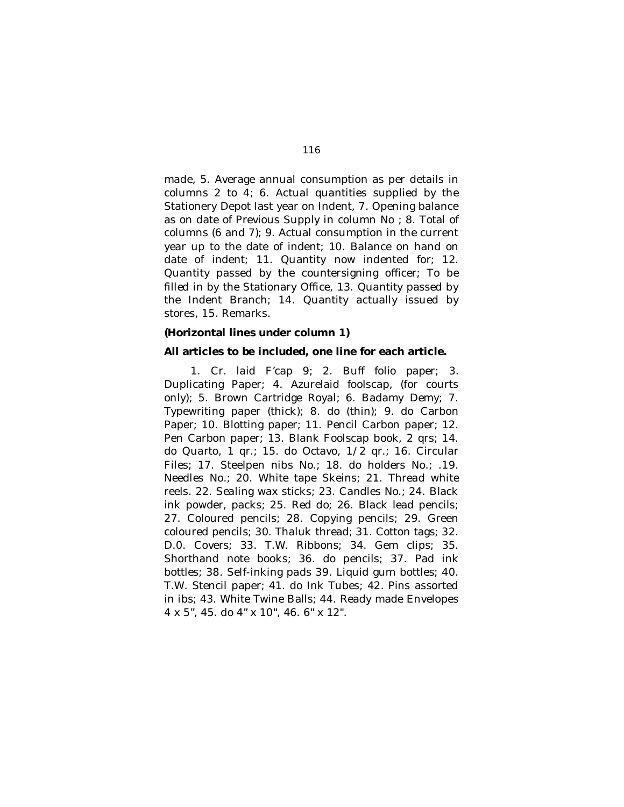made, 5. Average annual consumption as per details in columns 2 to 4; 6. Actual quantities supplied by the Stationery Depot last year on Indent, 7. Opening balance as on date of Previous Supply in column No ; 8. Total of columns (6 and 7); 9. Actual consumption in the current year up to the date of indent; 10. Balance on hand on date of indent; 11. Quantity now indented for; 12. Quantity passed by the countersigning officer; To be filled in by the Stationary Office, 13. Quantity passed by the Indent Branch; 14. Quantity actually issued by stores, 15. Remarks.

#### **(Horizontal lines under column 1)**

#### **All articles to be included, one line for each article.**

1. Cr. laid F'cap 9; 2. Buff folio paper; 3. Duplicating Paper; 4. Azurelaid foolscap, (for courts only); 5. Brown Cartridge Royal; 6. Badamy Demy; 7. Typewriting paper (thick); 8. do (thin); 9. do Carbon Paper; 10. Blotting paper; 11. Pencil Carbon paper; 12. Pen Carbon paper; 13. Blank Foolscap book, 2 qrs; 14. do Quarto, 1 qr.; 15. do Octavo, 1/2 qr.; 16. Circular Files; 17. Steelpen nibs No.; 18. do holders No.; .19. Needles No.; 20. White tape Skeins; 21. Thread white reels. 22. Sealing wax sticks; 23. Candles No.; 24. Black ink powder, packs; 25. Red do; 26. Black lead pencils; 27. Coloured pencils; 28. Copying pencils; 29. Green coloured pencils; 30. Thaluk thread; 31. Cotton tags; 32. D.0. Covers; 33. T.W. Ribbons; 34. Gem clips; 35. Shorthand note books; 36. do pencils; 37. Pad ink bottles; 38. Self-inking pads 39. Liquid gum bottles; 40. T.W. Stencil paper; 41. do Ink Tubes; 42. Pins assorted in ibs; 43. White Twine Balls; 44. Ready made Envelopes 4 x 5", 45. do 4" x 10", 46. 6" x 12".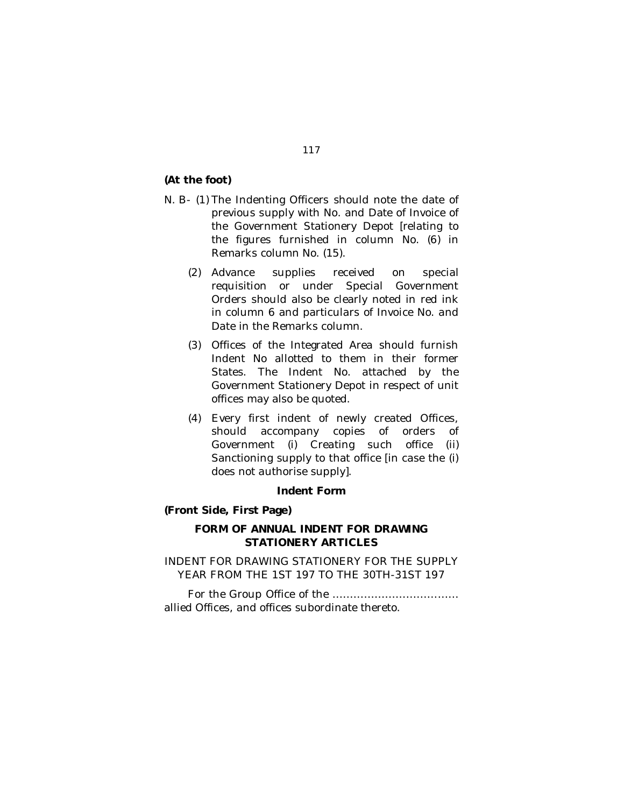**(At the foot)**

- N. B- (1) The Indenting Officers should note the date of previous supply with No. and Date of Invoice of the Government Stationery Depot [relating to the figures furnished in column No. (6) in Remarks column No. (15).
	- (2) Advance supplies received on special requisition or under Special Government Orders should also be clearly noted in red ink in column 6 and particulars of Invoice No. and Date in the Remarks column.
	- (3) Offices of the Integrated Area should furnish Indent No allotted to them in their former States. The Indent No. attached by the Government Stationery Depot in respect of unit offices may also be quoted.
	- (4) Every first indent of newly created Offices, should accompany copies of orders of Government (i) Creating such office (ii) Sanctioning supply to that office [in case the (i) does not authorise supply].

# **Indent Form**

# **(Front Side, First Page)**

# **FORM OF ANNUAL INDENT FOR DRAWING STATIONERY ARTICLES**

INDENT FOR DRAWING STATIONERY FOR THE SUPPLY YEAR FROM THE 1ST 197 TO THE 30TH-31ST 197

 For the Group Office of the ……………………………… allied Offices, and offices subordinate thereto.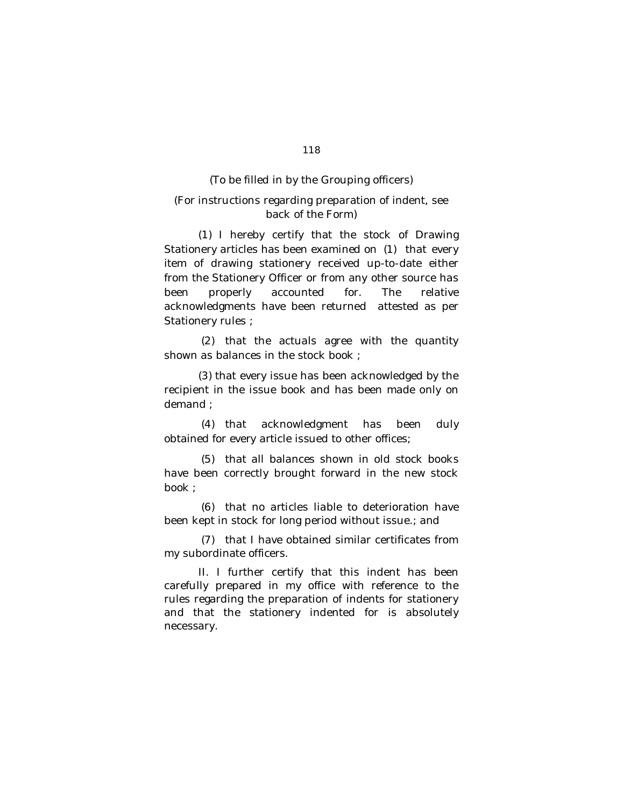## (To be filled in by the Grouping officers)

# (For instructions regarding preparation of indent, see back of the Form)

(1) I hereby certify that the stock of Drawing Stationery articles has been examined on (1) that every item of drawing stationery received up-to-date either from the Stationery Officer or from any other source has been properly accounted for. The relative acknowledgments have been returned attested as per Stationery rules ;

(2) that the actuals agree with the quantity shown as balances in the stock book ;

(3) that every issue has been acknowledged by the recipient in the issue book and has been made only on demand ;

(4) that acknowledgment has been duly obtained for every article issued to other offices;

(5) that all balances shown in old stock books have been correctly brought forward in the new stock book ;

(6) that no articles liable to deterioration have been kept in stock for long period without issue.; and

(7) that I have obtained similar certificates from my subordinate officers.

II. I further certify that this indent has been carefully prepared in my office with reference to the rules regarding the preparation of indents for stationery and that the stationery indented for is absolutely necessary.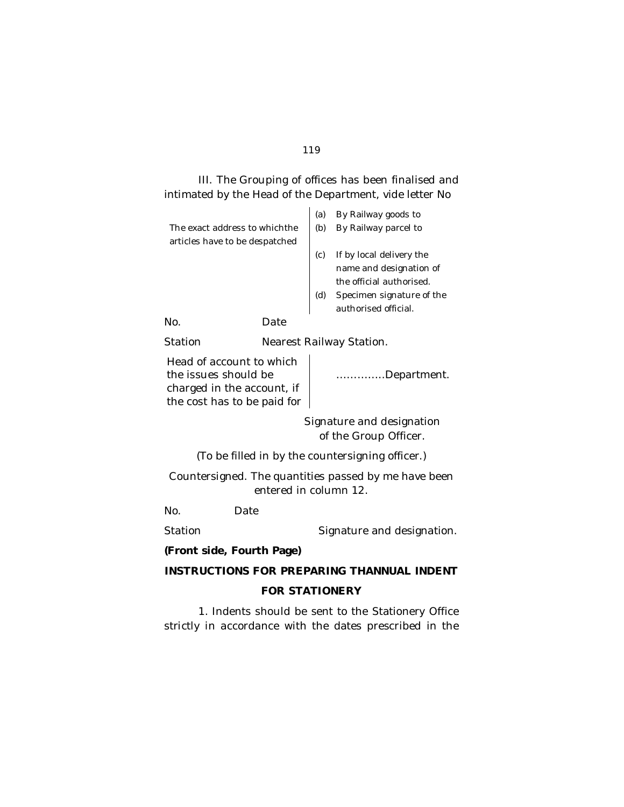# III. The Grouping of offices has been finalised and intimated by the Head of the Department, *vide* letter No

|                                |                          | (a) | By Railway goods to       |  |
|--------------------------------|--------------------------|-----|---------------------------|--|
| The exact address to which the |                          | (b) | By Railway parcel to      |  |
| articles have to be despatched |                          |     |                           |  |
|                                |                          | (c) | If by local delivery the  |  |
|                                |                          |     | name and designation of   |  |
|                                |                          |     | the official authorised.  |  |
|                                |                          | (d) | Specimen signature of the |  |
|                                |                          |     | authorised official.      |  |
| No.                            | Date                     |     |                           |  |
| Station                        | Nearest Railway Station. |     |                           |  |
|                                |                          |     |                           |  |

Head of account to which the issues should be charged in the account, if the cost has to be paid for

…………..Department.

Signature and designation of the Group Officer.

(To be filled in by the countersigning officer.)

Countersigned. The quantities passed by me have been entered in column 12.

No. Date

Station Station Signature and designation.

**(Front side, Fourth Page)**

**INSTRUCTIONS FOR PREPARING THANNUAL INDENT**

# **FOR STATIONERY**

1. Indents should be sent to the Stationery Office strictly in accordance with the dates prescribed in the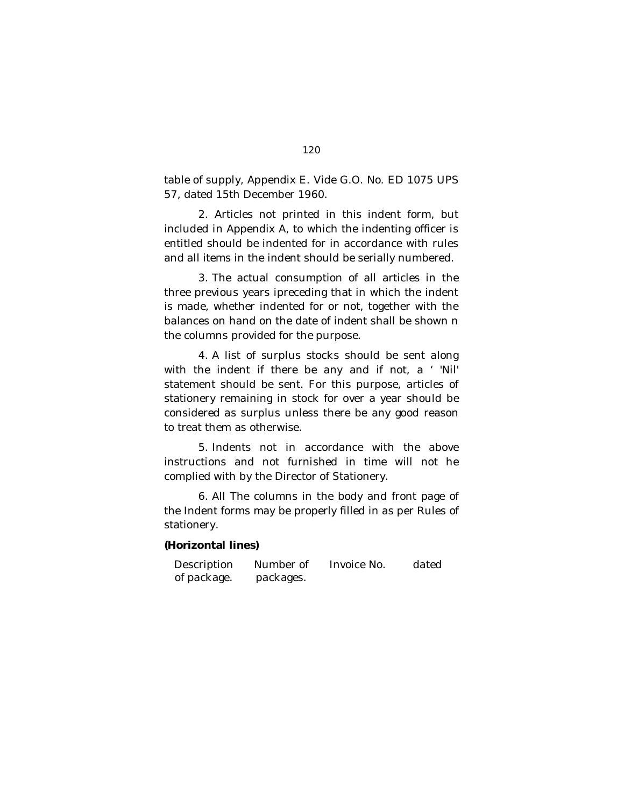table of supply, Appendix E. Vide G.O. No. ED 1075 UPS 57, dated 15th December 1960.

2. Articles not printed in this indent form, but included in Appendix A, to which the indenting officer is entitled should be indented for in accordance with rules and all items in the indent should be serially numbered.

3. The actual consumption of all articles in the three previous years ipreceding that in which the indent is made, whether indented for or not, together with the balances on hand on the date of indent shall be shown n the columns provided for the purpose.

4. A list of surplus stocks should be sent along with the indent if there be any and if not, a ' 'Nil' statement should be sent. For this purpose, articles of stationery remaining in stock for over a year should be considered as surplus unless there be any good reason to treat them as otherwise.

5. Indents not in accordance with the above instructions and not furnished in time will not he complied with by the Director of Stationery.

6. All The columns in the body and front page of the Indent forms may be properly filled in as per Rules of stationery.

# **(Horizontal lines)**

Description of package. Number of packages. Invoice No. dated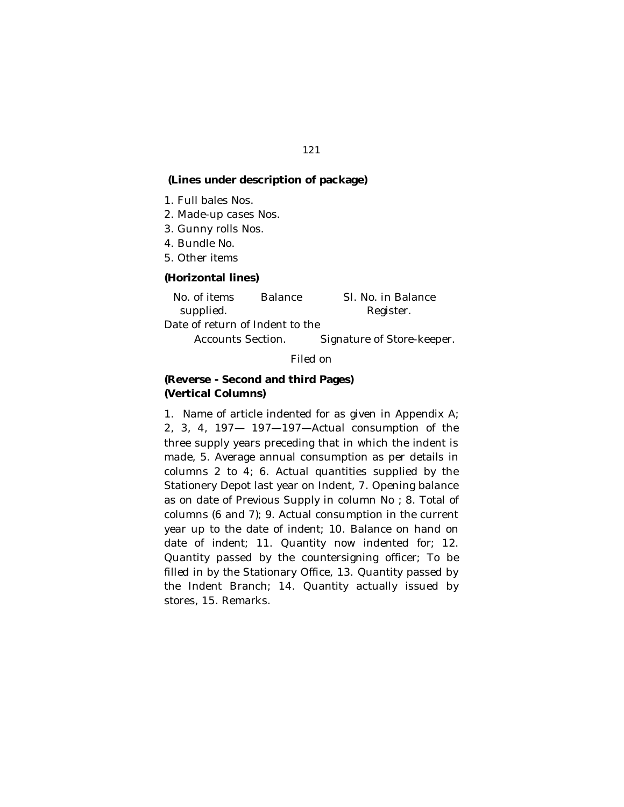# **(Lines under description of package)**

- 1. Full bales Nos.
- 2. Made-up cases Nos.
- 3. Gunny rolls Nos.
- 4. Bundle No.
- 5. Other items

## **(Horizontal lines)**

| No. of items                    | <b>Balance</b> | SI. No. in Balance |
|---------------------------------|----------------|--------------------|
| supplied.                       |                | Register.          |
| Date of return of Indent to the |                |                    |

Accounts Section. Signature of Store-keeper.

## Filed on

# **(Reverse - Second and third Pages) (Vertical Columns)**

1. Name of article indented for as given in Appendix A; 2, 3, 4, 197— 197—197—Actual consumption of the three supply years preceding that in which the indent is made, 5. Average annual consumption as per details in columns 2 to 4; 6. Actual quantities supplied by the Stationery Depot last year on Indent, 7. Opening balance as on date of Previous Supply in column No ; 8. Total of columns (6 and 7); 9. Actual consumption in the current year up to the date of indent; 10. Balance on hand on date of indent; 11. Quantity now indented for; 12. Quantity passed by the countersigning officer; To be filled in by the Stationary Office, 13. Quantity passed by the Indent Branch; 14. Quantity actually issued by stores, 15. Remarks.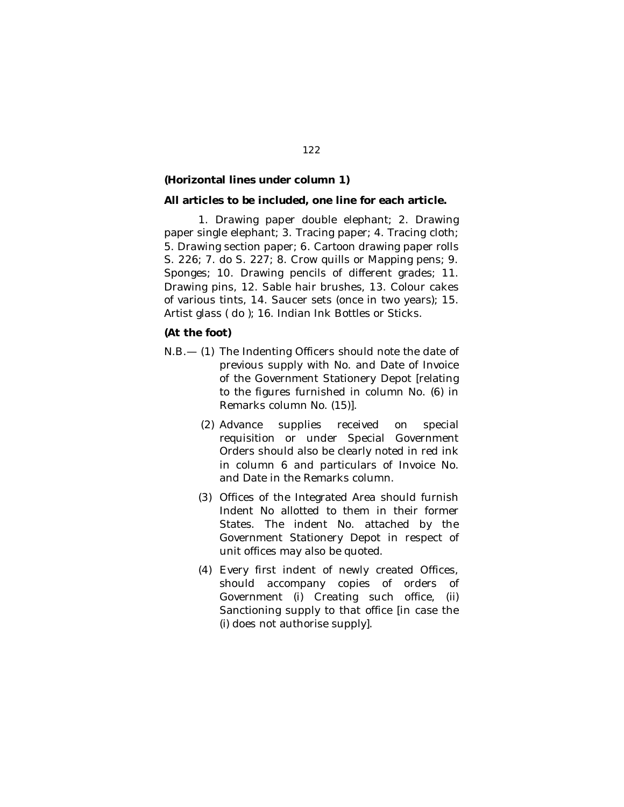## **(Horizontal lines under column 1)**

#### **All articles to be included, one line for each article.**

1. Drawing paper double elephant; 2. Drawing paper single elephant; 3. Tracing paper; 4. Tracing cloth; 5. Drawing section paper; 6. Cartoon drawing paper rolls S. 226; 7. do S. 227; 8. Crow quills or Mapping pens; 9. Sponges; 10. Drawing pencils of different grades; 11. Drawing pins, 12. Sable hair brushes, 13. Colour cakes of various tints, 14. Saucer sets (once in two years); 15. Artist glass ( do ); 16. Indian Ink Bottles or Sticks.

## **(At the foot)**

- N.B.— (1) The Indenting Officers should note the date of previous supply with No. and Date of Invoice of the Government Stationery Depot [relating to the figures furnished in column No. (6) in Remarks column No. (15)].
	- (2) Advance supplies received on special requisition or under Special Government Orders should also be clearly noted in red ink in column 6 and particulars of Invoice No. and Date in the Remarks column.
	- (3) Offices of the Integrated Area should furnish Indent No allotted to them in their former States. The indent No. attached by the Government Stationery Depot in respect of unit offices may also be quoted.
	- (4) Every first indent of newly created Offices, should accompany copies of orders of Government (i) Creating such office, (ii) Sanctioning supply to that office [in case the (i) does not authorise supply].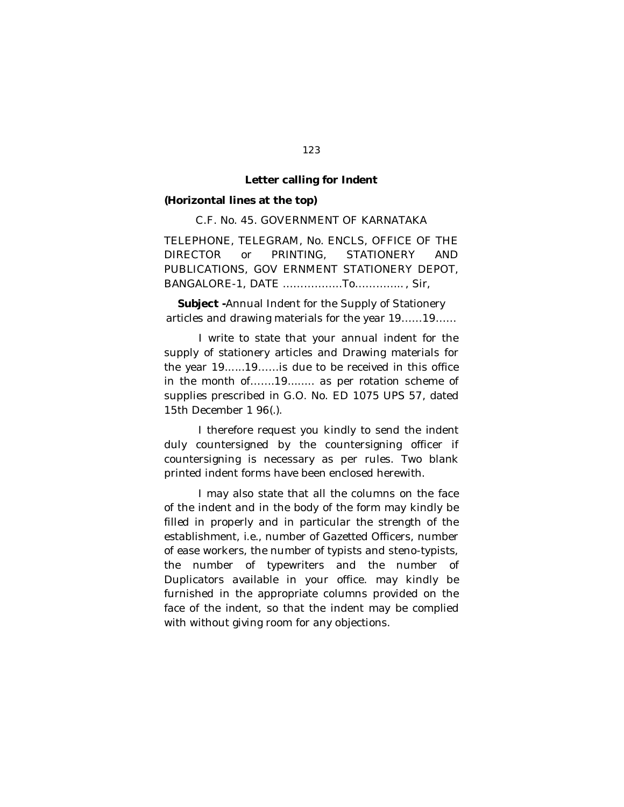#### **Letter calling for Indent**

#### **(Horizontal lines at the top)**

C.F. No. 45. GOVERNMENT OF KARNATAKA

TELEPHONE, TELEGRAM, No. ENCLS, OFFICE OF THE DIRECTOR or PRINTING, STATIONERY AND PUBLICATIONS, GOV ERNMENT STATIONERY DEPOT, BANGALORE-1, DATE ……………..To………….. , Sir,

**Subject -**Annual Indent for the Supply of Stationery articles and drawing materials for the year 19……19……

I write to state that your annual indent for the supply of stationery articles and Drawing materials for the year 19......19……is due to be received in this office in the month of…….19........ as per rotation scheme of supplies prescribed in G.O. No. ED 1075 UPS 57, dated 15th December 1 96(.).

I therefore request you kindly to send the indent duly countersigned by the countersigning officer if countersigning is necessary as per rules. Two blank printed indent forms have been enclosed herewith.

I may also state that all the columns on the face of the indent and in the body of the form may kindly be filled in properly and in particular the strength of the establishment, *i.e.,* number of Gazetted Officers, number of ease workers, the number of typists and steno-typists, the number of typewriters and the number of Duplicators available in your office. may kindly be furnished in the appropriate columns provided on the face of the indent, so that the indent may be complied with without giving room for any objections.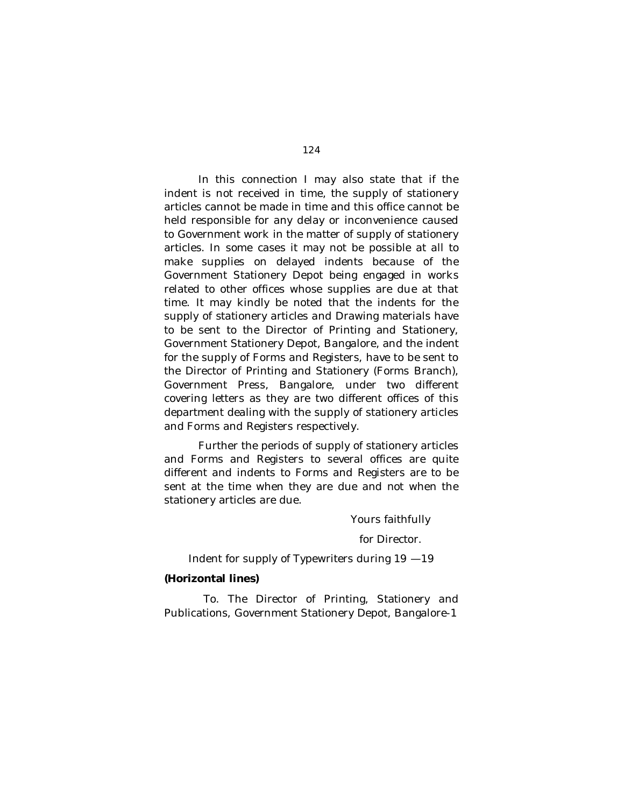In this connection I may also state that if the indent is not received in time, the supply of stationery articles cannot be made in time and this office cannot be held responsible for any delay or inconvenience caused to Government work in the matter of supply of stationery articles. In some cases it may not be possible at all to make supplies on delayed indents because of the Government Stationery Depot being engaged in works related to other offices whose supplies are due at that time. It may kindly be noted that the indents for the supply of stationery articles and Drawing materials have to be sent to the Director of Printing and Stationery, Government Stationery Depot, Bangalore, and the indent for the supply of Forms and Registers, have to be sent to the Director of Printing and Stationery (Forms Branch), Government Press, Bangalore, under two different covering letters as they are two different offices of this department dealing with the supply of stationery articles and Forms and Registers respectively.

Further the periods of supply of stationery articles and Forms and Registers to several offices are quite different and indents to Forms and Registers are to be sent at the time when they are due and not when the stationery articles are due.

Yours faithfully

for Director.

Indent for supply of Typewriters during 19 —19

## **(Horizontal lines)**

To. The Director of Printing, Stationery and Publications, Government Stationery Depot, Bangalore-1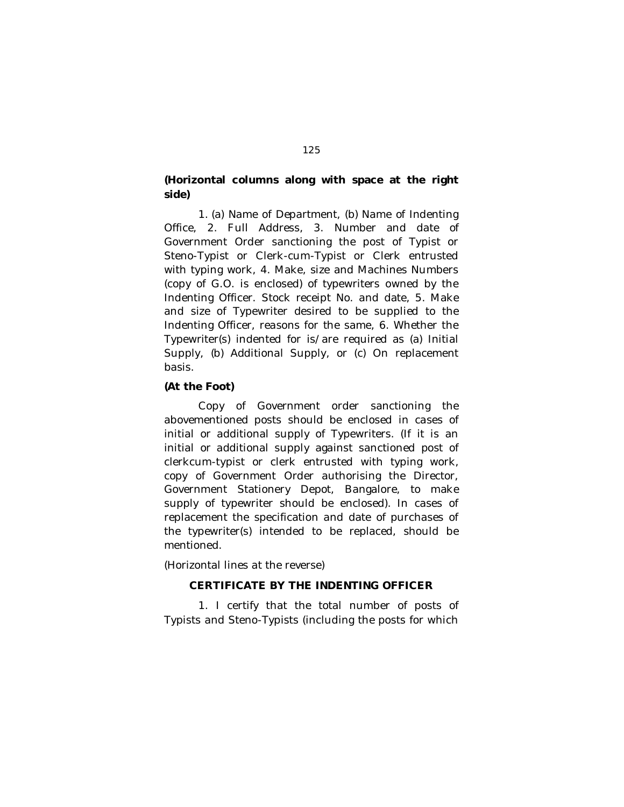# **(Horizontal columns along with space at the right side)**

1. (a) Name of Department, (b) Name of Indenting Office, 2. Full Address, 3. Number and date of Government Order sanctioning the post of Typist or Steno-Typist or Clerk-cum-Typist or Clerk entrusted with typing work, 4. Make, size and Machines Numbers (copy of G.O. is enclosed) of typewriters owned by the Indenting Officer. Stock receipt No. and date, 5. Make and size of Typewriter desired to be supplied to the Indenting Officer, reasons for the same, 6. Whether the Typewriter(s) indented for is/are required as (a) Initial Supply, (b) Additional Supply, or (c) On replacement basis.

## **(At the Foot)**

Copy of Government order sanctioning the abovementioned posts should be enclosed in cases of initial or additional supply of Typewriters. (If it is an initial or additional supply against sanctioned post of clerkcum-typist or clerk entrusted with typing work, copy of Government Order authorising the Director, Government Stationery Depot, Bangalore, to make supply of typewriter should be enclosed). In cases of replacement the specification and date of purchases of the typewriter(s) intended to be replaced, should be mentioned.

(Horizontal lines at the reverse)

# **CERTIFICATE BY THE INDENTING OFFICER**

1. I certify that the total number of posts of Typists and Steno-Typists (including the posts for which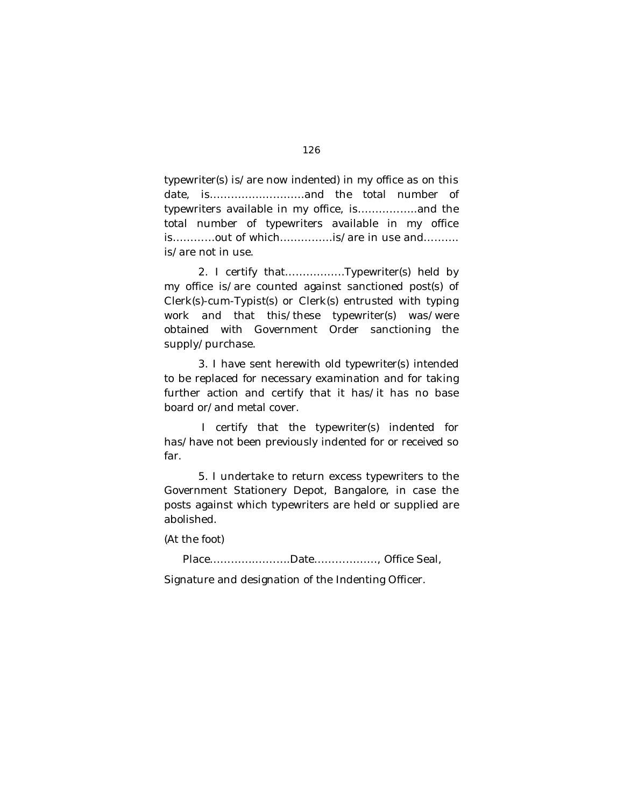typewriter(s) is/are now indented) in my office as on this date, is………………………and the total number of typewriters available in my office, is……………..and the total number of typewriters available in my office is…………out of which……………is/are in use and………. is/are not in use.

2. I certify that……………..Typewriter(s) held by my office is/are counted against sanctioned post(s) of Clerk(s)-cum-Typist(s) or Clerk(s) entrusted with typing work and that this/these typewriter(s) was/were obtained with Government Order sanctioning the supply/purchase.

3. I have sent herewith old typewriter(s) intended to be replaced for necessary examination and for taking further action and certify that it has/it has no base board or/and metal cover.

 I certify that the typewriter(s) indented for has/have not been previously indented for or received so far.

5. I undertake to return excess typewriters to the Government Stationery Depot, Bangalore, in case the posts against which typewriters are held or supplied are abolished.

(At the foot)

Place………….……….Date………………, Office Seal,

Signature and designation of the Indenting Officer.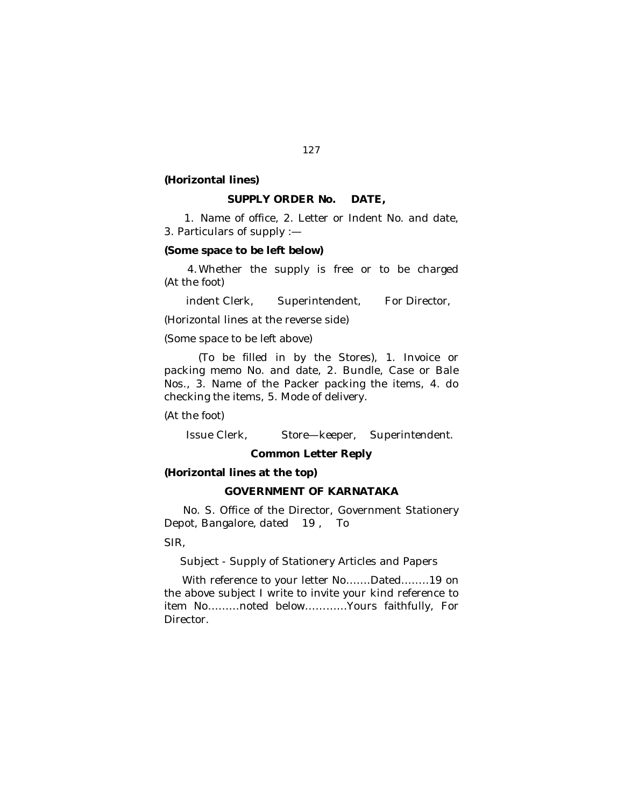#### **(Horizontal lines)**

#### **SUPPLY ORDER No. DATE,**

1. Name of office, 2. Letter or Indent No. and date, 3. Particulars of supply :—

#### **(Some space to be left below)**

4.Whether the supply is free or to be charged (At the foot)

indent Clerk, Superintendent, For Director,

(Horizontal lines at the reverse side)

(Some space to be left above)

(To be filled in by the Stores), 1. Invoice or packing memo No. and date, 2. Bundle, Case or Bale Nos., 3. Name of the Packer packing the items, 4. do checking the items, 5. Mode of delivery.

(At the foot)

Issue Clerk, Store—keeper, Superintendent.

## **Common Letter Reply**

# **(Horizontal lines at the top)**

## **GOVERNMENT OF KARNATAKA**

No. S. Office of the Director, Government Stationery Depot, Bangalore, dated 19 , To

SIR,

Subject - Supply of Stationery Articles and Papers

With reference to your letter No…….Dated……..19 on the above subject I write to invite your kind reference to item No………noted below…………Yours faithfully, For **Director**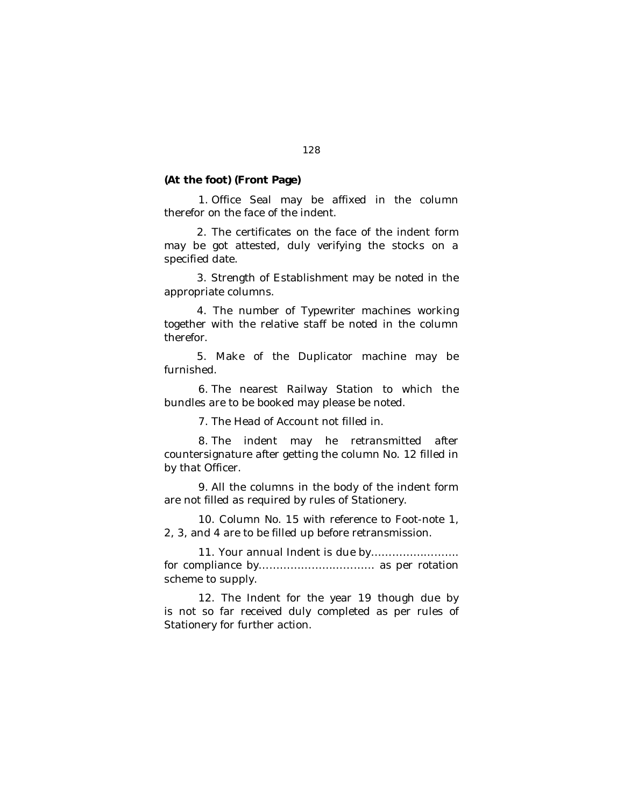#### **(At the foot) (Front Page)**

1. Office Seal may be affixed in the column therefor on the face of the indent.

2. The certificates on the face of the indent form may be got attested, duly verifying the stocks on a specified date.

3. Strength of Establishment may be noted in the appropriate columns.

4. The number of Typewriter machines working together with the relative staff be noted in the column therefor.

5. Make of the Duplicator machine may be furnished.

6. The nearest Railway Station to which the bundles are to be booked may please be noted.

7. The Head of Account not filled in.

8. The indent may he retransmitted after countersignature after getting the column No. 12 filled in by that Officer.

9. All the columns in the body of the indent form are not filled as required by rules of Stationery.

10. Column No. 15 with reference to Foot-note 1, 2, 3, and 4 are to be filled up before retransmission.

11. Your annual Indent is due by……………………. for compliance by…………………………… as per rotation scheme to supply.

12. The Indent for the year 19 though due by is not so far received duly completed as per rules of Stationery for further action.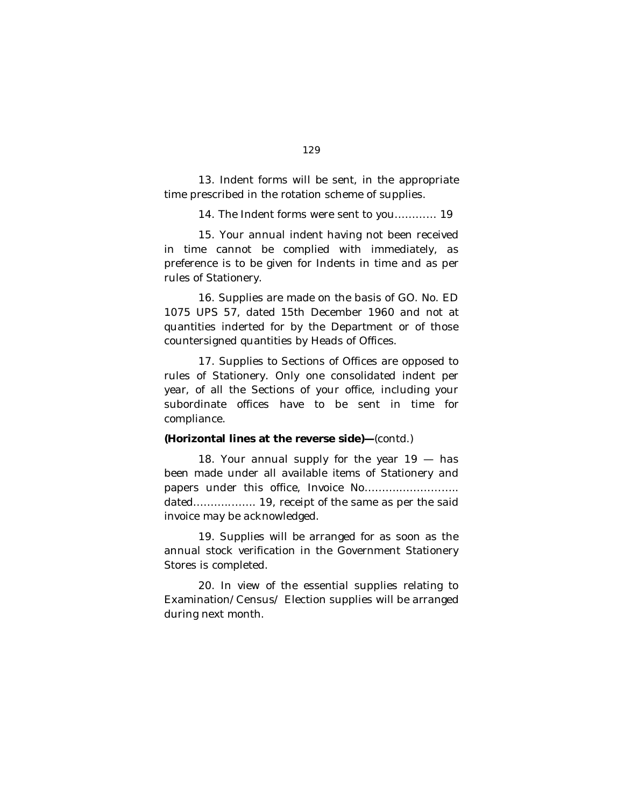13. Indent forms will be sent, in the appropriate time prescribed in the rotation scheme of supplies.

14. The Indent forms were sent to you………… 19

15. Your annual indent having not been received in time cannot be complied with immediately, as preference is to be given for Indents in time and as per rules of Stationery.

16. Supplies are made on the basis of GO. No. ED 1075 UPS 57, dated 15th December 1960 and not at quantities inderted for by the Department or of those countersigned quantities by Heads of Offices.

17. Supplies to Sections of Offices are opposed to rules of Stationery. Only one consolidated indent per year, of all the Sections of your office, including your subordinate offices have to be sent in time for compliance.

## **(Horizontal lines at the reverse side)—**(contd.)

18. Your annual supply for the year 19 - has been made under all available items of Stationery and papers under this office, Invoice No……….…………….. dated………..……. 19, receipt of the same as per the said invoice may be acknowledged.

19. Supplies will be arranged for as soon as the annual stock verification in the Government Stationery Stores is completed.

20. In view of the essential supplies relating to Examination/Census/ Election supplies will be arranged during next month.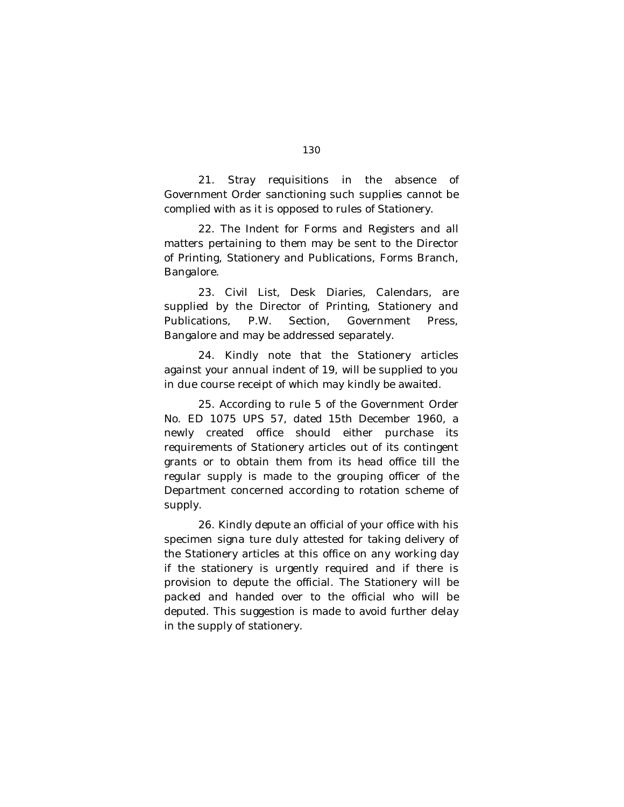21. Stray requisitions in the absence of Government Order sanctioning such supplies cannot be complied with as it is opposed to rules of Stationery.

22. The Indent for Forms and Registers and all matters pertaining to them may be sent to the Director of Printing, Stationery and Publications, Forms Branch, Bangalore.

23. Civil List, Desk Diaries, Calendars, are supplied by the Director of Printing, Stationery and Publications, P.W. Section, Government Press, Bangalore and may be addressed separately.

24. Kindly note that the Stationery articles against your annual indent of 19, will be supplied to you in due course receipt of which may kindly be awaited.

25. According to rule 5 of the Government Order No. ED 1075 UPS 57, dated 15th December 1960, a newly created office should either purchase its requirements of Stationery articles out of its contingent grants or to obtain them from its head office till the regular supply is made to the grouping officer of the Department concerned according to rotation scheme of supply.

26. Kindly depute an official of your office with his specimen signa ture duly attested for taking delivery of the Stationery articles at this office on any working day if the stationery is urgently required and if there is provision to depute the official. The Stationery will be packed and handed over to the official who will be deputed. This suggestion is made to avoid further delay in the supply of stationery.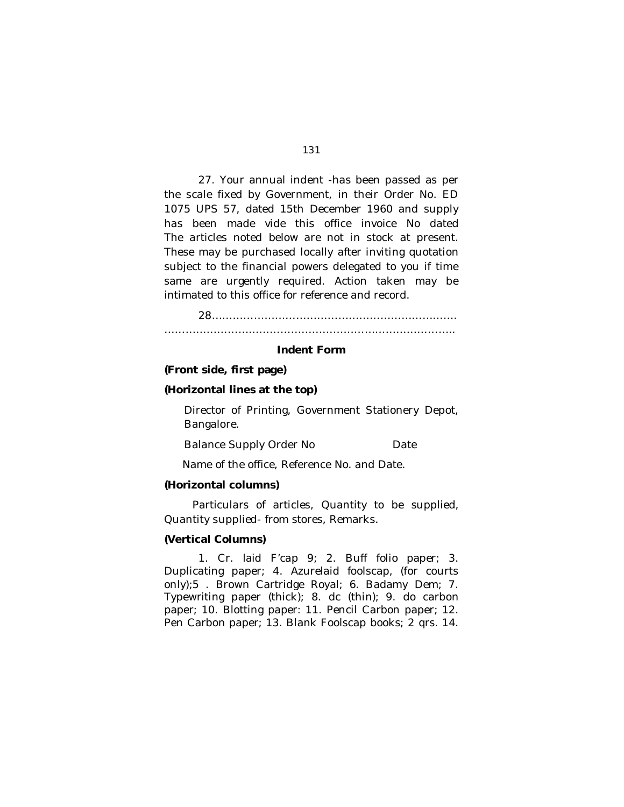27. Your annual indent -has been passed as per the scale fixed by Government, in their Order No. ED 1075 UPS 57, dated 15th December 1960 and supply has been made vide this office invoice No dated The articles noted below are not in stock at present. These may be purchased locally after inviting quotation subject to the financial powers delegated to you if time same are urgently required. Action taken may be intimated to this office for reference and record.

28……………………………………………………………. ………………………………………………………………………..

#### **Indent Form**

## **(Front side, first page)**

#### **(Horizontal lines at the top)**

Director of Printing, Government Stationery Depot, Bangalore.

Balance Supply Order No Date

Name of the office, Reference No. and Date.

#### **(Horizontal columns)**

Particulars of articles, Quantity to be supplied, Quantity supplied- from stores, Remarks.

## **(Vertical Columns)**

1. Cr. laid F'cap 9; 2. Buff folio paper; 3. Duplicating paper; 4. Azurelaid foolscap, (for courts only);5 . Brown Cartridge Royal; 6. Badamy Dem; 7. Typewriting paper (thick); 8. dc (thin); 9. do carbon paper; 10. Blotting paper: 11. Pencil Carbon paper; 12. Pen Carbon paper; 13. Blank Foolscap books; 2 qrs. 14.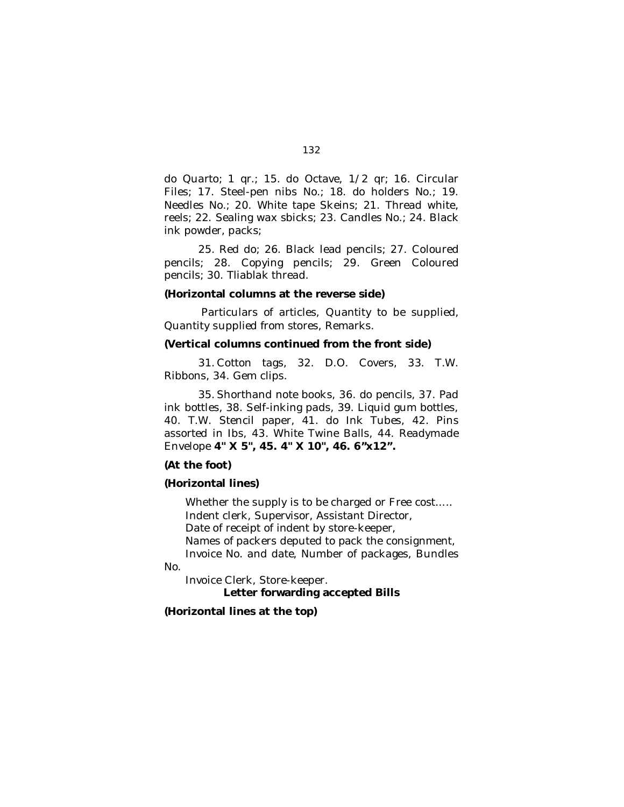do Quarto; 1 qr.; 15. do Octave, 1/2 qr; 16. Circular Files; 17. Steel-pen nibs No.; 18. do holders No.; 19. Needles No.; 20. White tape Skeins; 21. Thread white, reels; 22. Sealing wax sbicks; 23. Candles No.; 24. Black ink powder, packs;

25. Red do; 26. Black lead pencils; 27. Coloured pencils; 28. Copying pencils; 29. Green Coloured pencils; 30. Tliablak thread.

#### **(Horizontal columns at the reverse side)**

Particulars of articles, Quantity to be supplied, Quantity supplied from stores, Remarks.

# **(Vertical columns continued from the front side)**

31. Cotton tags, 32. D.O. Covers, 33. T.W. Ribbons, 34. Gem clips.

35. Shorthand note books, 36. do pencils, 37. Pad ink bottles, 38. Self-inking pads, 39. Liquid gum bottles, 40. T.W. Stencil paper, 41. do Ink Tubes, 42. Pins assorted in Ibs, 43. White Twine Balls, 44. Readymade Envelope **4" X 5", 45. 4" X 10", 46. 6"x12".**

## **(At the foot)**

#### **(Horizontal lines)**

Whether the supply is to be charged or Free cost..... Indent clerk, Supervisor, Assistant Director, Date of receipt of indent by store-keeper, Names of packers deputed to pack the consignment, Invoice No. and date, Number of packages, Bundles

No.

Invoice Clerk, Store-keeper. **Letter forwarding accepted Bills**

## **(Horizontal lines at the top)**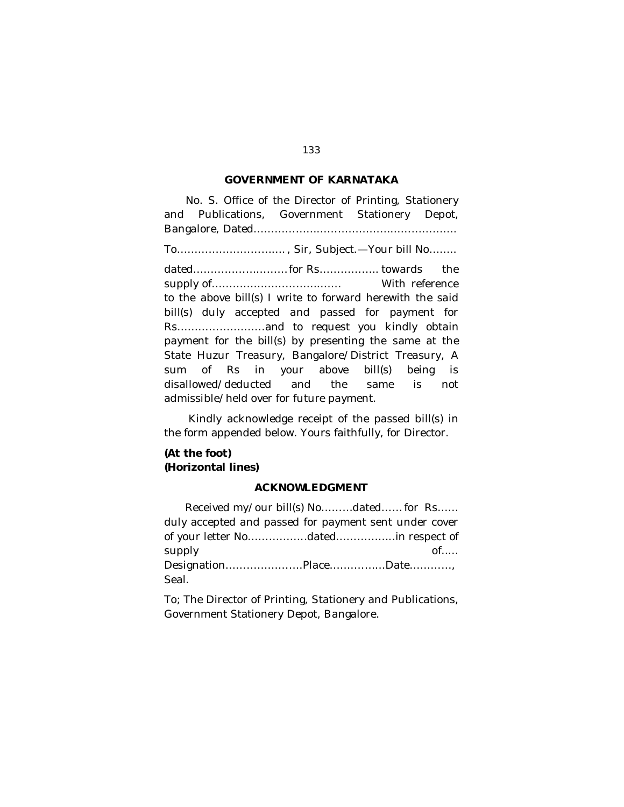## **GOVERNMENT OF KARNATAKA**

No. S. Office of the Director of Printing, Stationery and Publications, Government Stationery Depot, Bangalore, Dated…………………………………………………. To…………………………. , Sir, Subject.—Your bill No…….. dated…………………………for Rs……………… towards the supply of………………………………. With reference to the above bill(s) I write to forward herewith the said bill(s) duly accepted and passed for payment for Rs…………………….and to request you kindly obtain payment for the bill(s) by presenting the same at the State Huzur Treasury, Bangalore/District Treasury, A sum of Rs in your above bill(s) being is disallowed/deducted and the same is not admissible/held over for future payment.

Kindly acknowledge receipt of the passed bill(s) in the form appended below. Yours faithfully, for Director.

# **(At the foot) (Horizontal lines)**

## **ACKNOWLEDGMENT**

Received my/our bill(s) No………dated……for Rs…… duly accepted and passed for payment sent under cover of your letter No……………..dated……………..in respect of supply of..… Designation………………….Place…….………Date…………, Seal.

To; The Director of Printing, Stationery and Publications, Government Stationery Depot, Bangalore.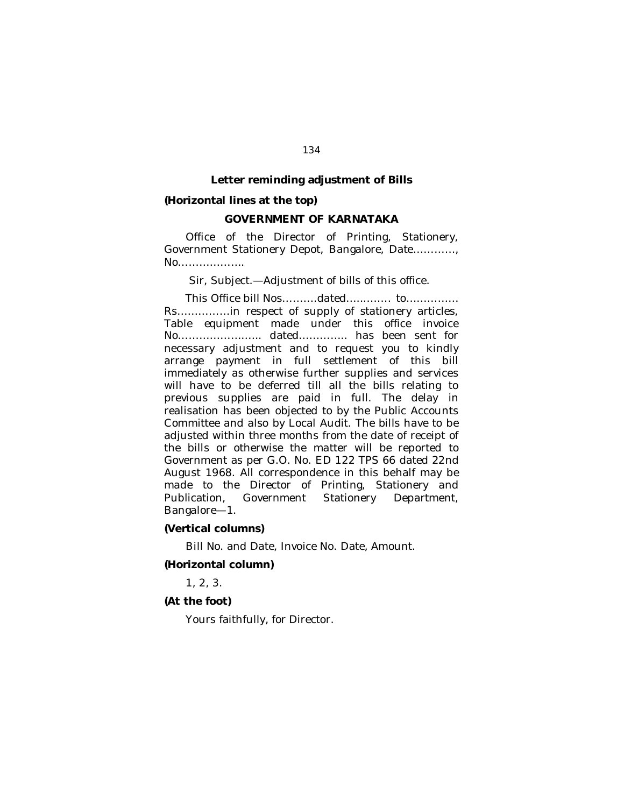#### **Letter reminding adjustment of Bills**

#### **(Horizontal lines at the top)**

## **GOVERNMENT OF KARNATAKA**

Office of the Director of Printing, Stationery, Government Stationery Depot, Bangalore, Date…………, No……………….

Sir, Subject.—Adjustment of bills of this office.

This Office bill Nos……….dated…...……. to…………… Rs……………in respect of supply of stationery articles, Table equipment made under this office invoice No…………………... dated………….. has been sent for necessary adjustment and to request you to kindly arrange payment in full settlement of this bill immediately as otherwise further supplies and services will have to be deferred till all the bills relating to previous supplies are paid in full. The delay in realisation has been objected to by the Public Accounts Committee and also by Local Audit. The bills have to be adjusted within three months from the date of receipt of the bills or otherwise the matter will be reported to Government as per G.O. No. ED 122 TPS 66 dated 22nd August 1968. All correspondence in this behalf may be made to the Director of Printing, Stationery and Publication, Government Stationery Department, Bangalore—1.

#### **(Vertical columns)**

Bill No. and Date, Invoice No. Date, Amount.

#### **(Horizontal column)**

1, 2, 3.

## **(At the foot)**

Yours faithfully, for Director.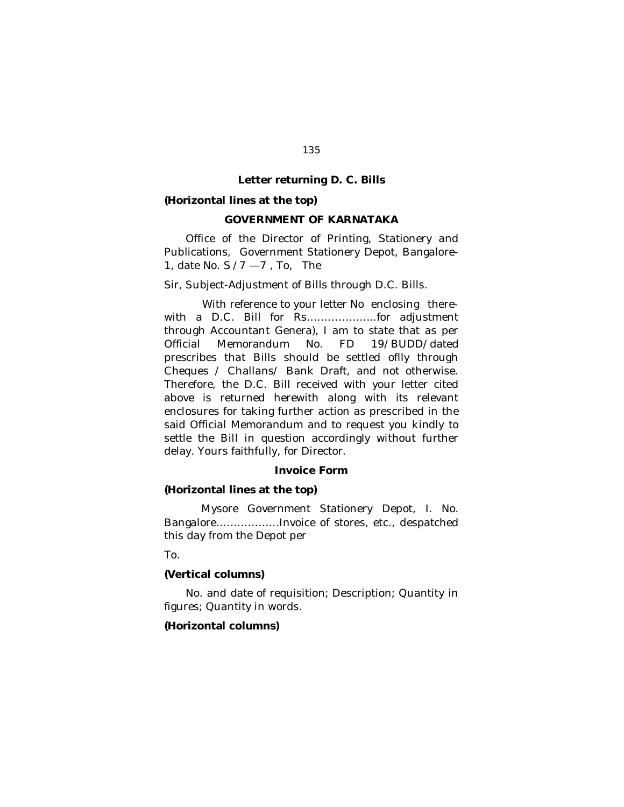#### **Letter returning D. C. Bills**

#### **(Horizontal lines at the top)**

## **GOVERNMENT OF KARNATAKA**

Office of the Director of Printing, Stationery and Publications, Government Stationery Depot, Bangalore-1, date No. S /7 —7 , To, The

Sir, Subject-Adjustment of Bills through D.C. Bills.

With reference to your letter No enclosing therewith a D.C. Bill for Rs………………..for adjustment through Accountant Genera), I am to state that as per Official Memorandum No. FD 19/BUDD/dated prescribes that Bills should be settled oflly through Cheques / Challans/ Bank Draft, and not otherwise. Therefore, the D.C. Bill received with your letter cited above is returned herewith along with its relevant enclosures for taking further action as prescribed in the said Official Memorandum and to request you kindly to settle the Bill in question accordingly without further delay. Yours faithfully, for Director.

#### **Invoice Form**

## **(Horizontal lines at the top)**

Mysore Government Stationery Depot, I. No. Bangalore………………Invoice of stores, etc., despatched this day from the Depot per

To.

#### **(Vertical columns)**

No. and date of requisition; Description; Quantity in figures; Quantity in words.

#### **(Horizontal columns)**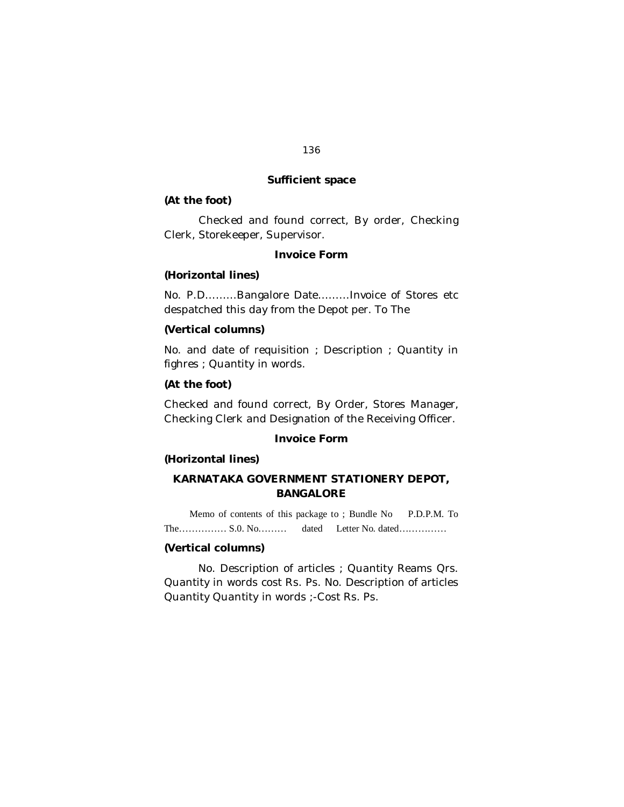## **Sufficient space**

#### **(At the foot)**

Checked and found correct, By order, Checking Clerk, Storekeeper, Supervisor.

## **Invoice Form**

## **(Horizontal lines)**

No. P.D………Bangalore Date………Invoice of Stores etc despatched this day from the Depot per. To The

### **(Vertical columns)**

No. and date of requisition ; Description ; Quantity in fighres ; Quantity in words.

## **(At the foot)**

Checked and found correct, By Order, Stores Manager, Checking Clerk and Designation of the Receiving Officer.

#### **Invoice Form**

## **(Horizontal lines)**

# **KARNATAKA GOVERNMENT STATIONERY DEPOT, BANGALORE**

Memo of contents of this package to ; Bundle No P.D.P.M. To The…………… S.0. No……… dated Letter No. dated……………

## **(Vertical columns)**

No. Description of articles ; Quantity Reams Qrs. Quantity in words cost Rs. Ps. No. Description of articles Quantity Quantity in words ;-Cost Rs. Ps.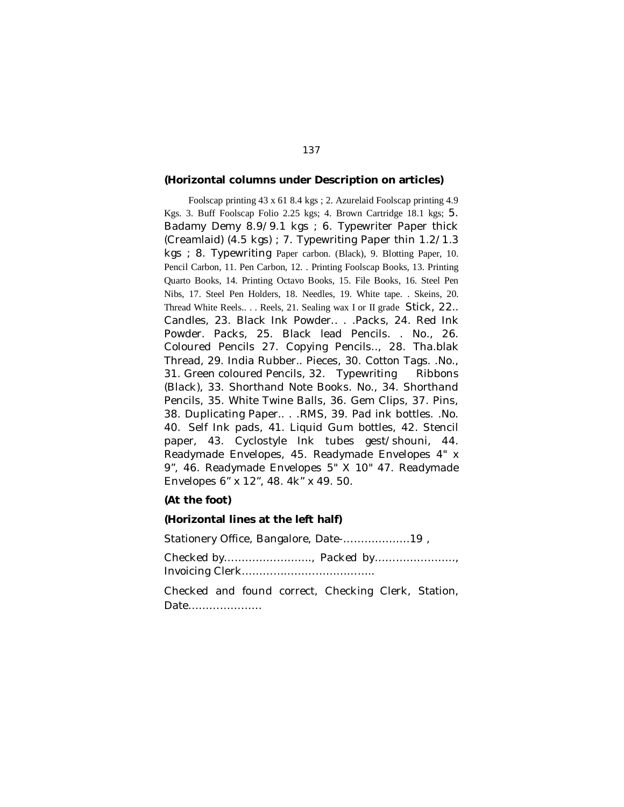#### **(Horizontal columns under Description on articles)**

Foolscap printing 43 x 61 8.4 kgs ; 2. Azurelaid Foolscap printing 4.9 Kgs. 3. Buff Foolscap Folio 2.25 kgs; 4. Brown Cartridge 18.1 kgs; 5. Badamy Demy 8.9/9.1 kgs ; 6. Typewriter Paper thick (Creamlaid) (4.5 kgs) ; 7. Typewriting Paper thin 1.2/1.3 kgs ; 8. Typewriting Paper carbon. (Black), 9. Blotting Paper, 10. Pencil Carbon, 11. Pen Carbon, 12. . Printing Foolscap Books, 13. Printing Quarto Books, 14. Printing Octavo Books, 15. File Books, 16. Steel Pen Nibs, 17. Steel Pen Holders, 18. Needles, 19. White tape. . Skeins, 20. Thread White Reels.. . . Reels, 21. Sealing wax I or II grade Stick, 22.. Candles, 23. Black Ink Powder.. . .Packs, 24. Red Ink Powder. Packs, 25. Black lead Pencils. . No., 26. Coloured Pencils 27. Copying Pencils.., 28. Tha.blak Thread, 29. India Rubber.. Pieces, 30. Cotton Tags. .No., 31. Green coloured Pencils, 32. Typewriting Ribbons (Black), 33. Shorthand Note Books. No., 34. Shorthand Pencils, 35. White Twine Balls, 36. Gem Clips, 37. Pins, 38. Duplicating Paper.. . .RMS, 39. Pad ink bottles. .No. 40. Self Ink pads, 41. Liquid Gum bottles, 42. Stencil paper, 43. Cyclostyle Ink tubes gest/shouni, 44. Readymade Envelopes, 45. Readymade Envelopes 4" x 9", 46. Readymade Envelopes 5" X 10" 47. Readymade Envelopes 6" x 12", 48. 4k" x 49. 50.

#### **(At the foot)**

#### **(Horizontal lines at the left half)**

Stationery Office, Bangalore, Date-……………….19 ,

Checked by……………………., Packed by………………….., Invoicing Clerk………………………………..

Checked and found correct, Checking Clerk, Station, Date…………………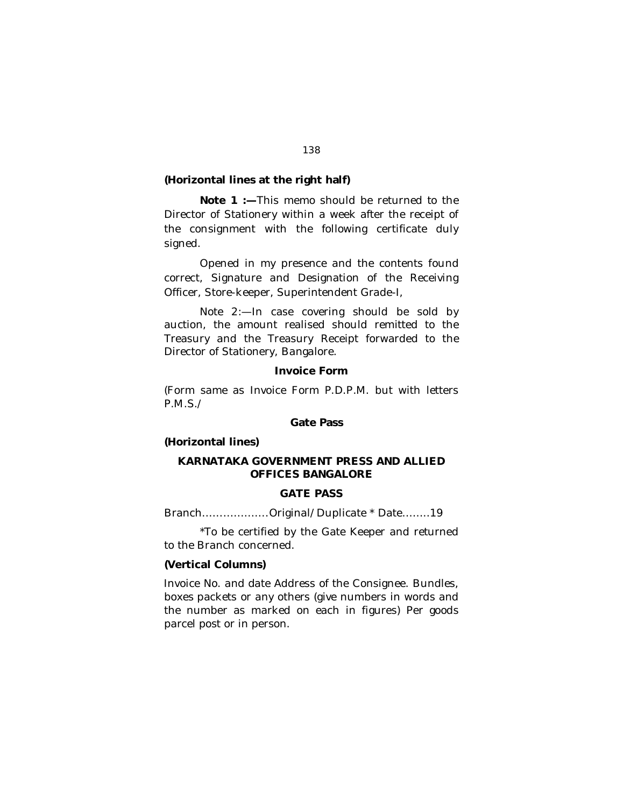## **(Horizontal lines at the right half)**

**Note 1 :—**This memo should be returned to the Director of Stationery within a week after the receipt of the consignment with the following certificate duly signed.

Opened in my presence and the contents found correct, Signature and Designation of the Receiving Officer, Store-keeper, Superintendent Grade-I,

Note 2:—In case covering should be sold by auction, the amount realised should remitted to the Treasury and the Treasury Receipt forwarded to the Director of Stationery, Bangalore.

## **Invoice Form**

(Form same as Invoice Form P.D.P.M. but with letters P.M.S./

#### **Gate Pass**

## **(Horizontal lines)**

# **KARNATAKA GOVERNMENT PRESS AND ALLIED OFFICES BANGALORE**

# **GATE PASS**

Branch……………….Original/Duplicate \* Date……..19

\*To be certified by the Gate Keeper and returned to the Branch concerned.

#### **(Vertical Columns)**

Invoice No. and date Address of the Consignee. Bundles, boxes packets or any others (give numbers in words and the number as marked on each in figures) Per goods parcel post or in person.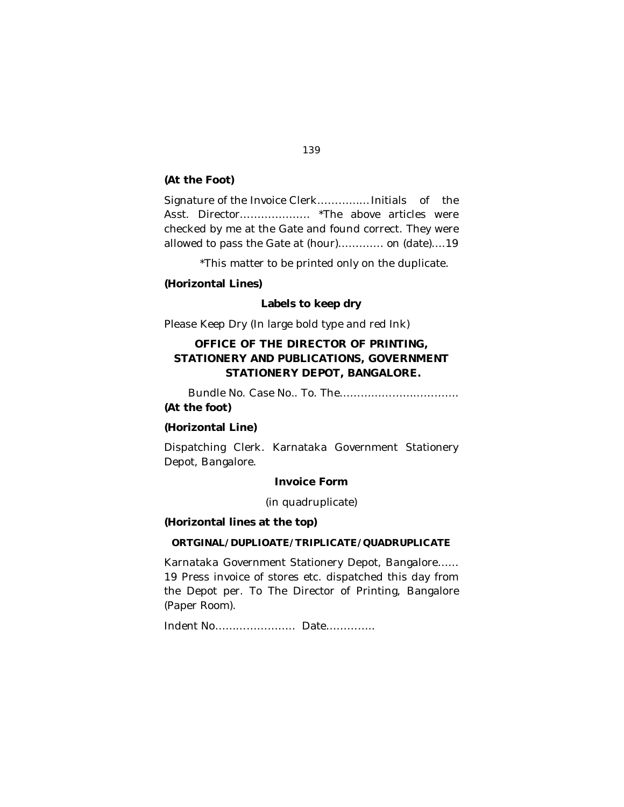## **(At the Foot)**

Signature of the Invoice Clerk……………Initials of the Asst. Director……………….. \*The above articles were checked by me at the Gate and found correct. They were allowed to pass the Gate at (hour)…………. on (date)….19

\*This matter to be printed only on the duplicate.

## **(Horizontal Lines)**

## **Labels to keep dry**

Please Keep Dry (In large bold type and red Ink)

# **OFFICE OF THE DIRECTOR OF PRINTING, STATIONERY AND PUBLICATIONS, GOVERNMENT STATIONERY DEPOT, BANGALORE.**

Bundle No. Case No.. To. The……………………………. **(At the foot)**

#### **(Horizontal Line)**

Dispatching Clerk. Karnataka Government Stationery Depot, Bangalore.

## **Invoice Form**

(in quadruplicate)

#### **(Horizontal lines at the top)**

#### **ORTGINAL/DUPLIOATE/TRIPLICATE/QUADRUPLICATE**

Karnataka Government Stationery Depot, Bangalore…… 19 Press invoice of stores etc. dispatched this day from the Depot per. To The Director of Printing, Bangalore (Paper Room).

Indent No………………….. Date…………..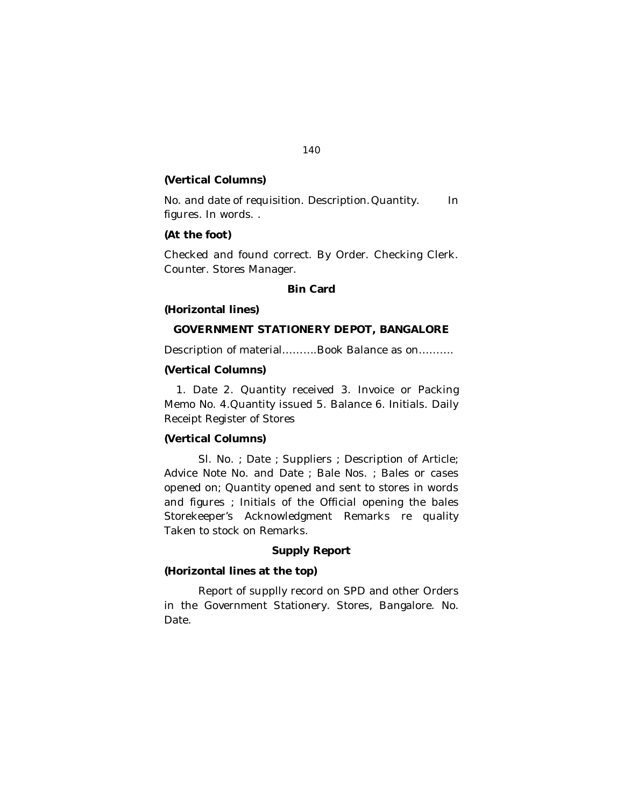# **(Vertical Columns)**

No. and date of requisition. Description. Quantity. In figures. In words. .

# **(At the foot)**

Checked and found correct. By Order. Checking Clerk. Counter. Stores Manager.

## **Bin Card**

#### **(Horizontal lines)**

#### **GOVERNMENT STATIONERY DEPOT, BANGALORE**

Description of material……….Book Balance as on……….

# **(Vertical Columns)**

1. Date 2. Quantity received 3. Invoice or Packing Memo No. 4.Quantity issued 5. Balance 6. Initials. Daily Receipt Register of Stores

## **(Vertical Columns)**

Sl. No. *;* Date *;* Suppliers *;* Description of Article; Advice Note No. and Date *;* Bale Nos. *;* Bales or cases opened on; Quantity opened and sent to stores in words and figures *;* Initials of the Official opening the bales Storekeeper's Acknowledgment Remarks re quality Taken to stock on Remarks.

## **Supply Report**

# **(Horizontal lines at the top)**

Report of supplly record on SPD and other Orders in the Government Stationery. Stores, Bangalore. No. Date.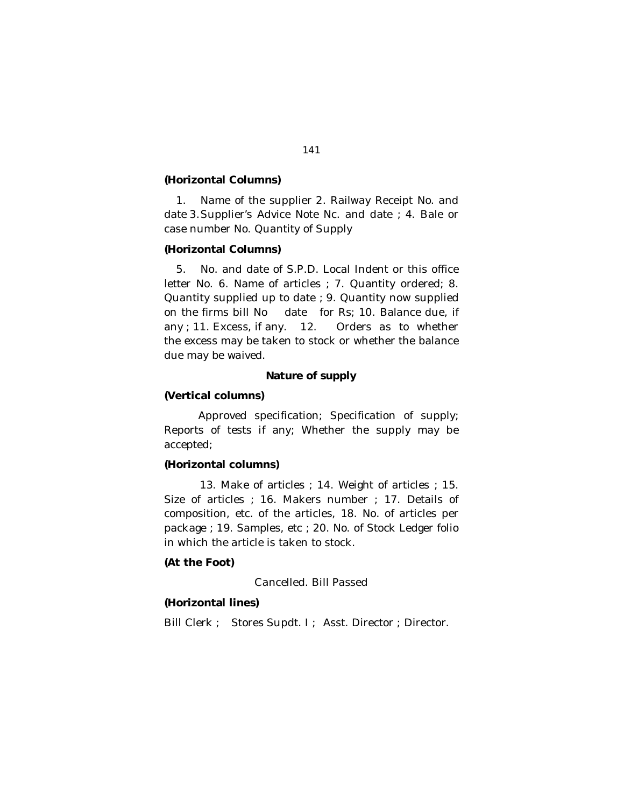## **(Horizontal Columns)**

1. Name of the supplier 2. Railway Receipt No. and date 3.Supplier's Advice Note Nc. and date *;* 4. Bale or case number No. Quantity of Supply

## **(Horizontal Columns)**

5. No. and date of S.P.D. Local Indent or this office letter No. 6. Name of articles *;* 7. Quantity ordered; 8. Quantity supplied up to date *;* 9. Quantity now supplied on the firms bill No date for Rs; 10. Balance due, if any ; 11. Excess, if any. 12. Orders as to whether the excess may be taken to stock or whether the balance due may be waived.

# **Nature of supply**

## **(Vertical columns)**

Approved specification; Specification of supply; Reports of tests if any; Whether the supply may be accepted;

## **(Horizontal columns)**

13. Make of articles ; 14. Weight of articles ; 15. Size of articles *;* 16. Makers number ; 17. Details of composition, etc. of the articles, 18. No. of articles per package ; 19. Samples, etc ; 20. No. of Stock Ledger folio in which the article is taken to stock.

## **(At the Foot)**

Cancelled. Bill Passed

## **(Horizontal lines)**

Bill Clerk *;* Stores Supdt. I *;* Asst. Director *;* Director.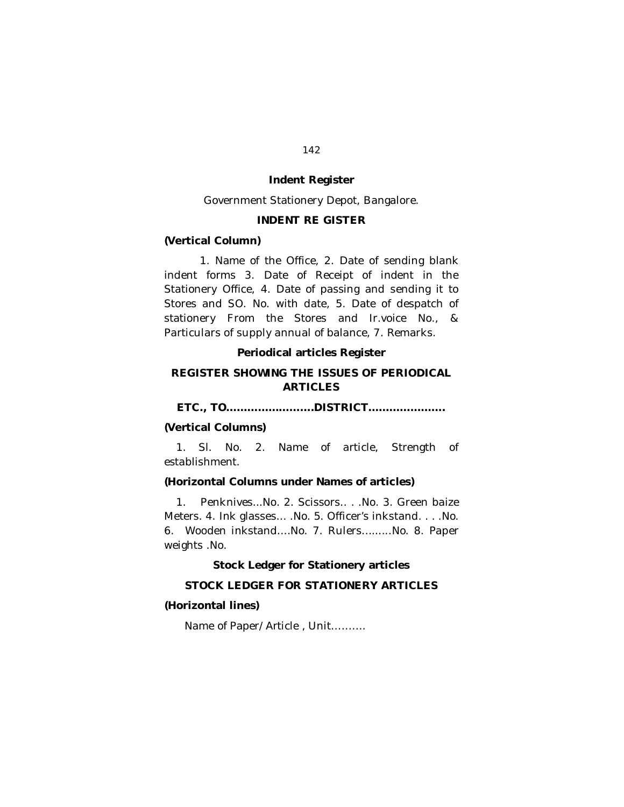# **Indent Register**

Government Stationery Depot, Bangalore.

## **INDENT RE GISTER**

## **(Vertical Column)**

1. Name of the Office, 2. Date of sending blank indent forms 3. Date of Receipt of indent in the Stationery Office, 4. Date of passing and sending it to Stores and SO. No. with date, 5. Date of despatch of stationery From the Stores and Ir.voice No., & Particulars of supply annual of balance, 7. Remarks.

## **Periodical articles Register**

# **REGISTER SHOWING THE ISSUES OF PERIODICAL ARTICLES**

**ETC., TO…………………….DISTRICT………………….**

#### **(Vertical Columns)**

1. Sl. No. 2. Name of article, Strength of establishment.

# **(Horizontal Columns under Names of articles)**

1. Penknives.*.*.No. 2. Scissors.. *.* .No. 3. Green baize Meters. 4. Ink glasses... .No. 5. Officer's inkstand. . *.* .No. 6. Wooden inkstand....No. 7. Rulers..*.*......No. 8. Paper weights .No.

**Stock Ledger for Stationery articles**

## **STOCK LEDGER FOR STATIONERY ARTICLES**

#### **(Horizontal lines)**

Name of Paper/Article *,* Unit……….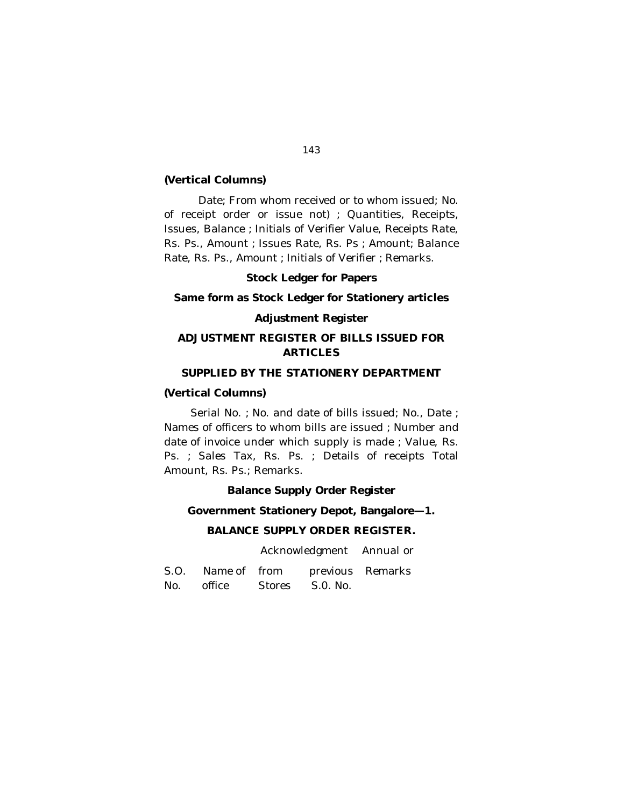## **(Vertical Columns)**

Date; From whom received or to whom issued; No. of receipt order or issue not) *;* Quantities, Receipts, Issues, Balance *;* Initials of Verifier Value, Receipts Rate, Rs. Ps., Amount *;* Issues Rate, Rs. Ps *;* Amount; Balance Rate, Rs. Ps., Amount *;* Initials of Verifier *;* Remarks.

## **Stock Ledger for Papers**

# **Same form as Stock Ledger for Stationery articles**

## **Adjustment Register**

# **ADJUSTMENT REGISTER OF BILLS ISSUED FOR ARTICLES**

# **SUPPLIED BY THE STATIONERY DEPARTMENT**

## **(Vertical Columns)**

Serial No. *;* No. and date of bills issued; No., Date ; Names of officers to whom bills are issued *;* Number and date of invoice under which supply is made *;* Value, Rs. Ps. *;* Sales Tax, Rs. Ps. ; Details of receipts Total Amount, Rs. Ps.; Remarks.

**Balance Supply Order Register**

#### **Government Stationery Depot, Bangalore—1.**

## **BALANCE SUPPLY ORDER REGISTER.**

Acknowledgment Annual or

| S.O. Name of from | previous Remarks |  |
|-------------------|------------------|--|
| No. office        | Stores S.O. No.  |  |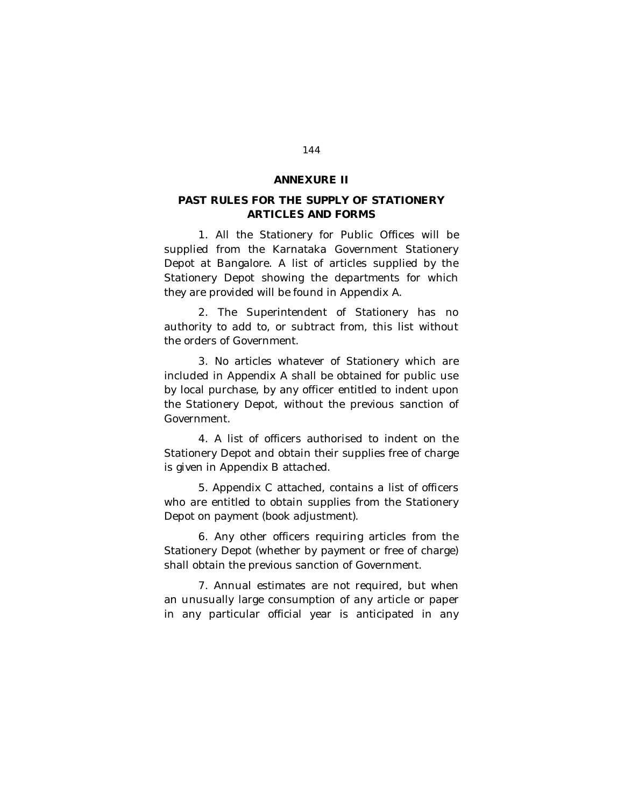#### **ANNEXURE II**

# **PAST RULES FOR THE SUPPLY OF STATIONERY ARTICLES AND FORMS**

1. All the Stationery for Public Offices will be supplied from the Karnataka Government Stationery Depot at Bangalore. A list of articles supplied by the Stationery Depot showing the departments for which they are provided will be found in Appendix A.

2. The Superintendent of Stationery has no authority to add to, or subtract from, this list without the orders of Government.

3. No articles whatever of Stationery which are included in Appendix A shall be obtained for public use by local purchase, by any officer entitled to indent upon the Stationery Depot, without the previous sanction of Government.

4. A list of officers authorised to indent on the Stationery Depot and obtain their supplies free of charge is given in Appendix B attached.

5. Appendix C attached, contains a list of officers who are entitled to obtain supplies from the Stationery Depot on payment (book adjustment).

6. Any other officers requiring articles from the Stationery Depot (whether by payment or free of charge) shall obtain the previous sanction of Government.

7. Annual estimates are not required, but when an unusually large consumption of any article or paper in any particular official year is anticipated in any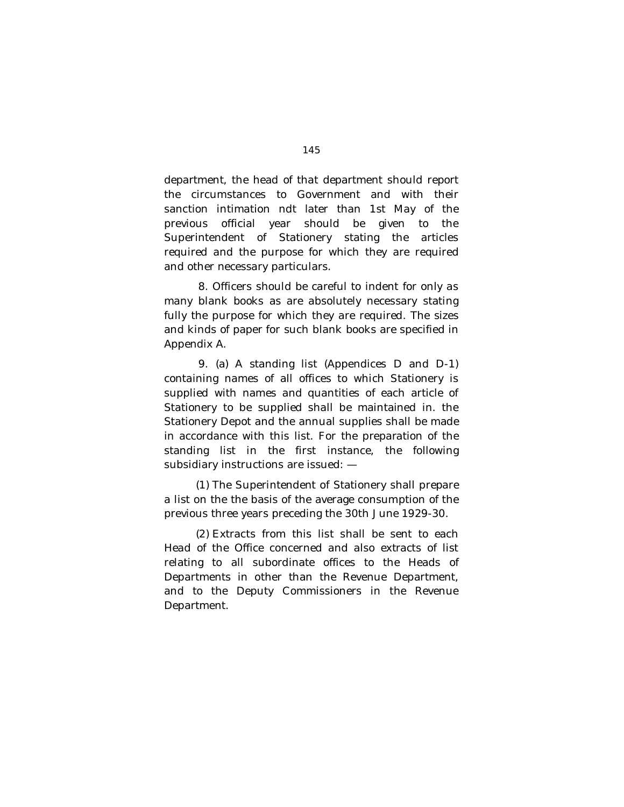department, the head of that department should report the circumstances to Government and with their sanction intimation ndt later than 1st May of the previous official year should be given to the Superintendent of Stationery stating the articles required and the purpose for which they are required and other necessary particulars.

8. Officers should be careful to indent for only as many blank books as are absolutely necessary stating fully the purpose for which they are required. The sizes and kinds of paper for such blank books are specified in Appendix A.

9. (a) A standing list (Appendices D and D-1) containing names of all offices to which Stationery is supplied with names and quantities of each article of Stationery to be supplied shall be maintained in. the Stationery Depot and the annual supplies shall be made in accordance with this list. For the preparation of the standing list in the first instance, the following subsidiary instructions are issued: —

(1) The Superintendent of Stationery shall prepare a list on the the basis of the average consumption of the previous three years preceding the 30th June 1929-30.

(2) Extracts from this list shall be sent to each Head of the Office concerned and also extracts of list relating to all subordinate offices to the Heads of Departments in other than the Revenue Department, and to the Deputy Commissioners in the Revenue Department.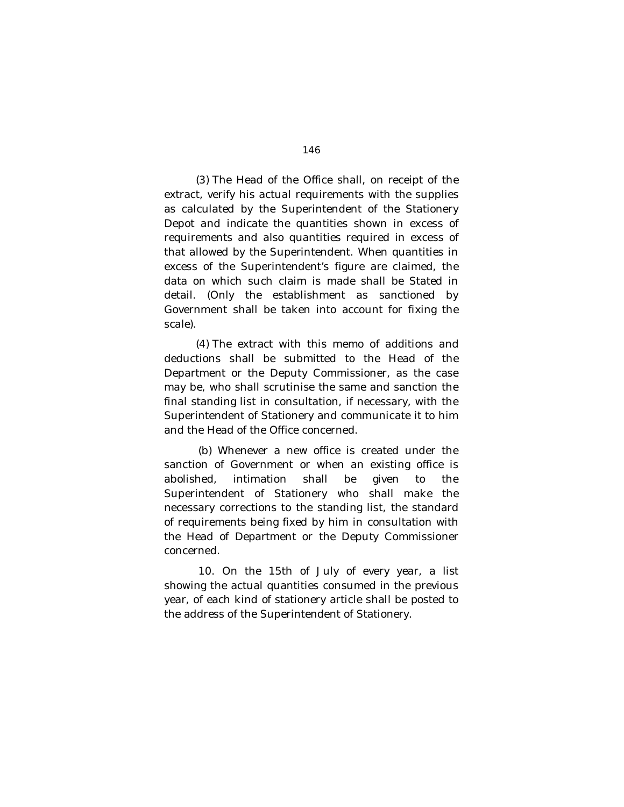(3) The Head of the Office shall, on receipt of the extract, verify his actual requirements with the supplies as calculated by the Superintendent of the Stationery Depot and indicate the quantities shown in excess of requirements and also quantities required in excess of that allowed by the Superintendent. When quantities in excess of the Superintendent's figure are claimed, the data on which such claim is made shall be Stated in detail. (Only the establishment as sanctioned by Government shall be taken into account for fixing the scale).

(4) The extract with this memo of additions and deductions shall be submitted to the Head of the Department or the Deputy Commissioner, as the case may be, who shall scrutinise the same and sanction the final standing list in consultation, if necessary, with the Superintendent of Stationery and communicate it to him and the Head of the Office concerned.

(b) Whenever a new office is created under the sanction of Government or when an existing office is abolished, intimation shall be given to the Superintendent of Stationery who shall make the necessary corrections to the standing list, the standard of requirements being fixed by him in consultation with the Head of Department or the Deputy Commissioner concerned.

10. On the 15th of July of every year, a list showing the actual quantities consumed in the previous year, of each kind of stationery article shall be posted to the address of the Superintendent of Stationery.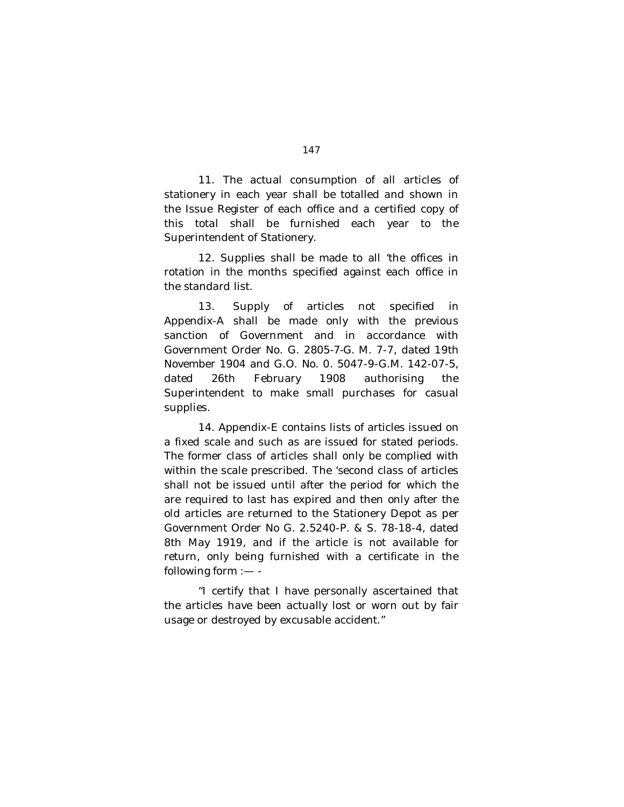11. The actual consumption of all articles of stationery in each year shall be totalled and shown in the Issue Register of each office and a certified copy of this total shall be furnished each year to the Superintendent of Stationery.

12. Supplies shall be made to all 'the offices in rotation in the months specified against each office in the standard list.

13. Supply of articles not specified in Appendix-A shall be made only with the previous sanction of Government and in accordance with Government Order No. G. *2805-7-G.* M. 7-7, dated 19th November 1904 and G.O. No. 0. 5047-9-G.M. 142-07-5, dated 26th February 1908 authorising the Superintendent to make small purchases for casual supplies.

14. Appendix-E contains lists of articles issued on a fixed scale and such as are issued for stated periods. The former class of articles shall only be complied with within the scale prescribed. The 'second class of articles shall not be issued until after the period for which the are required to last has expired and then only after the old articles are returned to the Stationery Depot as per Government Order No G. 2.5240-P. & S. 78-18-4, dated 8th May 1919, and if the article is not available for return, only being furnished with a certificate in the following form :— -

"I certify that I have personally ascertained that the articles have been actually lost or worn out by fair usage or destroyed by excusable accident."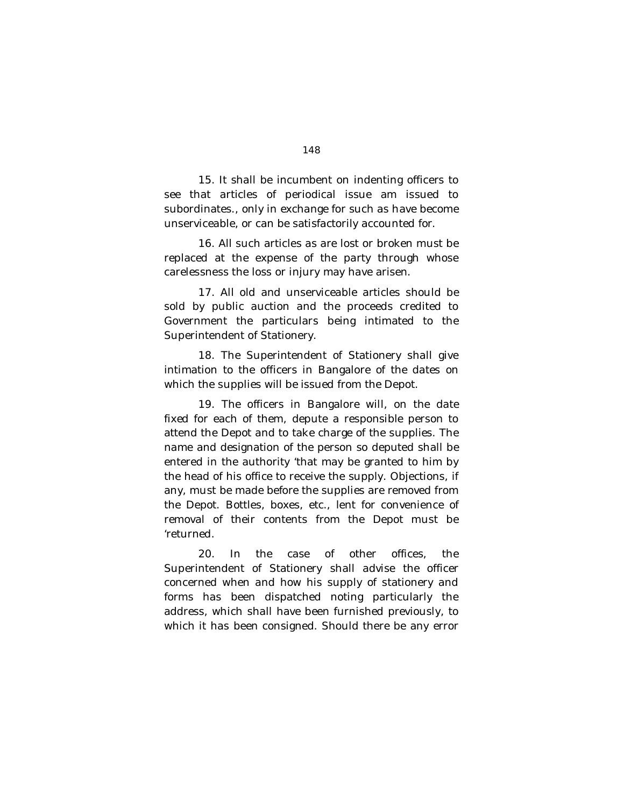15. It shall be incumbent on indenting officers to see that articles of periodical issue am issued to subordinates., only in exchange for such as have become unserviceable, or can be satisfactorily accounted for.

16. All such articles as are lost or broken must be replaced at the expense of the party through whose carelessness the loss or injury may have arisen.

17. All old and unserviceable articles should be sold by public auction and the proceeds credited to Government the particulars being intimated to the Superintendent of Stationery.

18. The Superintendent of Stationery shall give intimation to the officers in Bangalore of the dates on which the supplies will be issued from the Depot.

19. The officers in Bangalore will, on the date fixed for each of them, depute a responsible person to attend the Depot and to take charge of the supplies. The name and designation of the person so deputed shall be entered in the authority 'that may be granted to him by the head of his office to receive the supply. Objections, if any, must be made before the supplies are removed from the Depot. Bottles, boxes, etc., lent for convenience of removal of their contents from the Depot must be 'returned.

20. In the case of other offices, the Superintendent of Stationery shall advise the officer concerned when and how his supply of stationery and forms has been dispatched noting particularly the address, which shall have been furnished previously, to which it has been consigned. Should there be any error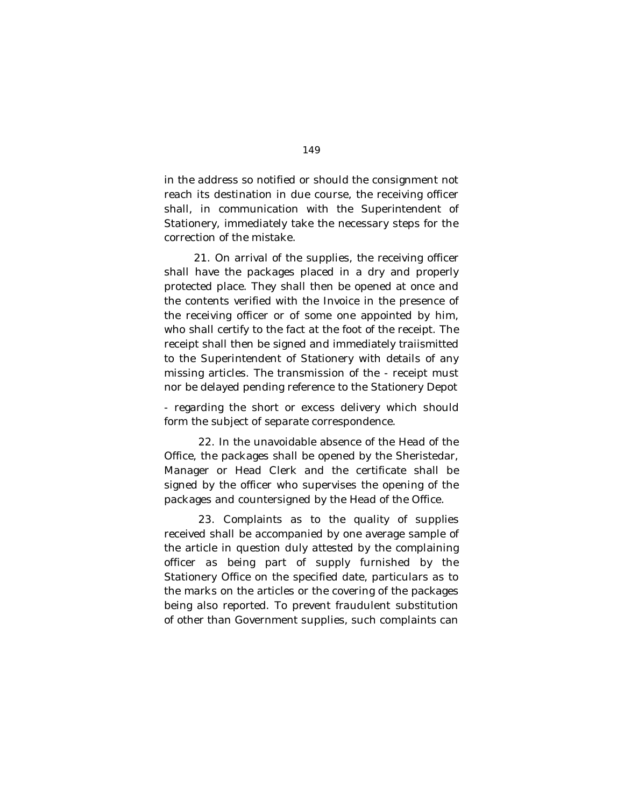in the address so notified or should the consignment not reach its destination in due course, the receiving officer shall, in communication with the Superintendent of Stationery, immediately take the necessary steps for the correction of the mistake.

21. On arrival of the supplies, the receiving officer shall have the packages placed in a dry and properly protected place. They shall then be opened at once and the contents verified with the Invoice in the presence of the receiving officer or of some one appointed by him, who shall certify to the fact at the foot of the receipt. The receipt shall then be signed and immediately traiismitted to the Superintendent of Stationery with details of any missing articles. The transmission of the - receipt must nor be delayed pending reference to the Stationery Depot

- regarding the short or excess delivery which should form the subject of separate correspondence.

22. In the unavoidable absence of the Head of the Office, the packages shall be opened by the Sheristedar, Manager or Head Clerk and the certificate shall be signed by the officer who supervises the opening of the packages and countersigned by the Head of the Office.

23. Complaints as to the quality of supplies received shall be accompanied by one average sample of the article in question duly attested by the complaining officer as being part of supply furnished by the Stationery Office on the specified date, particulars as to the marks on the articles or the covering of the packages being also reported. To prevent fraudulent substitution of other than Government supplies, such complaints can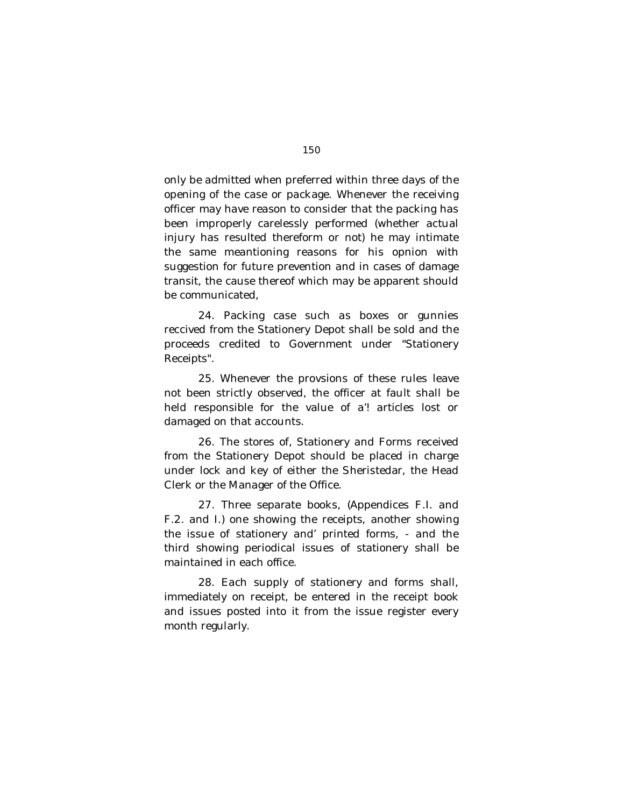only be admitted when preferred within three days of the opening of the case or package. Whenever the receiving officer may have reason to consider that the packing has been improperly carelessly performed (whether actual injury has resulted thereform or not) he may intimate the same meantioning reasons for his opnion with suggestion for future prevention and in cases of damage transit, the cause thereof which may be apparent should be communicated,

24. Packing case such as boxes or gunnies reccived from the Stationery Depot shall be sold and the proceeds credited to Government under "Stationery Receipts".

25. Whenever the provsions of these rules leave not been strictly observed, the officer at fault shall be held responsible for the value of a'! articles lost or damaged on that accounts.

26. The stores of, Stationery and Forms received from the Stationery Depot should be placed in charge under lock and key of either the Sheristedar, the Head Clerk or the Manager of the Office.

27. Three separate books, (Appendices F.I. and F.2. and I.) one showing the receipts, another showing the issue of stationery and' printed forms, - and the third showing periodical issues of stationery shall be maintained in each office.

28. Each supply of stationery and forms shall, immediately on receipt, be entered in the receipt book and issues posted into it from the issue register every month regularly.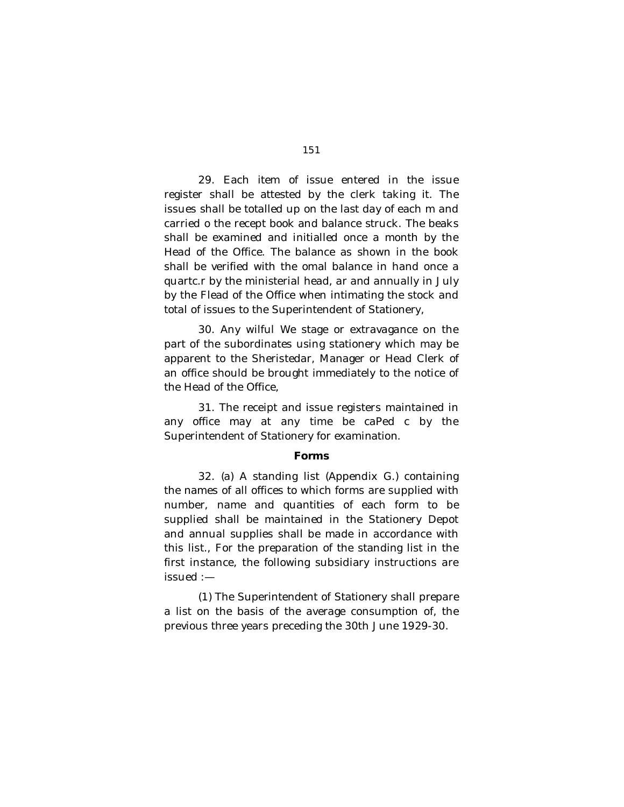29. Each item of issue entered in the issue register shall be attested by the clerk taking it. The issues shall be totalled up on the last day of each m and carried o the recept book and balance struck. The beaks shall be examined and initialled once a month by the Head of the Office. The balance as shown in the book shall be verified with the omal balance in hand once a quartc.r by the ministerial head, ar and annually in July by the Flead of the Office when intimating the stock and total of issues to the Superintendent of Stationery,

30. Any wilful We stage or extravagance on the part of the subordinates using stationery which may be apparent to the Sheristedar, Manager or Head Clerk of an office should be brought immediately to the notice of the Head of the Office,

31. The receipt and issue registers maintained in any office may at any time be caPed c by the Superintendent of Stationery for examination.

#### **Forms**

32. (a) A standing list (Appendix G.) containing the names of all offices to which forms are supplied with number, name and quantities of each form to be supplied shall be maintained in the Stationery Depot and annual supplies shall be made in accordance with this list., For the preparation of the standing list in the first instance, the following subsidiary instructions are issued :—

(1) The Superintendent of Stationery shall prepare a list on the basis of the average consumption of, the previous three years preceding the 30th June 1929-30.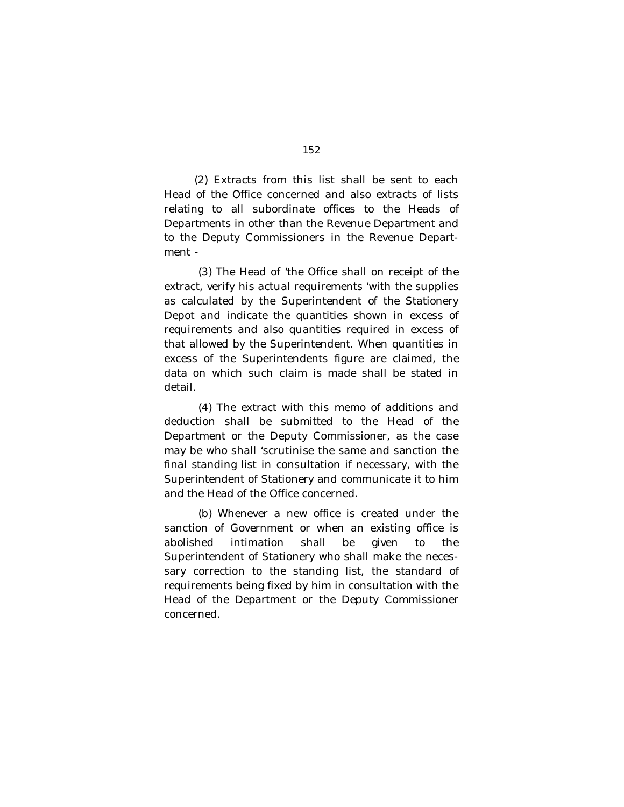(2) Extracts from this list shall be sent to each Head of the Office concerned and also extracts of lists relating to all subordinate offices to the Heads of Departments in other than the Revenue Department and to the Deputy Commissioners in the Revenue Department -

(3) The Head of 'the Office shall on receipt of the extract, verify his actual requirements 'with the supplies as calculated by the Superintendent of the Stationery Depot and indicate the quantities shown in excess of requirements and also quantities required in excess of that allowed by the Superintendent. When quantities in excess of the Superintendents figure are claimed, the data on which such claim is made shall be stated in detail.

(4) The extract with this memo of additions and deduction shall be submitted to the Head of the Department or the Deputy Commissioner, as the case may be who shall 'scrutinise the same and sanction the final standing list in consultation if necessary, with the Superintendent of Stationery and communicate it to him and the Head of the Office concerned.

(b) Whenever a new office is created under the sanction of Government or when an existing office is abolished intimation shall be given to the Superintendent of Stationery who shall make the necessary correction to the standing list, the standard of requirements being fixed by him in consultation with the Head of the Department or the Deputy Commissioner concerned.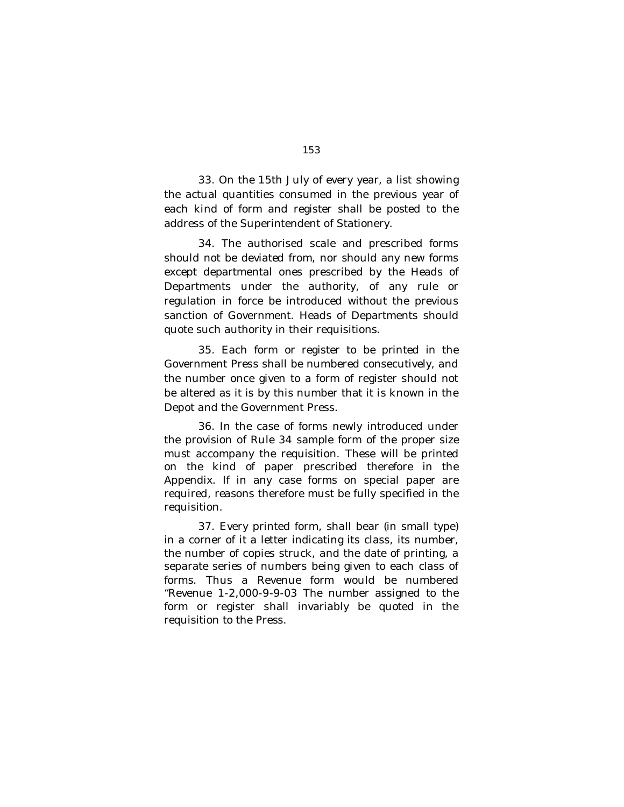33. On the 15th July of every year, a list showing the actual quantities consumed in the previous year of each kind of form and register shall be posted to the address of the Superintendent of Stationery.

34. The authorised scale and prescribed forms should not be deviated from, nor should any new forms except departmental ones prescribed by the Heads of Departments under the authority, of any rule or regulation in force be introduced without the previous sanction of Government. Heads of Departments should quote such authority in their requisitions.

35. Each form or register to be printed in the Government Press shall be numbered consecutively, and the number once given to a form of register should not be altered as it is by this number that it is known in the Depot and the Government Press.

36. In the case of forms newly introduced under the provision of Rule 34 sample form of the proper size must accompany the requisition. These will be printed on the kind of paper prescribed therefore in the Appendix. If in any case forms on special paper are required, reasons therefore must be fully specified in the requisition.

37. Every printed form, shall bear (in small type) in a corner of it a letter indicating its class, its number, the number of copies struck, and the date of printing, a separate series of numbers being given to each class of forms. Thus a Revenue form would be numbered "Revenue 1-2,000-9-9-03 The number assigned to the form or register shall invariably be quoted in the requisition to the Press.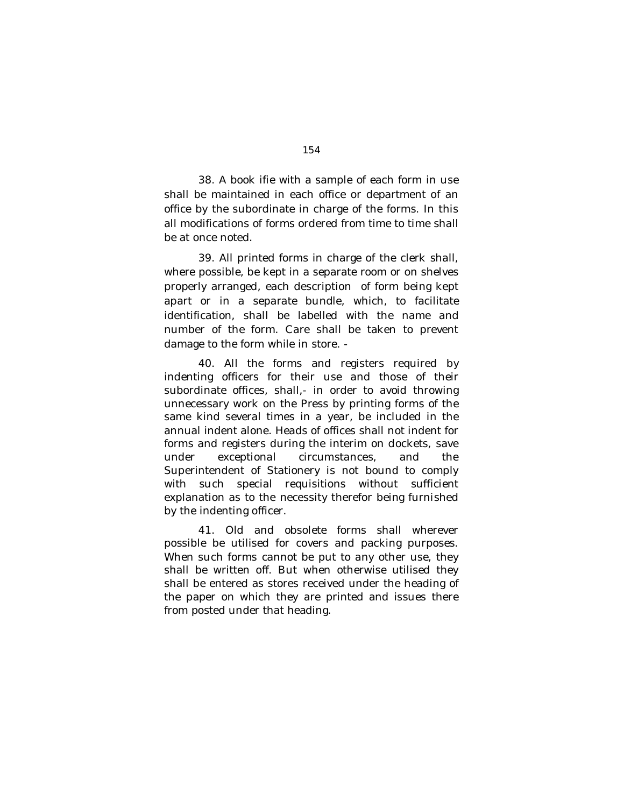38. A book ifie with a sample of each form in use shall be maintained in each office or department of an office by the subordinate in charge of the forms. In this all modifications of forms ordered from time to time shall be at once noted.

39. All printed forms in charge of the clerk shall, where possible, be kept in a separate room or on shelves properly arranged, each description of form being kept apart or in a separate bundle, which, to facilitate identification, shall be labelled with the name and number of the form. Care shall be taken to prevent damage to the form while in store. -

40. All the forms and registers required by indenting officers for their use and those of their subordinate offices, shall,- in order to avoid throwing unnecessary work on the Press by printing forms of the same kind several times in a year, be included in the annual indent alone. Heads of offices shall not indent for forms and registers during the interim on dockets, save under exceptional circumstances, and the Superintendent of Stationery is not bound to comply with such special requisitions without sufficient explanation as to the necessity therefor being furnished by the indenting officer.

41. Old and obsolete forms shall wherever possible be utilised for covers and packing purposes. When such forms cannot be put to any other use, they shall be written off. But when otherwise utilised they shall be entered as stores received under the heading of the paper on which they are printed and issues there from posted under that heading.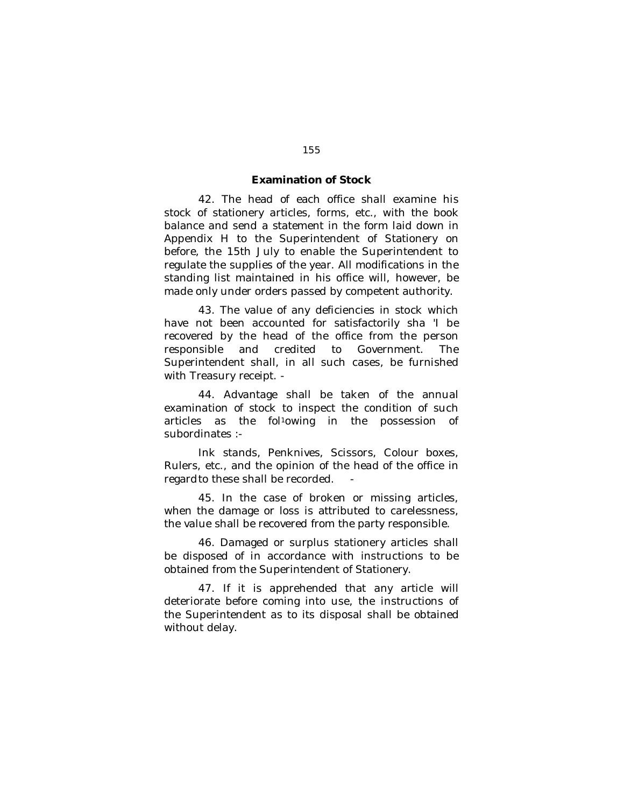#### **Examination of Stock**

42. The head of each office shall examine his stock of stationery articles, forms, etc., with the book balance and send a statement in the form laid down in Appendix H to the Superintendent of Stationery on before, the 15th July to enable the Superintendent to regulate the supplies of the year. All modifications in the standing list maintained in his office will, however, be made only under orders passed by competent authority.

43. The value of any deficiencies in stock which have not been accounted for satisfactorily sha 'I be recovered by the head of the office from the person responsible and credited to Government. The Superintendent shall, in all such cases, be furnished with Treasury receipt. -

44. Advantage shall be taken of the annual examination of stock to inspect the condition of such articles as the fol<sup>1</sup>owing in the possession of subordinates :-

Ink stands, Penknives, Scissors, Colour boxes, Rulers, etc., and the opinion of the head of the office in regard to these shall be recorded.

45. In the case of broken or missing articles, when the damage or loss is attributed to carelessness, the value shall be recovered from the party responsible.

46. Damaged or surplus stationery articles shall be disposed of in accordance with instructions to be obtained from the Superintendent of Stationery.

47. If it is apprehended that any article will deteriorate before coming into use, the instructions of the Superintendent as to its disposal shall be obtained without delay.

#### 155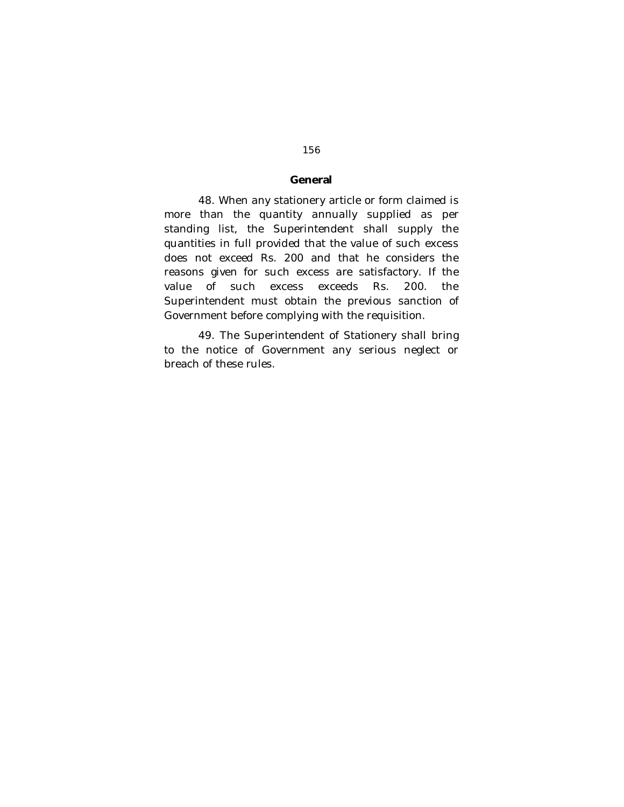#### **General**

48. When any stationery article or form claimed is more than the quantity annually supplied as per standing list, the Superintendent shall supply the quantities in full provided that the value of such excess does not exceed Rs. 200 and that he considers the reasons given for such excess are satisfactory. If the value of such excess exceeds Rs. 200. the Superintendent must obtain the previous sanction of Government before complying with the requisition.

49. The Superintendent of Stationery shall bring to the notice of Government any serious neglect or breach of these rules.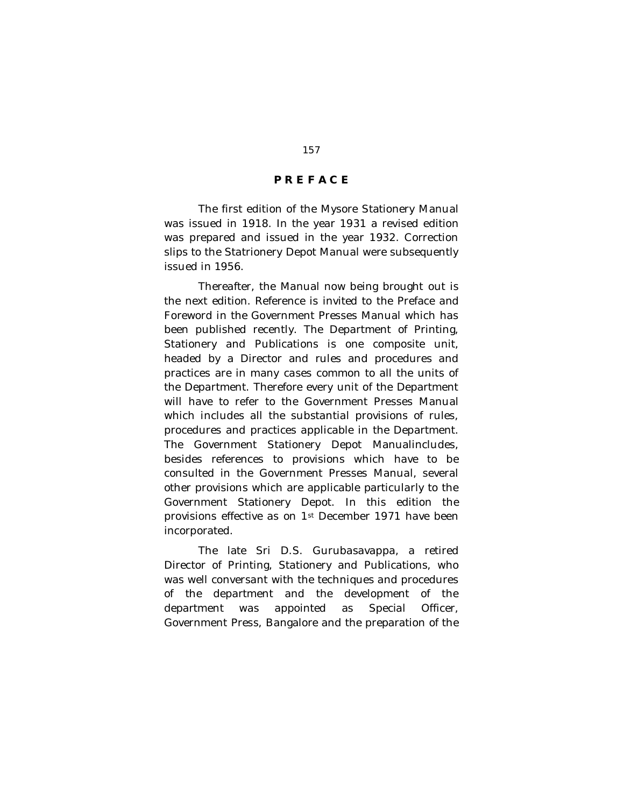### **P R E F A C E**

The first edition of the Mysore Stationery Manual was issued in 1918. In the year 1931 a revised edition was prepared and issued in the year 1932. Correction slips to the Statrionery Depot Manual were subsequently issued in 1956.

Thereafter, the Manual now being brought out is the next edition. Reference is invited to the Preface and Foreword in the Government Presses Manual which has been published recently. The Department of Printing, Stationery and Publications is one composite unit, headed by a Director and rules and procedures and practices are in many cases common to all the units of the Department. Therefore every unit of the Department will have to refer to the Government Presses Manual which includes all the substantial provisions of rules, procedures and practices applicable in the Department. The Government Stationery Depot Manualincludes, besides references to provisions which have to be consulted in the Government Presses Manual, several other provisions which are applicable particularly to the Government Stationery Depot. In this edition the provisions effective as on 1st December 1971 have been incorporated.

The late Sri D.S. Gurubasavappa, a retired Director of Printing, Stationery and Publications, who was well conversant with the techniques and procedures of the department and the development of the department was appointed as Special Officer, Government Press, Bangalore and the preparation of the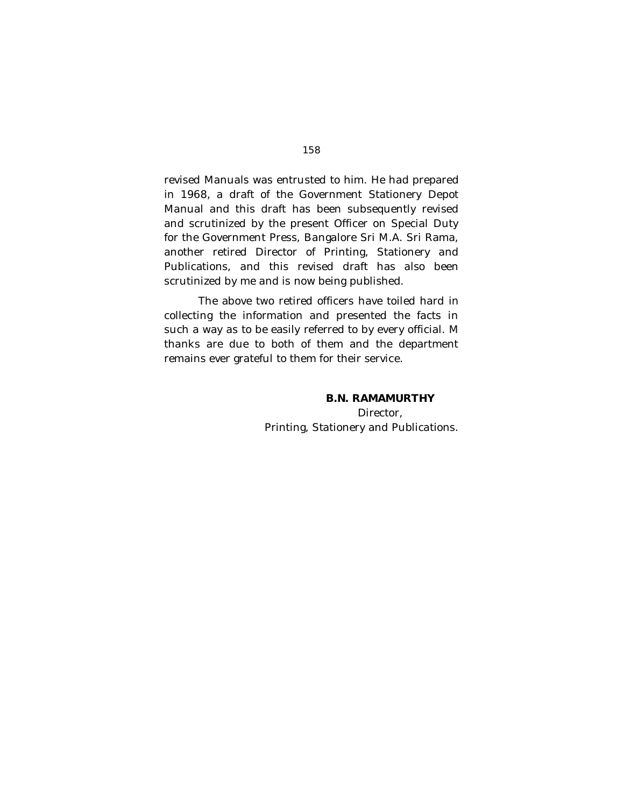revised Manuals was entrusted to him. He had prepared in 1968, a draft of the Government Stationery Depot Manual and this draft has been subsequently revised and scrutinized by the present Officer on Special Duty for the Government Press, Bangalore Sri M.A. Sri Rama, another retired Director of Printing, Stationery and Publications, and this revised draft has also been scrutinized by me and is now being published.

The above two retired officers have toiled hard in collecting the information and presented the facts in such a way as to be easily referred to by every official. M thanks are due to both of them and the department remains ever grateful to them for their service.

> **B.N. RAMAMURTHY** Director, Printing, Stationery and Publications.